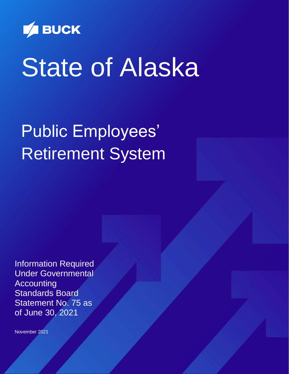

# State of Alaska

## Public Employees' Retirement System

Information Required Under Governmental Accounting Standards Board Statement No. 75 as of June 30, 2021

November 2021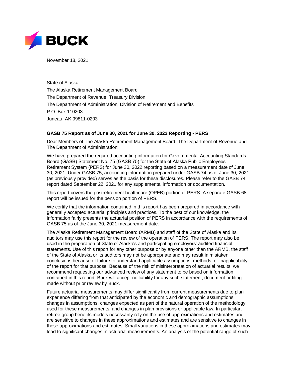

November 18, 2021

State of Alaska The Alaska Retirement Management Board The Department of Revenue, Treasury Division The Department of Administration, Division of Retirement and Benefits P.O. Box 110203 Juneau, AK 99811-0203

#### **GASB 75 Report as of June 30, 2021 for June 30, 2022 Reporting - PERS**

Dear Members of The Alaska Retirement Management Board, The Department of Revenue and The Department of Administration:

We have prepared the required accounting information for Governmental Accounting Standards Board (GASB) Statement No. 75 (GASB 75) for the State of Alaska Public Employees' Retirement System (PERS) for June 30, 2022 reporting based on a measurement date of June 30, 2021. Under GASB 75, accounting information prepared under GASB 74 as of June 30, 2021 (as previously provided) serves as the basis for these disclosures. Please refer to the GASB 74 report dated September 22, 2021 for any supplemental information or documentation.

This report covers the postretirement healthcare (OPEB) portion of PERS. A separate GASB 68 report will be issued for the pension portion of PERS.

We certify that the information contained in this report has been prepared in accordance with generally accepted actuarial principles and practices. To the best of our knowledge, the information fairly presents the actuarial position of PERS in accordance with the requirements of GASB 75 as of the June 30, 2021 measurement date.

The Alaska Retirement Management Board (ARMB) and staff of the State of Alaska and its auditors may use this report for the review of the operation of PERS. The report may also be used in the preparation of State of Alaska's and participating employers' audited financial statements. Use of this report for any other purpose or by anyone other than the ARMB, the staff of the State of Alaska or its auditors may not be appropriate and may result in mistaken conclusions because of failure to understand applicable assumptions, methods, or inapplicability of the report for that purpose. Because of the risk of misinterpretation of actuarial results, we recommend requesting our advanced review of any statement to be based on information contained in this report. Buck will accept no liability for any such statement, document or filing made without prior review by Buck.

Future actuarial measurements may differ significantly from current measurements due to plan experience differing from that anticipated by the economic and demographic assumptions, changes in assumptions, changes expected as part of the natural operation of the methodology used for these measurements, and changes in plan provisions or applicable law. In particular, retiree group benefits models necessarily rely on the use of approximations and estimates and are sensitive to changes in these approximations and estimates and are sensitive to changes in these approximations and estimates. Small variations in these approximations and estimates may lead to significant changes in actuarial measurements. An analysis of the potential range of such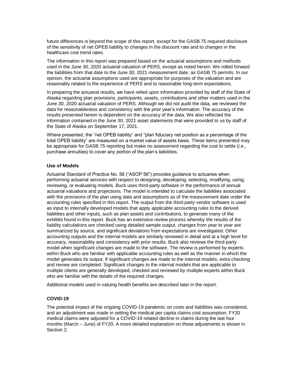future differences is beyond the scope of this report, except for the GASB 75 required disclosure of the sensitivity of net OPEB liability to changes in the discount rate and to changes in the healthcare cost trend rates.

The information in this report was prepared based on the actuarial assumptions and methods used in the June 30, 2020 actuarial valuation of PERS, except as noted herein. We rolled forward the liabilities from that date to the June 30, 2021 measurement date, as GASB 75 permits. In our opinion, the actuarial assumptions used are appropriate for purposes of the valuation and are reasonably related to the experience of PERS and to reasonable long-term expectations.

In preparing the actuarial results, we have relied upon information provided by staff of the State of Alaska regarding plan provisions, participants, assets, contributions and other matters used in the June 30, 2020 actuarial valuation of PERS. Although we did not audit the data, we reviewed the data for reasonableness and consistency with the prior year's information. The accuracy of the results presented herein is dependent on the accuracy of the data. We also reflected the information contained in the June 30, 2021 asset statements that were provided to us by staff of the State of Alaska on September 17, 2021.

Where presented, the "net OPEB liability" and "plan fiduciary net position as a percentage of the total OPEB liability" are measured on a market value of assets basis. These items presented may be appropriate for GASB 75 reporting but make no assessment regarding the cost to settle (i.e., purchase annuities) to cover any portion of the plan's liabilities.

#### **Use of Models**

Actuarial Standard of Practice No. 56 ("ASOP 56") provides guidance to actuaries when performing actuarial services with respect to designing, developing, selecting, modifying, using, reviewing, or evaluating models. Buck uses third-party software in the performance of annual actuarial valuations and projections. The model is intended to calculate the liabilities associated with the provisions of the plan using data and assumptions as of the measurement date under the accounting rules specified in this report. The output from the third-party vendor software is used as input to internally developed models that apply applicable accounting rules to the derived liabilities and other inputs, such as plan assets and contributions, to generate many of the exhibits found in this report. Buck has an extensive review process whereby the results of the liability calculations are checked using detailed sample output, changes from year to year are summarized by source, and significant deviations from expectations are investigated. Other accounting outputs and the internal models are similarly reviewed in detail and at a high level for accuracy, reasonability and consistency with prior results. Buck also reviews the third-party model when significant changes are made to the software. The review is performed by experts within Buck who are familiar with applicable accounting rules as well as the manner in which the model generates its output. If significant changes are made to the internal models, extra checking and review are completed. Significant changes to the internal models that are applicable to multiple clients are generally developed, checked and reviewed by multiple experts within Buck who are familiar with the details of the required changes.

Additional models used in valuing health benefits are described later in the report.

#### **COVID-19**

The potential impact of the ongoing COVID-19 pandemic on costs and liabilities was considered, and an adjustment was made in setting the medical per capita claims cost assumption. FY20 medical claims were adjusted for a COVID-19 related decline in claims during the last four months (March – June) of FY20. A more detailed explanation on these adjustments is shown in Section 2.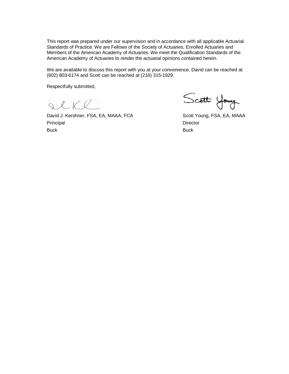This report was prepared under our supervision and in accordance with all applicable Actuarial Standards of Practice. We are Fellows of the Society of Actuaries, Enrolled Actuaries and Members of the American Academy of Actuaries. We meet the Qualification Standards of the American Academy of Actuaries to render the actuarial opinions contained herein.

We are available to discuss this report with you at your convenience. David can be reached at (602) 803-6174 and Scott can be reached at (216) 315-1929.

Respectfully submitted,

SCKR

David J. Kershner, FSA, EA, MAAA, FCA Scott Young, FSA, EA, MAAA Principal Director Buck Buck

Scott Young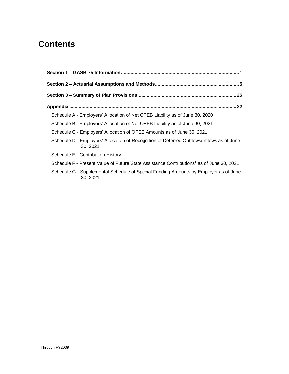## **Contents**

|                                   | Schedule A - Employers' Allocation of Net OPEB Liability as of June 30, 2020                         |
|-----------------------------------|------------------------------------------------------------------------------------------------------|
|                                   | Schedule B - Employers' Allocation of Net OPEB Liability as of June 30, 2021                         |
|                                   | Schedule C - Employers' Allocation of OPEB Amounts as of June 30, 2021                               |
| 30.2021                           | Schedule D - Employers' Allocation of Recognition of Deferred Outflows/Inflows as of June            |
| Schedule E - Contribution History |                                                                                                      |
|                                   | Schedule F - Present Value of Future State Assistance Contributions <sup>1</sup> as of June 30, 2021 |
| 30, 2021                          | Schedule G - Supplemental Schedule of Special Funding Amounts by Employer as of June                 |

l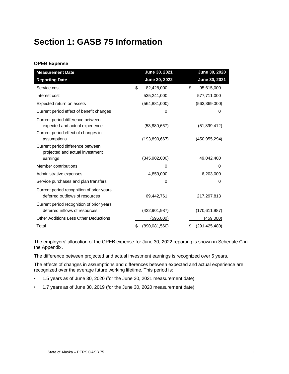## **Section 1: GASB 75 Information**

#### **OPEB Expense**

| <b>Measurement Date</b>                                                      | June 30, 2021       |           | June 30, 2020   |
|------------------------------------------------------------------------------|---------------------|-----------|-----------------|
| <b>Reporting Date</b>                                                        | June 30, 2022       |           | June 30, 2021   |
| Service cost                                                                 | \$<br>82,428,000    | \$        | 95,615,000      |
| Interest cost                                                                | 535,241,000         |           | 577,711,000     |
| Expected return on assets                                                    | (564, 881, 000)     |           | (563, 369, 000) |
| Current period effect of benefit changes                                     |                     | 0         | 0               |
| Current period difference between<br>expected and actual experience          | (53,880,667)        |           | (51,899,412)    |
| Current period effect of changes in<br>assumptions                           | (193, 890, 667)     |           | (450, 955, 294) |
| Current period difference between<br>projected and actual investment         |                     |           |                 |
| earnings                                                                     | (345,902,000)       |           | 49,042,400      |
| Member contributions                                                         |                     | 0         | $\Omega$        |
| Administrative expenses                                                      | 4,859,000           |           | 6,203,000       |
| Service purchases and plan transfers                                         |                     | 0         | 0               |
| Current period recognition of prior years'<br>deferred outflows of resources | 69,442,761          |           | 217,297,813     |
| Current period recognition of prior years'<br>deferred inflows of resources  | (422, 901, 987)     |           | (170, 611, 987) |
| <b>Other Additions Less Other Deductions</b>                                 |                     | (596,000) | (459,000)       |
| Total                                                                        | \$<br>(890,081,560) | \$        | (291, 425, 480) |

The employers' allocation of the OPEB expense for June 30, 2022 reporting is shown in Schedule C in the Appendix.

The difference between projected and actual investment earnings is recognized over 5 years.

The effects of changes in assumptions and differences between expected and actual experience are recognized over the average future working lifetime. This period is:

- 1.5 years as of June 30, 2020 (for the June 30, 2021 measurement date)
- 1.7 years as of June 30, 2019 (for the June 30, 2020 measurement date)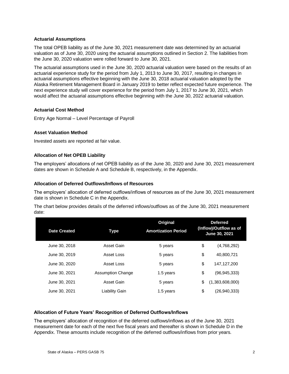#### **Actuarial Assumptions**

The total OPEB liability as of the June 30, 2021 measurement date was determined by an actuarial valuation as of June 30, 2020 using the actuarial assumptions outlined in Section 2. The liabilities from the June 30, 2020 valuation were rolled forward to June 30, 2021.

The actuarial assumptions used in the June 30, 2020 actuarial valuation were based on the results of an actuarial experience study for the period from July 1, 2013 to June 30, 2017, resulting in changes in actuarial assumptions effective beginning with the June 30, 2018 actuarial valuation adopted by the Alaska Retirement Management Board in January 2019 to better reflect expected future experience. The next experience study will cover experience for the period from July 1, 2017 to June 30, 2021, which would affect the actuarial assumptions effective beginning with the June 30, 2022 actuarial valuation.

#### **Actuarial Cost Method**

Entry Age Normal – Level Percentage of Payroll

#### **Asset Valuation Method**

Invested assets are reported at fair value.

#### **Allocation of Net OPEB Liability**

The employers' allocations of net OPEB liability as of the June 30, 2020 and June 30, 2021 measurement dates are shown in Schedule A and Schedule B, respectively, in the Appendix.

#### **Allocation of Deferred Outflows/Inflows of Resources**

The employers' allocation of deferred outflows/inflows of resources as of the June 30, 2021 measurement date is shown in Schedule C in the Appendix.

The chart below provides details of the deferred inflows/outflows as of the June 30, 2021 measurement date:

| <b>Date Created</b> | Type                     | <b>Original</b><br><b>Amortization Period</b> | <b>Deferred</b><br>(Inflow)/Outflow as of<br>June 30, 2021 |
|---------------------|--------------------------|-----------------------------------------------|------------------------------------------------------------|
| June 30, 2018       | Asset Gain               | 5 years                                       | \$<br>(4,768,292)                                          |
| June 30, 2019       | Asset Loss               | 5 years                                       | \$<br>40.800.721                                           |
| June 30, 2020       | Asset Loss               | 5 years                                       | \$<br>147.127.200                                          |
| June 30, 2021       | <b>Assumption Change</b> | 1.5 years                                     | \$<br>(96, 945, 333)                                       |
| June 30, 2021       | Asset Gain               | 5 years                                       | \$<br>(1,383,608,000)                                      |
| June 30, 2021       | Liability Gain           | 1.5 years                                     | \$<br>(26,940,333)                                         |

#### **Allocation of Future Years' Recognition of Deferred Outflows/Inflows**

The employers' allocation of recognition of the deferred outflows/inflows as of the June 30, 2021 measurement date for each of the next five fiscal years and thereafter is shown in Schedule D in the Appendix. These amounts include recognition of the deferred outflows/inflows from prior years.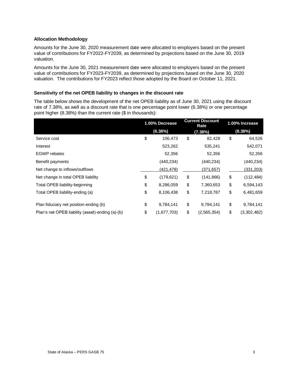#### **Allocation Methodology**

Amounts for the June 30, 2020 measurement date were allocated to employers based on the present value of contributions for FY2022-FY2039, as determined by projections based on the June 30, 2019 valuation.

Amounts for the June 30, 2021 measurement date were allocated to employers based on the present value of contributions for FY2023-FY2039, as determined by projections based on the June 30, 2020 valuation. The contributions for FY2023 reflect those adopted by the Board on October 11, 2021.

#### **Sensitivity of the net OPEB liability to changes in the discount rate**

The table below shows the development of the net OPEB liability as of June 30, 2021 using the discount rate of 7.38%, as well as a discount rate that is one percentage point lower (6.38%) or one percentage point higher (8.38%) than the current rate (\$ in thousands):

|                                                  | 1.00% Decrease |             | <b>Current Discount</b><br>Rate |             | 1.00% Increase |             |
|--------------------------------------------------|----------------|-------------|---------------------------------|-------------|----------------|-------------|
|                                                  |                | (6.38%)     |                                 | (7.38%)     |                | $(8.38\%)$  |
| Service cost                                     | \$             | 106,473     | \$                              | 82,428      | \$             | 64,526      |
| Interest                                         |                | 523,262     |                                 | 535,241     |                | 542,071     |
| <b>EGWP</b> rebates                              |                | 52,356      |                                 | 52,356      |                | 52,356      |
| Benefit payments                                 |                | (440, 234)  |                                 | (440, 234)  |                | (440,234)   |
| Net change to inflows/outflows                   |                | (421, 478)  |                                 | (371, 657)  |                | (331, 203)  |
| Net change in total OPEB liability               | \$             | (179, 621)  | \$                              | (141, 866)  | \$             | (112, 484)  |
| Total OPEB liability-beginning                   | \$             | 8,286,059   | \$                              | 7,360,653   | \$             | 6,594,143   |
| Total OPEB liability-ending (a)                  | \$             | 8,106,438   | \$                              | 7,218,787   | \$             | 6,481,659   |
| Plan fiduciary net position-ending (b)           | \$             | 9,784,141   | \$                              | 9,784,141   | \$             | 9,784,141   |
| Plan's net OPEB liability (asset)-ending (a)-(b) | \$             | (1,677,703) | \$                              | (2,565,354) | \$             | (3,302,482) |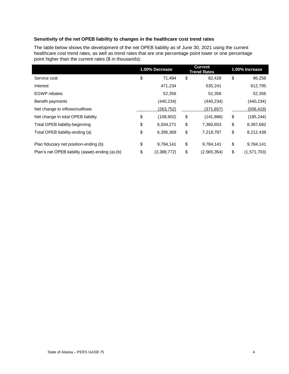#### **Sensitivity of the net OPEB liability to changes in the healthcare cost trend rates**

The table below shows the development of the net OPEB liability as of June 30, 2021 using the current healthcare cost trend rates, as well as trend rates that are one percentage point lower or one percentage point higher than the current rates (\$ in thousands):

|                                                  | 1.00% Decrease    | <b>Current</b><br><b>Trend Rates</b> | 1.00% Increase    |
|--------------------------------------------------|-------------------|--------------------------------------|-------------------|
| Service cost                                     | \$<br>71.494      | \$<br>82,428                         | \$<br>96,258      |
| Interest                                         | 471,234           | 535,241                              | 612,795           |
| <b>EGWP</b> rebates                              | 52,356            | 52,356                               | 52,356            |
| Benefit payments                                 | (440,234)         | (440,234)                            | (440,234)         |
| Net change to inflows/outflows                   | (263,752)         | (371, 657)                           | (506, 419)        |
| Net change in total OPEB liability               | \$<br>(108, 902)  | \$<br>(141, 866)                     | \$<br>(185, 244)  |
| Total OPEB liability-beginning                   | \$<br>6,504,271   | \$<br>7,360,653                      | \$<br>8,397,682   |
| Total OPEB liability-ending (a)                  | \$<br>6,395,369   | \$<br>7,218,787                      | \$<br>8,212,438   |
| Plan fiduciary net position-ending (b)           | \$<br>9,784,141   | \$<br>9,784,141                      | \$<br>9,784,141   |
| Plan's net OPEB liability (asset)-ending (a)-(b) | \$<br>(3,388,772) | \$<br>(2,565,354)                    | \$<br>(1,571,703) |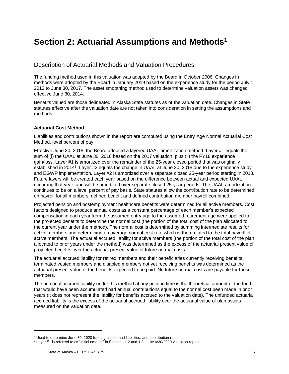## **Section 2: Actuarial Assumptions and Methods<sup>1</sup>**

#### Description of Actuarial Methods and Valuation Procedures

The funding method used in this valuation was adopted by the Board in October 2006. Changes in methods were adopted by the Board in January 2019 based on the experience study for the period July 1, 2013 to June 30, 2017. The asset smoothing method used to determine valuation assets was changed effective June 30, 2014.

Benefits valued are those delineated in Alaska State statutes as of the valuation date. Changes in State statutes effective after the valuation date are not taken into consideration in setting the assumptions and methods.

#### **Actuarial Cost Method**

Liabilities and contributions shown in the report are computed using the Entry Age Normal Actuarial Cost Method, level percent of pay.

Effective June 30, 2018, the Board adopted a layered UAAL amortization method: Layer #1 equals the sum of (i) the UAAL at June 30, 2018 based on the 2017 valuation, plus (ii) the FY18 experience gain/loss. Layer #1 is amortized over the remainder of the 25-year closed period that was originally established in 2014<sup>2</sup>. Layer #2 equals the change in UAAL at June 30, 2018 due to the experience study and EGWP implementation. Layer #2 is amortized over a separate closed 25-year period starting in 2018. Future layers will be created each year based on the difference between actual and expected UAAL occurring that year, and will be amortized over separate closed 25-year periods. The UAAL amortization continues to be on a level percent of pay basis. State statutes allow the contribution rate to be determined on payroll for all members, defined benefit and defined contribution member payroll combined.

Projected pension and postemployment healthcare benefits were determined for all active members. Cost factors designed to produce annual costs as a constant percentage of each member's expected compensation in each year from the assumed entry age to the assumed retirement age were applied to the projected benefits to determine the normal cost (the portion of the total cost of the plan allocated to the current year under the method). The normal cost is determined by summing intermediate results for active members and determining an average normal cost rate which is then related to the total payroll of active members. The actuarial accrued liability for active members (the portion of the total cost of the plan allocated to prior years under the method) was determined as the excess of the actuarial present value of projected benefits over the actuarial present value of future normal costs.

The actuarial accrued liability for retired members and their beneficiaries currently receiving benefits, terminated vested members and disabled members not yet receiving benefits was determined as the actuarial present value of the benefits expected to be paid. No future normal costs are payable for these members.

The actuarial accrued liability under this method at any point in time is the theoretical amount of the fund that would have been accumulated had annual contributions equal to the normal cost been made in prior years (it does not represent the liability for benefits accrued to the valuation date). The unfunded actuarial accrued liability is the excess of the actuarial accrued liability over the actuarial value of plan assets measured on the valuation date.

l

<sup>&</sup>lt;sup>1</sup> Used to determine June 30, 2020 funding assets and liabilities, and contribution rates.

<sup>2</sup> Layer #1 is referred to as "initial amount" in Sections 1.2 and 1.3 in the 6/30/2020 valuation report.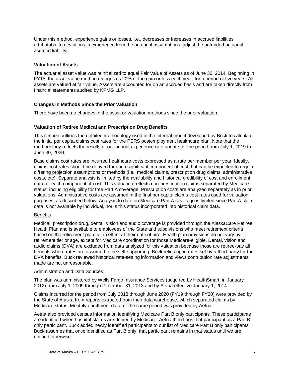Under this method, experience gains or losses, i.e., decreases or increases in accrued liabilities attributable to deviations in experience from the actuarial assumptions, adjust the unfunded actuarial accrued liability.

#### **Valuation of Assets**

The actuarial asset value was reinitialized to equal Fair Value of Assets as of June 30, 2014. Beginning in FY15, the asset value method recognizes 20% of the gain or loss each year, for a period of five years. All assets are valued at fair value. Assets are accounted for on an accrued basis and are taken directly from financial statements audited by KPMG LLP.

#### **Changes in Methods Since the Prior Valuation**

There have been no changes in the asset or valuation methods since the prior valuation.

#### **Valuation of Retiree Medical and Prescription Drug Benefits**

This section outlines the detailed methodology used in the internal model developed by Buck to calculate the initial per capita claims cost rates for the PERS postemployment healthcare plan. Note that the methodology reflects the results of our annual experience rate update for the period from July 1, 2019 to June 30, 2020.

Base claims cost rates are incurred healthcare costs expressed as a rate per member per year. Ideally, claims cost rates should be derived for each significant component of cost that can be expected to require differing projection assumptions or methods (i.e., medical claims, prescription drug claims, administrative costs, etc). Separate analysis is limited by the availability and historical credibility of cost and enrollment data for each component of cost. This valuation reflects non-prescription claims separated by Medicare status, including eligibility for free Part A coverage. Prescription costs are analyzed separately as in prior valuations. Administrative costs are assumed in the final per capita claims cost rates used for valuation purposes, as described below. Analysis to date on Medicare Part A coverage is limited since Part A claim data is not available by individual, nor is this status incorporated into historical claim data.

#### **Benefits**

Medical, prescription drug, dental, vision and audio coverage is provided through the AlaskaCare Retiree Health Plan and is available to employees of the State and subdivisions who meet retirement criteria based on the retirement plan tier in effect at their date of hire. Health plan provisions do not vary by retirement tier or age, except for Medicare coordination for those Medicare-eligible. Dental, vision and audio claims (DVA) are excluded from data analyzed for this valuation because those are retiree-pay all benefits where rates are assumed to be self-supporting. Buck relies upon rates set by a third-party for the DVA benefits. Buck reviewed historical rate-setting information and views contribution rate adjustments made are not unreasonable.

#### Administration and Data Sources

The plan was administered by Wells Fargo Insurance Services (acquired by HealthSmart, in January 2012) from July 1, 2009 through December 31, 2013 and by Aetna effective January 1, 2014.

Claims incurred for the period from July 2018 through June 2020 (FY19 through FY20) were provided by the State of Alaska from reports extracted from their data warehouse, which separated claims by Medicare status. Monthly enrollment data for the same period was provided by Aetna.

Aetna also provided census information identifying Medicare Part B only participants. These participants are identified when hospital claims are denied by Medicare; Aetna then flags that participant as a Part B only participant. Buck added newly identified participants to our list of Medicare Part B only participants. Buck assumes that once identified as Part B only, that participant remains in that status until we are notified otherwise.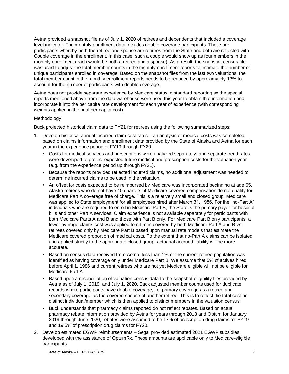Aetna provided a snapshot file as of July 1, 2020 of retirees and dependents that included a coverage level indicator. The monthly enrollment data includes double coverage participants. These are participants whereby both the retiree and spouse are retirees from the State and both are reflected with Couple coverage in the enrollment. In this case, such a couple would show up as four members in the monthly enrollment (each would be both a retiree and a spouse). As a result, the snapshot census file was used to adjust the total member counts in the monthly enrollment reports to estimate the number of unique participants enrolled in coverage. Based on the snapshot files from the last two valuations, the total member count in the monthly enrollment reports needs to be reduced by approximately 13% to account for the number of participants with double coverage.

Aetna does not provide separate experience by Medicare status in standard reporting so the special reports mentioned above from the data warehouse were used this year to obtain that information and incorporate it into the per capita rate development for each year of experience (with corresponding weights applied in the final per capita cost).

#### Methodology

Buck projected historical claim data to FY21 for retirees using the following summarized steps:

- 1. Develop historical annual incurred claim cost rates an analysis of medical costs was completed based on claims information and enrollment data provided by the State of Alaska and Aetna for each year in the experience period of FY19 through FY20.
	- Costs for medical services and prescriptions were analyzed separately, and separate trend rates were developed to project expected future medical and prescription costs for the valuation year (e.g. from the experience period up through FY21).
	- Because the reports provided reflected incurred claims, no additional adjustment was needed to determine incurred claims to be used in the valuation.
	- An offset for costs expected to be reimbursed by Medicare was incorporated beginning at age 65. Alaska retirees who do not have 40 quarters of Medicare-covered compensation do not qualify for Medicare Part A coverage free of charge. This is a relatively small and closed group. Medicare was applied to State employment for all employees hired after March 31, 1986. For the "no-Part A" individuals who are required to enroll in Medicare Part B, the State is the primary payer for hospital bills and other Part A services. Claim experience is not available separately for participants with both Medicare Parts A and B and those with Part B only. For Medicare Part B only participants, a lower average claims cost was applied to retirees covered by both Medicare Part A and B vs. retirees covered only by Medicare Part B based upon manual rate models that estimate the Medicare covered proportion of medical costs. To the extent that no-Part A claims can be isolated and applied strictly to the appropriate closed group, actuarial accrued liability will be more accurate.
	- Based on census data received from Aetna, less than 1% of the current retiree population was identified as having coverage only under Medicare Part B. We assume that 5% of actives hired before April 1, 1986 and current retirees who are not yet Medicare eligible will not be eligible for Medicare Part A.
	- Based upon a reconciliation of valuation census data to the snapshot eligibility files provided by Aetna as of July 1, 2019, and July 1, 2020, Buck adjusted member counts used for duplicate records where participants have double coverage; i.e. primary coverage as a retiree and secondary coverage as the covered spouse of another retiree. This is to reflect the total cost per distinct individual/member which is then applied to distinct members in the valuation census.
	- Buck understands that pharmacy claims reported do not reflect rebates. Based on actual pharmacy rebate information provided by Aetna for years through 2018 and Optum for January 2019 through June 2020, rebates were assumed to be 17% of prescription drug claims for FY19 and 19.5% of prescription drug claims for FY20.
- 2. Develop estimated EGWP reimbursements Segal provided estimated 2021 EGWP subsidies, developed with the assistance of OptumRx. These amounts are applicable only to Medicare-eligible participants.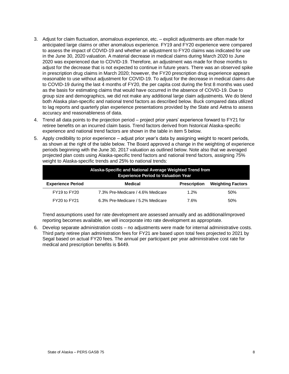- 3. Adjust for claim fluctuation, anomalous experience, etc. explicit adjustments are often made for anticipated large claims or other anomalous experience. FY19 and FY20 experience were compared to assess the impact of COVID-19 and whether an adjustment to FY20 claims was indicated for use in the June 30, 2020 valuation. A material decrease in medical claims during March 2020 to June 2020 was experienced due to COVID-19. Therefore, an adjustment was made for those months to adjust for the decrease that is not expected to continue in future years. There was an observed spike in prescription drug claims in March 2020; however, the FY20 prescription drug experience appears reasonable to use without adjustment for COVID-19. To adjust for the decrease in medical claims due to COVID-19 during the last 4 months of FY20, the per capita cost during the first 8 months was used as the basis for estimating claims that would have occurred in the absence of COVID-19. Due to group size and demographics, we did not make any additional large claim adjustments. We do blend both Alaska plan-specific and national trend factors as described below. Buck compared data utilized to lag reports and quarterly plan experience presentations provided by the State and Aetna to assess accuracy and reasonableness of data.
- 4. Trend all data points to the projection period project prior years' experience forward to FY21 for retiree benefits on an incurred claim basis. Trend factors derived from historical Alaska-specific experience and national trend factors are shown in the table in item 5 below.
- 5. Apply credibility to prior experience adjust prior year's data by assigning weight to recent periods, as shown at the right of the table below. The Board approved a change in the weighting of experience periods beginning with the June 30, 2017 valuation as outlined below. Note also that we averaged projected plan costs using Alaska-specific trend factors and national trend factors, assigning 75% weight to Alaska-specific trends and 25% to national trends:

| Alaska-Specific and National Average Weighted Trend from<br><b>Experience Period to Valuation Year</b> |                                   |                     |                          |  |  |  |
|--------------------------------------------------------------------------------------------------------|-----------------------------------|---------------------|--------------------------|--|--|--|
| <b>Experience Period</b>                                                                               | Medical                           | <b>Prescription</b> | <b>Weighting Factors</b> |  |  |  |
| FY19 to FY20                                                                                           | 7.3% Pre-Medicare / 4.6% Medicare | 1.2%                | 50%                      |  |  |  |
| FY20 to FY21                                                                                           | 6.3% Pre-Medicare / 5.2% Medicare | 7.6%                | 50%                      |  |  |  |

Trend assumptions used for rate development are assessed annually and as additional/improved reporting becomes available, we will incorporate into rate development as appropriate.

6. Develop separate administration costs – no adjustments were made for internal administrative costs. Third party retiree plan administration fees for FY21 are based upon total fees projected to 2021 by Segal based on actual FY20 fees. The annual per participant per year administrative cost rate for medical and prescription benefits is \$449.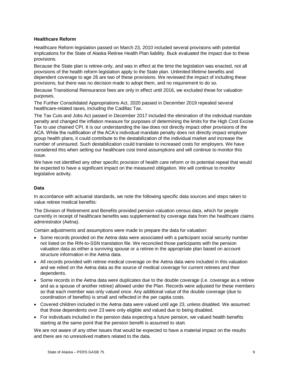#### **Healthcare Reform**

Healthcare Reform legislation passed on March 23, 2010 included several provisions with potential implications for the State of Alaska Retiree Health Plan liability. Buck evaluated the impact due to these provisions.

Because the State plan is retiree-only, and was in effect at the time the legislation was enacted, not all provisions of the health reform legislation apply to the State plan. Unlimited lifetime benefits and dependent coverage to age 26 are two of these provisions. We reviewed the impact of including these provisions, but there was no decision made to adopt them, and no requirement to do so.

Because Transitional Reinsurance fees are only in effect until 2016, we excluded these for valuation purposes.

The Further Consolidated Appropriations Act, 2020 passed in December 2019 repealed several healthcare-related taxes, including the Cadillac Tax.

The Tax Cuts and Jobs Act passed in December 2017 included the elimination of the individual mandate penalty and changed the inflation measure for purposes of determining the limits for the High Cost Excise Tax to use chained CPI. It is our understanding the law does not directly impact other provisions of the ACA. While the nullification of the ACA's individual mandate penalty does not directly impact employer group health plans, it could contribute to the destabilization of the individual market and increase the number of uninsured. Such destabilization could translate to increased costs for employers. We have considered this when setting our healthcare cost trend assumptions and will continue to monitor this issue.

We have not identified any other specific provision of health care reform or its potential repeal that would be expected to have a significant impact on the measured obligation. We will continue to monitor legislative activity.

#### **Data**

In accordance with actuarial standards, we note the following specific data sources and steps taken to value retiree medical benefits:

The Division of Retirement and Benefits provided pension valuation census data, which for people currently in receipt of healthcare benefits was supplemented by coverage data from the healthcare claims administrator (Aetna).

Certain adjustments and assumptions were made to prepare the data for valuation:

- Some records provided on the Aetna data were associated with a participant social security number not listed on the RIN-to-SSN translation file. We reconciled those participants with the pension valuation data as either a surviving spouse or a retiree in the appropriate plan based on account structure information in the Aetna data.
- All records provided with retiree medical coverage on the Aetna data were included in this valuation and we relied on the Aetna data as the source of medical coverage for current retirees and their dependents.
- Some records in the Aetna data were duplicates due to the double coverage (i.e. coverage as a retiree and as a spouse of another retiree) allowed under the Plan. Records were adjusted for these members so that each member was only valued once. Any additional value of the double coverage (due to coordination of benefits) is small and reflected in the per capita costs.
- Covered children included in the Aetna data were valued until age 23, unless disabled. We assumed that those dependents over 23 were only eligible and valued due to being disabled.
- For individuals included in the pension data expecting a future pension, we valued health benefits starting at the same point that the pension benefit is assumed to start.

We are not aware of any other issues that would be expected to have a material impact on the results and there are no unresolved matters related to the data.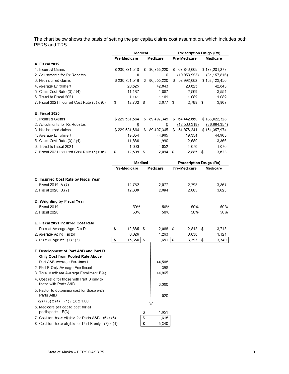The chart below shows the basis of setting the per capita claims cost assumption, which includes both PERS and TRS.

|                                             | Medical |                |    |            | Prescription Drugs (Rx) |                |    |                |
|---------------------------------------------|---------|----------------|----|------------|-------------------------|----------------|----|----------------|
|                                             |         | Pre-Medicare   |    | Medicare   |                         | Pre-Medicare   |    | Medicare       |
| <b>A. Fiscal 2019</b>                       |         |                |    |            |                         |                |    |                |
| 1. Incurred Claims                          |         | \$230,731,518  | \$ | 80,855,220 | \$                      | 63,846,605     |    | \$183,281,273  |
| 2. Adjustments for Rx Rebates               |         | 0              |    | 0          |                         | (10, 853, 923) |    | (31, 157, 816) |
| 3. Net incurred claims                      |         | \$230,731,518  | \$ | 80,855,220 | \$                      | 52,992,682     |    | \$152,123,456  |
| 4. Average Enrollment                       |         | 20,625         |    | 42,843     |                         | 20,625         |    | 42,843         |
| 5. Claim Cost Rate (3) / (4)                |         | 11,187         |    | 1,887      |                         | 2,569          |    | 3,551          |
| 6. Trend to Fiscal 2021                     |         | 1.141          |    | 1.101      |                         | 1.089          |    | 1.089          |
| 7. Fiscal 2021 Incurred Cost Rate (5) x (6) | \$      | 12,762 \$      |    | 2.077      | - \$                    | $2.798$ \$     |    | 3.867          |
| <b>B. Fiscal 2020</b>                       |         |                |    |            |                         |                |    |                |
| 1. Incurred Claims                          |         | \$229,531,664  | \$ | 89,497,345 | \$                      | 64,442,660     |    | \$188,022,328  |
| 2. Adjustments for Rx Rebates               |         | $\overline{0}$ |    | 0          |                         | (12, 566, 319) |    | (36,664,354)   |
| 3. Net incurred claims                      |         | \$229,531,664  | \$ | 89,497,345 | \$                      | 51,876,341     |    | \$151,357,974  |
| 4. Average Enrollment                       |         | 19,354         |    | 44,965     |                         | 19,354         |    | 44,965         |
| 5. Claim Cost Rate (3) / (4)                |         | 11,860         |    | 1,990      |                         | 2,680          |    | 3,366          |
| 6. Trend to Fiscal 2021                     |         | 1.063          |    | 1.052      |                         | 1.076          |    | 1.076          |
| 7. Fiscal 2021 Incurred Cost Rate (5) x (6) | \$      | 12,609         | \$ | 2,094      | \$                      | 2,885          | \$ | 3,623          |

|                                                                     | Medical         |             | Prescription Drugs (Rx) |             |  |
|---------------------------------------------------------------------|-----------------|-------------|-------------------------|-------------|--|
|                                                                     | Pre-Medicare    | Medicare    | Pre-Medicare            | Medicare    |  |
| C. Incurred Cost Rate by Fiscal Year                                |                 |             |                         |             |  |
| 1. Fiscal 2019 A.(7)                                                | 12,762          | 2,077       | 2,798                   | 3,867       |  |
| 2. Fiscal 2020 B.(7)                                                | 12,609          | 2,094       | 2,885                   | 3,623       |  |
| D. Weighting by Fiscal Year                                         |                 |             |                         |             |  |
| 1. Fiscal 2019                                                      | 50%             | 50%         | 50%                     | 50%         |  |
| 2. Fiscal 2020                                                      | 50%             | 50%         | 50%                     | 50%         |  |
| E. Fiscal 2021 Incurred Cost Rate                                   |                 |             |                         |             |  |
| 1. Rate at Average Age C x D                                        | \$<br>12,685 \$ | 2,086       | \$<br>$2,842$ \$        | 3,745       |  |
| 2. Average Aging Factor                                             | 0.826           | 1.263       | 0.838                   | 1.121       |  |
| 3. Rate at Age 65 (1)/(2)                                           | \$<br>15,360 \$ | 1,651       | \$<br>3,393             | 3,340<br>\$ |  |
| F. Development of Part A&B and Part B                               |                 |             |                         |             |  |
| Only Cost from Pooled Rate Above                                    |                 |             |                         |             |  |
| 1. Part A&B Average Enrollment                                      |                 | 44.568      |                         |             |  |
| 2. Part B Only Average Enrollment                                   |                 | 398         |                         |             |  |
| 3. Total Medicare Average Enrollment B(4)                           |                 | 44,965      |                         |             |  |
| 4. Cost ratio for those with Part B only to<br>those with Parts A&B |                 | 3.300       |                         |             |  |
| 5. Factor to determine cost for those with<br>Parts A&B             |                 | 1.020       |                         |             |  |
| $(2) / (3)$ x $(4) + (1) / (3)$ x 1.00                              |                 |             |                         |             |  |
| 6. Medicare per capita cost for all<br>participants: E(3)           |                 | \$<br>1,651 |                         |             |  |
| 7. Cost for those eligible for Parts A&B: (6)/(5)                   |                 | \$<br>1,618 |                         |             |  |
| 8. Cost for those eligible for Part B only: (7) x (4)               |                 | \$<br>5,340 |                         |             |  |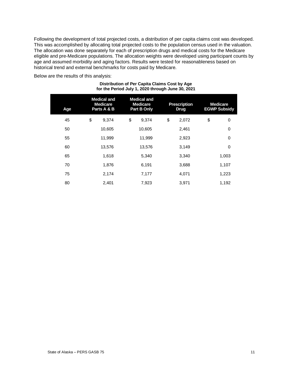Following the development of total projected costs, a distribution of per capita claims cost was developed. This was accomplished by allocating total projected costs to the population census used in the valuation. The allocation was done separately for each of prescription drugs and medical costs for the Medicare eligible and pre-Medicare populations. The allocation weights were developed using participant counts by age and assumed morbidity and aging factors. Results were tested for reasonableness based on historical trend and external benchmarks for costs paid by Medicare.

Below are the results of this analysis:

| Age | <b>Medical and</b><br><b>Medicare</b><br>Parts A & B |        | <b>Medical and</b><br><b>Medicare</b><br>Part B Only | <b>Prescription</b><br><b>Drug</b> | <b>Medicare</b><br><b>EGWP Subsidy</b> |
|-----|------------------------------------------------------|--------|------------------------------------------------------|------------------------------------|----------------------------------------|
| 45  | \$                                                   | 9,374  | \$<br>9,374                                          | \$<br>2,072                        | \$<br>0                                |
| 50  |                                                      | 10,605 | 10,605                                               | 2,461                              | 0                                      |
| 55  |                                                      | 11,999 | 11,999                                               | 2,923                              | 0                                      |
| 60  |                                                      | 13,576 | 13,576                                               | 3,149                              | 0                                      |
| 65  |                                                      | 1,618  | 5,340                                                | 3,340                              | 1,003                                  |
| 70  |                                                      | 1,876  | 6,191                                                | 3,688                              | 1,107                                  |
| 75  |                                                      | 2,174  | 7,177                                                | 4,071                              | 1,223                                  |
| 80  |                                                      | 2,401  | 7,923                                                | 3,971                              | 1,192                                  |

#### **Distribution of Per Capita Claims Cost by Age for the Period July 1, 2020 through June 30, 2021**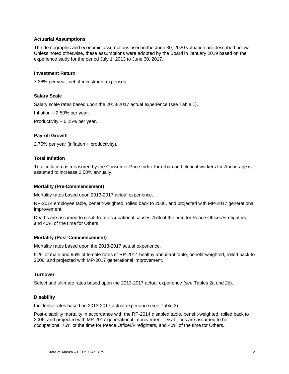#### **Actuarial Assumptions**

The demographic and economic assumptions used in the June 30, 2020 valuation are described below. Unless noted otherwise, these assumptions were adopted by the Board in January 2019 based on the experience study for the period July 1, 2013 to June 30, 2017.

#### **Investment Return**

7.38% per year, net of investment expenses.

#### **Salary Scale**

Salary scale rates based upon the 2013-2017 actual experience (see Table 1).

Inflation – 2.50% per year.

Productivity – 0.25% per year.

#### **Payroll Growth**

2.75% per year (inflation + productivity).

#### **Total Inflation**

Total inflation as measured by the Consumer Price Index for urban and clerical workers for Anchorage is assumed to increase 2.50% annually.

#### **Mortality (Pre-Commencement)**

Mortality rates based upon 2013-2017 actual experience.

RP-2014 employee table, benefit-weighted, rolled back to 2006, and projected with MP-2017 generational improvement.

Deaths are assumed to result from occupational causes 75% of the time for Peace Officer/Firefighters, and 40% of the time for Others.

#### **Mortality (Post-Commencement)**

Mortality rates based upon the 2013-2017 actual experience.

91% of male and 96% of female rates of RP-2014 healthy annuitant table, benefit-weighted, rolled back to 2006, and projected with MP-2017 generational improvement.

#### **Turnover**

Select and ultimate rates based upon the 2013-2017 actual experience (see Tables 2a and 2b).

#### **Disability**

Incidence rates based on 2013-2017 actual experience (see Table 3).

Post-disability mortality in accordance with the RP-2014 disabled table, benefit-weighted, rolled back to 2006, and projected with MP-2017 generational improvement. Disabilities are assumed to be occupational 75% of the time for Peace Officer/Firefighters, and 40% of the time for Others.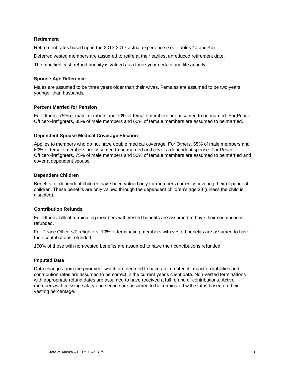#### **Retirement**

Retirement rates based upon the 2013-2017 actual experience (see Tables 4a and 4b).

Deferred vested members are assumed to retire at their earliest unreduced retirement date.

The modified cash refund annuity is valued as a three-year certain and life annuity.

#### **Spouse Age Difference**

Males are assumed to be three years older than their wives. Females are assumed to be two years younger than husbands.

#### **Percent Married for Pension**

For Others, 75% of male members and 70% of female members are assumed to be married. For Peace Officer/Firefighters, 85% of male members and 60% of female members are assumed to be married.

#### **Dependent Spouse Medical Coverage Election**

Applies to members who do not have double medical coverage. For Others, 65% of male members and 60% of female members are assumed to be married and cover a dependent spouse. For Peace Officer/Firefighters, 75% of male members and 50% of female members are assumed to be married and cover a dependent spouse.

#### **Dependent Children**

Benefits for dependent children have been valued only for members currently covering their dependent children. These benefits are only valued through the dependent children's age 23 (unless the child is disabled).

#### **Contribution Refunds**

For Others, 5% of terminating members with vested benefits are assumed to have their contributions refunded.

For Peace Officers/Firefighters, 10% of terminating members with vested benefits are assumed to have their contributions refunded.

100% of those with non-vested benefits are assumed to have their contributions refunded.

#### **Imputed Data**

Data changes from the prior year which are deemed to have an immaterial impact on liabilities and contribution rates are assumed to be correct in the current year's client data. Non-vested terminations with appropriate refund dates are assumed to have received a full refund of contributions. Active members with missing salary and service are assumed to be terminated with status based on their vesting percentage.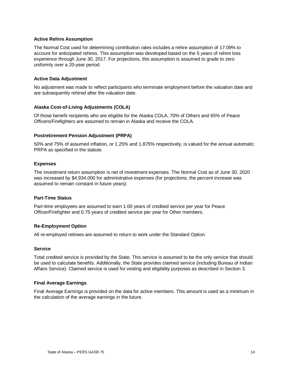#### **Active Rehire Assumption**

The Normal Cost used for determining contribution rates includes a rehire assumption of 17.09% to account for anticipated rehires. This assumption was developed based on the 5 years of rehire loss experience through June 30, 2017. For projections, this assumption is assumed to grade to zero uniformly over a 20-year period.

#### **Active Data Adjustment**

No adjustment was made to reflect participants who terminate employment before the valuation date and are subsequently rehired after the valuation date.

#### **Alaska Cost-of-Living Adjustments (COLA)**

Of those benefit recipients who are eligible for the Alaska COLA, 70% of Others and 65% of Peace Officers/Firefighters are assumed to remain in Alaska and receive the COLA.

#### **Postretirement Pension Adjustment (PRPA)**

50% and 75% of assumed inflation, or 1.25% and 1.875% respectively, is valued for the annual automatic PRPA as specified in the statute.

#### **Expenses**

The investment return assumption is net of investment expenses. The Normal Cost as of June 30, 2020 was increased by \$4,934,000 for administrative expenses (for projections, the percent increase was assumed to remain constant in future years):

#### **Part-Time Status**

Part-time employees are assumed to earn 1.00 years of credited service per year for Peace Officer/Firefighter and 0.75 years of credited service per year for Other members.

#### **Re-Employment Option**

All re-employed retirees are assumed to return to work under the Standard Option.

#### **Service**

Total credited service is provided by the State. This service is assumed to be the only service that should be used to calculate benefits. Additionally, the State provides claimed service (including Bureau of Indian Affairs Service). Claimed service is used for vesting and eligibility purposes as described in Section 3.

#### **Final Average Earnings**

Final Average Earnings is provided on the data for active members. This amount is used as a minimum in the calculation of the average earnings in the future.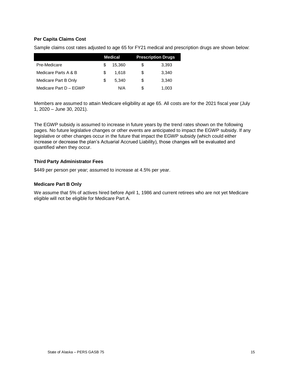#### **Per Capita Claims Cost**

Sample claims cost rates adjusted to age 65 for FY21 medical and prescription drugs are shown below:

|                        |    | <b>Medical</b> | <b>Prescription Drugs</b> |
|------------------------|----|----------------|---------------------------|
| Pre-Medicare           | £. | 15.360         | \$<br>3.393               |
| Medicare Parts A & B   | S. | 1.618          | \$<br>3.340               |
| Medicare Part B Only   | S. | 5.340          | \$<br>3.340               |
| Medicare Part D - EGWP |    | N/A            | \$<br>1,003               |

Members are assumed to attain Medicare eligibility at age 65. All costs are for the 2021 fiscal year (July 1, 2020 – June 30, 2021).

The EGWP subsidy is assumed to increase in future years by the trend rates shown on the following pages. No future legislative changes or other events are anticipated to impact the EGWP subsidy. If any legislative or other changes occur in the future that impact the EGWP subsidy (which could either increase or decrease the plan's Actuarial Accrued Liability), those changes will be evaluated and quantified when they occur.

#### **Third Party Administrator Fees**

\$449 per person per year; assumed to increase at 4.5% per year.

#### **Medicare Part B Only**

We assume that 5% of actives hired before April 1, 1986 and current retirees who are not yet Medicare eligible will not be eligible for Medicare Part A.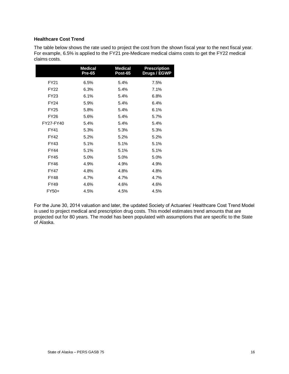#### **Healthcare Cost Trend**

The table below shows the rate used to project the cost from the shown fiscal year to the next fiscal year. For example, 6.5% is applied to the FY21 pre-Medicare medical claims costs to get the FY22 medical claims costs.

|             | <b>Medical</b><br><b>Pre-65</b> | <b>Medical</b><br><b>Post-65</b> | <b>Prescription</b><br>Drugs / EGWP |
|-------------|---------------------------------|----------------------------------|-------------------------------------|
| <b>FY21</b> | 6.5%                            | 5.4%                             | 7.5%                                |
| <b>FY22</b> | 6.3%                            | 5.4%                             | 7.1%                                |
| FY23        | 6.1%                            | 5.4%                             | 6.8%                                |
| <b>FY24</b> | 5.9%                            | 5.4%                             | 6.4%                                |
| <b>FY25</b> | 5.8%                            | 5.4%                             | 6.1%                                |
| <b>FY26</b> | 5.6%                            | 5.4%                             | 5.7%                                |
| FY27-FY40   | 5.4%                            | 5.4%                             | 5.4%                                |
| <b>FY41</b> | 5.3%                            | 5.3%                             | 5.3%                                |
| FY42        | 5.2%                            | 5.2%                             | 5.2%                                |
| FY43        | 5.1%                            | 5.1%                             | 5.1%                                |
| FY44        | 5.1%                            | 5.1%                             | 5.1%                                |
| FY45        | 5.0%                            | 5.0%                             | 5.0%                                |
| FY46        | 4.9%                            | 4.9%                             | 4.9%                                |
| FY47        | 4.8%                            | 4.8%                             | 4.8%                                |
| <b>FY48</b> | 4.7%                            | 4.7%                             | 4.7%                                |
| FY49        | 4.6%                            | 4.6%                             | 4.6%                                |
| FY50+       | 4.5%                            | 4.5%                             | 4.5%                                |

For the June 30, 2014 valuation and later, the updated Society of Actuaries' Healthcare Cost Trend Model is used to project medical and prescription drug costs. This model estimates trend amounts that are projected out for 80 years. The model has been populated with assumptions that are specific to the State of Alaska.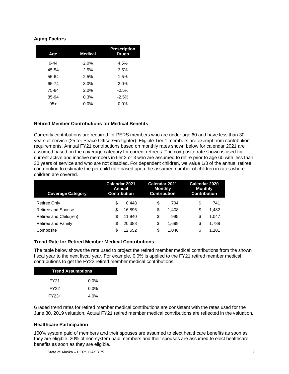#### **Aging Factors**

| Age      | <b>Medical</b> | <b>Prescription</b><br>Drugs |
|----------|----------------|------------------------------|
| $0 - 44$ | 2.0%           | 4.5%                         |
| 45-54    | 2.5%           | 3.5%                         |
| 55-64    | 2.5%           | 1.5%                         |
| 65-74    | 3.0%           | 2.0%                         |
| 75-84    | 2.0%           | $-0.5%$                      |
| 85-94    | 0.3%           | $-2.5%$                      |
| $95+$    | $0.0\%$        | $0.0\%$                      |

#### **Retired Member Contributions for Medical Benefits**

Currently contributions are required for PERS members who are under age 60 and have less than 30 years of service (25 for Peace Officer/Firefighter). Eligible Tier 1 members are exempt from contribution requirements. Annual FY21 contributions based on monthly rates shown below for calendar 2021 are assumed based on the coverage category for current retirees. The composite rate shown is used for current active and inactive members in tier 2 or 3 who are assumed to retire prior to age 60 with less than 30 years of service and who are not disabled. For dependent children, we value 1/3 of the annual retiree contribution to estimate the per child rate based upon the assumed number of children in rates where children are covered.

| <b>Coverage Category</b> | Calendar 2021<br>Annual<br><b>Contribution</b> |        | Calendar 2021<br><b>Monthly</b><br><b>Contribution</b> |       | Calendar 2020<br><b>Monthly</b><br><b>Contribution</b> |       |
|--------------------------|------------------------------------------------|--------|--------------------------------------------------------|-------|--------------------------------------------------------|-------|
| <b>Retiree Only</b>      | \$                                             | 8.448  | \$                                                     | 704   | \$                                                     | 741   |
| Retiree and Spouse       | S                                              | 16.896 | \$                                                     | 1.408 | \$                                                     | 1.482 |
| Retiree and Child(ren)   | \$                                             | 11.940 | \$                                                     | 995   | \$                                                     | 1,047 |
| Retiree and Family       | S                                              | 20,388 | \$                                                     | 1.699 | \$                                                     | 1,788 |
| Composite                | S                                              | 12.552 | \$                                                     | 1.046 | \$                                                     | 1.101 |

#### **Trend Rate for Retired Member Medical Contributions**

The table below shows the rate used to project the retired member medical contributions from the shown fiscal year to the next fiscal year. For example, 0.0% is applied to the FY21 retired member medical contributions to get the FY22 retired member medical contributions.

| <b>Trend Assumptions</b> |         |  |  |  |
|--------------------------|---------|--|--|--|
| FY <sub>21</sub>         | $0.0\%$ |  |  |  |
| FY <sub>22</sub>         | $0.0\%$ |  |  |  |
| $FY23+$                  | 4.0%    |  |  |  |

Graded trend rates for retired member medical contributions are consistent with the rates used for the June 30, 2019 valuation. Actual FY21 retired member medical contributions are reflected in the valuation.

#### **Healthcare Participation**

100% system paid of members and their spouses are assumed to elect healthcare benefits as soon as they are eligible. 20% of non-system paid members and their spouses are assumed to elect healthcare benefits as soon as they are eligible.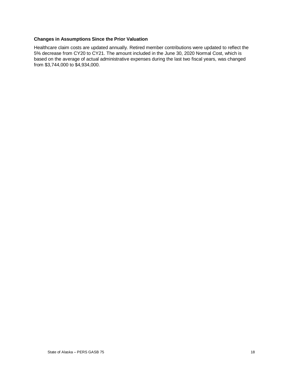#### **Changes in Assumptions Since the Prior Valuation**

Healthcare claim costs are updated annually. Retired member contributions were updated to reflect the 5% decrease from CY20 to CY21. The amount included in the June 30, 2020 Normal Cost, which is based on the average of actual administrative expenses during the last two fiscal years, was changed from \$3,744,000 to \$4,934,000.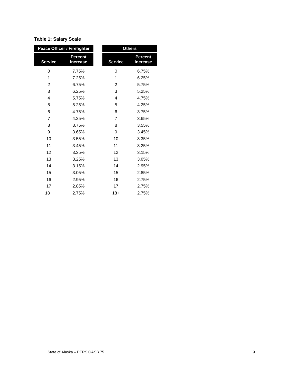#### **Table 1: Salary Scale**

| <b>Peace Officer / Firefighter</b> |                                   |       | <b>Others</b>                     |
|------------------------------------|-----------------------------------|-------|-----------------------------------|
| <b>Service</b>                     | <b>Percent</b><br><b>Increase</b> |       | <b>Percent</b><br><b>Increase</b> |
| 0                                  | 7.75%                             | 0     | 6.75%                             |
| 1                                  | 7.25%                             | 1     | 6.25%                             |
| 2                                  | 6.75%                             | 2     | 5.75%                             |
| 3                                  | 6.25%                             | 3     | 5.25%                             |
| 4                                  | 5.75%                             | 4     | 4.75%                             |
| 5                                  | 5.25%                             | 5     | 4.25%                             |
| 6                                  | 4.75%                             | 6     | 3.75%                             |
| $\overline{7}$                     | 4.25%                             | 7     | 3.65%                             |
| 8                                  | 3.75%                             | 8     | 3.55%                             |
| 9                                  | 3.65%                             | 9     | 3.45%                             |
| 10                                 | 3.55%                             | 10    | 3.35%                             |
| 11                                 | 3.45%                             | 11    | 3.25%                             |
| 12                                 | 3.35%                             | 12    | 3.15%                             |
| 13                                 | 3.25%                             | 13    | 3.05%                             |
| 14                                 | 3.15%                             | 14    | 2.95%                             |
| 15                                 | 3.05%                             | 15    | 2.85%                             |
| 16                                 | 2.95%                             | 16    | 2.75%                             |
| 17                                 | 2.85%                             | 17    | 2.75%                             |
| $18+$                              | 2.75%                             | $18+$ | 2.75%                             |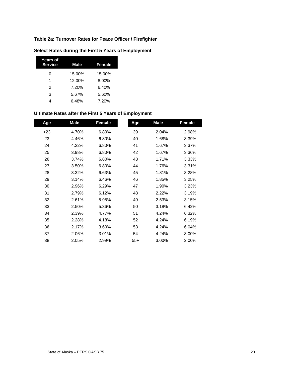#### **Table 2a: Turnover Rates for Peace Officer / Firefighter**

| Years of<br><b>Service</b> | <b>Male</b> | <b>Female</b> |
|----------------------------|-------------|---------------|
| O                          | 15.00%      | 15.00%        |
| 1                          | 12.00%      | 8.00%         |
| 2                          | 7.20%       | 6.40%         |
| 3                          | 5.67%       | 5.60%         |
| 4                          | 6.48%       | 7.20%         |

#### **Select Rates during the First 5 Years of Employment**

#### **Ultimate Rates after the First 5 Years of Employment**

| Age    | Male  | <b>Female</b> | Age   | Male  | <b>Female</b> |
|--------|-------|---------------|-------|-------|---------------|
| $<$ 23 | 4.70% | 6.80%         | 39    | 2.04% | 2.98%         |
| 23     | 4.46% | 6.80%         | 40    | 1.68% | 3.39%         |
| 24     | 4.22% | 6.80%         | 41    | 1.67% | 3.37%         |
| 25     | 3.98% | 6.80%         | 42    | 1.67% | 3.36%         |
| 26     | 3.74% | 6.80%         | 43    | 1.71% | 3.33%         |
| 27     | 3.50% | 6.80%         | 44    | 1.76% | 3.31%         |
| 28     | 3.32% | 6.63%         | 45    | 1.81% | 3.28%         |
| 29     | 3.14% | 6.46%         | 46    | 1.85% | 3.25%         |
| 30     | 2.96% | 6.29%         | 47    | 1.90% | 3.23%         |
| 31     | 2.79% | 6.12%         | 48    | 2.22% | 3.19%         |
| 32     | 2.61% | 5.95%         | 49    | 2.53% | 3.15%         |
| 33     | 2.50% | 5.36%         | 50    | 3.18% | 6.42%         |
| 34     | 2.39% | 4.77%         | 51    | 4.24% | 6.32%         |
| 35     | 2.28% | 4.18%         | 52    | 4.24% | 6.19%         |
| 36     | 2.17% | 3.60%         | 53    | 4.24% | 6.04%         |
| 37     | 2.06% | 3.01%         | 54    | 4.24% | 3.00%         |
| 38     | 2.05% | 2.99%         | $55+$ | 3.00% | 2.00%         |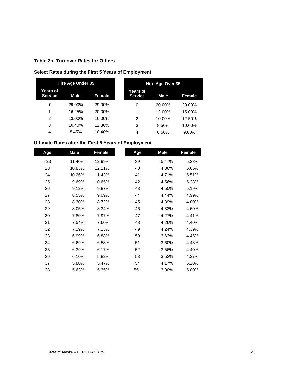#### **Table 2b: Turnover Rates for Others**

#### **Select Rates during the First 5 Years of Employment**

|                            | <b>Hire Age Under 35</b> |        |                            | Hire Age Over 35 |
|----------------------------|--------------------------|--------|----------------------------|------------------|
| Years of<br><b>Service</b> | Male                     | Female | Years of<br><b>Service</b> | <b>Male</b>      |
| 0                          | 29.00%                   | 29.00% | 0                          | 20.00%           |
| 1                          | 16.25%                   | 20.00% | 1                          | 12.00%           |
| 2                          | 13.00%                   | 16.00% | 2                          | 10.00%           |
| 3                          | 10.40%                   | 12.80% | 3                          | 8.50%            |
| 4                          | 8.45%                    | 10.40% | 4                          | 8.50%            |

#### **Ultimate Rates after the First 5 Years of Employment**

| Age | <b>Male</b> | Female | Age   | <b>Male</b> | Female |
|-----|-------------|--------|-------|-------------|--------|
| 23  | 11.40%      | 12.99% | 39    | 5.47%       | 5.23%  |
| 23  | 10.83%      | 12.21% | 40    | 4.86%       | 5.65%  |
| 24  | 10.26%      | 11.43% | 41    | 4.71%       | 5.51%  |
| 25  | 9.69%       | 10.65% | 42    | 4.56%       | 5.38%  |
| 26  | 9.12%       | 9.87%  | 43    | 4.50%       | 5.19%  |
| 27  | 8.55%       | 9.09%  | 44    | 4.44%       | 4.99%  |
| 28  | 8.30%       | 8.72%  | 45    | 4.39%       | 4.80%  |
| 29  | 8.05%       | 8.34%  | 46    | 4.33%       | 4.60%  |
| 30  | 7.80%       | 7.97%  | 47    | 4.27%       | 4.41%  |
| 31  | 7.54%       | 7.60%  | 48    | 4.26%       | 4.40%  |
| 32  | 7.29%       | 7.23%  | 49    | 4.24%       | 4.39%  |
| 33  | 6.99%       | 6.88%  | 50    | 3.63%       | 4.45%  |
| 34  | 6.69%       | 6.53%  | 51    | 3.60%       | 4.43%  |
| 35  | 6.39%       | 6.17%  | 52    | 3.56%       | 4.40%  |
| 36  | 6.10%       | 5.82%  | 53    | 3.52%       | 4.37%  |
| 37  | 5.80%       | 5.47%  | 54    | 4.17%       | 6.20%  |
| 38  | 5.63%       | 5.35%  | $55+$ | 3.00%       | 5.00%  |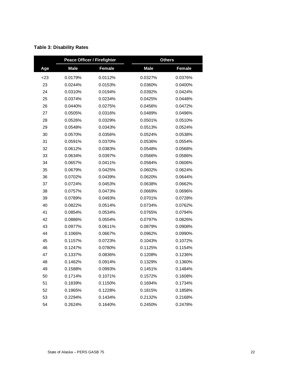|     | <b>Peace Officer / Firefighter</b> |         | <b>Others</b> |         |  |
|-----|------------------------------------|---------|---------------|---------|--|
| Age | <b>Male</b>                        | Female  | <b>Male</b>   | Female  |  |
| <23 | 0.0179%                            | 0.0112% | 0.0327%       | 0.0376% |  |
| 23  | 0.0244%                            | 0.0153% | 0.0360%       | 0.0400% |  |
| 24  | 0.0310%                            | 0.0194% | 0.0392%       | 0.0424% |  |
| 25  | 0.0374%                            | 0.0234% | 0.0425%       | 0.0448% |  |
| 26  | 0.0440%                            | 0.0275% | 0.0456%       | 0.0472% |  |
| 27  | 0.0505%                            | 0.0316% | 0.0489%       | 0.0496% |  |
| 28  | 0.0526%                            | 0.0329% | 0.0501%       | 0.0510% |  |
| 29  | 0.0548%                            | 0.0343% | 0.0513%       | 0.0524% |  |
| 30  | 0.0570%                            | 0.0356% | 0.0524%       | 0.0538% |  |
| 31  | 0.0591%                            | 0.0370% | 0.0536%       | 0.0554% |  |
| 32  | 0.0612%                            | 0.0383% | 0.0548%       | 0.0568% |  |
| 33  | 0.0634%                            | 0.0397% | 0.0566%       | 0.0586% |  |
| 34  | 0.0657%                            | 0.0411% | 0.0584%       | 0.0606% |  |
| 35  | 0.0679%                            | 0.0425% | 0.0602%       | 0.0624% |  |
| 36  | 0.0702%                            | 0.0439% | 0.0620%       | 0.0644% |  |
| 37  | 0.0724%                            | 0.0453% | 0.0638%       | 0.0662% |  |
| 38  | 0.0757%                            | 0.0473% | 0.0669%       | 0.0696% |  |
| 39  | 0.0789%                            | 0.0493% | 0.0701%       | 0.0728% |  |
| 40  | 0.0822%                            | 0.0514% | 0.0734%       | 0.0762% |  |
| 41  | 0.0854%                            | 0.0534% | 0.0765%       | 0.0794% |  |
| 42  | 0.0886%                            | 0.0554% | 0.0797%       | 0.0826% |  |
| 43  | 0.0977%                            | 0.0611% | 0.0879%       | 0.0908% |  |
| 44  | 0.1066%                            | 0.0667% | 0.0962%       | 0.0990% |  |
| 45  | 0.1157%                            | 0.0723% | 0.1043%       | 0.1072% |  |
| 46  | 0.1247%                            | 0.0780% | 0.1125%       | 0.1154% |  |
| 47  | 0.1337%                            | 0.0836% | 0.1208%       | 0.1236% |  |
| 48  | 0.1462%                            | 0.0914% | 0.1329%       | 0.1360% |  |
| 49  | 0.1588%                            | 0.0993% | 0.1451%       | 0.1484% |  |
| 50  | 0.1714%                            | 0.1071% | 0.1572%       | 0.1608% |  |
| 51  | 0.1839%                            | 0.1150% | 0.1694%       | 0.1734% |  |
| 52  | 0.1965%                            | 0.1228% | 0.1815%       | 0.1858% |  |
| 53  | 0.2294%                            | 0.1434% | 0.2132%       | 0.2168% |  |
| 54  | 0.2624%                            | 0.1640% | 0.2450%       | 0.2478% |  |

#### **Table 3: Disability Rates**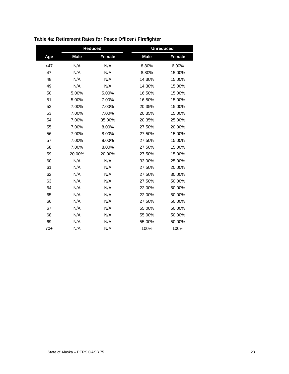|        | <b>Reduced</b> |        | <b>Unreduced</b> |               |
|--------|----------------|--------|------------------|---------------|
| Age    | <b>Male</b>    | Female | <b>Male</b>      | <b>Female</b> |
| $<$ 47 | N/A            | N/A    | 8.80%            | 6.00%         |
| 47     | N/A            | N/A    | 8.80%            | 15.00%        |
| 48     | N/A            | N/A    | 14.30%           | 15.00%        |
| 49     | N/A            | N/A    | 14.30%           | 15.00%        |
| 50     | 5.00%          | 5.00%  | 16.50%           | 15.00%        |
| 51     | 5.00%          | 7.00%  | 16.50%           | 15.00%        |
| 52     | 7.00%          | 7.00%  | 20.35%           | 15.00%        |
| 53     | 7.00%          | 7.00%  | 20.35%           | 15.00%        |
| 54     | 7.00%          | 35.00% | 20.35%           | 25.00%        |
| 55     | 7.00%          | 8.00%  | 27.50%           | 20.00%        |
| 56     | 7.00%          | 8.00%  | 27.50%           | 15.00%        |
| 57     | 7.00%          | 8.00%  | 27.50%           | 15.00%        |
| 58     | 7.00%          | 8.00%  | 27.50%           | 15.00%        |
| 59     | 20.00%         | 20.00% | 27.50%           | 15.00%        |
| 60     | N/A            | N/A    | 33.00%           | 25.00%        |
| 61     | N/A            | N/A    | 27.50%           | 20.00%        |
| 62     | N/A            | N/A    | 27.50%           | 30.00%        |
| 63     | N/A            | N/A    | 27.50%           | 50.00%        |
| 64     | N/A            | N/A    | 22.00%           | 50.00%        |
| 65     | N/A            | N/A    | 22.00%           | 50.00%        |
| 66     | N/A            | N/A    | 27.50%           | 50.00%        |
| 67     | N/A            | N/A    | 55.00%           | 50.00%        |
| 68     | N/A            | N/A    | 55.00%           | 50.00%        |
| 69     | N/A            | N/A    | 55.00%           | 50.00%        |
| $70+$  | N/A            | N/A    | 100%             | 100%          |

**Table 4a: Retirement Rates for Peace Officer / Firefighter**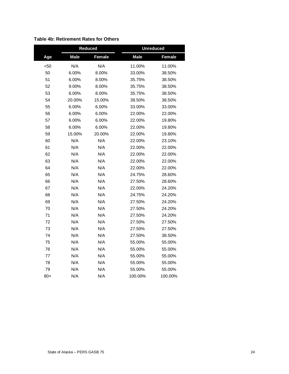|      | <b>Reduced</b> |               | <b>Unreduced</b> |         |  |
|------|----------------|---------------|------------------|---------|--|
| Age  | <b>Male</b>    | <b>Female</b> | <b>Male</b>      | Female  |  |
| $50$ | N/A            | N/A           | 11.00%           | 11.00%  |  |
| 50   | 6.00%          | 8.00%         | 33.00%           | 38.50%  |  |
| 51   | 6.00%          | 8.00%         | 35.75%           | 38.50%  |  |
| 52   | 9.00%          | 8.00%         | 35.75%           | 38.50%  |  |
| 53   | 6.00%          | 8.00%         | 35.75%           | 38.50%  |  |
| 54   | 20.00%         | 15.00%        | 38.50%           | 38.50%  |  |
| 55   | 6.00%          | 6.00%         | 33.00%           | 33.00%  |  |
| 56   | 6.00%          | 6.00%         | 22.00%           | 22.00%  |  |
| 57   | 6.00%          | 6.00%         | 22.00%           | 19.80%  |  |
| 58   | 6.00%          | 6.00%         | 22.00%           | 19.80%  |  |
| 59   | 15.00%         | 20.00%        | 22.00%           | 19.80%  |  |
| 60   | N/A            | N/A           | 22.00%           | 23.10%  |  |
| 61   | N/A            | N/A           | 22.00%           | 22.00%  |  |
| 62   | N/A            | N/A           | 22.00%           | 22.00%  |  |
| 63   | N/A            | N/A           | 22.00%           | 22.00%  |  |
| 64   | N/A            | N/A           | 22.00%           | 22.00%  |  |
| 65   | N/A            | N/A           | 24.75%           | 28.60%  |  |
| 66   | N/A            | N/A           | 27.50%           | 28.60%  |  |
| 67   | N/A            | N/A           | 22.00%           | 24.20%  |  |
| 68   | N/A            | N/A           | 24.75%           | 24.20%  |  |
| 69   | N/A            | N/A           | 27.50%           | 24.20%  |  |
| 70   | N/A            | N/A           | 27.50%           | 24.20%  |  |
| 71   | N/A            | N/A           | 27.50%           | 24.20%  |  |
| 72   | N/A            | N/A           | 27.50%           | 27.50%  |  |
| 73   | N/A            | N/A           | 27.50%           | 27.50%  |  |
| 74   | N/A            | N/A           | 27.50%           | 38.50%  |  |
| 75   | N/A            | N/A           | 55.00%           | 55.00%  |  |
| 76   | N/A            | N/A           | 55.00%           | 55.00%  |  |
| 77   | N/A            | N/A           | 55.00%           | 55.00%  |  |
| 78   | N/A            | N/A           | 55.00%           | 55.00%  |  |
| 79   | N/A            | N/A           | 55.00%           | 55.00%  |  |
| 80+  | N/A            | N/A           | 100.00%          | 100.00% |  |

#### **Table 4b: Retirement Rates for Others**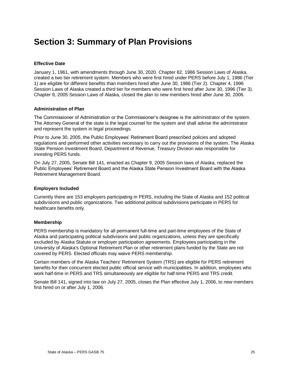## **Section 3: Summary of Plan Provisions**

#### **Effective Date**

January 1, 1961, with amendments through June 30, 2020. Chapter 82, 1986 Session Laws of Alaska, created a two tier retirement system. Members who were first hired under PERS before July 1, 1986 (Tier 1) are eligible for different benefits than members hired after June 30, 1986 (Tier 2). Chapter 4, 1996 Session Laws of Alaska created a third tier for members who were first hired after June 30, 1996 (Tier 3). Chapter 9, 2005 Session Laws of Alaska, closed the plan to new members hired after June 30, 2006.

#### **Administration of Plan**

The Commissioner of Administration or the Commissioner's designee is the administrator of the system. The Attorney General of the state is the legal counsel for the system and shall advise the administrator and represent the system in legal proceedings.

Prior to June 30, 2005, the Public Employees' Retirement Board prescribed policies and adopted regulations and performed other activities necessary to carry out the provisions of the system. The Alaska State Pension Investment Board, Department of Revenue, Treasury Division was responsible for investing PERS funds.

On July 27, 2005, Senate Bill 141, enacted as Chapter 9, 2005 Session laws of Alaska, replaced the Public Employees' Retirement Board and the Alaska State Pension Investment Board with the Alaska Retirement Management Board.

#### **Employers Included**

Currently there are 153 employers participating in PERS, including the State of Alaska and 152 political subdivisions and public organizations. Two additional political subdivisions participate in PERS for healthcare benefits only.

#### **Membership**

PERS membership is mandatory for all permanent full-time and part-time employees of the State of Alaska and participating political subdivisions and public organizations, unless they are specifically excluded by Alaska Statute or employer participation agreements. Employees participating in the University of Alaska's Optional Retirement Plan or other retirement plans funded by the State are not covered by PERS. Elected officials may waive PERS membership.

Certain members of the Alaska Teachers' Retirement System (TRS) are eligible for PERS retirement benefits for their concurrent elected public official service with municipalities. In addition, employees who work half-time in PERS and TRS simultaneously are eligible for half-time PERS and TRS credit.

Senate Bill 141, signed into law on July 27, 2005, closes the Plan effective July 1, 2006, to new members first hired on or after July 1, 2006.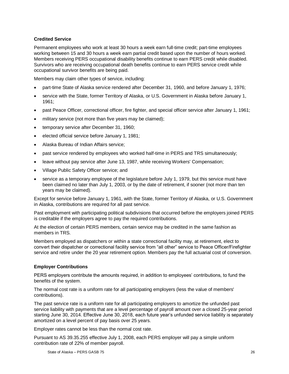#### **Credited Service**

Permanent employees who work at least 30 hours a week earn full-time credit; part-time employees working between 15 and 30 hours a week earn partial credit based upon the number of hours worked. Members receiving PERS occupational disability benefits continue to earn PERS credit while disabled. Survivors who are receiving occupational death benefits continue to earn PERS service credit while occupational survivor benefits are being paid.

Members may claim other types of service, including:

- part-time State of Alaska service rendered after December 31, 1960, and before January 1, 1976;
- service with the State, former Territory of Alaska, or U.S. Government in Alaska before January 1, 1961;
- past Peace Officer, correctional officer, fire fighter, and special officer service after January 1, 1961;
- military service (not more than five years may be claimed);
- temporary service after December 31, 1960;
- elected official service before January 1, 1981;
- Alaska Bureau of Indian Affairs service;
- past service rendered by employees who worked half-time in PERS and TRS simultaneously;
- leave without pay service after June 13, 1987, while receiving Workers' Compensation;
- Village Public Safety Officer service; and
- service as a temporary employee of the legislature before July 1, 1979, but this service must have been claimed no later than July 1, 2003, or by the date of retirement, if sooner (not more than ten years may be claimed).

Except for service before January 1, 1961, with the State, former Territory of Alaska, or U.S. Government in Alaska, contributions are required for all past service.

Past employment with participating political subdivisions that occurred before the employers joined PERS is creditable if the employers agree to pay the required contributions.

At the election of certain PERS members, certain service may be credited in the same fashion as members in TRS.

Members employed as dispatchers or within a state correctional facility may, at retirement, elect to convert their dispatcher or correctional facility service from "all other" service to Peace Officer/Firefighter service and retire under the 20 year retirement option. Members pay the full actuarial cost of conversion.

#### **Employer Contributions**

PERS employers contribute the amounts required, in addition to employees' contributions, to fund the benefits of the system.

The normal cost rate is a uniform rate for all participating employers (less the value of members' contributions).

The past service rate is a uniform rate for all participating employers to amortize the unfunded past service liability with payments that are a level percentage of payroll amount over a closed 25-year period starting June 30, 2014. Effective June 30, 2018, each future year's unfunded service liability is separately amortized on a level percent of pay basis over 25 years.

Employer rates cannot be less than the normal cost rate.

Pursuant to AS 39.35.255 effective July 1, 2008, each PERS employer will pay a simple uniform contribution rate of 22% of member payroll.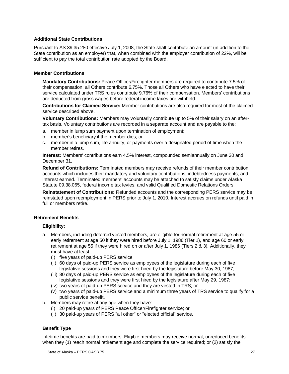#### **Additional State Contributions**

Pursuant to AS 39.35.280 effective July 1, 2008, the State shall contribute an amount (in addition to the State contribution as an employer) that, when combined with the employer contribution of 22%, will be sufficient to pay the total contribution rate adopted by the Board.

#### **Member Contributions**

**Mandatory Contributions:** Peace Officer/Firefighter members are required to contribute 7.5% of their compensation; all Others contribute 6.75%. Those all Others who have elected to have their service calculated under TRS rules contribute 9.76% of their compensation. Members' contributions are deducted from gross wages before federal income taxes are withheld.

**Contributions for Claimed Service:** Member contributions are also required for most of the claimed service described above.

**Voluntary Contributions:** Members may voluntarily contribute up to 5% of their salary on an aftertax basis. Voluntary contributions are recorded in a separate account and are payable to the:

- a. member in lump sum payment upon termination of employment;
- b. member's beneficiary if the member dies; or
- c. member in a lump sum, life annuity, or payments over a designated period of time when the member retires.

**Interest:** Members' contributions earn 4.5% interest, compounded semiannually on June 30 and December 31.

**Refund of Contributions:** Terminated members may receive refunds of their member contribution accounts which includes their mandatory and voluntary contributions, indebtedness payments, and interest earned. Terminated members' accounts may be attached to satisfy claims under Alaska Statute 09.38.065, federal income tax levies, and valid Qualified Domestic Relations Orders.

**Reinstatement of Contributions:** Refunded accounts and the corresponding PERS service may be reinstated upon reemployment in PERS prior to July 1, 2010. Interest accrues on refunds until paid in full or members retire.

#### **Retirement Benefits**

#### **Eligibility:**

- a. Members, including deferred vested members, are eligible for normal retirement at age 55 or early retirement at age 50 if they were hired before July 1, 1986 (Tier 1), and age 60 or early retirement at age 55 if they were hired on or after July 1, 1986 (Tiers 2 & 3). Additionally, they must have at least:
	- (i) five years of paid-up PERS service;
	- (ii) 60 days of paid-up PERS service as employees of the legislature during each of five legislative sessions and they were first hired by the legislature before May 30, 1987;
	- (iii) 80 days of paid-up PERS service as employees of the legislature during each of five legislative sessions and they were first hired by the legislature after May 29, 1987;
	- (iv) two years of paid-up PERS service and they are vested in TRS; or
	- (v) two years of paid-up PERS service and a minimum three years of TRS service to qualify for a public service benefit.
- b. Members may retire at any age when they have:
	- (i) 20 paid-up years of PERS Peace Officer/Firefighter service; or
	- (ii) 30 paid-up years of PERS "all other" or "elected official" service.

#### **Benefit Type**

Lifetime benefits are paid to members. Eligible members may receive normal, unreduced benefits when they (1) reach normal retirement age and complete the service required; or (2) satisfy the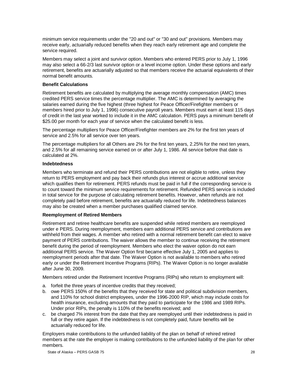minimum service requirements under the "20 and out" or "30 and out" provisions. Members may receive early, actuarially reduced benefits when they reach early retirement age and complete the service required.

Members may select a joint and survivor option. Members who entered PERS prior to July 1, 1996 may also select a 66-2/3 last survivor option or a level income option. Under these options and early retirement, benefits are actuarially adjusted so that members receive the actuarial equivalents of their normal benefit amounts.

#### **Benefit Calculations**

Retirement benefits are calculated by multiplying the average monthly compensation (AMC) times credited PERS service times the percentage multiplier. The AMC is determined by averaging the salaries earned during the five highest (three highest for Peace Officer/Firefighter members or members hired prior to July 1, 1996) consecutive payroll years. Members must earn at least 115 days of credit in the last year worked to include it in the AMC calculation. PERS pays a minimum benefit of \$25.00 per month for each year of service when the calculated benefit is less.

The percentage multipliers for Peace Officer/Firefighter members are 2% for the first ten years of service and 2.5% for all service over ten years.

The percentage multipliers for all Others are 2% for the first ten years, 2.25% for the next ten years, and 2.5% for all remaining service earned on or after July 1, 1986. All service before that date is calculated at 2%.

#### **Indebtedness**

Members who terminate and refund their PERS contributions are not eligible to retire, unless they return to PERS employment and pay back their refunds plus interest or accrue additional service which qualifies them for retirement. PERS refunds must be paid in full if the corresponding service is to count toward the minimum service requirements for retirement. Refunded PERS service is included in total service for the purpose of calculating retirement benefits. However, when refunds are not completely paid before retirement, benefits are actuarially reduced for life. Indebtedness balances may also be created when a member purchases qualified claimed service.

#### **Reemployment of Retired Members**

Retirement and retiree healthcare benefits are suspended while retired members are reemployed under e PERS. During reemployment, members earn additional PERS service and contributions are withheld from their wages. A member who retired with a normal retirement benefit can elect to waive payment of PERS contributions. The waiver allows the member to continue receiving the retirement benefit during the period of reemployment. Members who elect the waiver option do not earn additional PERS service. The Waiver Option first became effective July 1, 2005 and applies to reemployment periods after that date. The Waiver Option is not available to members who retired early or under the Retirement Incentive Programs (RIPs). The Waiver Option is no longer available after June 30, 2009.

Members retired under the Retirement Incentive Programs (RIPs) who return to employment will:

- a. forfeit the three years of incentive credits that they received;
- b. owe PERS 150% of the benefits that they received for state and political subdivision members, and 110% for school district employees, under the 1996-2000 RIP, which may include costs for health insurance, excluding amounts that they paid to participate for the 1986 and 1989 RIPs. Under prior RIPs, the penalty is 110% of the benefits received; and
- c. be charged 7% interest from the date that they are reemployed until their indebtedness is paid in full or they retire again. If the indebtedness is not completely paid, future benefits will be actuarially reduced for life.

Employers make contributions to the unfunded liability of the plan on behalf of rehired retired members at the rate the employer is making contributions to the unfunded liability of the plan for other members.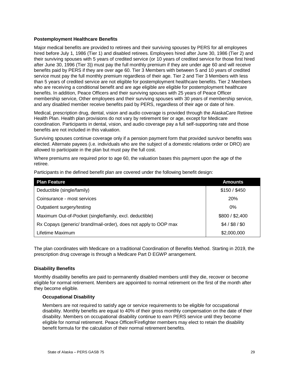#### **Postemployment Healthcare Benefits**

Major medical benefits are provided to retirees and their surviving spouses by PERS for all employees hired before July 1, 1986 (Tier 1) and disabled retirees. Employees hired after June 30, 1986 (Tier 2) and their surviving spouses with 5 years of credited service (or 10 years of credited service for those first hired after June 30, 1996 (Tier 3)) must pay the full monthly premium if they are under age 60 and will receive benefits paid by PERS if they are over age 60. Tier 3 Members with between 5 and 10 years of credited service must pay the full monthly premium regardless of their age. Tier 2 and Tier 3 Members with less than 5 years of credited service are not eligible for postemployment healthcare benefits. Tier 2 Members who are receiving a conditional benefit and are age eligible are eligible for postemployment healthcare benefits. In addition, Peace Officers and their surviving spouses with 25 years of Peace Officer membership service, Other employees and their surviving spouses with 30 years of membership service, and any disabled member receive benefits paid by PERS, regardless of their age or date of hire.

Medical, prescription drug, dental, vision and audio coverage is provided through the AlaskaCare Retiree Health Plan. Health plan provisions do not vary by retirement tier or age, except for Medicare coordination. Participants in dental, vision, and audio coverage pay a full self-supporting rate and those benefits are not included in this valuation.

Surviving spouses continue coverage only if a pension payment form that provided survivor benefits was elected. Alternate payees (i.e. individuals who are the subject of a domestic relations order or DRO) are allowed to participate in the plan but must pay the full cost.

Where premiums are required prior to age 60, the valuation bases this payment upon the age of the retiree.

| <b>Plan Feature</b>                                              | <b>Amounts</b>  |
|------------------------------------------------------------------|-----------------|
| Deductible (single/family)                                       | \$150 / \$450   |
| Coinsurance - most services                                      | <b>20%</b>      |
| Outpatient surgery/testing                                       | 0%              |
| Maximum Out-of-Pocket (single/family, excl. deductible)          | \$800 / \$2,400 |
| Rx Copays (generic/ brand/mail-order), does not apply to OOP max | $$4/$ \$8 / \$0 |
| Lifetime Maximum                                                 | \$2,000,000     |

Participants in the defined benefit plan are covered under the following benefit design:

The plan coordinates with Medicare on a traditional Coordination of Benefits Method. Starting in 2019, the prescription drug coverage is through a Medicare Part D EGWP arrangement.

#### **Disability Benefits**

Monthly disability benefits are paid to permanently disabled members until they die, recover or become eligible for normal retirement. Members are appointed to normal retirement on the first of the month after they become eligible.

#### **Occupational Disability**

Members are not required to satisfy age or service requirements to be eligible for occupational disability. Monthly benefits are equal to 40% of their gross monthly compensation on the date of their disability. Members on occupational disability continue to earn PERS service until they become eligible for normal retirement. Peace Officer/Firefighter members may elect to retain the disability benefit formula for the calculation of their normal retirement benefits.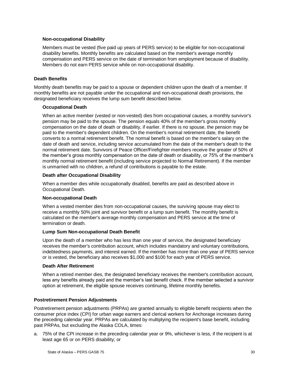#### **Non-occupational Disability**

Members must be vested (five paid up years of PERS service) to be eligible for non-occupational disability benefits. Monthly benefits are calculated based on the member's average monthly compensation and PERS service on the date of termination from employment because of disability. Members do not earn PERS service while on non-occupational disability.

#### **Death Benefits**

Monthly death benefits may be paid to a spouse or dependent children upon the death of a member. If monthly benefits are not payable under the occupational and non-occupational death provisions, the designated beneficiary receives the lump sum benefit described below.

#### **Occupational Death**

When an active member (vested or non-vested) dies from occupational causes, a monthly survivor's pension may be paid to the spouse. The pension equals 40% of the member's gross monthly compensation on the date of death or disability, if earlier. If there is no spouse, the pension may be paid to the member's dependent children. On the member's normal retirement date, the benefit converts to a normal retirement benefit. The normal benefit is based on the member's salary on the date of death and service, including service accumulated from the date of the member's death to the normal retirement date. Survivors of Peace Officer/Firefighter members receive the greater of 50% of the member's gross monthly compensation on the date of death or disability, or 75% of the member's monthly normal retirement benefit (including service projected to Normal Retirement). If the member is unmarried with no children, a refund of contributions is payable to the estate.

#### **Death after Occupational Disability**

When a member dies while occupationally disabled, benefits are paid as described above in Occupational Death.

#### **Non-occupational Death**

When a vested member dies from non-occupational causes, the surviving spouse may elect to receive a monthly 50% joint and survivor benefit or a lump sum benefit. The monthly benefit is calculated on the member's average monthly compensation and PERS service at the time of termination or death.

#### **Lump Sum Non-occupational Death Benefit**

Upon the death of a member who has less than one year of service, the designated beneficiary receives the member's contribution account, which includes mandatory and voluntary contributions, indebtedness payments, and interest earned. If the member has more than one year of PERS service or is vested, the beneficiary also receives \$1,000 and \$100 for each year of PERS service.

#### **Death After Retirement**

When a retired member dies, the designated beneficiary receives the member's contribution account, less any benefits already paid and the member's last benefit check. If the member selected a survivor option at retirement, the eligible spouse receives continuing, lifetime monthly benefits.

#### **Postretirement Pension Adjustments**

Postretirement pension adjustments (PRPAs) are granted annually to eligible benefit recipients when the consumer price index (CPI) for urban wage earners and clerical workers for Anchorage increases during the preceding calendar year. PRPAs are calculated by multiplying the recipient's base benefit, including past PRPAs, but excluding the Alaska COLA, times:

a. 75% of the CPI increase in the preceding calendar year or 9%, whichever is less, if the recipient is at least age 65 or on PERS disability; or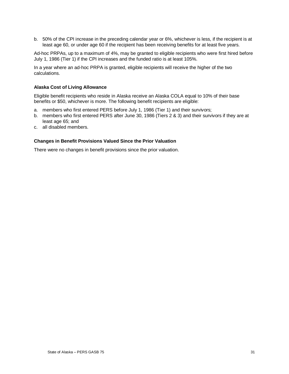b. 50% of the CPI increase in the preceding calendar year or 6%, whichever is less, if the recipient is at least age 60, or under age 60 if the recipient has been receiving benefits for at least five years.

Ad-hoc PRPAs, up to a maximum of 4%, may be granted to eligible recipients who were first hired before July 1, 1986 (Tier 1) if the CPI increases and the funded ratio is at least 105%.

In a year where an ad-hoc PRPA is granted, eligible recipients will receive the higher of the two calculations.

#### **Alaska Cost of Living Allowance**

Eligible benefit recipients who reside in Alaska receive an Alaska COLA equal to 10% of their base benefits or \$50, whichever is more. The following benefit recipients are eligible:

- a. members who first entered PERS before July 1, 1986 (Tier 1) and their survivors;
- b. members who first entered PERS after June 30, 1986 (Tiers 2 & 3) and their survivors if they are at least age 65; and
- c. all disabled members.

#### **Changes in Benefit Provisions Valued Since the Prior Valuation**

There were no changes in benefit provisions since the prior valuation.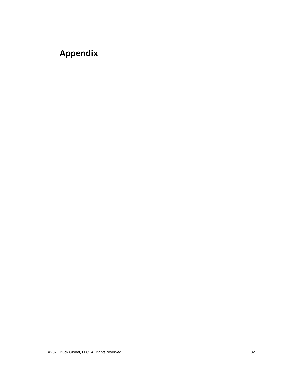# **Appendix**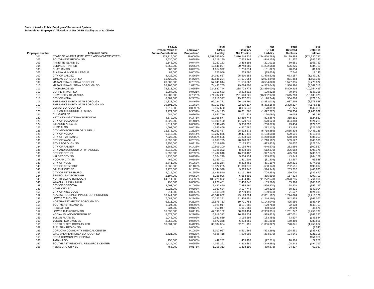|                        |                                                           | FY2020                      |                    | Total                    | Plan                     | <b>Net</b>                   | Total                | Total                      |
|------------------------|-----------------------------------------------------------|-----------------------------|--------------------|--------------------------|--------------------------|------------------------------|----------------------|----------------------------|
|                        |                                                           | <b>Present Value of</b>     | Employer           | <b>OPEB</b>              | Fiduciary                | OPEB                         | Deferred             | Deferred                   |
| <b>Employer Number</b> | <b>Employer Name</b>                                      | <b>Future Contributions</b> | Proportion*        | Liability                | <b>Net Position</b>      | Liability                    | Outflows             | <b>Inflows</b>             |
| 101                    | STATE OF ALASKA (EMPLOYER AND NONEMPLOYER)                | 1,279,716,000               | 49.6095%           | 3,651,585,964            | 3,876,246,726            | (224, 660, 763)              | 90,139,885           | (174, 730, 722)            |
| 102                    | SOUTHWEST REGION SD                                       | 2,530,000                   | 0.0981%            | 7,219,190                | 7,663,344                | (444, 155)                   | 191,557              | (345, 233)                 |
| 103                    | ANNETTE ISLAND SD                                         | 1,145,000                   | 0.0444%            | 3,267,183                | 3,468,193                | (201, 011)                   | 80,651               | (156, 723)                 |
| 104                    | <b>BERING STRAIT SD</b>                                   | 6,850,000                   | 0.2655%            | 19,546,027               | 20,748,580               | (1,202,553)                  | 506,225              | (934, 723)                 |
| 105                    | <b>CHATHAM SD</b>                                         | 580.000                     | 0.0225%            | 1,654,992                | 1,756,814                | (101, 822)                   | 40.854               | (81, 692)                  |
| 106                    | ALASKA MUNICIPAL LEAGUE                                   | 89,000                      | 0.0035%            | 253,956                  | 269,580                  | (15, 624)                    | 7,740                | (12, 145)                  |
| 107                    | CITY OF VALDEZ<br>JUNEAU BOROUGH SD                       | 8,422,000                   | 0.3265%            | 24,031,627               | 25,510,152               | (1,478,526)                  | 663,187              | (1, 149, 231)              |
| 108<br>109             | MATANUSKA-SUSITNA BOROUGH                                 | 11,420,000<br>20,306,000    | 0.4427%<br>0.7872% | 32,586,224<br>57.941.844 | 34,591,064<br>61,506,667 | (2,004,840)<br>(3, 564, 823) | 871,353<br>1,577,355 | (1,558,326)<br>(2,770,872) |
| 110                    | MATANUSKA-SUSITNA BOROUGH SD                              | 26,106,000                  | 1.0120%            | 74,491,765               | 79,074,808               | (4,583,043)                  | 1,936,920            | (3, 562, 316)              |
| 111                    | <b>ANCHORAGE SD</b>                                       | 78,813,000                  | 3.0553%            | 224,887,744              | 238,723,774              | (13,836,030)                 | 5,809,415            | (10, 754, 495)             |
| 112                    | COPPER RIVER SD                                           | 1,087,000                   | 0.0421%            | 3,101,683                | 3,292,512                | (190, 828)                   | 79,846               | (148, 328)                 |
| 113                    | UNIVERSITY OF ALASKA                                      | 96,283,000                  | 3.7325%            | 274,737,247              | 291,640,226              | (16,902,979)                 | 7,645,713            | (13, 138, 378)             |
| 115                    | <b>CITY OF KENAI</b>                                      | 6,384,000                   | 0.2475%            | 18,216,327               | 19,337,071               | (1, 120, 744)                | 504,886              | (871, 134)                 |
| 116                    | FAIRBANKS NORTH STAR BOROUGH                              | 21,828,000                  | 0.8462%            | 62,284,771               | 66,116,790               | (3,832,018)                  | 1,687,266            | (2,978,558)                |
| 117                    | <b>FAIRBANKS NORTH STAR BOROUGH SD</b>                    | 30,601,000                  | 1.1863%            | 87,317,953               | 92,690,117               | (5,372,164)                  | 2,308,227            | (4, 175, 685)              |
| 118                    | DENALI BOROUGH SD                                         | 1,019,000                   | 0.0395%            | 2,907,650                | 3,086,541                | (178, 891)                   | 71,776               | (142, 328)                 |
| 120                    | CITY AND BOROUGH OF SITKA                                 | 9,271,000                   | 0.3594%            | 26,454,193               | 28,081,765               | (1,627,572)                  | 788,354              | (1, 265, 082)              |
| 121                    | <b>CHUGACH SD</b>                                         | 684,000                     | 0.0265%            | 1,951,749                | 2,071,829                | (120,080)                    | 49,065               | (93, 336)                  |
| 122                    | KETCHIKAN GATEWAY BOROUGH                                 | 4,579,000                   | 0.1775%            | 13,065,877               | 13,869,744               | (803, 867)                   | 358,391              | (624, 831)                 |
| 123                    | CITY OF SOLDOTNA                                          | 3,820,000                   | 0.1481%            | 10,900,120               | 11,570,741               | (670, 621)                   | 304,318              | (521, 261)                 |
| 124                    | <b>IDITAROD AREA SD</b>                                   | 1,314,000                   | 0.0509%            | 3,749,413                | 3,980,093                | (230, 679)                   | 93,434               | (179, 303)                 |
| 125                    | <b>KUSPUK SD</b>                                          | 1,607,000                   | 0.0623%            | 4,585,469                | 4,867,587                | (282, 117)                   | 113,193              | (221,069)                  |
| 126                    | CITY AND BOROUGH OF JUNEAU                                | 32,576,000                  | 1.2628%            | 92,953,487               | 98,672,372               | (5,718,885)                  | 2,555,808            | (4, 445, 186)              |
| 128                    | CITY OF KODIAK                                            | 6,742,000                   | 0.2614%            | 19,237,856               | 20,421,449               | (1, 183, 593)                | 529,501              | (919, 985)                 |
| 129                    | <b>CITY OF FAIRBANKS</b>                                  | 7,228,000                   | 0.2802%            | 20,624,626               | 21,893,538               | (1,268,913)                  | 560,180              | (986, 303)                 |
| 131                    | CITY OF WASILLA                                           | 6,893,000                   | 0.2672%            | 19,668,725               | 20,878,827               | (1,210,102)                  | 539,522              | (940, 590)                 |
| 133                    | <b>SITKA BOROUGH SD</b>                                   | 2,355,000                   | 0.0913%            | 6,719,839                | 7,133,271                | (413, 432)                   | 168,607              | (321, 354)                 |
| 134                    | <b>CITY OF PALMER</b>                                     | 3,683,000                   | 0.1428%            | 10,509,200               | 11,155,769               | (646, 570)                   | 282,686              | (502, 567)                 |
| 135                    | CITY AND BOROUGH OF WRANGELL                              | 2,918,000                   | 0.1131%            | 8,326,322                | 8,838,592                | (512, 270)                   | 236,062              | (398, 178)                 |
| 136                    | <b>CITY OF BETHEL</b>                                     | 5,398,000                   | 0.2093%            | 15,402,840               | 16,350,487               | (947, 647)                   | 425,260              | (736, 589)                 |
| 137                    | <b>VALDEZ CITY SD</b>                                     | 1,936,000                   | 0.0751%            | 5,524,249                | 5,864,124                | (339, 875)                   | 143,843              | (264, 179)                 |
| 138                    | <b>HOONAH CITY SD</b><br>CITY OF NOME                     | 466,000                     | 0.0181%            | 1,329,701                | 1,411,509                | (81, 809)                    | 33,567               | (63, 588)                  |
| 139<br>140             | <b>CITY OF KOTZEBUE</b>                                   | 2,741,000<br>3,635,000      | 0.1063%<br>0.1409% | 7,821,264<br>10,372,235  | 8,302,461<br>11,010,378  | (481, 197)                   | 209,221<br>282,551   | (374, 025)<br>(496, 017)   |
| 141                    | <b>GALENA CITY SD</b>                                     | 3,275,000                   | 0.1270%            | 9,344,998                | 9,919,942                | (638, 143)<br>(574, 943)     | 253,202              | (446, 893)                 |
| 143                    | CITY OF PETERSBURG                                        | 4,015,000                   | 0.1556%            | 11,456,540               | 12,161,394               | (704, 854)                   | 299,720              | (547, 870)                 |
| 144                    | <b>BRISTOL BAY BOROUGH</b>                                | 2,197,000                   | 0.0852%            | 6,268,996                | 6,654,691                | (385, 695)                   | 167,624              | (299, 793)                 |
| 145                    | NORTH SLOPE BOROUGH                                       | 64,211,000                  | 2.4892%            | 183,221,892              | 194,494,465              | (11, 272, 573)               | 4,973,295            | (8,761,966)                |
| 146                    | <b>WRANGELL PUBLIC SD</b>                                 | 795,000                     | 0.0308%            | 2,268,481                | 2,408,047                | (139, 566)                   | 55,998               | (108, 910)                 |
| 148                    | CITY OF CORDOVA                                           | 2,603,000                   | 0.1009%            | 7,427,490                | 7,884,460                | (456, 970)                   | 198,204              | (355, 195)                 |
| 149                    | <b>NOME CITY SD</b>                                       | 1,026,000                   | 0.0398%            | 2,927,624                | 3,107,744                | (180, 120)                   | 88,321               | (140, 004)                 |
| 151                    | CITY OF KING COVE                                         | 911,000                     | 0.0353%            | 2,599,479                | 2,759,410                | (159, 931)                   | 71,527               | (124, 311)                 |
| 152                    | ALASKA HOUSING FINANCE CORPORATION                        | 16,241,000                  | 0.6296%            | 46,342,632               | 49,193,824               | (2,851,192)                  | 1,274,074            | (2, 216, 179)              |
| 153                    | LOWER YUKON SD                                            | 7,087,000                   | 0.2747%            | 20,222,291               | 21,466,451               | (1,244,160)                  | 542,478              | (967,063)                  |
| 154                    | NORTHWEST ARCTIC BOROUGH SD                               | 6,511,000                   | 0.2524%            | 18,578,713               | 19,721,753               | (1, 143, 040)                | 495,556              | (888, 464)                 |
| 155                    | SOUTHEAST ISLAND SD                                       | 1,024,000                   | 0.0397%            | 2,921,917                | 3,101,686                | (179, 768)                   | 72,128               | (140, 793)                 |
| 156                    | PRIBILOF SD                                               | 334,000                     | 0.0129%            | 953,047                  | 1,011,683                | (58, 635)                    | 29,099               | (45, 576)                  |
| 157                    | LOWER KUSKOKWIM SD                                        | 16,538,000                  | 0.6411%            | 47,190,102               | 50,093,434               | (2,903,331)                  | 1,261,742            | (2, 256, 707)              |
| 158                    | KODIAK ISLAND BOROUGH SD                                  | 5,579,000                   | 0.2163%            | 15,919,312               | 16,898,734               | (979, 422)                   | 417,051              | (761, 287)                 |
| 159                    | YUKON FLATS SD                                            | 1,045,000                   | 0.0405%            | 2,981,839                | 3,165,294                | (183, 455)                   | 73,607               | (145, 544)                 |
| 160                    | YUKON / KOYUKUK SD                                        | 2,058,000                   | 0.0798%            | 5,872,368                | 6,233,661                | (361, 293)                   | 150,460              | (280, 826)                 |
| 161                    | NORTH SLOPE BOROUGH SD                                    | 10,631,000                  | 0.4121%            | 30,334,864               | 32,201,191               | (1,866,327)                  | 770,841              | (1,450,662)                |
| 162                    | ALEUTIAN REGION SD                                        |                             | 0.0000%            |                          |                          |                              |                      | (1, 543)                   |
| 163                    | CORDOVA COMMUNITY MEDICAL CENTER                          |                             | 0.1089%            | 8,017,967                | 8,511,266                | (493, 299)                   | 294,551              | (383, 432)                 |
| 164                    | LAKE AND PENINSULA BOROUGH SD<br>SITKA COMMUNITY HOSPITAL | 1,621,000                   | 0.0628%            | 4,625,418                | 4,909,992                | (284, 575)                   | 124,541              | (221, 195)                 |
| 165<br>166             | <b>TANANA SD</b>                                          | 155,000                     | 0.0000%<br>0.0060% | 442,282                  | 469,493                  |                              | 10,918               | (151, 306)<br>(22, 256)    |
| 167                    | SOUTHEAST REGIONAL RESOURCE CENTER                        | 1,424,000                   | 0.0552%            | 4,063,291                | 4,313,281                | (27, 211)<br>(249, 991)      | 108,443              | (194, 313)                 |
| 168                    | <b>HYDABURG CITY SD</b>                                   | 455,000                     | 0.0176%            | 1,298,313                | 1,378,190                | (79, 878)                    | 34,327               | (62,087)                   |
|                        |                                                           |                             |                    |                          |                          |                              |                      |                            |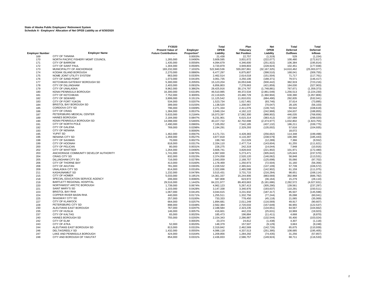|                        |                                                               | FY2020<br><b>Present Value of</b> | Employer           | Total<br>OPEB            | Plan<br>Fiduciary      | <b>Net</b><br>OPEB       | Total<br><b>Deferred</b> | Total<br>Deferred        |
|------------------------|---------------------------------------------------------------|-----------------------------------|--------------------|--------------------------|------------------------|--------------------------|--------------------------|--------------------------|
| <b>Employer Number</b> | <b>Employer Name</b>                                          | <b>Future Contributions</b>       | Proportion*        | Liability                | <b>Net Position</b>    | Liability                | <b>Outflows</b>          | <b>Inflows</b>           |
| 169                    | CITY OF TANANA                                                |                                   | 0.0003%            | 21,438                   | 22,757                 | (1, 319)                 | 529                      | (1, 154)                 |
| 170                    | NORTH PACIFIC FISHERY MGMT COUNCIL                            | 1,265,000                         | 0.0490%            | 3,609,595                | 3,831,672              | (222, 077)               | 100,480                  | (172, 617)               |
| 171                    | <b>CITY OF BARROW</b>                                         | 1,435,000                         | 0.0556%            | 4,094,679                | 4,346,600              | (251, 922)               | 106,384                  | (195, 814)               |
| 172                    | CITY OF SAINT PAUL                                            | 1,304,000                         | 0.0506%            | 3,720,879                | 3,949,803              | (228, 924)               | 102,451                  | (177, 938)               |
| 173                    | MUNICIPALITY OF ANCHORAGE<br>KODIAK ISLAND BOROUGH            | 183,232,000<br>2,270,000          | 7.1032%            | 522,840,536<br>6,477,297 | 555,007,861            | (32, 167, 325)           | 14,610,462               | (25,003,077)             |
| 174<br>175             | NOME JOINT UTILITY SYSTEM                                     | 863,000                           | 0.0880%<br>0.0335% | 2,462,514                | 6,875,807<br>2,614,018 | (398, 510)<br>(151, 504) | 168,041<br>71,717        | (309, 755)<br>(117, 761) |
| 176                    | CITY OF SAND POINT                                            | 1,073,000                         | 0.0416%            | 3,061,735                | 3,250,106              | (188, 371)               | 79,571                   | (146, 417)               |
| 177                    | KETCHIKAN GATEWAY BOROUGH SD                                  | 5,300,000                         | 0.2055%            | 15,123,204               | 16,053,646             | (930, 442)               | 382,919                  | (723, 216)               |
| 178                    | CITY OF DILLINGHAM                                            | 2,403,000                         | 0.0932%            | 6,856,803                | 7,278,663              | (421, 859)               | 184,030                  | (327, 903)               |
| 179                    | CITY OF UNALASKA                                              | 9,962,000                         | 0.3862%            | 28,425,916               | 30,174,797             | (1,748,881)              | 767,671                  | (1, 359, 373)            |
| 180                    | KENAI PENINSULA BOROUGH                                       | 16,300,000                        | 0.6319%            | 46,510,985               | 49,372,534             | (2,861,549)              | 1,256,513                | (2, 224, 230)            |
| 181                    | <b>CITY OF KETCHIKAN</b>                                      | 7,752,000                         | 0.3005%            | 22,119,825               | 23,480,729             | (1,360,904)              | 630,390                  | (1,057,806)              |
| 182                    | <b>CITY OF SEWARD</b>                                         | 3,899,000                         | 0.1511%            | 11,125,542               | 11,810,031             | (684, 490)               | 292,835                  | (532, 041)               |
| 183                    | CITY OF FORT YUKON                                            | 534,000                           | 0.0207%            | 1,523,734                | 1,617,481              | (93, 746)                | 37,614                   | (73, 895)                |
| 184                    | <b>BRISTOL BAY BOROUGH SD</b>                                 | 399,000                           | 0.0155%            | 1,138,520                | 1,208,567              | (70, 047)                | 28,105                   | (56, 103)                |
| 185                    | CORDOVA CITY SD                                               | 796,000                           | 0.0309%            | 2,271,334                | 2,411,076              | (139, 742)               | 59,542                   | (108, 619)               |
| 186                    | <b>CITY OF CRAIG</b>                                          | 1,384,000                         | 0.0537%            | 3,949,154                | 4,192,122              | (242, 968)               | 104,637                  | (188, 855)               |
| 187                    | PETERSBURG MEDICAL CENTER                                     | 5,633,000                         | 0.2184%            | 16,073,397               | 17,062,300             | (988, 902)               | 446,035                  | (768, 656)               |
| 189                    | <b>HAINES BOROUGH</b>                                         | 2,184,000                         | 0.0847%            | 6,231,901                | 6,615,314              | (383, 412)               | 157,089                  | (298, 020)               |
| 190                    | KENAI PENINSULA BOROUGH SD                                    | 14,098,000                        | 0.5465%            | 40,227,722               | 42,702,698             | (2,474,977)              | 1,032,802                | (1,923,755)              |
| 191                    | CITY OF NORTH POLE                                            | 2,490,000                         | 0.0965%            | 7,105,052                | 7,542,185              | (437, 132)               | 186,211                  | (339, 775)               |
| 192                    | <b>CITY OF GALENA</b>                                         | 769,000                           | 0.0298%            | 2,194,291                | 2,329,293              | (135,002)                | 57,616                   | (104, 935)               |
| 193                    | <b>CITY OF NENANA</b>                                         | ٠                                 | 0.0000%            |                          |                        |                          | 18,072                   |                          |
| 195                    | <b>YUPIIT SD</b>                                              | 1,462,000                         | 0.0567%            | 4,171,721                | 4,428,383              | (256, 662)               | 114,348                  | (199, 498)               |
| 196                    | <b>NENANA CITY SD</b>                                         | 1,359,000                         | 0.0527%            | 3,877,818                | 4,116,397              | (238, 579)               | 100,390                  | (185, 443)               |
| 198                    | <b>CITY OF SAXMAN</b>                                         | 70,000                            | 0.0027%            | 199,740                  | 212,029                | (12, 289)                | 7,366                    | (9, 552)                 |
| 199                    | CITY OF HOONAH                                                | 818,000                           | 0.0317%            | 2,334,110                | 2,477,714              | (143, 604)               | 61,255                   | (111, 621)               |
| 200                    | CITY OF PELICAN                                               | 80,000                            | 0.0031%            | 228,275                  | 242,319                | (14, 044)                | 7,948                    | (10, 916)                |
| 202                    | <b>CITY OF WHITTIER</b>                                       | 1,264,000                         | 0.0490%            | 3,606,741                | 3,828,643              | (221, 902)               | 101,971                  | (172, 480)               |
| 203<br>204             | ANCHORAGE COMMUNITY DEVELOP AUTHORITY<br><b>CRAIG CITY SD</b> | 1,741,000<br>832,000              | 0.0675%<br>0.0323% | 4,967,830<br>2,374,058   | 5,273,471              | (305, 642)               | 125,643                  | (237, 570)               |
|                        | <b>DILLINGHAM CITY SD</b>                                     |                                   |                    |                          | 2,520,120              | (146, 062)               | 58,848                   | (113, 531)               |
| 205<br>206             | CITY OF THORNE BAY                                            | 716,000<br>413,000                | 0.0278%<br>0.0160% | 2,043,059<br>1,178,469   | 2,168,757<br>1,250,973 | (125, 698)<br>(72, 504)  | 55,066<br>31,160         | (97, 702)<br>(56, 356)   |
| 208                    | <b>CITY OF AKUTAN</b>                                         | 781,000                           | 0.0303%            | 2,228,532                | 2,365,641              | (137, 109)               | 57,739                   | (106, 572)               |
| 209                    | <b>UNALASKA CITY SD</b>                                       | 814,000                           | 0.0316%            | 2,322,696                | 2,465,598              | (142, 902)               | 61,159                   | (111, 075)               |
| 211                    | <b>KASHUNAMIUT SD</b>                                         | 1,232,000                         | 0.0478%            | 3,515,431                | 3,731,715              | (216, 284)               | 98,651                   | (168, 114)               |
| 215                    | <b>CITY OF HOMER</b>                                          | 5,033,000                         | 0.1951%            | 14,361,337               | 15,244,906             | (883, 569)               | 392,968                  | (686, 782)               |
| 218                    | SPECIAL EDUCATION SERVICE AGENCY                              | 206,000                           | 0.0080%            | 587,808                  | 623,972                | (36, 164)                | 15,279                   | (28, 110)                |
| 219                    | BARTLETT REGIONAL HOSPITAL                                    | 29,516,000                        | 1.1442%            | 84,221,977               | 89,403,663             | (5, 181, 686)            | 2,282,572                | (4,027,631)              |
| 220                    | NORTHWEST ARCTIC BOROUGH                                      | 1,739,000                         | 0.0674%            | 4,962,123                | 5,267,413              | (305, 290)               | 139,561                  | (237, 297)               |
| 221                    | <b>SAINT MARY'S SD</b>                                        | 1,103,000                         | 0.0428%            | 3,147,338                | 3,340,976              | (193, 637)               | 110,291                  | (150, 511)               |
| 223                    | <b>BRISTOL BAY RHA</b>                                        | 1,067,000                         | 0.0414%            | 3,044,615                | 3,231,932              | (187, 317)               | 85,507                   | (145, 598)               |
| 224                    | COPPER RIVER BASIN RHA                                        | 440,000                           | 0.0171%            | 1,255,511                | 1,332,756              | (77, 244)                | 35,098                   | (60, 041)                |
| 225                    | <b>SKAGWAY CITY SD</b>                                        | 257,000                           | 0.0100%            | 733,333                  | 778,450                | (45, 118)                | 21,065                   | (35,069)                 |
| 227                    | <b>CITY OF KLAWOCK</b>                                        | 664,000                           | 0.0257%            | 1,894,681                | 2,011,249              | (116, 569)               | 49,917                   | (90, 607)                |
| 228                    | PETERSBURG CITY SD                                            | 898,000                           | 0.0348%            | 2,562,384                | 2,720,033              | (157, 649)               | 66,955                   | (122, 537)               |
| 230                    | ALEUTIANS EAST BOROUGH                                        | 767,000                           | 0.0297%            | 2,188,584                | 2,323,235              | (134, 651)               | 64,567                   | (104, 662)               |
| 235                    | <b>CITY OF HUSLIA</b>                                         | 146,000                           | 0.0057%            | 416,601                  | 442,233                | (25, 631)                | 10,969                   | (19, 923)                |
| 237                    | <b>CITY OF KALTAG</b>                                         | 65,000                            | 0.0025%            | 185,473                  | 196,884                | (11, 411)                | 4,668                    | (8, 870)                 |
| 240                    | HAINES BOROUGH SD                                             | 755,000                           | 0.0293%            | 2,154,343                | 2,286,887              | (132, 544)               | 55,400                   | (103, 024)               |
| 242                    | CITY OF ELIM                                                  |                                   | 0.0003%            | 23,374                   | 24,812                 | (1, 438)                 | 4,307                    | (1, 118)                 |
| 243                    | <b>CITY OF ATKA</b>                                           | 52,000                            | 0.0020%            | 148,379                  | 157,507                | (9, 129)                 | 3,663                    | (9, 248)                 |
| 244                    | ALEUTIANS EAST BOROUGH SD                                     | 813,000                           | 0.0315%            | 2,319,842                | 2,462,569              | (142, 726)               | 65,675                   | (110, 939)               |
| 246                    | <b>DELTA/GREELY SD</b>                                        | 1,432,000                         | 0.0555%            | 4,086,118                | 4,337,513              | (251, 395)               | 108,685                  | (195, 405)               |
| 247                    | LAKE AND PENINSULA BOROUGH                                    | 424,000                           | 0.0164%            | 1,209,856                | 1,284,292              | (74, 435)                | 31,256                   | (57, 857)                |
| 248                    | CITY AND BOROUGH OF YAKUTAT                                   | 854,000                           | 0.0331%            | 2,436,833                | 2,586,757              | (149, 924)               | 68,711                   | (116, 533)               |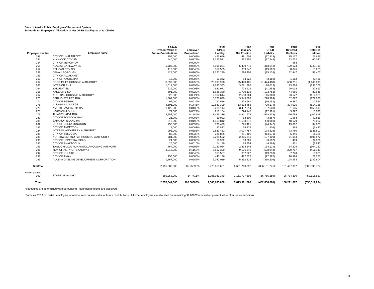|                        |                                          | FY2020<br><b>Present Value of</b> | Employer    | Total<br><b>OPEB</b> | Plan<br>Fiduciary   | <b>Net</b><br><b>OPEB</b> | Total<br><b>Deferred</b> | Total<br><b>Deferred</b> |
|------------------------|------------------------------------------|-----------------------------------|-------------|----------------------|---------------------|---------------------------|--------------------------|--------------------------|
| <b>Employer Number</b> | <b>Employer Name</b>                     | <b>Future Contributions</b>       | Proportion* | Liability            | <b>Net Position</b> | Liability                 | Outflows                 | <b>Inflows</b>           |
| 249                    | CITY OF UNALAKLEET                       | 159,000                           | 0.0062%     | 453,696              | 481,609             | (27, 913)                 | 15,177                   | (21,696)                 |
| 251                    | <b>KLAWOCK CITY SD</b>                   | 440,000                           | 0.0171%     | 1,255,511            | 1,332,756           | (77, 244)                 | 33,752                   | (60, 041)                |
| 254                    | <b>CITY OF MEKORYUK</b>                  |                                   | 0.0000%     | $\sim$               | $\sim$              |                           | 983                      |                          |
| 255                    | ALASKA GATEWAY SD                        | 1,786,000                         | 0.0692%     | 5,096,234            | 5,409,776           | (313, 542)                | 129,673                  | (243, 710)               |
| 257                    | PELICAN CITY SD                          | 112,000                           | 0.0043%     | 319,585              | 339,247             | (19,662)                  | 8,045                    | (15, 283)                |
| 258                    | <b>DENALI BOROUGH</b>                    | 428,000                           | 0.0166%     | 1,221,270            | 1,296,408           | (75, 138)                 | 32,447                   | (58, 403)                |
| 259                    | <b>CITY OF ALLAKAKET</b>                 |                                   | 0.0000%     | ٠                    |                     | $\sim$                    | ٠                        |                          |
| 260                    | <b>CITY OF KACHEMAK</b>                  | 18,000                            | 0.0007%     | 51,362               | 54,522              | (3, 160)                  | 1,512                    | (2, 456)                 |
| 262                    | <b>COOK INLET HOUSING AUTHORITY</b>      | 8,399,000                         | 0.3256%     | 23,965,998           | 25,440,485          | (1,474,488)               | 658,751                  | (1, 146, 093)            |
| 263                    | <b>INTERIOR RHA</b>                      | 1,014,000                         | 0.0393%     | 2,893,383            | 3,071,396           | (178, 013)                | 73,688                   | (138, 366)               |
| 264                    | YAKUTAT SD                               | 239,000                           | 0.0093%     | 681,971              | 723,929             | (41, 958)                 | 20,018                   | (32, 613)                |
| 265                    | <b>KAKE CITY SD</b>                      | 591,000                           | 0.0229%     | 1,686,380            | 1,790,133           | (103, 753)                | 44,965                   | (80, 645)                |
| 267                    | ALEUTIAN HOUSING AUTHORITY               | 828,000                           | 0.0321%     | 2,362,644            | 2,508,004           | (145, 360)                | 63,572                   | (112, 985)               |
| 270                    | <b>BERING STRAITS RHA</b>                | 1,304,000                         | 0.0506%     | 3,720,879            | 3,949,803           | (228, 924)                | 102,097                  | (177, 938)               |
| 271                    | <b>CITY OF EGEGIK</b>                    | 92,000                            | 0.0036%     | 262,516              | 278,667             | (16, 151)                 | 6,887                    | (12, 554)                |
| 275                    | <b>ILISAGVIK COLLEGE</b>                 | 4,501,000                         | 0.1745%     | 12,843,309           | 13,633,483          | (790, 174)                | 324,025                  | (614, 188)               |
| 276                    | NORTH PACIFIC RIM HA                     | 1,125,000                         | 0.0436%     | 3,210,114            | 3,407,614           | (197, 500)                | 91,665                   | (153, 513)               |
| 278                    | <b>SAXMAN SEAPORT</b>                    | 74,000                            | 0.0029%     | 211,154              | 224,145             | (12, 991)                 | 5,327                    | (10,098)                 |
| 279                    | <b>TLINGIT-HAIDA RHA</b>                 | 2,952,000                         | 0.1144%     | 8,423,339            | 8,941,578           | (518, 239)                | 226,789                  | (402, 818)               |
| 280                    | CITY OF TOKSOOK BAY                      | 21,000                            | 0.0008%     | 59,922               | 63,609              | (3,687)                   | 1,963                    | (2,866)                  |
| 281                    | <b>BARANOF ISLAND HA</b>                 | 513.000                           | 0.0199%     | 1.463.812            | 1,553,872           | (90,060)                  | 40,679                   | (70,002)                 |
| 282                    | CITY OF DELTA JUNCTION                   | 256,000                           | 0.0099%     | 730,479              | 775,421             | (44, 942)                 | 19,062                   | (34, 933)                |
| 283                    | <b>CITY OF ANDERSON</b>                  | 8,000                             | 0.0003%     | 22,827               | 24,232              | (1, 404)                  | 563                      | (1, 442)                 |
| 284                    | INTER-ISLAND FERRY AUTHORITY             | 993,000                           | 0.0385%     | 2,833,461            | 3,007,787           | (174, 326)                | 73,780                   | (135, 501)               |
| 286                    | CITY OF SELDOVIA                         | 83,000                            | 0.0032%     | 236,835              | 251,406             | (14, 571)                 | 5,846                    | (11, 336)                |
| 288                    | NORTHWEST INUPIAT HOUSING AUTHORITY      | 781,000                           | 0.0303%     | 2,228,532            | 2,365,641           | (137, 109)                | 61,084                   | (106, 572)               |
| 290                    | CITY OF UPPER KALSKAG                    | 21,000                            | 0.0008%     | 59,922               | 63,609              | (3,687)                   | 1,489                    | (2,866)                  |
| 291                    | <b>CITY OF SHAKTOOLIK</b>                | 26,000                            | 0.0010%     | 74,189               | 78,754              | (4, 564)                  | 1,831                    | (3, 847)                 |
| 293                    | TAGIUGMIULLU NUNAMIULLU HOUSING AUTHORIT | 764,000                           | 0.0296%     | 2,180,024            | 2,314,148           | (134, 124)                | 64,225                   | (104, 252)               |
| 296                    | MUNICIPALITY OF SKAGWAY                  | 3,013,000                         | 0.1168%     | 8,597,399            | 9,126,346           | (528, 948)                | 229,717                  | (411, 141)               |
| 297                    | <b>CITY OF NULATO</b>                    |                                   | 0.0043%     | 313.537              | 332.827             | (19, 290)                 | 7.740                    | (16,065)                 |
| 298                    | <b>CITY OF ANIAK</b>                     | 156,000                           | 0.0060%     | 445,136              | 472,522             | (27, 387)                 | 10,998                   | (21, 287)                |
| 299                    | ALASKA GASLINE DEVELOPMENT CORPORATION   | 1,767,000                         | 0.0685%     | 5,042,019            | 5,352,225           | (310, 206)                | 124,463                  | (247, 804)               |
| <b>Subtotal</b>        |                                          | 2,196,383,000                     | 85.25890%   | 6.275.611.651        | 6,661,713,392       | (386, 101, 741)           | 161,427,307              | (300, 395, 727)          |
| Nonemployer:           |                                          |                                   |             |                      |                     |                           |                          |                          |
| 999                    | <b>STATE OF ALASKA</b>                   | 380.258.000                       | 14.7411%    | 1,085,041,349        | 1,151,797,608       | (66, 756, 259)            | 26,784,390               | (58, 115, 567)           |
| <b>Total</b>           |                                          | 2,576,641,000                     | 100.00000%  | 7,360,653,000        | 7,813,511,000       | (452, 858, 000)           | 188.211.697              | (358, 511, 294)          |

All amounts are determined without rounding. Rounded amounts are displayed.

\*Same as FY19 for certain employers who have zero present value of future contributions. All other employers are allocated the remaining 99.88620% based on present value of future contributions.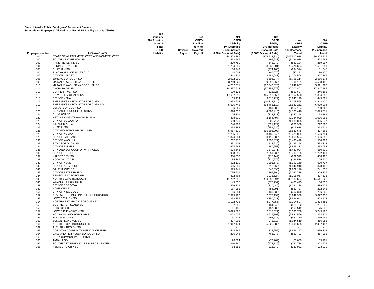|                        |                                            | Plan                |         |            |                       |                       |                 |              |
|------------------------|--------------------------------------------|---------------------|---------|------------|-----------------------|-----------------------|-----------------|--------------|
|                        |                                            | Fiduciarv           |         | <b>Net</b> | <b>Net</b>            | <b>Net</b>            |                 |              |
|                        |                                            |                     |         | OPEB       | OPEB                  | OPEB                  |                 |              |
|                        |                                            | <b>Net Position</b> |         |            |                       |                       | Net             | Net          |
|                        |                                            | as % of             |         | Liability  | Liability             | Liability             | <b>OPEB</b>     | <b>OPEB</b>  |
|                        |                                            | Total               |         | as % of    | 1% Decrease           | 1% Increase           | Liability       | Liability    |
|                        |                                            | OPEB                | Covered | Covered    | <b>Discount Rate</b>  | <b>Discount Rate</b>  | 1% Decrease     | 1% Increase  |
| <b>Employer Number</b> | <b>Employer Name</b>                       | Liability           | Payroll | Payroll    | (6.38% Discount Rate) | (8.38% Discount Rate) | Trend           | <b>Trend</b> |
| 101                    | STATE OF ALASKA (EMPLOYER AND NONEMPLOYER) |                     |         |            | 234,428,881           | (604, 922, 834)       | (649, 507, 918) | 289,804,536  |
| 102                    | SOUTHWEST REGION SD                        |                     |         |            | 463,466               | (1, 195, 933)         | (1, 284, 078)   | 572,944      |
| 103                    | ANNETTE ISLAND SD                          |                     |         |            | 209,750               | (541, 242)            | (581, 134)      | 259,297      |
| 104                    | <b>BERING STRAIT SD</b>                    |                     |         |            | 1,254,839             | (3,238,001)           | (3,476,654)     | 1,551,251    |
| 105                    | <b>CHATHAM SD</b>                          |                     |         |            | 106,249               | (274, 166)            | (294, 374)      | 131,347      |
| 106                    | ALASKA MUNICIPAL LEAGUE                    |                     |         |            |                       |                       |                 |              |
|                        |                                            |                     |         |            | 16,304                | (42,070)              | (45, 171)       | 20,155       |
| 107                    | <b>CITY OF VALDEZ</b>                      |                     |         |            | 1,542,811             | (3,981,087)           | (4,274,508)     | 1,907,246    |
| 108                    | JUNEAU BOROUGH SD                          |                     |         |            | 2,092,009             | (5,398,244)           | (5,796,114)     | 2,586,174    |
| 109                    | MATANUSKA-SUSITNA BOROUGH                  |                     |         |            | 3,719,820             | (9,598,663)           | (10, 306, 121)  | 4,598,498    |
| 110                    | MATANUSKA-SUSITNA BOROUGH SD               |                     |         |            | 4,782,311             | (12, 340, 328)        | (13, 249, 857)  | 5,911,966    |
| 111                    | ANCHORAGE SD                               |                     |         |            | 14,437,612            | (37, 254, 972)        | (40,000,803)    | 17,847,995   |
| 112                    | <b>COPPER RIVER SD</b>                     |                     |         |            | 199,126               | (513, 826)            | (551, 697)      | 246,162      |
| 113                    | UNIVERSITY OF ALASKA                       |                     |         |            | 17,637,910            | (45, 513, 055)        | (48, 867, 538)  | 21,804,252   |
| 115                    | <b>CITY OF KENAI</b>                       |                     |         |            | 1,169,474             | (3,017,722)           | (3,240,140)     | 1,445,721    |
|                        | FAIRBANKS NORTH STAR BOROUGH               |                     |         |            |                       |                       |                 |              |
| 116                    |                                            |                     |         |            | 3,998,632             | (10, 318, 114)        | (11,078,598)    | 4,943,170    |
| 117                    | FAIRBANKS NORTH STAR BOROUGH SD            |                     |         |            | 5,605,742             | (14, 465, 119)        | (15,531,252)    | 6,929,904    |
| 118                    | <b>DENALI BOROUGH SD</b>                   |                     |         |            | 186,669               | (481, 682)            | (517, 184)      | 230,763      |
| 120                    | CITY AND BOROUGH OF SITKA                  |                     |         |            | 1,698,338             | (4,382,410)           | (4,705,410)     | 2,099,511    |
| 121                    | <b>CHUGACH SD</b>                          |                     |         |            | 125,301               | (323, 327)            | (347, 158)      | 154,899      |
| 122                    | KETCHIKAN GATEWAY BOROUGH                  |                     |         |            | 838,819               | (2, 164, 497)         | (2,324,029)     | 1,036,961    |
| 123                    | CITY OF SOLDOTNA                           |                     |         |            | 699,779               | (1,805,717)           | (1,938,805)     | 865,077      |
| 124                    | <b>IDITAROD AREA SD</b>                    |                     |         |            | 240,709               | (621, 129)            | (666, 908)      | 297,568      |
| 125                    | <b>KUSPUK SD</b>                           |                     |         |            | 294,383               | (759, 630)            | (815, 618)      | 363,921      |
|                        | CITY AND BOROUGH OF JUNEAU                 |                     |         |            |                       |                       |                 |              |
| 126                    |                                            |                     |         |            | 5,967,539             | (15, 398, 703)        | (16, 533, 645)  | 7,377,162    |
| 128                    | <b>CITY OF KODIAK</b>                      |                     |         |            | 1,235,055             | (3, 186, 949)         | (3,421,839)     | 1,526,794    |
| 129                    | <b>CITY OF FAIRBANKS</b>                   |                     |         |            | 1,324,084             | (3, 416, 682)         | (3,668,504)     | 1,636,853    |
| 131                    | <b>CITY OF WASILLA</b>                     |                     |         |            | 1,262,716             | (3, 258, 327)         | (3,498,478)     | 1,560,989    |
| 133                    | SITKA BOROUGH SD                           |                     |         |            | 431,408               | (1, 113, 210)         | (1, 195, 258)   | 533,313      |
| 134                    | <b>CITY OF PALMER</b>                      |                     |         |            | 674,682               | (1,740,957)           | (1,869,272)     | 834,052      |
| 135                    | CITY AND BOROUGH OF WRANGELL               |                     |         |            | 534,543               | (1, 379, 341)         | (1,481,004)     | 660,810      |
| 136                    | <b>CITY OF BETHEL</b>                      |                     |         |            | 988,850               | (2,551,639)           | (2,739,705)     | 1,222,431    |
| 137                    | <b>VALDEZ CITY SD</b>                      |                     |         |            | 354,652               | (915, 149)            | (982, 599)      | 438,427      |
|                        | HOONAH CITY SD                             |                     |         |            |                       |                       |                 |              |
| 138                    |                                            |                     |         |            | 85,366                | (220, 279)            | (236, 514)      | 105,530      |
| 139                    | CITY OF NOME                               |                     |         |            | 502,119               | (1, 295, 673)         | (1,391,169)     | 620,727      |
| 140                    | <b>CITY OF KOTZEBUE</b>                    |                     |         |            | 665,889               | (1,718,268)           | (1,844,910)     | 823,182      |
| 141                    | <b>GALENA CITY SD</b>                      |                     |         |            | 599,941               | (1,548,095)           | (1,662,196)     | 741,657      |
| 143                    | <b>CITY OF PETERSBURG</b>                  |                     |         |            | 735,501               | (1,897,894)           | (2,037,776)     | 909,237      |
| 144                    | <b>BRISTOL BAY BOROUGH</b>                 |                     |         |            | 402,464               | (1,038,524)           | (1, 115, 067)   | 497,533      |
| 145                    | NORTH SLOPE BOROUGH                        |                     |         |            | 11,762,698            | (30, 352, 594)        | (32, 589, 694)  | 14,541,226   |
| 146                    | <b>WRANGELL PUBLIC SD</b>                  |                     |         |            | 145,635               | (375, 797)            | (403, 495)      | 180,036      |
| 148                    | CITY OF CORDOVA                            |                     |         |            | 476,839               | (1,230,440)           | (1,321,128)     | 589,475      |
| 149                    | NOME CITY SD                               |                     |         |            | 187,951               | (484, 991)            | (520, 737)      | 232,348      |
|                        | CITY OF KING COVE                          |                     |         |            |                       |                       |                 |              |
| 151                    |                                            |                     |         |            | 166,884               | (430, 630)            | (462, 370)      | 206,305      |
| 152                    | ALASKA HOUSING FINANCE CORPORATION         |                     |         |            | 2,975,160             | (7,677,134)           | (8,242,968)     | 3,677,937    |
| 153                    | <b>LOWER YUKON SD</b>                      |                     |         |            | 1,298,255             | (3,350,031)           | (3,596,941)     | 1,604,922    |
| 154                    | NORTHWEST ARCTIC BOROUGH SD                |                     |         |            | 1,192,738             | (3,077,755)           | (3,304,597)     | 1,474,481    |
| 155                    | SOUTHEAST ISLAND SD                        |                     |         |            | 187,585               | (484, 046)            | (519, 722)      | 231,895      |
| 156                    | PRIBILOF SD                                |                     |         |            | 61,185                | (157, 882)            | (169, 519)      | 75,638       |
| 157                    | LOWER KUSKOKWIM SD                         |                     |         |            | 3,029,567             | (7, 817, 527)         | (8,393,708)     | 3,745,196    |
| 158                    | KODIAK ISLAND BOROUGH SD                   |                     |         |            | 1,022,007             | (2,637,198)           | (2,831,569)     | 1,263,421    |
| 159                    | YUKON FLATS SD                             |                     |         |            | 191,432               | (493, 972)            | (530, 380)      | 236,651      |
|                        |                                            |                     |         |            |                       |                       |                 |              |
| 160                    | YUKON / KOYUKUK SD                         |                     |         |            | 377,001               | (972, 818)            | (1,044,519)     | 466,055      |
| 161                    | NORTH SLOPE BOROUGH SD                     |                     |         |            | 1,947,474             | (5,025,283)           | (5,395,665)     | 2,407,497    |
| 162                    | ALEUTIAN REGION SD                         |                     |         |            |                       |                       |                 |              |
| 163                    | CORDOVA COMMUNITY MEDICAL CENTER           |                     |         |            | 514,747               | (1,328,259)           | (1,426,157)     | 636,338      |
| 164                    | LAKE AND PENINSULA BOROUGH SD              |                     |         |            | 296,948               | (766, 248)            | (822, 723)      | 367,092      |
| 165                    | SITKA COMMUNITY HOSPITAL                   |                     |         |            |                       |                       |                 |              |
| 166                    | <b>TANANA SD</b>                           |                     |         |            | 28,394                | (73, 269)             | (78, 669)       | 35,101       |
| 167                    | SOUTHEAST REGIONAL RESOURCE CENTER         |                     |         |            | 260,860               | (673, 126)            | (722, 738)      | 322,479      |
| 168                    | HYDABURG CITY SD                           |                     |         |            | 83.351                | (215,079)             | (230, 931)      | 103.039      |
|                        |                                            |                     |         |            |                       |                       |                 |              |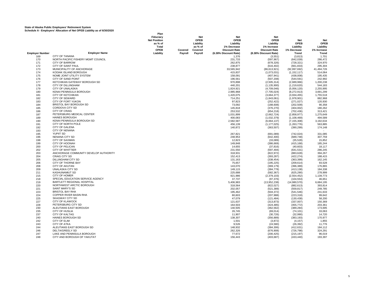|                        |                                       | Plan<br>Fiduciary   |         | Net       | <b>Net</b>            | <b>Net</b>            |                |             |
|------------------------|---------------------------------------|---------------------|---------|-----------|-----------------------|-----------------------|----------------|-------------|
|                        |                                       | <b>Net Position</b> |         | OPEB      | <b>OPEB</b>           | <b>OPEB</b>           | Net            | <b>Net</b>  |
|                        |                                       | as % of             |         | Liability | Liability             | Liability             | <b>OPEB</b>    | <b>OPEB</b> |
|                        |                                       | Total               |         | as % of   | 1% Decrease           | 1% Increase           | Liability      | Liability   |
|                        |                                       | OPEB                | Covered | Covered   | <b>Discount Rate</b>  | <b>Discount Rate</b>  | 1% Decrease    | 1% Increase |
| <b>Employer Number</b> | <b>Employer Name</b>                  | Liability           | Payroll | Payroll   | (6.38% Discount Rate) | (8.38% Discount Rate) | Trend          | Trend       |
| 169                    | CITY OF TANANA                        |                     |         |           | 1,376                 | (3, 551)              | (3,813)        | 1,701       |
| 170                    | NORTH PACIFIC FISHERY MGMT COUNCIL    |                     |         |           | 231,733               | (597, 967)            | (642, 039)     | 286,472     |
| 171                    | <b>CITY OF BARROW</b>                 |                     |         |           | 262,875               | (678, 326)            | (728, 321)     | 324,970     |
| 172                    | CITY OF SAINT PAUL                    |                     |         |           | 238,877               | (616, 402)            | (661, 833)     | 295,304     |
| 173                    | MUNICIPALITY OF ANCHORAGE             |                     |         |           | 33,565,942            | (86, 613, 921)        | (92, 997, 692) | 41,494,726  |
| 174                    | KODIAK ISLAND BOROUGH                 |                     |         |           | 415,837               | (1,073,031)           | (1, 152, 117)  | 514,064     |
| 175                    | NOME JOINT UTILITY SYSTEM             |                     |         |           | 158,091               |                       |                | 195,435     |
|                        | CITY OF SAND POINT                    |                     |         |           |                       | (407, 941)            | (438,008)      |             |
| 176                    |                                       |                     |         |           | 196,561               | (507, 208)            | (544, 591)     | 242,992     |
| 177                    | KETCHIKAN GATEWAY BOROUGH SD          |                     |         |           | 970,898               | (2,505,314)           | (2,689,966)    | 1,200,238   |
| 178                    | <b>CITY OF DILLINGHAM</b>             |                     |         |           | 440,201               | (1, 135, 900)         | (1,219,620)    | 544,183     |
| 179                    | <b>CITY OF UNALASKA</b>               |                     |         |           | 1,824,921             | (4,709,046)           | (5,056,120)    | 2,255,995   |
| 180                    | KENAI PENINSULA BOROUGH               |                     |         |           | 2,985,968             | (7,705,024)           | (8,272,913)    | 3,691,299   |
| 181                    | <b>CITY OF KETCHIKAN</b>              |                     |         |           | 1,420,075             | (3,664,377)           | (3,934,455)    | 1,755,518   |
| 182                    | <b>CITY OF SEWARD</b>                 |                     |         |           | 714,251               | (1,843,061)           | (1,978,901)    | 882,968     |
| 183                    | CITY OF FORT YUKON                    |                     |         |           | 97,823                | (252, 422)            | (271, 027)     | 120,930     |
| 184                    | <b>BRISTOL BAY BOROUGH SD</b>         |                     |         |           | 73,092                | (188, 608)            | (202, 509)     | 90,358      |
| 185                    | CORDOVA CITY SD                       |                     |         |           | 145,818               | (376, 270)            | (404, 002)     | 180,262     |
| 186                    | <b>CITY OF CRAIG</b>                  |                     |         |           | 253,532               | (654, 218)            | (702, 436)     | 313,421     |
| 187                    | PETERSBURG MEDICAL CENTER             |                     |         |           | 1,031,899             | (2,662,724)           | (2,858,977)    | 1,275,649   |
| 189                    | <b>HAINES BOROUGH</b>                 |                     |         |           | 400,083               | (1,032,379)           | (1, 108, 469)  | 494,589     |
| 190                    | KENAI PENINSULA BOROUGH SD            |                     |         |           | 2,582,587             | (6,664,137)           | (7, 155, 308)  | 3,192,634   |
| 191                    | CITY OF NORTH POLE                    |                     |         |           |                       |                       |                | 563,885     |
|                        | <b>CITY OF GALENA</b>                 |                     |         |           | 456,139               | (1, 177, 025)         | (1,263,776)    |             |
| 192                    |                                       |                     |         |           | 140,872               | (363, 507)            | (390, 299)     | 174,148     |
| 193                    | <b>CITY OF NENANA</b>                 |                     |         |           |                       |                       |                |             |
| 195                    | YUPIIT SD                             |                     |         |           | 267,821               | (691, 089)            | (742, 024)     | 331,085     |
| 196                    | NENANA CITY SD                        |                     |         |           | 248,953               | (642, 400)            | (689, 748)     | 307,759     |
| 198                    | <b>CITY OF SAXMAN</b>                 |                     |         |           | 12,823                | (33,089)              | (35, 528)      | 15,852      |
| 199                    | CITY OF HOONAH                        |                     |         |           | 149,848               | (386, 669)            | (415, 168)     | 185,244     |
| 200                    | CITY OF PELICAN                       |                     |         |           | 14,655                | (37, 816)             | (40, 603)      | 18,117      |
| 202                    | <b>CITY OF WHITTIER</b>               |                     |         |           | 231,550               | (597, 494)            | (641, 531)     | 286,245     |
| 203                    | ANCHORAGE COMMUNITY DEVELOP AUTHORITY |                     |         |           | 318,931               | (822, 972)            | (883, 628)     | 394,267     |
| 204                    | <b>CRAIG CITY SD</b>                  |                     |         |           | 152,413               | (393, 287)            | (422, 274)     | 188,415     |
| 205                    | <b>DILLINGHAM CITY SD</b>             |                     |         |           | 131,163               | (338, 454)            | (363, 399)     | 162,145     |
| 206                    | CITY OF THORNE BAY                    |                     |         |           | 75,657                | (195, 225)            | (209, 614)     | 93,528      |
| 208                    | CITY OF AKUTAN                        |                     |         |           | 143,070               | (369, 179)            | (396, 389)     | 176,865     |
| 209                    | <b>UNALASKA CITY SD</b>               |                     |         |           | 149,115               | (384, 778)            | (413, 138)     | 184,338     |
| 211                    | <b>KASHUNAMIUT SD</b>                 |                     |         |           | 225,688               | (582, 367)            | (625, 290)     | 278,999     |
| 215                    | CITY OF HOMER                         |                     |         |           | 921,986               |                       | (2,554,452)    | 1,139,773   |
|                        |                                       |                     |         |           |                       | (2,379,103)           |                |             |
| 218                    | SPECIAL EDUCATION SERVICE AGENCY      |                     |         |           | 37,737                | (97, 376)             | (104, 553)     | 46,651      |
| 219                    | BARTLETT REGIONAL HOSPITAL            |                     |         |           | 5,406,983             | (13,952,238)          | (14,980,570)   | 6,684,195   |
| 220                    | NORTHWEST ARCTIC BOROUGH              |                     |         |           | 318,564               | (822, 027)            | (882, 613)     | 393,814     |
| 221                    | <b>SAINT MARY'S SD</b>                |                     |         |           | 202,057               | (521, 389)            | (559, 817)     | 249,785     |
| 223                    | <b>BRISTOL BAY RHA</b>                |                     |         |           | 195,462               | (504, 372)            | (541, 546)     | 241,633     |
| 224                    | COPPER RIVER BASIN RHA                |                     |         |           | 80,603                | (207, 988)            | (223, 318)     | 99,642      |
| 225                    | <b>SKAGWAY CITY SD</b>                |                     |         |           | 47,079                | (121, 484)            | (130, 438)     | 58,200      |
| 227                    | <b>CITY OF KLAWOCK</b>                |                     |         |           | 121,637               | (313, 873)            | (337,007)      | 150,369     |
| 228                    | PETERSBURG CITY SD                    |                     |         |           | 164,503               | (424, 485)            | (455, 772)     | 203,361     |
| 230                    | ALEUTIANS EAST BOROUGH                |                     |         |           | 140,505               | (362, 562)            | (389, 284)     | 173,695     |
| 235                    | <b>CITY OF HUSLIA</b>                 |                     |         |           | 26,745                | (69, 014)             | (74, 101)      | 33,063      |
| 237                    | <b>CITY OF KALTAG</b>                 |                     |         |           | 11,907                | (30, 726)             | (32,990)       | 14,720      |
| 240                    | <b>HAINES BOROUGH SD</b>              |                     |         |           | 138,307               | (356, 889)            | (383, 193)     | 170,977     |
| 242                    | <b>CITY OF ELIM</b>                   |                     |         |           | 1,501                 | (3, 872)              | (4, 157)       | 1,855       |
| 243                    | <b>CITY OF ATKA</b>                   |                     |         |           | 9,526                 |                       |                | 11,776      |
| 244                    | ALEUTIANS EAST BOROUGH SD             |                     |         |           |                       | (24, 580)             | (26, 392)      | 184,112     |
|                        | <b>DELTA/GREELY SD</b>                |                     |         |           | 148,932               | (384, 306)            | (412, 631)     |             |
| 246                    |                                       |                     |         |           | 262,326               | (676, 908)            | (726, 798)     | 324,291     |
| 247                    | LAKE AND PENINSULA BOROUGH            |                     |         |           | 77,672                | (200, 425)            | (215, 197)     | 96,019      |
| 248                    | CITY AND BOROUGH OF YAKUTAT           |                     |         |           | 156,443               | (403, 687)            | (433, 440)     | 193,397     |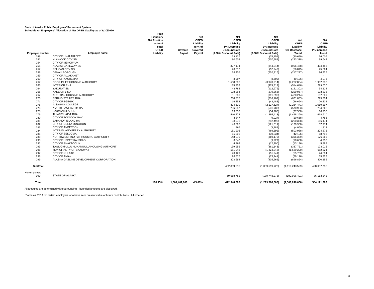|                        | $$ project rate callent or rest of $\Box$ | Plan                |               |             |                       |                          |                 |              |
|------------------------|-------------------------------------------|---------------------|---------------|-------------|-----------------------|--------------------------|-----------------|--------------|
|                        |                                           | Fiduciary           |               | Net         | Net                   | <b>Net</b>               |                 |              |
|                        |                                           | <b>Net Position</b> |               | <b>OPEB</b> | <b>OPEB</b>           | <b>OPEB</b>              | <b>Net</b>      | Net          |
|                        |                                           | as % of             |               | Liability   | Liability             | Liability                | <b>OPEB</b>     | <b>OPEB</b>  |
|                        |                                           | <b>Total</b>        |               | as % of     | 1% Decrease           | 1% Increase              | Liability       | Liability    |
|                        |                                           | OPEB                | Covered       | Covered     | <b>Discount Rate</b>  | <b>Discount Rate</b>     | 1% Decrease     | 1% Increase  |
| <b>Emplover Number</b> | <b>Employer Name</b>                      | Liability           | Payroll       | Pavroll     | (6.38% Discount Rate) | (8.38% Discount Rate)    | Trend           | <b>Trend</b> |
| 249                    | <b>CITY OF UNALAKLEET</b>                 |                     |               |             | 29,127                | (75, 159)                | (80, 699)       | 36,007       |
| 251                    | <b>KLAWOCK CITY SD</b>                    |                     |               |             | 80,603                | (207, 988)               | (223, 318)      | 99,642       |
| 254                    | <b>CITY OF MEKORYUK</b>                   |                     |               |             | $\sim$                | $\sim$                   |                 |              |
| 255                    | ALASKA GATEWAY SD                         |                     |               |             | 327.174               | (844, 244)               | (906, 468)      | 404,458      |
| 257                    | PELICAN CITY SD                           |                     |               |             | 20,517                | (52, 942)                | (56, 845)       | 25,364       |
| 258                    | <b>DENALI BOROUGH</b>                     |                     |               |             | 78,405                | (202, 316)               | (217, 227)      | 96,925       |
| 259                    | CITY OF ALLAKAKET                         |                     |               |             |                       | $\overline{\phantom{a}}$ |                 |              |
| 260                    | <b>CITY OF KACHEMAK</b>                   |                     |               |             | 3,297                 | (8,509)                  | (9, 136)        | 4,076        |
| 262                    | COOK INLET HOUSING AUTHORITY              |                     |               |             | 1,538,598             | (3,970,214)              | (4,262,834)     | 1,902,038    |
| 263                    | <b>INTERIOR RHA</b>                       |                     |               |             | 185,753               | (479, 319)               | (514, 646)      | 229,630      |
| 264                    | YAKUTAT SD                                |                     |               |             | 43,782                | (112, 976)               | (121, 302)      | 54,124       |
| 265                    | <b>KAKE CITY SD</b>                       |                     |               |             | 108,264               | (279, 366)               | (299, 957)      | 133,838      |
| 267                    | ALEUTIAN HOUSING AUTHORITY                |                     |               |             | 151,680               | (391, 396)               | (420, 244)      | 187,509      |
| 270                    | <b>BERING STRAITS RHA</b>                 |                     |               |             | 238,877               | (616, 402)               | (661, 833)      | 295,304      |
| 271                    | <b>CITY OF EGEGIK</b>                     |                     |               |             | 16,853                | (43, 488)                | (46, 694)       | 20,834       |
| 275                    | <b>ILISAGVIK COLLEGE</b>                  |                     |               |             | 824,530               | (2, 127, 627)            | (2, 284, 441)   | 1,019,297    |
| 276                    | <b>NORTH PACIFIC RIM HA</b>               |                     |               |             | 206,087               | (531,788)                | (570, 983)      | 254,768      |
| 278                    | <b>SAXMAN SEAPORT</b>                     |                     |               |             | 13,556                | (34,980)                 | (37, 558)       | 16,758       |
| 279                    | <b>TLINGIT-HAIDA RHA</b>                  |                     |               |             | 540,772               | (1, 395, 413)            | (1,498,260)     | 668,510      |
| 280                    | <b>CITY OF TOKSOOK BAY</b>                |                     |               |             | 3,847                 | (9,927)                  | (10, 658)       | 4,756        |
| 281                    | <b>BARANOF ISLAND HA</b>                  |                     |               |             | 93,976                | (242, 496)               | (260, 368)      | 116,174      |
| 282                    | CITY OF DELTA JUNCTION                    |                     |               |             | 46,896                | (121, 011)               | (129, 930)      | 57,974       |
| 283                    | <b>CITY OF ANDERSON</b>                   |                     |               |             | 1,466                 | (3,782)                  | (4,060)         | 1,812        |
| 284                    | INTER-ISLAND FERRY AUTHORITY              |                     |               |             | 181,906               | (469, 392)               | (503, 988)      | 224,875      |
| 286                    | <b>CITY OF SELDOVIA</b>                   |                     |               |             | 15,205                | (39, 234)                | (42, 126)       | 18,796       |
| 288                    | NORTHWEST INUPIAT HOUSING AUTHORITY       |                     |               |             | 143,070               | (369, 179)               | (396, 389)      | 176,865      |
| 290                    | CITY OF UPPER KALSKAG                     |                     |               |             | 3,847                 | (9,927)                  | (10,658)        | 4,756        |
| 291                    | <b>CITY OF SHAKTOOLIK</b>                 |                     |               |             | 4,763                 | (12, 290)                | (13, 196)       | 5,888        |
| 293                    | TAGIUGMIULLU NUNAMIULLU HOUSING AUTHORIT  |                     |               |             | 139,956               | (361, 143)               | (387, 761)      | 173,015      |
| 296                    | MUNICIPALITY OF SKAGWAY                   |                     |               |             | 551,946               | (1,424,248)              | (1,529,220)     | 682,324      |
| 297                    | <b>CITY OF NULATO</b>                     |                     |               |             | 20.129                | (51, 941)                | (55, 769)       | 24,884       |
| 298                    | <b>CITY OF ANIAK</b>                      |                     |               |             | 28.577                | (73, 741)                | (79, 176)       | 35,328       |
| 299                    | ALASKA GASLINE DEVELOPMENT CORPORATION    |                     |               |             | 323,694               | (835, 262)               | (896, 824)      | 400,155      |
| <b>Subtotal</b>        |                                           |                     |               |             | 402.889.218           | (1.039.619.722)          | (1.116.243.599) | 498.057.758  |
| Nonemployer:<br>999    | STATE OF ALASKA                           |                     |               |             | 69.658.782            | (179, 748, 278)          | (192, 996, 401) | 86,113,242   |
| Total                  |                                           | 106.15%             | 1,004,467,000 | $-45.08%$   | 472,548,000           | (1,219,368,000)          | (1,309,240,000) | 584,171,000  |

All amounts are determined without rounding. Rounded amounts are displayed.

\*Same as FY19 for certain employers who have zero present value of future contributions. All other en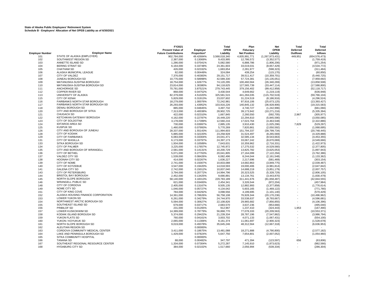|                        |                                                | FY2021                      |                      | Total                     | Plan                       | <b>Net</b>                    | <b>Total</b>    | Total                        |
|------------------------|------------------------------------------------|-----------------------------|----------------------|---------------------------|----------------------------|-------------------------------|-----------------|------------------------------|
|                        |                                                | <b>Present Value of</b>     | Employer             | <b>OPEB</b>               | Fiduciary                  | <b>OPEB</b>                   | <b>Deferred</b> | Deferred                     |
| <b>Employer Number</b> | <b>Employer Name</b>                           | <b>Future Contributions</b> | Proportion*          | Liability                 | <b>Net Position</b>        | Liability                     | Outflows        | <b>Inflows</b>               |
| 101                    | STATE OF ALASKA (EMPLOYER)                     | 902,784,000                 | 49.42684%            | 3,568,018,340             | 4,835,991,771              | (1, 267, 973, 431)            | 449,951         | (654, 576, 473)              |
| 102                    | SOUTHWEST REGION SD                            | 2,387,000                   | 0.13069%             | 9,433,995                 | 12,786,572                 | (3,352,577)                   |                 | (1,759,419)                  |
| 103                    | ANNETTE ISLAND SD                              | 1,286,000                   | 0.07041%             | 5,082,580                 | 6,888,786                  | (1,806,206)                   | $\sim$          | (971, 254)                   |
| 104                    | <b>BERING STRAIT SD</b>                        | 6,164,000                   | 0.33748%             | 24,361,603                | 33,019,031                 | (8,657,429)                   |                 | (4, 534, 772)                |
| 105                    | <b>CHATHAM SD</b>                              | 426,000                     | 0.02332%             | 1,683,654                 | 2,281,977                  | (598, 323)                    |                 | (311, 484)                   |
| 106                    | ALASKA MUNICIPAL LEAGUE                        | 82,000                      | 0.00449%             | 324,084                   | 439,254                    | (115, 170)                    |                 | (60, 850)                    |
| 107                    | CITY OF VALDEZ                                 | 7,376,000                   | 0.40383%             | 29,151,717                | 39,511,417                 | (10, 359, 701)                |                 | (5,440,725)                  |
| 108                    | JUNEAU BOROUGH SD<br>MATANUSKA-SUSITNA BOROUGH | 10,776,000                  | 0.58998%             | 42,589,330                | 57,724,381                 | (15, 135, 051)                | ×.              | (7,959,692)                  |
| 109                    | MATANUSKA-SUSITNA BOROUGH SD                   | 18,754,000                  | 1.02677%<br>1.30380% | 74,120,295                | 100,460,564<br>127,565,739 | (26, 340, 269)                |                 | (13,858,508)                 |
| 110<br>111             | ANCHORAGE SD                                   | 23,814,000<br>70,781,000    | 3.87521%             | 94,118,625<br>279,743,445 | 379,156,402                | (33, 447, 114)                |                 | (17, 588, 800)               |
| 112                    | <b>COPPER RIVER SD</b>                         | 868,000                     | 0.04752%             | 3,430,544                 | 4,649,662                  | (99, 412, 958)<br>(1,219,119) |                 | (52, 118, 717)<br>(636, 948) |
| 113                    | UNIVERSITY OF ALASKA                           | 82,379,000                  | 4.51020%             | 325,581,515               | 441,284,035                | (115, 702, 519)               |                 | (59, 766, 104)               |
| 115                    | <b>CITY OF KENAI</b>                           | 5,829,000                   | 0.31913%             | 23,037,602                | 31,224,519                 | (8, 186, 916)                 | $\sim$          | (4, 296, 524)                |
| 116                    | FAIRBANKS NORTH STAR BOROUGH                   | 18,279,000                  | 1.00076%             | 72,242,981                | 97,916,106                 | (25, 673, 125)                |                 | (13, 393, 427)               |
| 117                    | FAIRBANKS NORTH STAR BOROUGH SD                | 26,293,000                  | 1.43952%             | 103,916,226               | 140,845,132                | (36,928,906)                  | ÷.              | (19, 315, 583)               |
| 118                    | DENALI BOROUGH SD                              | 885,000                     | 0.04845%             | 3,497,732                 | 4,740,727                  | (1,242,996)                   |                 | (661,066)                    |
| 120                    | CITY AND BOROUGH OF SITKA                      | 7,313,000                   | 0.40038%             | 28,902,725                | 39,173,942                 | (10, 271, 216)                | $\sim$          | (5, 335, 394)                |
| 121                    | CHUGACH SD                                     | 422,000                     | 0.02310%             | 1,667,845                 | 2,260,550                  | (592, 705)                    | 2,967           | (305, 977)                   |
| 122                    | KETCHIKAN GATEWAY BOROUGH                      | 4,162,000                   | 0.22787%             | 16,449,220                | 22,294,810                 | (5,845,590)                   | $\sim$          | (3,050,085)                  |
| 123                    | CITY OF SOLDOTNA                               | 3,178,000                   | 0.17399%             | 12.560.216                | 17,023,764                 | (4,463,548)                   |                 | (2,322,886)                  |
| 124                    | <b>IDITAROD AREA SD</b>                        | 730,000                     | 0.03997%             | 2,885,135                 | 3,910,430                  | (1,025,296)                   | 7,829           | (529, 297)                   |
| 125                    | <b>KUSPUK SD</b>                               | 1,460,000                   | 0.07993%             | 5,770,269                 | 7,820,861                  | (2,050,592)                   | $\sim$          | (1,068,695)                  |
| 126                    | CITY AND BOROUGH OF JUNEAU                     | 28,337,000                  | 1.55143%             | 111,994,603               | 151,794,337                | (39, 799, 734)                | ×               | (20, 748, 445)               |
| 128                    | CITY OF KODIAK                                 | 5,885,000                   | 0.32220%             | 23,258,928                | 31,524,497                 | (8, 265, 569)                 | ×               | (4,329,888)                  |
| 129                    | <b>CITY OF FAIRBANKS</b>                       | 6,083,000                   | 0.33304%             | 24,041,471                | 32,585,134                 | (8,543,663)                   |                 | (4, 453, 355)                |
| 131                    | <b>CITY OF WASILLA</b>                         | 6,173,000                   | 0.33797%             | 24,397,173                | 33,067,242                 | (8,670,069)                   |                 | (4,549,666)                  |
| 133                    | SITKA BOROUGH SD                               | 1,934,000                   | 0.10589%             | 7,643,631                 | 10,359,962                 | (2,716,331)                   | ×,              | (1,422,973)                  |
| 134                    | <b>CITY OF PALMER</b>                          | 3,225,000                   | 0.17657%             | 12,745,972                | 17,275,532                 | (4,529,560)                   |                 | (2,377,805)                  |
| 135                    | CITY AND BOROUGH OF WRANGELL                   | 2,581,000                   | 0.14131%             | 10,200,729                | 13,825,782                 | (3,625,053)                   | ×,              | (1,897,943)                  |
| 136                    | <b>CITY OF BETHEL</b>                          | 5,071,000                   | 0.27763%             | 20,041,805                | 27,164,099                 | (7, 122, 294)                 |                 | (3,762,386)                  |
| 137                    | VALDEZ CITY SD                                 | 1,539,000                   | 0.08426%             | 6,082,496                 | 8,244,044                  | (2, 161, 548)                 | ×               | (1, 133, 362)                |
| 138                    | <b>HOONAH CITY SD</b>                          | 414,000                     | 0.02267%             | 1,636,227                 | 2,217,696                  | (581, 469)                    |                 | (303, 154)                   |
| 139                    | CITY OF NOME                                   | 2,741,000                   | 0.15007%             | 10,833,088                | 14,682,863                 | (3,849,775)                   |                 | (2,039,487)                  |
| 140                    | <b>CITY OF KOTZEBUE</b>                        | 3,547,000                   | 0.19420%             | 14,018,593                | 19,000,406                 | (4,981,814)                   |                 | (2,647,842)                  |
| 141                    | <b>GALENA CITY SD</b>                          | 2,742,000                   | 0.15012%             | 10,837,040                | 14,688,219                 | (3,851,179)                   | $\sim$          | (2,007,757)                  |
| 143                    | <b>CITY OF PETERSBURG</b>                      | 3,794,000                   | 0.20772%             | 14,994,796                | 20,323,525                 | (5,328,729)                   |                 | (2,806,105)                  |
| 144                    | <b>BRISTOL BAY BOROUGH</b>                     | 2,452,000                   | 0.13425%             | 9,690,891                 | 13,134,761                 | (3,443,870)                   |                 | (1,830,479)                  |
| 145                    | NORTH SLOPE BOROUGH                            | 58,140,000                  | 3.18313%             | 229,783,189               | 311,441,676                | (81,658,487)                  | ×,              | (42, 844, 555)               |
| 146                    | <b>WRANGELL PUBLIC SD</b>                      | 621,000                     | 0.03400%             | 2,454,341                 | 3,326,544                  | (872, 204)                    | ÷.              | (457, 984)                   |
| 148                    | CITY OF CORDOVA                                | 2,405,000                   | 0.13167%             | 9,505,135                 | 12,882,993                 | (3,377,858)                   | ×.              | (1,776,614)                  |
| 149                    | NOME CITY SD                                   | 1,046,000                   | 0.05727%             | 4,134,042                 | 5,603,165                  | (1,469,122)                   |                 | (771, 780)                   |
| 151                    | CITY OF KING COVE                              | 784,000                     | 0.04292%             | 3,098,556                 | 4,199,695                  | (1, 101, 140)                 | ÷.              | (570, 429)                   |
| 152                    | ALASKA HOUSING FINANCE CORPORATION             | 14,361,000                  | 0.78626%             | 56,758,108                | 76,928,344                 | (20, 170, 236)                | ×               | (10, 496, 962)               |
| 153                    | LOWER YUKON SD                                 | 6,261,000                   | 0.34279%             | 24,744,970                | 33,538,637                 | (8,793,667)                   |                 | (4,596,681)                  |
| 154                    | NORTHWEST ARCTIC BOROUGH SD                    | 5,594,000                   | 0.30627%             | 22,108,826                | 29,965,682                 | (7,856,855)                   |                 | (4, 106, 396)                |
| 155                    | SOUTHEAST ISLAND SD                            | 679,000                     | 0.03717%             | 2,683,570                 | 3,637,236                  | (953, 666)                    |                 | (495, 040)                   |
| 156                    | PRIBILOF SD<br><b>LOWER KUSKOKWIM SD</b>       | 231,000                     | 0.01265%             | 912,967                   | 1,237,410                  | (324, 443)                    | 1,953           | (167, 490)                   |
| 157                    | KODIAK ISLAND BOROUGH SD                       | 14,389,000                  | 0.78779%             | 56,868,770                | 77,078,333                 | (20, 209, 563)                |                 | (10, 553, 371)               |
| 158<br>159             | YUKON FLATS SD                                 | 5,374,000                   | 0.29422%             | 21,239,334                | 28,787,196                 | (7, 547, 862)                 | ÷.              | (3,986,794)                  |
| 160                    | YUKON / KOYUKUK SD                             | 760,000<br>2,065,000        | 0.04161%<br>0.11306% | 3,003,702<br>8,161,374    | 4,071,133<br>11,061,697    | (1,067,431)<br>(2,900,323)    | ×,              | (554, 100)<br>(1,528,678)    |
| 161                    | NORTH SLOPE BOROUGH SD                         | 9,019,000                   | 0.49378%             | 35,645,246                | 48,312,564                 |                               |                 | (6,636,953)                  |
| 162                    | ALEUTIAN REGION SD                             |                             | 0.00000%             |                           |                            | (12,667,318)                  |                 |                              |
| 163                    | CORDOVA COMMUNITY MEDICAL CENTER               | 3,411,000                   | 0.18675%             | 13,481,088                | 18,271,888                 | (4,790,800)                   | ÷.              | (2,577,182)                  |
| 164                    | LAKE AND PENINSULA BOROUGH SD                  | 1,429,000                   | 0.07824%             | 5,647,750                 | 7,654,801                  | (2,007,052)                   |                 | (1,054,960)                  |
| 165                    | SITKA COMMUNITY HOSPITAL                       |                             | 0.00000%             |                           |                            |                               |                 |                              |
| 166                    | <b>TANANA SD</b>                               | 88,000                      | 0.00482%             | 347,797                   | 471,394                    | (123, 597)                    | 656             | (63, 806)                    |
| 167                    | SOUTHEAST REGIONAL RESOURCE CENTER             | 1,334,000                   | 0.07304%             | 5,272,287                 | 7,145,910                  | (1,873,623)                   | $\sim$          | (982, 566)                   |
| 168                    | <b>HYDABURG CITY SD</b>                        | 384,000                     | 0.02102%             | 1,517,660                 | 2,056,994                  | (539, 334)                    |                 | (286, 304)                   |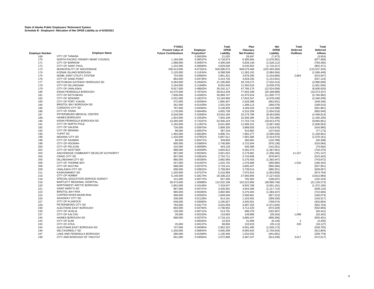|                               |                                                  | FY2021                      |                         | Total                   | Plan                    | <b>Net</b>                 | <b>Total</b> | Total                       |
|-------------------------------|--------------------------------------------------|-----------------------------|-------------------------|-------------------------|-------------------------|----------------------------|--------------|-----------------------------|
|                               |                                                  | <b>Present Value of</b>     | Employer                | <b>OPEB</b>             | Fiduciary               | OPEB                       | Deferred     | Deferred                    |
| <b>Employer Number</b><br>169 | <b>Employer Name</b><br><b>CITY OF TANANA</b>    | <b>Future Contributions</b> | Proportion*<br>0.00029% | Liability<br>21,025     | <b>Net Position</b>     | Liability                  | Outflows     | <b>Inflows</b>              |
| 170                           | NORTH PACIFIC FISHERY MGMT COUNCIL               | 1,194,000                   | 0.06537%                | 4,718,974               | 28,497<br>6,395,964     | (7, 472)<br>(1,676,991)    |              | (3,924)<br>(877, 469)       |
| 171                           | <b>CITY OF BARROW</b>                            | 1,088,000                   | 0.05957%                | 4,300,036               | 5,828,148               | (1,528,112)                |              | (790, 260)                  |
| 172                           | <b>CITY OF SAINT PAUL</b>                        | 1,222,000                   | 0.06690%                | 4,829,636               | 6,545,953               | (1,716,317)                |              | (902, 471)                  |
| 173                           | MUNICIPALITY OF ANCHORAGE                        | 158,413,000                 | 8.67301%                | 626,086,073             | 848,579,466             | (222, 493, 393)            |              | (115, 537, 320)             |
| 174                           | KODIAK ISLAND BOROUGH                            | 2,125,000                   | 0.11634%                | 8,398,508               | 11,383,102              | (2,984,594)                |              | (1,568,448)                 |
| 175                           | NOME JOINT UTILITY SYSTEM                        | 724,000                     | 0.03964%                | 2,861,421               | 3,878,290               | (1,016,869)                | 2,864        | (524, 947)                  |
| 176                           | CITY OF SAND POINT                               | 864,000                     | 0.04730%                | 3,414,735               | 4,628,235               | (1,213,501)                |              | (637, 124)                  |
| 177                           | KETCHIKAN GATEWAY BOROUGH SD                     | 5,363,000                   | 0.29362%                | 21,195,859              | 28,728,272              | (7, 532, 413)              |              | (3,996,609)                 |
| 178                           | <b>CITY OF DILLINGHAM</b>                        | 2,164,000                   | 0.11848%                | 8,552,646               | 11,592,016              | (3,039,370)                |              | (1,601,506)                 |
| 179                           | <b>CITY OF UNALASKA</b>                          | 8,917,000                   | 0.48820%                | 35,242,117              | 47,766,175              | (12, 524, 058)             |              | (6,600,620)                 |
| 180                           | <b>KENAI PENINSULA BOROUGH</b>                   | 14,375,000                  | 0.78702%                | 56,813,439              | 77,003,338              | (20, 189, 899)             |              | (10, 573, 337)              |
| 181                           | <b>CITY OF KETCHIKAN</b>                         | 7,836,000                   | 0.42902%                | 30,969,747              | 41,975,524              | (11,005,777)               |              | (5,784,992)                 |
| 182                           | <b>CITY OF SEWARD</b>                            | 3,331,000                   | 0.18237%                | 13,164,909              | 17,843,347              | (4,678,439)                |              | (2, 446, 209)               |
| 183                           | CITY OF FORT YUKON                               | 472,000                     | 0.02584%                | 1,865,457               | 2,528,388               | (662, 931)                 |              | (348, 346)                  |
| 184                           | <b>BRISTOL BAY BOROUGH SD</b><br>CORDOVA CITY SD | 261.000                     | 0.01429%                | 1,031,534               | 1,398,113               | (366, 578)                 |              | (189, 510)                  |
| 185<br>186                    | <b>CITY OF CRAIG</b>                             | 797,000<br>1,178,000        | 0.04364%<br>0.06449%    | 3,149,935               | 4,269,333               | (1, 119, 398)              |              | (591, 861)                  |
| 187                           | PETERSBURG MEDICAL CENTER                        | 6,026,000                   | 0.32992%                | 4,655,738<br>23,816,194 | 6,310,256<br>32,279,799 | (1,654,518)<br>(8,463,606) |              | (865, 546)<br>(4, 499, 813) |
| 189                           | <b>HAINES BOROUGH</b>                            | 1,924,000                   | 0.10534%                | 7,604,108               | 10,306,395              | (2,702,286)                |              | (1,426,230)                 |
| 190                           | KENAI PENINSULA BOROUGH SD                       | 13,395,000                  | 0.73337%                | 52,940,244              | 71,753,719              | (18, 813, 475)             |              | (9,894,661)                 |
| 191                           | CITY OF NORTH POLE                               | 2,184,000                   | 0.11957%                | 8,631,690               | 11,699,151              | (3,067,460)                |              | (1,608,563)                 |
| 192                           | <b>CITY OF GALENA</b>                            | 726,000                     | 0.03975%                | 2,869,326               | 3,889,003               | (1,019,678)                |              | (534, 995)                  |
| 193                           | <b>CITY OF NENANA</b>                            | 98,000                      | 0.00537%                | 387,319                 | 524,962                 | (137, 642)                 |              | (77, 173)                   |
| 195                           | YUPIIT SD                                        | 1,492,000                   | 0.08169%                | 5,896,741               | 7,992,277               | (2,095,536)                |              | (1, 100, 901)               |
| 196                           | <b>NENANA CITY SD</b>                            | 1,434,000                   | 0.07851%                | 5,667,511               | 7,681,585               | (2,014,074)                |              | (1,070,161)                 |
| 198                           | <b>CITY OF SAXMAN</b>                            | 86,000                      | 0.00471%                | 339,893                 | 460,681                 | (120, 788)                 |              | (65, 308)                   |
| 199                           | CITY OF HOONAH                                   | 695,000                     | 0.03805%                | 2,746,806               | 3,722,944               | (976, 138)                 |              | (516, 094)                  |
| 200                           | CITY OF PELICAN                                  | 102,000                     | 0.00558%                | 403,128                 | 546,389                 | (143, 261)                 |              | (76, 082)                   |
| 202                           | <b>CITY OF WHITTIER</b>                          | 988,000                     | 0.05409%                | 3,904,812               | 5,292,473               | (1,387,661)                |              | (726, 375)                  |
| 203                           | ANCHORAGE COMMUNITY DEVELOP AUTHORITY            | 967,000                     | 0.05294%                | 3,821,815               | 5,179,981               | (1,358,166)                | 11,227       | (701, 137)                  |
| 204                           | <b>CRAIG CITY SD</b>                             | 697,000                     | 0.03816%                | 2,754,711               | 3,733,658               | (978, 947)                 | $\sim$       | (515, 445)                  |
| 205                           | <b>DILLINGHAM CITY SD</b><br>CITY OF THORNE BAY  | 985,000                     | 0.05393%                | 3,892,956               | 5,276,403               | (1,383,447)                |              | (743, 872)                  |
| 206<br>208                    | <b>CITY OF AKUTAN</b>                            | 257,000<br>688,000          | 0.01407%<br>0.03767%    | 1,015,725<br>2,719,141  | 1,376,686<br>3,685,447  | (360, 960)<br>(966, 306)   | 1,532        | (186, 342)<br>(507, 951)    |
| 209                           | <b>UNALASKA CITY SD</b>                          | 698,000                     | 0.03822%                | 2,758,663               | 3,739,014               | (980, 351)                 |              | (509, 067)                  |
| 211                           | <b>KASHUNAMIUT SD</b>                            | 1,320,000                   | 0.07227%                | 5,216,956               | 7,070,915               | (1,853,959)                |              | (974, 794)                  |
| 215                           | <b>CITY OF HOMER</b>                             | 5,146,000                   | 0.28174%                | 20,338,223              | 27,565,856              | (7, 227, 633)              |              | (3,813,960)                 |
| 218                           | SPECIAL EDUCATION SERVICE AGENCY                 | 141,000                     | 0.00772%                | 557,266                 | 755,302                 | (198, 037)                 | 926          | (102, 234)                  |
| 219                           | BARTLETT REGIONAL HOSPITAL                       | 28,473,000                  | 1.55888%                | 112,532,108             | 152,522,856             | (39,990,748)               | ÷.           | (21, 126, 273)              |
| 220                           | NORTHWEST ARCTIC BOROUGH                         | 1,852,000                   | 0.10140%                | 7,319,547               | 9,920,708               | (2,601,161)                |              | (1,372,160)                 |
| 221                           | SAINT MARY'S SD                                  | 867,000                     | 0.04747%                | 3,426,591               | 4,644,306               | (1,217,714)                |              | (638, 116)                  |
| 223                           | <b>BRISTOL BAY RHA</b>                           | 985,000                     | 0.05393%                | 3,892,956               | 5,276,403               | (1,383,447)                |              | (722, 606)                  |
| 224                           | <b>COPPER RIVER BASIN RHA</b>                    | 468,000                     | 0.02562%                | 1,849,648               | 2,506,961               | (657, 313)                 |              | (346, 073)                  |
| 225                           | <b>SKAGWAY CITY SD</b>                           | 206,000                     | 0.01128%                | 814,161                 | 1,103,491               | (289, 330)                 |              | (150, 517)                  |
| 227                           | <b>CITY OF KLAWOCK</b>                           | 548,000                     | 0.03000%                | 2,165,827               | 2,935,501               | (769, 674)                 |              | (402, 864)                  |
| 228                           | PETERSBURG CITY SD                               | 763.000                     | 0.04177%                | 3,015,559               | 4,087,203               | (1,071,645)                |              | (562, 703)                  |
| 230                           | ALEUTIANS EAST BOROUGH                           | 693,000                     | 0.03794%                | 2,738,902               | 3,712,230               | (973, 329)                 |              | (502, 856)                  |
| 235                           | <b>CITY OF HUSLIA</b>                            | 130,000                     | 0.00712%                | 513,791                 | 696,378                 | (182, 587)                 |              | (94, 441)                   |
| 237                           | <b>CITY OF KALTAG</b><br>HAINES BOROUGH SD       | 28,000                      | 0.00153%                | 110,663                 | 149,989                 | (39, 326)                  | 1,098        | (20, 302)                   |
| 240<br>242                    | CITY OF ELIM                                     | 688,000                     | 0.03767%<br>0.00032%    | 2,719,141<br>22,923     | 3,685,447<br>31,069     | (966, 306)                 | 3            | (505, 401)                  |
| 243                           | <b>CITY OF ATKA</b>                              | 25,000                      | 0.00137%                | 98,806                  | 133,919                 | (8, 146)<br>(35, 113)      | 335          | (4,205)<br>(18, 127)        |
| 244                           | ALEUTIANS EAST BOROUGH SD                        | 747,000                     | 0.04090%                | 2,952,323               | 4,001,495               | (1,049,173)                |              | (548, 705)                  |
| 246                           | DELTA/GREELY SD                                  | 1,250,000                   | 0.06844%                | 4,940,299               | 6,695,942               | (1,755,643)                |              | (912, 804)                  |
| 247                           | LAKE AND PENINSULA BOROUGH                       | 286,000                     | 0.01566%                | 1,130,340               | 1,532,032               | (401, 691)                 |              | (209, 778)                  |
| 248                           | CITY AND BOROUGH OF YAKUTAT                      | 651,000                     | 0.03564%                | 2,572,908               | 3,487,247               | (914, 339)                 | 3.017        | (472, 017)                  |
|                               |                                                  |                             |                         |                         |                         |                            |              |                             |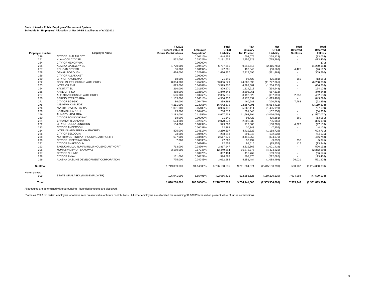|                        |                                          | FY2021                      |             | Total         | Plan                | <b>Net</b>      | Total           | Total           |
|------------------------|------------------------------------------|-----------------------------|-------------|---------------|---------------------|-----------------|-----------------|-----------------|
|                        |                                          | <b>Present Value of</b>     | Employer    | OPEB          | Fiduciary           | <b>OPEB</b>     | <b>Deferred</b> | <b>Deferred</b> |
| <b>Employer Number</b> | <b>Employer Name</b>                     | <b>Future Contributions</b> | Proportion* | Liability     | <b>Net Position</b> | Liability       | Outflows        | <b>Inflows</b>  |
| 249                    | CITY OF UNALAKLEET                       |                             | 0.00616%    | 444,952       | 603,075             | (158, 123)      |                 | (83, 034)       |
| 251                    | <b>KLAWOCK CITY SD</b>                   | 552,000                     | 0.03022%    | 2,181,636     | 2,956,928           | (775, 292)      |                 | (413, 470)      |
| 254                    | <b>CITY OF MEKORYUK</b>                  |                             | 0.00000%    |               |                     |                 |                 | (71)            |
| 255                    | ALASKA GATEWAY SD                        | 1,720,000                   | 0.09417%    | 6,797,851     | 9,213,617           | (2, 415, 765)   | $\sim$          | (1, 280, 964)   |
| 257                    | PELICAN CITY SD                          | 36,000                      | 0.00197%    | 142,281       | 192,843             | (50, 563)       | 4,425           | (26, 102)       |
| 258                    | <b>DENALI BOROUGH</b>                    | 414,000                     | 0.02267%    | 1,636,227     | 2,217,696           | (581, 469)      |                 | (309, 220)      |
| 259                    | <b>CITY OF ALLAKAKET</b>                 |                             | 0.00000%    | $\sim$        | $\sim$              | ×.              | $\sim$          |                 |
| 260                    | <b>CITY OF KACHEMAK</b>                  | 18.000                      | 0.00099%    | 71.140        | 96.422              | (25, 281)       | 160             | (13,051)        |
| 262                    | COOK INLET HOUSING AUTHORITY             | 8,364,000                   | 0.45792%    | 33,056,529    | 44,803,890          | (11, 747, 361)  | ×.              | (6, 208, 813)   |
| 263                    | <b>INTERIOR RHA</b>                      | 893,000                     | 0.04889%    | 3,529,350     | 4,783,581           | (1, 254, 232)   |                 | (656, 236)      |
| 264                    | YAKUTAT SD                               | 210,000                     | 0.01150%    | 829,970       | 1,124,918           | (294, 948)      |                 | (154, 125)      |
| 265                    | <b>KAKE CITY SD</b>                      | 468,000                     | 0.02562%    | 1,849,648     | 2,506,961           | (657, 313)      |                 | (340, 243)      |
| 267                    | ALEUTIAN HOUSING AUTHORITY               | 596,000                     | 0.03263%    | 2,355,535     | 3,192,625           | (837,091)       | 2,858           | (432, 138)      |
| 270                    | <b>BERING STRAITS RHA</b>                | 1,153,000                   | 0.06313%    | 4,556,932     | 6,176,337           | (1,619,405)     | $\sim$          | (843,098)       |
| 271                    | <b>CITY OF EGEGIK</b>                    | 86,000                      | 0.00471%    | 339,893       | 460,681             | (120, 788)      | 7.788           | (62, 356)       |
| 275                    | <b>ILISAGVIK COLLEGE</b>                 | 4,211,000                   | 0.23055%    | 16,642,879    | 22,557,291          | (5,914,412)     |                 | (3, 119, 293)   |
| 276                    | NORTH PACIFIC RIM HA                     | 1,001,000                   | 0.05480%    | 3,956,191     | 5,362,111           | (1,405,919)     |                 | (727, 609)      |
| 278                    | <b>SAXMAN SEAPORT</b>                    | 73,000                      | 0.00400%    | 288,513       | 391,043             | (102, 530)      |                 | (54, 903)       |
| 279                    | <b>TLINGIT-HAIDA RHA</b>                 | 2,183,000                   | 0.11952%    | 8,627,738     | 11,693,794          | (3,066,056)     |                 | (1,597,027)     |
| 280                    | CITY OF TOKSOOK BAY                      | 18,000                      | 0.00099%    | 71,140        | 96,422              | (25, 281)       | 260             | (13,051)        |
| 281                    | <b>BARANOF ISLAND HA</b>                 | 524,000                     | 0.02869%    | 2,070,973     | 2,806,939           | (735, 966)      | $\sim$          | (386,990)       |
| 282                    | CITY OF DELTA JUNCTION                   | 134,000                     | 0.00734%    | 529,600       | 717,805             | (188, 205)      | 4,222           | (97, 159)       |
| 283                    | <b>CITY OF ANDERSON</b>                  |                             | 0.00031%    | 22,388        | 30,343              | (7,956)         | $\sim$          | (4, 178)        |
| 284                    | INTER-ISLAND FERRY AUTHORITY             | 825,000                     | 0.04517%    | 3,260,597     | 4,419,322           | (1, 158, 725)   |                 | (603, 711)      |
| 286                    | CITY OF SELDOVIA                         | 73,000                      | 0.00400%    | 288.513       | 391,043             | (102, 530)      |                 | (54, 575)       |
| 288                    | NORTHWEST INUPIAT HOUSING AUTHORITY      | 637,000                     | 0.03488%    | 2,517,576     | 3,412,252           | (894, 676)      |                 | (466, 748)      |
| 290                    | CITY OF UPPER KALSKAG                    | 7,000                       | 0.00038%    | 27,666        | 37,497              | (9,832)         | 756             | (5,075)         |
| 291                    | <b>CITY OF SHAKTOOLIK</b>                |                             | 0.00101%    | 72,759        | 98,616              | (25, 857)       | 116             | (13, 348)       |
| 293                    | TAGIUGMIULLU NUNAMIULLU HOUSING AUTHORIT | 713,000                     | 0.03904%    | 2,817,947     | 3,819,366           | (1,001,419)     | $\sim$          | (526, 132)      |
| 296                    | MUNICIPALITY OF SKAGWAY                  | 3,150,000                   | 0.17246%    | 12,449,554    | 16,873,775          | (4,424,221)     |                 | (2,352,669)     |
| 297                    | CITY OF NULATO                           | $\sim$                      | 0.00426%    | 307,494       | 416,769             | (109, 275)      |                 | (56, 575)       |
| 298                    | <b>CITY OF ANIAK</b>                     | 151,000                     | 0.00827%    | 596,788       | 808,870             | (212,082)       |                 | (113, 416)      |
| 299                    | ALASKA GASLINE DEVELOPMENT CORPORATION   | 775,000                     | 0.04243%    | 3,062,985     | 4,151,484           | (1,088,499)     | 26,021          | (561, 925)      |
| Subtotal               |                                          | 1,719,339,000               | 94.14505%   | 6,796,130,585 | 9,211,284,374       | (2,415,153,790) | 530,962         | (1,254,360,880) |
| Nonemployer:           |                                          |                             |             |               |                     |                 |                 |                 |
| 999                    | STATE OF ALASKA (NON-EMPLOYER)           | 106,941,000                 | 5.85495%    | 422,656,415   | 572,856,626         | (150, 200, 210) | 7,034,984       | (77, 539, 104)  |
| Total                  |                                          | 1,826,280,000               | 100.00000%  | 7,218,787,000 | 9,784,141,000       | (2,565,354,000) | 7,565,946       | (1,331,899,984) |

All amounts are determined without rounding. Rounded amounts are displayed.

\*Same as FY20 for certain employers who have zero present value of future contributions. All other employers are allocated the remaining 99.98765% based on present value of future contributions.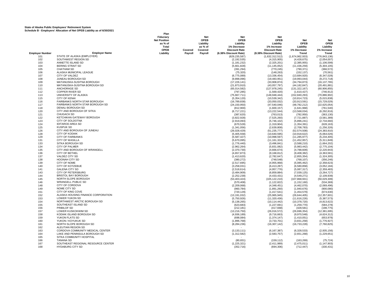|                        |                                     | Plan                |         |             |                       |                       |                           |                 |
|------------------------|-------------------------------------|---------------------|---------|-------------|-----------------------|-----------------------|---------------------------|-----------------|
|                        |                                     | Fiduciary           |         | <b>Net</b>  | <b>Net</b>            | <b>Net</b>            |                           |                 |
|                        |                                     | <b>Net Position</b> |         | <b>OPEB</b> | OPEB                  | OPEB                  | <b>Net</b>                | Net             |
|                        |                                     | as % of             |         | Liability   | Liability             | Liability             | <b>OPEB</b>               | <b>OPEB</b>     |
|                        |                                     | Total               |         | as % of     | 1% Decrease           | 1% Increase           | Liability                 | Liability       |
|                        |                                     | OPEB                | Covered | Covered     | <b>Discount Rate</b>  | <b>Discount Rate</b>  | 1% Decrease               | 1% Increase     |
| <b>Employer Number</b> | <b>Employer Name</b>                | Liability           | Payroll | Payroll     | (6.38% Discount Rate) | (8.38% Discount Rate) | Trend                     | <b>Trend</b>    |
| 101                    | STATE OF ALASKA (EMPLOYER)          |                     |         |             | (829, 235, 587)       | (1,632,312,512)       | (1,674,962,933)           | (776, 843, 136) |
| 102                    | SOUTHWEST REGION SD                 |                     |         |             | (2, 192, 535)         | (4,315,905)           | (4,428,675)               | (2,054,007)     |
| 103                    | ANNETTE ISLAND SD                   |                     |         |             | (1, 181, 232)         | (2,325,201)           | (2, 385, 955)             | (1, 106, 599)   |
| 104                    | <b>BERING STRAIT SD</b>             |                     |         |             | (5,661,828)           | (11, 145, 052)        | (11, 436, 259)            | (5,304,105)     |
| 105                    | <b>CHATHAM SD</b>                   |                     |         |             | (391, 294)            | (770, 245)            | (790, 371)                | (366, 572)      |
| 106                    | ALASKA MUNICIPAL LEAGUE             |                     |         |             | (75, 320)             | (148, 263)            | (152, 137)                | (70, 561)       |
| 107                    | CITY OF VALDEZ                      |                     |         |             | (6,775,089)           | (13, 336, 454)        | (13,684,920)              | (6, 347, 028)   |
| 108                    | JUNEAU BOROUGH SD                   |                     |         |             | (9,898,096)           | (19, 483, 951)        | (19,993,044)              | (9,272,718)     |
| 109                    | MATANUSKA-SUSITNA BOROUGH           |                     |         |             | (17, 226, 141)        | (33,908,874)          | (34, 794, 873)            | (16, 137, 765)  |
| 110                    | MATANUSKA-SUSITNA BOROUGH SD        |                     |         |             | (21, 873, 910)        | (43,057,797)          | (44, 182, 847)            | (20,491,881)    |
| 111                    | ANCHORAGE SD                        |                     |         |             | (65,014,582)          | (127, 978, 245)       | (131, 322, 167)           | (60, 906, 855)  |
| 112                    | <b>COPPER RIVER SD</b>              |                     |         |             |                       |                       |                           |                 |
|                        |                                     |                     |         |             | (797, 285)            | (1,569,420)           | (1,610,427)               | (746, 912)      |
| 113                    | UNIVERSITY OF ALASKA                |                     |         |             | (75,667,711)          | (148, 948, 444)       | (152, 840, 293)           | (70, 886, 902)  |
| 115                    | <b>CITY OF KENAI</b>                |                     |         |             | (5,354,120)           | (10, 539, 342)        | (10, 814, 723)            | (5,015,838)     |
| 116                    | <b>FAIRBANKS NORTH STAR BOROUGH</b> |                     |         |             | (16,789,838)          | (33,050,032)          | (33,913,591)              | (15, 729, 029)  |
| 117                    | FAIRBANKS NORTH STAR BOROUGH SD     |                     |         |             | (24, 150, 950)        | (47, 540, 046)        | (48, 782, 212)            | (22, 625, 054)  |
| 118                    | <b>DENALI BOROUGH SD</b>            |                     |         |             | (812,900)             | (1,600,157)           | (1,641,968)               | (761, 540)      |
| 120                    | CITY AND BOROUGH OF SITKA           |                     |         |             | (6,717,221)           | (13, 222, 544)        | (13,568,034)              | (6, 292, 816)   |
| 121                    | <b>CHUGACH SD</b>                   |                     |         |             | (387, 620)            | (763, 013)            | (782, 950)                | (363, 130)      |
| 122                    | KETCHIKAN GATEWAY BOROUGH           |                     |         |             | (3,822,928)           | (7,525,260)           | (7, 721, 887)             | (3,581,389)     |
| 123                    | CITY OF SOLDOTNA                    |                     |         |             | (2,919,093)           | (5,746,102)           | (5,896,241)               | (2,734,660)     |
| 124                    | <b>IDITAROD AREA SD</b>             |                     |         |             | (670, 528)            | (1,319,904)           | (1, 354, 391)             | (628, 163)      |
| 125                    | <b>KUSPUK SD</b>                    |                     |         |             | (1,341,056)           | (2,639,808)           | (2,708,783)               | (1, 256, 326)   |
| 126                    | CITY AND BOROUGH OF JUNEAU          |                     |         |             | (26,028,429)          | (51, 235, 777)        | (52, 574, 508)            | (24, 383, 910)  |
| 128                    | <b>CITY OF KODIAK</b>               |                     |         |             | (5,405,558)           | (10,640,595)          | (10,918,622)              | (5,064,026)     |
| 129                    | <b>CITY OF FAIRBANKS</b>            |                     |         |             | (5,587,427)           | (10, 998, 597)        | (11, 285, 977)            | (5,234,405)     |
| 131                    | <b>CITY OF WASILLA</b>              |                     |         |             | (5,670,095)           | (11, 161, 324)        | (11, 452, 957)            | (5,311,849)     |
| 133                    | SITKA BOROUGH SD                    |                     |         |             | (1,776,440)           | (3,496,841)           | (3,588,210)               | (1,664,202)     |
| 134                    | <b>CITY OF PALMER</b>               |                     |         |             | (2,962,264)           | (5,831,082)           | (5,983,442)               | (2,775,104)     |
| 135                    | CITY AND BOROUGH OF WRANGELL        |                     |         |             | (2,370,730)           | (4,666,674)           | (4,788,609)               | (2, 220, 943)   |
| 136                    | <b>CITY OF BETHEL</b>               |                     |         |             | (4,657,873)           | (9, 168, 812)         | (9,408,382)               | (4,363,581)     |
| 137                    | <b>VALDEZ CITY SD</b>               |                     |         |             | (1,413,620)           | (2,782,647)           | (2,855,354)               | (1,324,305)     |
| 138                    | HOONAH CITY SD                      |                     |         |             | (380, 272)            | (748, 548)            | (768, 107)                | (356, 246)      |
| 139                    | CITY OF NOME                        |                     |         |             | (2,517,695)           | (4,955,968)           | (5,085,462)               | (2, 358, 623)   |
| 140                    | <b>CITY OF KOTZEBUE</b>             |                     |         |             | (3,258,031)           | (6, 413, 287)         | (6,580,858)               | (3,052,184)     |
| 141                    | <b>GALENA CITY SD</b>               |                     |         |             | (2,518,614)           | (4,957,776)           | (5,087,317)               | (2, 359, 483)   |
| 143                    | <b>CITY OF PETERSBURG</b>           |                     |         |             | (3,484,909)           | (6,859,884)           | (7,039,125)               | (3, 264, 727)   |
| 144                    | <b>BRISTOL BAY BOROUGH</b>          |                     |         |             | (2,252,239)           | (4, 433, 431)         | (4, 549, 271)             | (2, 109, 939)   |
| 145                    | NORTH SLOPE BOROUGH                 |                     |         |             | (53, 403, 424)        | (105, 122, 210)       | (107, 868, 931)           | (50,029,309)    |
| 146                    | <b>WRANGELL PUBLIC SD</b>           |                     |         |             | (570, 408)            | (1, 122, 822)         | (1, 152, 160)             | (534, 369)      |
| 148                    | CITY OF CORDOVA                     |                     |         |             | (2,209,068)           | (4,348,451)           | (4,462,070)               | (2,069,496)     |
| 149                    | NOME CITY SD                        |                     |         |             | (960, 784)            | (1,891,260)           | (1,940,676)               | (900, 080)      |
| 151                    | CITY OF KING COVE                   |                     |         |             | (720, 129)            | (1, 417, 541)         | (1,454,579)               | (674, 630)      |
| 152                    | ALASKA HOUSING FINANCE CORPORATION  |                     |         |             | (13,191,032)          | (25, 965, 945)        | (26, 644, 405)            | (12, 357, 601)  |
| 153                    | <b>LOWER YUKON SD</b>               |                     |         |             | (5,750,926)           | (11, 320, 436)        | (11,616,226)              | (5, 387, 573)   |
| 154                    | NORTHWEST ARCTIC BOROUGH SD         |                     |         |             | (5, 138, 265)         | (10, 114, 442)        | (10, 378, 720)            | (4,813,622)     |
| 155                    | SOUTHEAST ISLAND SD                 |                     |         |             | (623, 683)            | (1, 227, 691)         |                           | (584, 278)      |
| 156                    | PRIBILOF SD                         |                     |         |             | (212, 181)            | (417, 668)            | (1,259,770)<br>(428, 581) | (198, 775)      |
|                        | LOWER KUSKOKWIM SD                  |                     |         |             |                       |                       |                           |                 |
| 157                    | KODIAK ISLAND BOROUGH SD            |                     |         |             | (13,216,750)          | (26, 016, 572)        | (26, 696, 354)            | (12, 381, 695)  |
| 158                    |                                     |                     |         |             | (4,936,189)           | (9,716,663)           | (9,970,548)               | (4,624,312)     |
| 159                    | YUKON FLATS SD                      |                     |         |             | (698, 084)            | (1, 374, 147)         | (1,410,051)               | (653, 978)      |
| 160                    | YUKON / KOYUKUK SD                  |                     |         |             | (1,896,768)           | (3,733,701)           | (3,831,258)               | (1,776,927)     |
| 161                    | NORTH SLOPE BOROUGH SD              |                     |         |             | (8, 284, 236)         | (16, 307, 142)        | (16, 733, 228)            | (7,760,825)     |
| 162                    | ALEUTIAN REGION SD                  |                     |         |             |                       |                       |                           |                 |
| 163                    | CORDOVA COMMUNITY MEDICAL CENTER    |                     |         |             | (3, 133, 111)         | (6, 167, 387)         | (6,328,533)               | (2,935,156)     |
| 164                    | LAKE AND PENINSULA BOROUGH SD       |                     |         |             | (1, 312, 582)         | (2, 583, 757)         | (2,651,268)               | (1, 229, 651)   |
| 165                    | SITKA COMMUNITY HOSPITAL            |                     |         |             |                       |                       |                           |                 |
| 166                    | <b>TANANA SD</b>                    |                     |         |             | (80, 831)             | (159, 112)            | (163, 269)                | (75, 724)       |
| 167                    | SOUTHEAST REGIONAL RESOURCE CENTER  |                     |         |             | (1, 225, 321)         | (2,411,989)           | (2,475,011)               | (1, 147, 903)   |
| 168                    | <b>HYDABURG CITY SD</b>             |                     |         |             | (352, 716)            | (694, 306)            | (712, 447)                | (330.431)       |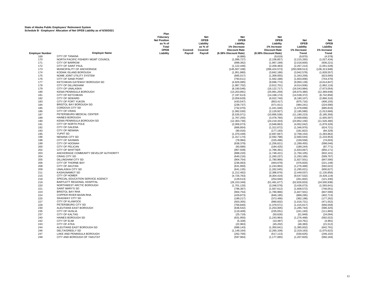|                        |                                       | Plan<br>Fiduciary   |         | Net         | Net                   | <b>Net</b>            |                |                 |
|------------------------|---------------------------------------|---------------------|---------|-------------|-----------------------|-----------------------|----------------|-----------------|
|                        |                                       | <b>Net Position</b> |         | <b>OPEB</b> | <b>OPEB</b>           | <b>OPEB</b>           | Net            | <b>Net</b>      |
|                        |                                       | as % of             |         | Liability   | Liability             | Liability             | <b>OPEB</b>    | OPEB            |
|                        |                                       | Total               |         |             |                       |                       |                |                 |
|                        |                                       |                     |         | as % of     | 1% Decrease           | 1% Increase           | Liability      | Liability       |
|                        |                                       | OPEB                | Covered | Covered     | <b>Discount Rate</b>  | <b>Discount Rate</b>  | 1% Decrease    | 1% Increase     |
| <b>Employer Number</b> | <b>Employer Name</b>                  | Liability           | Payroll | Payroll     | (6.38% Discount Rate) | (8.38% Discount Rate) | <b>Trend</b>   | Trend           |
| 169                    | <b>CITY OF TANANA</b>                 |                     |         |             | (4,886)               | (9,619)               | (9, 870)       | (4,578)         |
| 170                    | NORTH PACIFIC FISHERY MGMT COUNCIL    |                     |         |             | (1,096,727)           | (2, 158, 857)         | (2, 215, 265)  | (1,027,434)     |
| 171                    | <b>CITY OF BARROW</b>                 |                     |         |             | (999, 362)            | (1,967,199)           | (2,018,600)    | (936, 221)      |
| 172                    | <b>CITY OF SAINT PAUL</b>             |                     |         |             | (1, 122, 446)         | (2, 209, 483)         | (2, 267, 214)  | (1,051,528)     |
| 173                    | MUNICIPALITY OF ANCHORAGE             |                     |         |             | (145, 507, 338)       | (286, 424, 573)       | (293,908,513)  | (136, 313, 948) |
| 174                    | KODIAK ISLAND BOROUGH                 |                     |         |             | (1,951,880)           | (3,842,186)           | (3,942,578)    | (1,828,557)     |
| 175                    | NOME JOINT UTILITY SYSTEM             |                     |         |             | (665, 017)            | (1,309,055)           | (1, 343, 259)  | (623,000)       |
| 176                    | CITY OF SAND POINT                    |                     |         |             | (793, 611)            | (1,562,188)           | (1,603,006)    | (743, 470)      |
| 177                    | KETCHIKAN GATEWAY BOROUGH SD          |                     |         |             | (4,926,085)           | (9,696,774)           | (9,950,139)    | (4,614,847)     |
| 178                    | CITY OF DILLINGHAM                    |                     |         |             | (1,987,702)           | (3,912,701)           | (4,014,936)    | (1,862,116)     |
| 179                    | CITY OF UNALASKA                      |                     |         |             | (8, 190, 546)         | (16, 122, 717)        | (16, 543, 984) | (7,673,054)     |
| 180                    | KENAI PENINSULA BOROUGH               |                     |         |             | (13,203,891)          | (25, 991, 259)        | (26, 670, 380) | (12, 369, 648)  |
| 181                    | <b>CITY OF KETCHIKAN</b>              |                     |         |             | (7, 197, 613)         | (14, 168, 174)        | (14, 538, 372) | (6,742,856)     |
| 182                    | <b>CITY OF SEWARD</b>                 |                     |         |             | (3,059,629)           | (6,022,740)           | (6, 180, 107)  | (2,866,316)     |
|                        | <b>CITY OF FORT YUKON</b>             |                     |         |             |                       |                       |                |                 |
| 183                    |                                       |                     |         |             | (433, 547)            | (853, 417)            | (875, 716)     | (406, 155)      |
| 184                    | <b>BRISTOL BAY BOROUGH SD</b>         |                     |         |             | (239, 737)            | (471, 911)            | (484, 241)     | (224, 590)      |
| 185                    | CORDOVA CITY SD                       |                     |         |             | (732,070)             | (1,441,046)           | (1,478,699)    | (685, 816)      |
| 186                    | <b>CITY OF CRAIG</b>                  |                     |         |             | (1,082,030)           | (2, 129, 927)         | (2, 185, 580)  | (1,013,666)     |
| 187                    | PETERSBURG MEDICAL CENTER             |                     |         |             | (5,535,071)           | (10, 895, 536)        | (11, 180, 223) | (5, 185, 356)   |
| 189                    | <b>HAINES BOROUGH</b>                 |                     |         |             | (1,767,255)           | (3,478,760)           | (3,569,656)    | (1,655,597)     |
| 190                    | KENAI PENINSULA BOROUGH SD            |                     |         |             | (12, 303, 730)        | (24, 219, 333)        | (24, 852, 156) | (11,526,360)    |
| 191                    | CITY OF NORTH POLE                    |                     |         |             | (2,006,073)           | (3,948,863)           | (4,052,042)    | (1,879,326)     |
| 192                    | <b>CITY OF GALENA</b>                 |                     |         |             | (666, 854)            | (1,312,672)           | (1,346,970)    | (624, 721)      |
| 193                    | <b>CITY OF NENANA</b>                 |                     |         |             | (90,016)              | (177, 193)            | (181, 822)     | (84, 329)       |
| 195                    | YUPIIT SD                             |                     |         |             | (1,370,449)           | (2,697,667)           | (2,768,154)    | (1, 283, 862)   |
| 196                    | <b>NENANA CITY SD</b>                 |                     |         |             | (1, 317, 174)         | (2, 592, 798)         | (2,660,544)    | (1, 233, 953)   |
| 198                    | <b>CITY OF SAXMAN</b>                 |                     |         |             | (78, 994)             | (155, 496)            | (159, 558)     | (74,003)        |
| 199                    | CITY OF HOONAH                        |                     |         |             | (638, 379)            | (1, 256, 621)         | (1, 289, 455)  | (598, 046)      |
| 200                    | <b>CITY OF PELICAN</b>                |                     |         |             | (93,690)              | (184, 425)            | (189, 244)     | (87, 771)       |
| 202                    | <b>CITY OF WHITTIER</b>               |                     |         |             |                       |                       |                | (850, 171)      |
|                        | ANCHORAGE COMMUNITY DEVELOP AUTHORITY |                     |         |             | (907, 509)            | (1,786,391)           | (1,833,067)    |                 |
| 203                    |                                       |                     |         |             | (888, 220)            | (1,748,421)           | (1,794,105)    | (832, 101)      |
| 204                    | <b>CRAIG CITY SD</b>                  |                     |         |             | (640, 216)            | (1,260,237)           | (1, 293, 166)  | (599, 767)      |
| 205                    | <b>DILLINGHAM CITY SD</b>             |                     |         |             | (904, 754)            | (1,780,966)           | (1,827,501)    | (847, 590)      |
| 206                    | <b>CITY OF THORNE BAY</b>             |                     |         |             | (236,063)             | (464, 679)            | (476, 820)     | (221, 148)      |
| 208                    | <b>CITY OF AKUTAN</b>                 |                     |         |             | (631, 950)            | (1,243,964)           | (1, 276, 468)  | (592, 022)      |
| 209                    | <b>UNALASKA CITY SD</b>               |                     |         |             | (641, 135)            | (1,262,045)           | (1, 295, 021)  | (600, 627)      |
| 211                    | <b>KASHUNAMIUT SD</b>                 |                     |         |             | (1,212,462)           | (2,386,676)           | (2,449,037)    | (1, 135, 856)   |
| 215                    | <b>CITY OF HOMER</b>                  |                     |         |             | (4,726,763)           | (9,304,419)           | (9,547,532)    | (4, 428, 119)   |
| 218                    | SPECIAL EDUCATION SERVICE AGENCY      |                     |         |             | (129, 513)            | (254, 940)            | (261, 602)     | (121, 330)      |
| 219                    | BARTLETT REGIONAL HOSPITAL            |                     |         |             | (26, 153, 349)        | (51, 481, 677)        | (52, 826, 833) | (24, 500, 938)  |
| 220                    | NORTHWEST ARCTIC BOROUGH              |                     |         |             | (1,701,120)           | (3,348,578)           | (3,436,073)    | (1,593,641)     |
| 221                    | <b>SAINT MARY'S SD</b>                |                     |         |             | (796, 367)            | (1,567,612)           | (1,608,572)    | (746, 051)      |
| 223                    | <b>BRISTOL BAY RHA</b>                |                     |         |             | (904, 754)            | (1,780,966)           | (1,827,501)    | (847, 590)      |
| 224                    | COPPER RIVER BASIN RHA                |                     |         |             | (429, 873)            | (846, 185)            | (868, 295)     | (402, 713)      |
| 225                    | <b>SKAGWAY CITY SD</b>                |                     |         |             | (189, 217)            | (372, 466)            | (382, 198)     | (177, 262)      |
| 227                    | <b>CITY OF KLAWOCK</b>                |                     |         |             | (503, 355)            | (990, 832)            | (1,016,721)    | (471, 552)      |
| 228                    | PETERSBURG CITY SD                    |                     |         |             | (700, 840)            |                       |                | (656, 559)      |
| 230                    | ALEUTIANS EAST BOROUGH                |                     |         |             |                       | (1, 379, 571)         | (1, 415, 617)  |                 |
|                        |                                       |                     |         |             | (636, 542)            | (1,253,005)           | (1, 285, 744)  | (596, 325)      |
| 235                    | <b>CITY OF HUSLIA</b>                 |                     |         |             | (119, 409)            | (235, 051)            | (241, 193)     | (111, 865)      |
| 237                    | <b>CITY OF KALTAG</b>                 |                     |         |             | (25, 719)             | (50, 626)             | (51, 949)      | (24, 094)       |
| 240                    | HAINES BOROUGH SD                     |                     |         |             | (631, 950)            | (1, 243, 964)         | (1, 276, 468)  | (592, 022)      |
| 242                    | CITY OF ELIM                          |                     |         |             | (5,328)               | (10, 487)             | (10, 761)      | (4,991)         |
| 243                    | <b>CITY OF ATKA</b>                   |                     |         |             | (22, 963)             | (45, 202)             | (46, 383)      | (21, 512)       |
| 244                    | ALEUTIANS EAST BOROUGH SD             |                     |         |             | (686, 143)            | (1,350,641)           | (1,385,932)    | (642, 791)      |
| 246                    | DELTA/GREELY SD                       |                     |         |             | (1, 148, 164)         | (2,260,109)           | (2,319,163)    | (1,075,622)     |
| 247                    | LAKE AND PENINSULA BOROUGH            |                     |         |             | (262, 700)            | (517, 113)            | (530, 625)     | (246, 102)      |
| 248                    | CITY AND BOROUGH OF YAKUTAT           |                     |         |             | (597, 964)            | (1, 177, 065)         | (1, 207, 820)  | (560, 184)      |
|                        |                                       |                     |         |             |                       |                       |                |                 |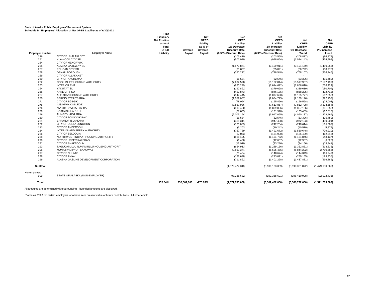|                        | ocheddie D - Employers Allocation or Net Or ED Elability as or 0/30/2021 | Plan                |             |            |                       |                       |                    |                 |
|------------------------|--------------------------------------------------------------------------|---------------------|-------------|------------|-----------------------|-----------------------|--------------------|-----------------|
|                        |                                                                          | Fiduciary           |             | <b>Net</b> | <b>Net</b>            | <b>Net</b>            |                    |                 |
|                        |                                                                          |                     |             |            |                       |                       |                    |                 |
|                        |                                                                          | <b>Net Position</b> |             | OPEB       | <b>OPEB</b>           | OPEB                  | <b>Net</b>         | <b>Net</b>      |
|                        |                                                                          | as % of             |             | Liability  | Liability             | Liability             | <b>OPEB</b>        | <b>OPEB</b>     |
|                        |                                                                          | Total               |             | as % of    | 1% Decrease           | 1% Increase           | Liability          | Liability       |
|                        |                                                                          | OPEB                | Covered     | Covered    | <b>Discount Rate</b>  | <b>Discount Rate</b>  | 1% Decrease        | 1% Increase     |
| <b>Employer Number</b> | <b>Employer Name</b>                                                     | Liability           | Payroll     | Payroll    | (6.38% Discount Rate) | (8.38% Discount Rate) | Trend              | Trend           |
| 249                    | CITY OF UNALAKLEET                                                       |                     |             |            | (103, 410)            | (203, 558)            | (208, 877)         | (96, 877)       |
| 251                    | <b>KLAWOCK CITY SD</b>                                                   |                     |             |            | (507, 029)            | (998, 064)            | (1,024,143)        | (474, 994)      |
| 254                    | <b>CITY OF MEKORYUK</b>                                                  |                     |             |            |                       | $\sim$                |                    |                 |
| 255                    | ALASKA GATEWAY SD                                                        |                     |             |            | (1,579,874)           | (3, 109, 911)         | (3, 191, 169)      | (1,480,055)     |
| 257                    | PELICAN CITY SD                                                          |                     |             |            | (33,067)              | (65,091)              | (66, 792)          | (30, 978)       |
| 258                    | <b>DENALI BOROUGH</b>                                                    |                     |             |            | (380, 272)            | (748, 548)            | (768, 107)         | (356, 246)      |
| 259                    | <b>CITY OF ALLAKAKET</b>                                                 |                     |             |            |                       |                       | ÷.                 |                 |
|                        |                                                                          |                     |             |            |                       |                       |                    |                 |
| 260                    | <b>CITY OF KACHEMAK</b>                                                  |                     |             |            | (16, 534)             | (32, 546)             | (33, 396)          | (15, 489)       |
| 262                    | COOK INLET HOUSING AUTHORITY                                             |                     |             |            | (7,682,598)           | (15, 122, 844)        | (15, 517, 987)     | (7, 197, 199)   |
| 263                    | <b>INTERIOR RHA</b>                                                      |                     |             |            | (820, 249)            | (1,614,622)           | (1,656,810)        | (768, 424)      |
| 264                    | YAKUTAT SD                                                               |                     |             |            | (192, 892)            | (379, 698)            | (389, 619)         | (180, 704)      |
| 265                    | <b>KAKE CITY SD</b>                                                      |                     |             |            | (429, 873)            | (846, 185)            | (868, 295)         | (402, 713)      |
| 267                    | ALEUTIAN HOUSING AUTHORITY                                               |                     |             |            | (547, 445)            | (1,077,620)           | (1, 105, 777)      | (512, 856)      |
| 270                    | <b>BERING STRAITS RHA</b>                                                |                     |             |            | (1,059,067)           | (2,084,725)           | (2, 139, 196)      | (992, 153)      |
| 271                    | <b>CITY OF EGEGIK</b>                                                    |                     |             |            | (78, 994)             | (155, 496)            | (159, 558)         | (74,003)        |
| 275                    | <b>ILISAGVIK COLLEGE</b>                                                 |                     |             |            | (3,867,936)           | (7,613,857)           | (7, 812, 798)      | (3,623,554)     |
| 276                    | NORTH PACIFIC RIM HA                                                     |                     |             |            | (919, 450)            | (1,809,896)           | (1, 857, 186)      | (861, 358)      |
| 278                    | <b>SAXMAN SEAPORT</b>                                                    |                     |             |            | (67, 053)             | (131,990)             | (135, 439)         | (62, 816)       |
| 279                    | <b>TLINGIT-HAIDA RHA</b>                                                 |                     |             |            | (2,005,154)           | (3,947,055)           | (4,050,187)        | (1,878,465)     |
| 280                    | CITY OF TOKSOOK BAY                                                      |                     |             |            | (16, 534)             | (32, 546)             | (33, 396)          | (15, 489)       |
| 281                    | <b>BARANOF ISLAND HA</b>                                                 |                     |             |            |                       |                       |                    |                 |
|                        |                                                                          |                     |             |            | (481, 311)            | (947, 438)            | (972, 193)         | (450, 901)      |
| 282                    | CITY OF DELTA JUNCTION                                                   |                     |             |            | (123, 083)            | (242, 284)            | (248, 614)         | (115, 307)      |
| 283                    | <b>CITY OF ANDERSON</b>                                                  |                     |             |            | (5,203)               | (10, 242)             | (10, 510)          | (4, 874)        |
| 284                    | INTER-ISLAND FERRY AUTHORITY                                             |                     |             |            | (757, 789)            | (1,491,672)           | (1,530,648)        | (709, 910)      |
| 286                    | CITY OF SELDOVIA                                                         |                     |             |            | (67, 053)             | (131, 990)            | (135, 439)         | (62, 816)       |
| 288                    | NORTHWEST INUPIAT HOUSING AUTHORITY                                      |                     |             |            | (585, 105)            | (1, 151, 752)         | (1, 181, 846)      | (548, 137)      |
| 290                    | CITY OF UPPER KALSKAG                                                    |                     |             |            | (6, 430)              | (12, 657)             | (12, 987)          | (6,023)         |
| 291                    | <b>CITY OF SHAKTOOLIK</b>                                                |                     |             |            | (16,910)              | (33, 286)             | (34, 156)          | (15, 841)       |
| 293                    | TAGIUGMIULLU NUNAMIULLU HOUSING AUTHORIT                                 |                     |             |            | (654, 913)            | (1, 289, 166)         | (1,322,851)        | (613, 535)      |
| 296                    | MUNICIPALITY OF SKAGWAY                                                  |                     |             |            | (2,893,374)           | (5,695,476)           | (5,844,292)        | (2,710,566)     |
| 297                    | CITY OF NULATO                                                           |                     |             |            | (71, 464)             | (140, 674)            | (144, 349)         | (66, 949)       |
| 298                    | <b>CITY OF ANIAK</b>                                                     |                     |             |            | (138, 698)            | (273, 021)            | (280, 155)         | (129, 935)      |
| 299                    | ALASKA GASLINE DEVELOPMENT CORPORATION                                   |                     |             |            | (711, 862)            | (1,401,268)           | (1,437,881)        | (666, 885)      |
|                        |                                                                          |                     |             |            |                       |                       |                    |                 |
| <b>Subtotal</b>        |                                                                          |                     |             |            | (1,579,474,318)       | (3, 109, 123, 309)    | (3, 190, 361, 072) | (1,479,680,565) |
| Nonemployer:           |                                                                          |                     |             |            |                       |                       |                    |                 |
| 999                    | STATE OF ALASKA (NON-EMPLOYER)                                           |                     |             |            | (98, 228, 682)        | (193, 358, 691)       | (198, 410, 928)    | (92,022,435)    |
| Total                  |                                                                          | 135.54%             | 930,061,000 | $-275.83%$ | (1,677,703,000)       | (3,302,482,000)       | (3,388,772,000)    | (1,571,703,000) |

All amounts are determined without rounding. Rounded amounts are displayed.

\*Same as FY20 for certain employers who have zero present value of future contributions. All other emplo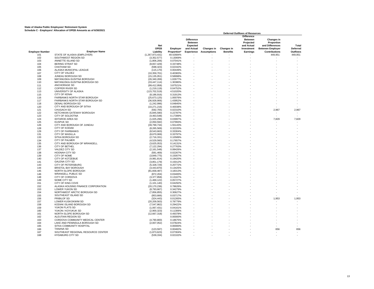|                        |                                    |                    |             |                                                        |                    |                 | <b>Deferred Outflows of Resources</b>                          |                                             |          |
|------------------------|------------------------------------|--------------------|-------------|--------------------------------------------------------|--------------------|-----------------|----------------------------------------------------------------|---------------------------------------------|----------|
|                        |                                    | <b>Net</b>         |             | <b>Difference</b><br><b>Between</b><br><b>Expected</b> |                    |                 | <b>Difference</b><br><b>Between</b><br>Projected<br>and Actual | Changes in<br>Proportion<br>and Differences | Total    |
|                        |                                    | <b>OPEB</b>        | Employer    | and Actual                                             | Changes in         | Changes in      | Investment                                                     | <b>Between Employer</b>                     | Deferred |
| <b>Employer Number</b> | <b>Employer Name</b>               | Liability          | Proportion* | <b>Experience</b>                                      | <b>Assumptions</b> | <b>Benefits</b> | Earnings                                                       | <b>Contributions</b>                        | Outflows |
| 101                    | STATE OF ALASKA (EMPLOYER)         | (1, 267, 973, 431) | 49.42684%   |                                                        |                    |                 |                                                                | 449,951                                     | 449,951  |
| 102                    | SOUTHWEST REGION SD                | (3,352,577)        | 0.13069%    |                                                        |                    |                 |                                                                |                                             |          |
| 103                    | ANNETTE ISLAND SD                  | (1,806,206)        | 0.07041%    |                                                        |                    |                 |                                                                |                                             |          |
| 104                    | <b>BERING STRAIT SD</b>            | (8,657,429)        | 0.33748%    |                                                        |                    |                 |                                                                |                                             |          |
| 105                    | <b>CHATHAM SD</b>                  | (598, 323)         | 0.02332%    |                                                        |                    |                 |                                                                |                                             |          |
| 106                    | ALASKA MUNICIPAL LEAGUE            | (115, 170)         | 0.00449%    |                                                        |                    |                 |                                                                |                                             |          |
| 107                    | CITY OF VALDEZ                     | (10, 359, 701)     | 0.40383%    |                                                        |                    |                 |                                                                |                                             |          |
| 108                    | JUNEAU BOROUGH SD                  | (15, 135, 051)     | 0.58998%    |                                                        |                    |                 |                                                                |                                             |          |
| 109                    | MATANUSKA-SUSITNA BOROUGH          | (26, 340, 269)     | 1.02677%    |                                                        |                    |                 |                                                                |                                             |          |
| 110                    | MATANUSKA-SUSITNA BOROUGH SD       | (33, 447, 114)     | 1.30380%    |                                                        |                    |                 |                                                                |                                             |          |
| 111                    | ANCHORAGE SD                       | (99, 412, 958)     | 3.87521%    |                                                        |                    |                 |                                                                |                                             |          |
| 112                    | <b>COPPER RIVER SD</b>             | (1, 219, 119)      | 0.04752%    |                                                        |                    |                 |                                                                |                                             |          |
| 113                    | UNIVERSITY OF ALASKA               | (115, 702, 519)    | 4.51020%    |                                                        |                    |                 |                                                                |                                             |          |
| 115                    | <b>CITY OF KENAI</b>               | (8, 186, 916)      | 0.31913%    |                                                        |                    |                 |                                                                |                                             |          |
| 116                    | FAIRBANKS NORTH STAR BOROUGH       | (25,673,125)       | 1.00076%    |                                                        |                    |                 |                                                                |                                             |          |
| 117                    | FAIRBANKS NORTH STAR BOROUGH SD    | (36,928,906)       | 1.43952%    |                                                        |                    |                 |                                                                |                                             |          |
| 118                    | DENALI BOROUGH SD                  | (1,242,996)        | 0.04845%    |                                                        |                    |                 |                                                                |                                             |          |
| 120                    | CITY AND BOROUGH OF SITKA          | (10, 271, 216)     | 0.40038%    |                                                        |                    |                 |                                                                |                                             |          |
| 121                    | <b>CHUGACH SD</b>                  | (592, 705)         | 0.02310%    |                                                        |                    |                 |                                                                | 2,967                                       | 2,967    |
| 122                    | KETCHIKAN GATEWAY BOROUGH          | (5,845,590)        | 0.22787%    |                                                        |                    |                 |                                                                |                                             |          |
| 123                    | <b>CITY OF SOLDOTNA</b>            | (4,463,548)        | 0.17399%    |                                                        |                    |                 |                                                                |                                             |          |
|                        | <b>IDITAROD AREA SD</b>            |                    |             |                                                        |                    |                 |                                                                |                                             | 7,829    |
| 124                    |                                    | (1,025,296)        | 0.03997%    |                                                        |                    |                 |                                                                | 7,829                                       |          |
| 125                    | <b>KUSPUK SD</b>                   | (2,050,592)        | 0.07993%    |                                                        |                    |                 |                                                                |                                             |          |
| 126                    | CITY AND BOROUGH OF JUNEAU         | (39, 799, 734)     | 1.55143%    |                                                        |                    |                 |                                                                |                                             |          |
| 128                    | <b>CITY OF KODIAK</b>              | (8, 265, 569)      | 0.32220%    |                                                        |                    |                 |                                                                |                                             |          |
| 129                    | <b>CITY OF FAIRBANKS</b>           | (8,543,663)        | 0.33304%    |                                                        |                    |                 |                                                                |                                             |          |
| 131                    | <b>CITY OF WASILLA</b>             | (8,670,069)        | 0.33797%    |                                                        |                    |                 |                                                                |                                             |          |
| 133                    | SITKA BOROUGH SD                   | (2,716,331)        | 0.10589%    |                                                        |                    |                 |                                                                |                                             |          |
| 134                    | <b>CITY OF PALMER</b>              | (4,529,560)        | 0.17657%    |                                                        |                    |                 |                                                                |                                             |          |
| 135                    | CITY AND BOROUGH OF WRANGELL       | (3,625,053)        | 0.14131%    |                                                        |                    |                 |                                                                |                                             |          |
| 136                    | CITY OF BETHEL                     | (7, 122, 294)      | 0.27763%    |                                                        |                    |                 |                                                                |                                             |          |
| 137                    | VALDEZ CITY SD                     | (2, 161, 548)      | 0.08426%    |                                                        |                    |                 |                                                                |                                             |          |
| 138                    | HOONAH CITY SD                     | (581, 469)         | 0.02267%    |                                                        |                    |                 |                                                                |                                             |          |
| 139                    | <b>CITY OF NOME</b>                | (3,849,775)        | 0.15007%    |                                                        |                    |                 |                                                                |                                             |          |
| 140                    | CITY OF KOTZEBUE                   | (4,981,814)        | 0.19420%    |                                                        |                    |                 |                                                                |                                             |          |
| 141                    | <b>GALENA CITY SD</b>              | (3,851,179)        | 0.15012%    |                                                        |                    |                 |                                                                |                                             |          |
| 143                    | CITY OF PETERSBURG                 | (5,328,729)        | 0.20772%    |                                                        |                    |                 |                                                                |                                             |          |
| 144                    | <b>BRISTOL BAY BOROUGH</b>         | (3,443,870)        | 0.13425%    |                                                        |                    |                 |                                                                |                                             |          |
| 145                    | NORTH SLOPE BOROUGH                | (81,658,487)       | 3.18313%    |                                                        |                    |                 |                                                                |                                             |          |
| 146                    | <b>WRANGELL PUBLIC SD</b>          | (872, 204)         | 0.03400%    |                                                        |                    |                 |                                                                |                                             |          |
| 148                    | CITY OF CORDOVA                    | (3,377,858)        | 0.13167%    |                                                        |                    |                 |                                                                |                                             |          |
| 149                    | NOME CITY SD                       | (1,469,122)        | 0.05727%    |                                                        |                    |                 |                                                                |                                             |          |
| 151                    | CITY OF KING COVE                  | (1, 101, 140)      | 0.04292%    |                                                        |                    |                 |                                                                |                                             |          |
| 152                    | ALASKA HOUSING FINANCE CORPORATION | (20, 170, 236)     | 0.78626%    |                                                        |                    |                 |                                                                |                                             |          |
| 153                    | LOWER YUKON SD                     | (8,793,667)        | 0.34279%    |                                                        |                    |                 |                                                                |                                             |          |
| 154                    | NORTHWEST ARCTIC BOROUGH SD        | (7,856,855)        | 0.30627%    |                                                        |                    |                 |                                                                |                                             |          |
| 155                    | SOUTHEAST ISLAND SD                | (953, 666)         | 0.03717%    |                                                        |                    |                 |                                                                |                                             |          |
| 156                    | PRIBILOF SD                        | (324, 443)         | 0.01265%    |                                                        |                    |                 |                                                                | 1,953                                       | 1,953    |
| 157                    | LOWER KUSKOKWIM SD                 | (20, 209, 563)     | 0.78779%    |                                                        |                    |                 |                                                                |                                             |          |
| 158                    | KODIAK ISLAND BOROUGH SD           | (7, 547, 862)      | 0.29422%    |                                                        |                    |                 |                                                                |                                             |          |
| 159                    | YUKON FLATS SD                     | (1,067,431)        | 0.04161%    |                                                        |                    |                 |                                                                |                                             |          |
|                        | YUKON / KOYUKUK SD                 |                    |             |                                                        |                    |                 |                                                                |                                             |          |
| 160                    |                                    | (2,900,323)        | 0.11306%    |                                                        |                    |                 |                                                                |                                             |          |
| 161                    | NORTH SLOPE BOROUGH SD             | (12,667,318)       | 0.49378%    |                                                        |                    |                 |                                                                |                                             |          |
| 162                    | ALEUTIAN REGION SD                 |                    | 0.00000%    |                                                        |                    |                 |                                                                |                                             |          |
| 163                    | CORDOVA COMMUNITY MEDICAL CENTER   | (4,790,800)        | 0.18675%    |                                                        |                    |                 |                                                                |                                             |          |
| 164                    | LAKE AND PENINSULA BOROUGH SD      | (2,007,052)        | 0.07824%    |                                                        |                    |                 |                                                                |                                             |          |
| 165                    | SITKA COMMUNITY HOSPITAL           |                    | 0.00000%    |                                                        |                    |                 |                                                                |                                             |          |
| 166                    | <b>TANANA SD</b>                   | (123, 597)         | 0.00482%    |                                                        |                    |                 |                                                                | 656                                         | 656      |
| 167                    | SOUTHEAST REGIONAL RESOURCE CENTER | (1,873,623)        | 0.07304%    |                                                        |                    |                 |                                                                |                                             |          |
| 168                    | <b>HYDABURG CITY SD</b>            | (539, 334)         | 0.02102%    |                                                        |                    |                 |                                                                |                                             |          |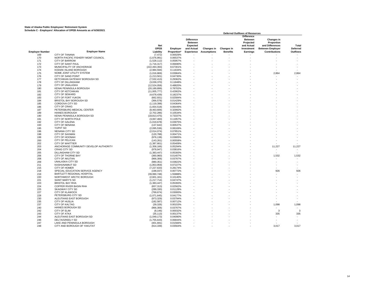|                        |                                                    |                             |                      | <b>Deferred Outflows of Resources</b>           |                    |                 |                                                                |                                                    |                 |
|------------------------|----------------------------------------------------|-----------------------------|----------------------|-------------------------------------------------|--------------------|-----------------|----------------------------------------------------------------|----------------------------------------------------|-----------------|
|                        |                                                    | <b>Net</b>                  |                      | <b>Difference</b><br><b>Between</b><br>Expected |                    |                 | <b>Difference</b><br><b>Between</b><br>Projected<br>and Actual | <b>Changes in</b><br>Proportion<br>and Differences | Total           |
|                        |                                                    | OPEB                        | Employer             | and Actual                                      | <b>Changes in</b>  | Changes in      | Investment                                                     | <b>Between Employer</b>                            | <b>Deferred</b> |
| <b>Employer Number</b> | <b>Employer Name</b>                               | Liability                   | Proportion*          | <b>Experience</b>                               | <b>Assumptions</b> | <b>Benefits</b> | <b>Earnings</b>                                                | <b>Contributions</b>                               | <b>Outflows</b> |
| 169                    | <b>CITY OF TANANA</b>                              | (7, 472)                    | 0.00029%             |                                                 |                    |                 |                                                                |                                                    |                 |
| 170                    | NORTH PACIFIC FISHERY MGMT COUNCIL                 | (1,676,991)                 | 0.06537%             |                                                 |                    |                 |                                                                |                                                    |                 |
| 171                    | <b>CITY OF BARROW</b>                              | (1,528,112)                 | 0.05957%             |                                                 |                    |                 |                                                                |                                                    |                 |
| 172                    | CITY OF SAINT PAUL                                 | (1,716,317)                 | 0.06690%             |                                                 |                    |                 |                                                                |                                                    |                 |
| 173                    | MUNICIPALITY OF ANCHORAGE                          | (222, 493, 393)             | 8.67301%             |                                                 |                    |                 |                                                                |                                                    |                 |
| 174                    | KODIAK ISLAND BOROUGH                              | (2,984,594)                 | 0.11634%             |                                                 |                    |                 |                                                                |                                                    |                 |
| 175                    | NOME JOINT UTILITY SYSTEM                          | (1,016,869)                 | 0.03964%             |                                                 |                    |                 |                                                                | 2,864                                              | 2,864           |
| 176<br>177             | CITY OF SAND POINT                                 | (1,213,501)                 | 0.04730%             |                                                 |                    |                 |                                                                |                                                    |                 |
| 178                    | KETCHIKAN GATEWAY BOROUGH SD<br>CITY OF DILLINGHAM | (7,532,413)<br>(3,039,370)  | 0.29362%<br>0.11848% |                                                 |                    |                 |                                                                |                                                    |                 |
| 179                    | CITY OF UNALASKA                                   | (12,524,058)                | 0.48820%             |                                                 |                    |                 |                                                                |                                                    |                 |
| 180                    | KENAI PENINSULA BOROUGH                            | (20, 189, 899)              | 0.78702%             |                                                 |                    |                 |                                                                |                                                    |                 |
| 181                    | <b>CITY OF KETCHIKAN</b>                           | (11,005,777)                | 0.42902%             |                                                 |                    |                 |                                                                |                                                    |                 |
| 182                    | <b>CITY OF SEWARD</b>                              | (4,678,439)                 | 0.18237%             |                                                 |                    |                 |                                                                |                                                    |                 |
| 183                    | CITY OF FORT YUKON                                 | (662, 931)                  | 0.02584%             |                                                 |                    |                 |                                                                |                                                    |                 |
| 184                    | BRISTOL BAY BOROUGH SD                             | (366, 578)                  | 0.01429%             |                                                 |                    |                 |                                                                |                                                    |                 |
| 185                    | CORDOVA CITY SD                                    | (1, 119, 398)               | 0.04364%             |                                                 |                    |                 |                                                                |                                                    |                 |
| 186                    | <b>CITY OF CRAIG</b>                               | (1,654,518)                 | 0.06449%             |                                                 |                    |                 |                                                                |                                                    |                 |
| 187                    | PETERSBURG MEDICAL CENTER                          | (8,463,606)                 | 0.32992%             |                                                 |                    |                 |                                                                |                                                    |                 |
| 189                    | <b>HAINES BOROUGH</b>                              | (2,702,286)                 | 0.10534%             |                                                 |                    |                 |                                                                |                                                    |                 |
| 190                    | KENAI PENINSULA BOROUGH SD                         | (18, 813, 475)              | 0.73337%             |                                                 |                    |                 |                                                                |                                                    |                 |
| 191                    | CITY OF NORTH POLE                                 | (3,067,460)                 | 0.11957%             |                                                 |                    |                 |                                                                |                                                    |                 |
| 192                    | <b>CITY OF GALENA</b>                              | (1,019,678)                 | 0.03975%             |                                                 |                    |                 |                                                                |                                                    |                 |
| 193                    | <b>CITY OF NENANA</b>                              | (137, 642)                  | 0.00537%             |                                                 |                    |                 |                                                                |                                                    |                 |
| 195                    | <b>YUPIIT SD</b>                                   | (2,095,536)                 | 0.08169%             |                                                 |                    |                 |                                                                |                                                    |                 |
| 196                    | <b>NENANA CITY SD</b>                              | (2,014,074)                 | 0.07851%             |                                                 |                    |                 |                                                                |                                                    |                 |
| 198                    | <b>CITY OF SAXMAN</b>                              | (120, 788)                  | 0.00471%             |                                                 |                    |                 |                                                                |                                                    |                 |
| 199                    | <b>CITY OF HOONAH</b>                              | (976, 138)                  | 0.03805%             |                                                 |                    |                 |                                                                |                                                    |                 |
| 200                    | CITY OF PELICAN                                    | (143, 261)                  | 0.00558%             |                                                 |                    |                 |                                                                |                                                    |                 |
| 202                    | CITY OF WHITTIER                                   | (1, 387, 661)               | 0.05409%             |                                                 |                    |                 |                                                                |                                                    |                 |
| 203                    | ANCHORAGE COMMUNITY DEVELOP AUTHORITY              | (1,358,166)                 | 0.05294%             |                                                 |                    |                 |                                                                | 11,227                                             | 11,227          |
| 204                    | <b>CRAIG CITY SD</b>                               | (978, 947)                  | 0.03816%             |                                                 |                    |                 |                                                                | $\overline{a}$                                     |                 |
| 205                    | DILLINGHAM CITY SD                                 | (1,383,447)                 | 0.05393%             |                                                 |                    |                 |                                                                |                                                    |                 |
| 206                    | <b>CITY OF THORNE BAY</b>                          | (360, 960)                  | 0.01407%             |                                                 |                    |                 |                                                                | 1,532                                              | 1,532           |
| 208                    | <b>CITY OF AKUTAN</b>                              | (966, 306)                  | 0.03767%             |                                                 |                    |                 |                                                                |                                                    |                 |
| 209<br>211             | <b>UNALASKA CITY SD</b><br><b>KASHUNAMIUT SD</b>   | (980, 351)                  | 0.03822%             |                                                 |                    |                 |                                                                |                                                    |                 |
| 215                    | CITY OF HOMER                                      | (1,853,959)                 | 0.07227%<br>0.28174% |                                                 |                    |                 |                                                                |                                                    |                 |
| 218                    | SPECIAL EDUCATION SERVICE AGENCY                   | (7, 227, 633)<br>(198, 037) | 0.00772%             |                                                 |                    |                 |                                                                | 926                                                | 926             |
| 219                    | BARTLETT REGIONAL HOSPITAL                         | (39,990,748)                | 1.55888%             |                                                 |                    |                 |                                                                |                                                    |                 |
| 220                    | NORTHWEST ARCTIC BOROUGH                           | (2,601,161)                 | 0.10140%             |                                                 |                    |                 |                                                                |                                                    |                 |
| 221                    | <b>SAINT MARY'S SD</b>                             | (1,217,714)                 | 0.04747%             |                                                 |                    |                 |                                                                |                                                    |                 |
| 223                    | <b>BRISTOL BAY RHA</b>                             | (1.383.447)                 | 0.05393%             |                                                 |                    |                 |                                                                |                                                    |                 |
| 224                    | COPPER RIVER BASIN RHA                             | (657, 313)                  | 0.02562%             |                                                 |                    |                 |                                                                |                                                    |                 |
| 225                    | <b>SKAGWAY CITY SD</b>                             | (289, 330)                  | 0.01128%             |                                                 |                    |                 |                                                                |                                                    |                 |
| 227                    | <b>CITY OF KLAWOCK</b>                             | (769, 674)                  | 0.03000%             |                                                 |                    |                 |                                                                |                                                    |                 |
| 228                    | PETERSBURG CITY SD                                 | (1,071,645)                 | 0.04177%             |                                                 |                    |                 |                                                                |                                                    |                 |
| 230                    | ALEUTIANS EAST BOROUGH                             | (973, 329)                  | 0.03794%             |                                                 |                    |                 |                                                                |                                                    |                 |
| 235                    | <b>CITY OF HUSLIA</b>                              | (182, 587)                  | 0.00712%             |                                                 |                    |                 |                                                                |                                                    |                 |
| 237                    | <b>CITY OF KALTAG</b>                              | (39, 326)                   | 0.00153%             |                                                 |                    |                 |                                                                | 1,098                                              | 1,098           |
| 240                    | HAINES BOROUGH SD                                  | (966, 306)                  | 0.03767%             |                                                 |                    |                 |                                                                |                                                    |                 |
| 242                    | CITY OF ELIM                                       | (8, 146)                    | 0.00032%             |                                                 |                    |                 |                                                                | 3                                                  | 3               |
| 243                    | <b>CITY OF ATKA</b>                                | (35, 113)                   | 0.00137%             |                                                 |                    |                 |                                                                | 335                                                | 335             |
| 244                    | ALEUTIANS EAST BOROUGH SD                          | (1,049,173)                 | 0.04090%             |                                                 |                    |                 |                                                                |                                                    |                 |
| 246                    | <b>DELTA/GREELY SD</b>                             | (1,755,643)                 | 0.06844%             |                                                 |                    |                 |                                                                |                                                    |                 |
| 247                    | LAKE AND PENINSULA BOROUGH                         | (401, 691)                  | 0.01566%             |                                                 |                    |                 |                                                                |                                                    |                 |
| 248                    | CITY AND BOROUGH OF YAKUTAT                        | (914, 339)                  | 0.03564%             |                                                 |                    |                 |                                                                | 3.017                                              | 3.017           |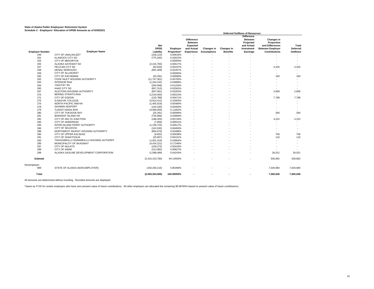|                        |                                          |                                 |                         | <b>Deferred Outflows of Resources</b>                                       |                                  |                               |                                                                                                 |                                                                                                |                                             |
|------------------------|------------------------------------------|---------------------------------|-------------------------|-----------------------------------------------------------------------------|----------------------------------|-------------------------------|-------------------------------------------------------------------------------------------------|------------------------------------------------------------------------------------------------|---------------------------------------------|
| <b>Employer Number</b> | <b>Employer Name</b>                     | <b>Net</b><br>OPEB<br>Liability | Employer<br>Proportion* | <b>Difference</b><br><b>Between</b><br>Expected<br>and Actual<br>Experience | Changes in<br><b>Assumptions</b> | Changes in<br><b>Benefits</b> | <b>Difference</b><br><b>Between</b><br>Projected<br>and Actual<br><b>Investment</b><br>Earnings | Changes in<br>Proportion<br>and Differences<br><b>Between Employer</b><br><b>Contributions</b> | Total<br><b>Deferred</b><br><b>Outflows</b> |
| 249                    | <b>CITY OF UNALAKLEET</b>                | (158, 123)                      | 0.00616%                |                                                                             |                                  |                               |                                                                                                 |                                                                                                |                                             |
| 251                    | <b>KLAWOCK CITY SD</b>                   | (775, 292)                      | 0.03022%                |                                                                             |                                  |                               |                                                                                                 |                                                                                                |                                             |
| 254                    | <b>CITY OF MEKORYUK</b>                  | $\sim$                          | 0.00000%                |                                                                             |                                  |                               |                                                                                                 |                                                                                                |                                             |
| 255                    | ALASKA GATEWAY SD                        | (2,415,765)                     | 0.09417%                |                                                                             |                                  |                               |                                                                                                 |                                                                                                |                                             |
| 257                    | PELICAN CITY SD                          | (50, 563)                       | 0.00197%                |                                                                             |                                  |                               |                                                                                                 | 4,425                                                                                          | 4,425                                       |
| 258                    | <b>DENALI BOROUGH</b>                    | (581, 469)                      | 0.02267%                |                                                                             |                                  |                               |                                                                                                 | ٠                                                                                              | ٠                                           |
| 259                    | <b>CITY OF ALLAKAKET</b>                 |                                 | 0.00000%                |                                                                             |                                  |                               |                                                                                                 | ٠                                                                                              | ۰.                                          |
| 260                    | <b>CITY OF KACHEMAK</b>                  | (25, 281)                       | 0.00099%                |                                                                             |                                  |                               |                                                                                                 | 160                                                                                            | 160                                         |
| 262                    | <b>COOK INLET HOUSING AUTHORITY</b>      | (11, 747, 361)                  | 0.45792%                |                                                                             |                                  |                               |                                                                                                 | ٠                                                                                              | ÷.                                          |
| 263                    | <b>INTERIOR RHA</b>                      | (1,254,232)                     | 0.04889%                |                                                                             |                                  |                               |                                                                                                 |                                                                                                |                                             |
| 264                    | YAKUTAT SD                               | (294, 948)                      | 0.01150%                |                                                                             |                                  |                               |                                                                                                 |                                                                                                | ٠                                           |
| 265                    | <b>KAKE CITY SD</b>                      | (657, 313)                      | 0.02562%                |                                                                             |                                  |                               |                                                                                                 | $\overline{\phantom{a}}$                                                                       |                                             |
| 267                    | ALEUTIAN HOUSING AUTHORITY               | (837,091)                       | 0.03263%                |                                                                             |                                  |                               |                                                                                                 | 2,858                                                                                          | 2,858                                       |
| 270                    | <b>BERING STRAITS RHA</b>                | (1,619,405)                     | 0.06313%                |                                                                             |                                  |                               |                                                                                                 | ٠                                                                                              | ж.                                          |
| 271                    | <b>CITY OF EGEGIK</b>                    | (120, 788)                      | 0.00471%                |                                                                             |                                  |                               |                                                                                                 | 7,788                                                                                          | 7,788                                       |
| 275                    | <b>ILISAGVIK COLLEGE</b>                 | (5,914,412)                     | 0.23055%                |                                                                             |                                  |                               |                                                                                                 |                                                                                                |                                             |
| 276                    | NORTH PACIFIC RIM HA                     | (1,405,919)                     | 0.05480%                |                                                                             |                                  |                               |                                                                                                 | ۰                                                                                              | ٠                                           |
| 278                    | <b>SAXMAN SEAPORT</b>                    | (102, 530)                      | 0.00400%                |                                                                             |                                  |                               |                                                                                                 |                                                                                                |                                             |
| 279                    | <b>TLINGIT-HAIDA RHA</b>                 | (3,066,056)                     | 0.11952%                |                                                                             |                                  |                               |                                                                                                 |                                                                                                |                                             |
| 280                    | <b>CITY OF TOKSOOK BAY</b>               | (25, 281)                       | 0.00099%                |                                                                             |                                  |                               |                                                                                                 | 260                                                                                            | 260                                         |
| 281                    | <b>BARANOF ISLAND HA</b>                 | (735, 966)                      | 0.02869%                |                                                                             |                                  |                               |                                                                                                 | ÷.                                                                                             | in 1919.                                    |
| 282                    | CITY OF DELTA JUNCTION                   | (188, 205)                      | 0.00734%                |                                                                             |                                  |                               |                                                                                                 | 4.222                                                                                          | 4.222                                       |
| 283                    | <b>CITY OF ANDERSON</b>                  | (7,956)                         | 0.00031%                |                                                                             |                                  |                               |                                                                                                 | ٠                                                                                              | ٠                                           |
| 284                    | INTER-ISLAND FERRY AUTHORITY             | (1, 158, 725)                   | 0.04517%                |                                                                             |                                  |                               |                                                                                                 |                                                                                                |                                             |
| 286                    | CITY OF SELDOVIA                         | (102, 530)                      | 0.00400%                |                                                                             |                                  |                               |                                                                                                 |                                                                                                |                                             |
| 288                    | NORTHWEST INUPIAT HOUSING AUTHORITY      | (894.676)                       | 0.03488%                |                                                                             |                                  |                               |                                                                                                 | ٠                                                                                              | ÷.                                          |
| 290                    | CITY OF UPPER KALSKAG                    | (9,832)                         | 0.00038%                |                                                                             |                                  |                               |                                                                                                 | 756                                                                                            | 756                                         |
| 291                    | <b>CITY OF SHAKTOOLIK</b>                | (25, 857)                       | 0.00101%                |                                                                             |                                  |                               |                                                                                                 | 116                                                                                            | 116                                         |
| 293                    | TAGIUGMIULLU NUNAMIULLU HOUSING AUTHORIT | (1.001.419)                     | 0.03904%                |                                                                             |                                  |                               |                                                                                                 | ٠                                                                                              | ÷.                                          |
| 296                    | MUNICIPALITY OF SKAGWAY                  | (4,424,221)                     | 0.17246%                |                                                                             |                                  |                               |                                                                                                 |                                                                                                | ٠                                           |
| 297                    | CITY OF NULATO                           | (109, 275)                      | 0.00426%                |                                                                             |                                  |                               |                                                                                                 |                                                                                                |                                             |
| 298                    | <b>CITY OF ANIAK</b>                     | (212, 082)                      | 0.00827%                |                                                                             |                                  |                               |                                                                                                 |                                                                                                | ÷.                                          |
| 299                    | ALASKA GASLINE DEVELOPMENT CORPORATION   | (1,088,499)                     | 0.04243%                |                                                                             |                                  |                               |                                                                                                 | 26,021                                                                                         | 26,021                                      |
|                        |                                          |                                 |                         |                                                                             |                                  |                               |                                                                                                 |                                                                                                |                                             |
| <b>Subtotal</b>        |                                          | (2,415,153,790)                 | 94.14505%               |                                                                             |                                  |                               |                                                                                                 | 530,962                                                                                        | 530,962                                     |
| Nonemployer:<br>999    | STATE OF ALASKA (NON-EMPLOYER)           | (150, 200, 210)                 | 5.85495%                |                                                                             |                                  |                               |                                                                                                 | 7,034,984                                                                                      | 7,034,984                                   |
|                        |                                          |                                 |                         |                                                                             |                                  |                               |                                                                                                 |                                                                                                |                                             |
| Total                  |                                          | (2,565,354,000)                 | 100.00000%              |                                                                             |                                  |                               |                                                                                                 | 7,565,946                                                                                      | 7,565,946                                   |

All amounts are determined without rounding. Rounded amounts are displayed.

\*Same as FY20 for certain employers who have zero present value of future contributions. All other employers are allocated the remaining 99.98765% based on present value of future contributions.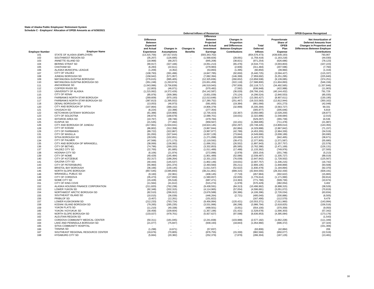|                        | $m$ in $\mathbf{c}$ . Employers Allocation of OPED Amounts as of 6/30/2020 |                                     |                              |                 | <b>Deferred Inflows of Resources</b>             |                          |                                |                                  | <b>OPEB Expense Recognized</b>                      |
|------------------------|----------------------------------------------------------------------------|-------------------------------------|------------------------------|-----------------|--------------------------------------------------|--------------------------|--------------------------------|----------------------------------|-----------------------------------------------------|
|                        |                                                                            | <b>Difference</b><br><b>Between</b> |                              |                 | <b>Difference</b><br><b>Between</b><br>Projected | Changes in<br>Proportion |                                | Proportionate<br>Share of        | Net Amortization of<br><b>Deferred Amounts from</b> |
|                        |                                                                            | <b>Expected</b>                     |                              |                 | and Actual                                       | and Differences          | Total                          | OPEB                             | <b>Changes in Proportion and</b>                    |
|                        |                                                                            | and Actual                          | Changes in                   | Changes in      | Investment                                       | <b>Between Employer</b>  | Deferred                       | Plan                             | <b>Differences Between Employer</b>                 |
| <b>Employer Number</b> | <b>Employer Name</b><br>STATE OF ALASKA (EMPLOYER)                         | Experience                          | <b>Assumptions</b>           | <b>Benefits</b> | <b>Earnings</b>                                  | <b>Contributions</b>     | <b>Inflows</b>                 | <b>Expense</b>                   | Contributions                                       |
| 101<br>102             | SOUTHWEST REGION SD                                                        | (13, 315, 756)<br>(35, 207)         | (47, 917, 015)<br>(126, 695) |                 | (593, 343, 702)<br>(1,568,826)                   | (28, 691)                | (654, 576, 473)<br>(1,759,419) | (439, 939, 193)<br>(1, 163, 218) | 793,907<br>(44, 030)                                |
| 103                    | ANNETTE ISLAND SD                                                          | (18,968)                            | (68, 257)                    |                 | (845, 208)                                       | (38, 821)                | (971, 254)                     | (626, 686)                       | (78, 123)                                           |
| 104                    | <b>BERING STRAIT SD</b>                                                    | (90, 917)                           | (327, 166)                   |                 | (4,051,213)                                      | (65, 476)                | (4,534,772)                    | (3,003,803)                      | (107, 223)                                          |
| 105                    | <b>CHATHAM SD</b>                                                          | (6, 283)                            | (22, 611)                    |                 | (279, 983)                                       | (2,606)                  | (311, 484)                     | (207, 596)                       | (7,760)                                             |
| 106                    | ALASKA MUNICIPAL LEAGUE                                                    | (1,209)                             | (4, 352)                     |                 | (53, 893)                                        | (1, 395)                 | (60, 850)                      | (39,960)                         | (1, 319)                                            |
| 107                    | CITY OF VALDEZ                                                             | (108, 793)                          | (391, 496)                   |                 | (4, 847, 785)                                    | (92, 650)                | (5,440,725)                    | (3, 594, 427)                    | (115, 337)                                          |
| 108                    | JUNEAU BOROUGH SD                                                          | (158, 942)                          | (571, 957)                   |                 | (7,082,394)                                      | (146, 399)               | (7,959,692)                    | (5,251,295)                      | (225, 840)                                          |
| 109                    | MATANUSKA-SUSITNA BOROUGH                                                  | (276, 615)                          | (995, 405)                   |                 | (12, 325, 836)                                   | (260, 652)               | (13,858,508)                   | (9, 139, 085)                    | (374, 251)                                          |
| 110                    | MATANUSKA-SUSITNA BOROUGH SD                                               | (351, 248)                          | (1, 263, 974)                |                 | (15,651,459)                                     | (322, 118)               | (17,588,800)                   | (11,604,893)                     | (546, 156)                                          |
| 111                    | ANCHORAGE SD                                                               | (1,043,996)                         | (3,756,839)                  |                 | (46, 519, 943)                                   | (797, 939)               | (52, 118, 717)                 | (34, 492, 565)                   | (1, 337, 846)                                       |
| 112                    | <b>COPPER RIVER SD</b>                                                     | (12, 803)                           | (46, 071)                    |                 | (570, 482)                                       | (7, 592)                 | (636, 948)                     | (422, 988)                       | (11,903)                                            |
| 113                    | UNIVERSITY OF ALASKA                                                       | (1, 215, 062)                       | (4,372,426)                  |                 | (54, 142, 587)                                   | (36, 029)                | (59, 766, 104)                 | (40, 144, 432)                   | 791,729                                             |
| 115                    | <b>CITY OF KENAI</b>                                                       | (85, 976)                           | (309, 386)                   |                 | (3,831,039)                                      | (70, 124)                | (4, 296, 524)                  | (2,840,553)                      | (85,035)                                            |
| 116                    | FAIRBANKS NORTH STAR BOROUGH                                               | (269, 609)                          | (970, 193)                   |                 | (12,013,648)                                     | (139, 977)               | (13, 393, 427)                 | (8,907,611)                      | (130, 195)                                          |
| 117<br>118             | FAIRBANKS NORTH STAR BOROUGH SD<br><b>DENALI BOROUGH SD</b>                | (387, 813)                          | (1, 395, 552)                |                 | (17, 280, 752)                                   | (251, 467)               | (19, 315, 583)                 | (12, 812, 944)                   | (350, 162)<br>(42, 048)                             |
| 120                    | CITY AND BOROUGH OF SITKA                                                  | (13,053)<br>(107, 864)              | (46, 973)<br>(388, 152)      |                 | (581, 655)<br>(4,806,379)                        | (19, 384)<br>(32, 999)   | (661,066)<br>(5, 335, 394)     | (431, 273)<br>(3, 563, 727)      | 69,331                                              |
| 121                    | <b>CHUGACH SD</b>                                                          | (6, 224)                            | (22, 398)                    |                 | (277, 354)                                       |                          | (305, 977)                     | (205, 646)                       | 6,819                                               |
| 122                    | KETCHIKAN GATEWAY BOROUGH                                                  | (61, 388)                           | (220, 906)                   |                 | (2,735,423)                                      | (32, 367)                | (3,050,085)                    | (2,028,200)                      | (28, 877)                                           |
| 123                    | CITY OF SOLDOTNA                                                           | (46, 874)                           | (168, 679)                   |                 | (2,088,701)                                      | (18, 631)                | (2,322,886)                    | (1,548,684)                      | (2,015)                                             |
| 124                    | <b>IDITAROD AREA SD</b>                                                    | (10, 767)                           | (38, 746)                    |                 | (479, 784)                                       |                          | (529, 297)                     | (355, 739)                       | 16,536                                              |
| 125                    | <b>KUSPUK SD</b>                                                           | (21, 535)                           | (77, 492)                    |                 | (959, 567)                                       | (10, 101)                | (1,068,695)                    | (711, 478)                       | (21, 987)                                           |
| 126                    | CITY AND BOROUGH OF JUNEAU                                                 | (417, 961)                          | (1,504,041)                  |                 | (18,624,145)                                     | (202, 297)               | (20, 748, 445)                 | (13,809,014)                     | (143, 355)                                          |
| 128                    | CITY OF KODIAK                                                             | (86, 802)                           | (312, 358)                   |                 | (3,867,844)                                      | (62, 884)                | (4,329,888)                    | (2,867,842)                      | (71, 157)                                           |
| 129                    | <b>CITY OF FAIRBANKS</b>                                                   | (89, 722)                           | (322, 867)                   |                 | (3,997,977)                                      | (42, 789)                | (4, 453, 355)                  | (2,964,330)                      | (34, 519)                                           |
| 131                    | CITY OF WASILLA                                                            | (91,050)                            | (327, 644)                   |                 | (4,057,128)                                      | (73, 844)                | (4,549,666)                    | (3,008,189)                      | (93, 690)                                           |
| 133                    | SITKA BOROUGH SD                                                           | (28, 526)                           | (102, 651)                   |                 | (1,271,098)                                      | (20, 699)                | (1,422,973)                    | (942, 465)                       | (38, 671)                                           |
| 134                    | <b>CITY OF PALMER</b>                                                      | (47, 568)                           | (171, 173)                   |                 | (2, 119, 592)                                    | (39, 472)                | (2, 377, 805)                  | (1,571,587)                      | (55,680)                                            |
| 135                    | CITY AND BOROUGH OF WRANGELL                                               | (38,069)                            | (136, 992)                   |                 | (1,696,331)                                      | (26, 552)                | (1,897,943)                    | (1, 257, 757)                    | (22, 578)                                           |
| 136                    | <b>CITY OF BETHEL</b>                                                      | (74, 796)                           | (269, 153)                   |                 | (3,332,853)                                      | (85, 585)                | (3,762,386)                    | (2,471,169)                      | (126, 131)                                          |
| 137                    | VALDEZ CITY SD                                                             | (22, 700)                           | (81, 685)                    |                 | (1,011,489)                                      | (17, 488)                | (1, 133, 362)                  | (749, 976)                       | (27, 500)                                           |
| 138                    | HOONAH CITY SD<br><b>CITY OF NOME</b>                                      | (6, 106)                            | (21, 974)                    |                 | (272, 096)                                       | (2,978)                  | (303, 154)                     | (201, 748)                       | (5,213)                                             |
| 139<br>140             | <b>CITY OF KOTZEBUE</b>                                                    | (40, 429)<br>(52, 317)              | (145, 484)<br>(188, 264)     |                 | (1,801,489)<br>(2, 331, 222)                     | (52,086)<br>(76, 039)    | (2,039,487)<br>(2,647,842)     | (1, 335, 727)<br>(1,728,502)     | (88, 019)<br>(125, 567)                             |
| 141                    | <b>GALENA CITY SD</b>                                                      | (40, 444)                           | (145, 537)                   |                 | (1,802,146)                                      | (19,631)                 | (2,007,757)                    | (1,336,215)                      | (16, 742)                                           |
| 143                    | CITY OF PETERSBURG                                                         | (55,960)                            | (201, 374)                   |                 | (2,493,560)                                      | (55, 211)                | (2,806,105)                    | (1,848,869)                      | (93, 508)                                           |
| 144                    | <b>BRISTOL BAY BOROUGH</b>                                                 | (36, 166)                           | (130, 145)                   |                 | (1,611,547)                                      | (52, 622)                | (1,830,479)                    | (1, 194, 894)                    | (92, 370)                                           |
| 145                    | NORTH SLOPE BOROUGH                                                        | (857, 545)                          | (3,085,893)                  |                 | (38, 211, 801)                                   | (689, 315)               | (42, 844, 555)                 | (28, 332, 430)                   | (928, 191)                                          |
| 146                    | <b>WRANGELL PUBLIC SD</b>                                                  | (9, 160)                            | (32,961)                     |                 | (408, 145)                                       | (7, 719)                 | (457, 984)                     | (302, 622)                       | (15, 865)                                           |
| 148                    | CITY OF CORDOVA                                                            | (35, 473)                           | (127, 650)                   |                 | (1,580,657)                                      | (32, 835)                | (1,776,614)                    | (1, 171, 990)                    | (50, 814)                                           |
| 149                    | NOME CITY SD                                                               | (15, 428)                           | (55, 518)                    |                 | (687, 471)                                       | (13, 363)                | (771, 780)                     | (509, 730)                       | (10, 674)                                           |
| 151                    | CITY OF KING COVE                                                          | (11, 564)                           | (41, 612)                    |                 | (515, 274)                                       | (1,978)                  | (570, 429)                     | (382, 054)                       | 3,402                                               |
| 152                    | ALASKA HOUSING FINANCE CORPORATION                                         | (211, 820)                          | (762, 238)                   |                 | (9,438,591)                                      | (84, 313)                | (10, 496, 962)                 | (6,998,315)                      | (38, 526)                                           |
| 153                    | <b>LOWER YUKON SD</b>                                                      | (92, 348)                           | (332, 315)                   |                 | (4, 114, 965)                                    | (57,054)                 | (4,596,681)                    | (3,051,072)                      | (70, 819)                                           |
| 154                    | NORTHWEST ARCTIC BOROUGH SD                                                | (82, 510)                           | (296, 912)                   |                 | (3,676,588)                                      | (50, 386)                | (4, 106, 396)                  | (2,726,034)                      | (63, 834)                                           |
| 155                    | SOUTHEAST ISLAND SD                                                        | (10, 015)                           | (36,039)                     |                 | (446, 264)                                       | (2,721)                  | (495, 040)                     | (330, 886)                       | (6, 505)                                            |
| 156                    | PRIBILOF SD                                                                | (3, 407)                            | (12, 261)                    |                 | (151, 822)                                       |                          | (167, 490)                     | (112, 570)                       | 9,479                                               |
| 157                    | LOWER KUSKOKWIM SD                                                         | (212, 233)                          | (763, 724)                   |                 | (9,456,994)                                      | (120, 421)               | (10, 553, 371)                 | (7,011,960)                      | (143, 994)                                          |
| 158                    | KODIAK ISLAND BOROUGH SD<br>YUKON FLATS SD                                 | (79, 265)                           | (285, 235)                   |                 | (3,531,996)                                      | (90, 298)                | (3,986,794)                    | (2,618,825)                      | (156, 516)                                          |
| 159                    | YUKON / KOYUKUK SD                                                         | (11, 210)                           | (40, 338)                    |                 | (499, 501)                                       | (3,051)                  | (554, 100)                     | (370, 359)                       | (9,050)                                             |
| 160<br>161             | NORTH SLOPE BOROUGH SD                                                     | (30, 458)                           | (109, 604)<br>(478, 701)     |                 | (1,357,196)<br>(5,927,627)                       | (31, 421)<br>(97, 598)   | (1,528,678)<br>(6,636,953)     | (1,006,303)<br>(4,395,084)       | (57, 342)<br>(173, 176)                             |
|                        | ALEUTIAN REGION SD                                                         | (133, 027)                          |                              |                 |                                                  |                          |                                |                                  |                                                     |
| 162<br>163             | CORDOVA COMMUNITY MEDICAL CENTER                                           | (50, 311)                           | (181, 045)                   |                 | (2, 241, 838)                                    | (103,988)                | (2,577,182)                    | (1,662,228)                      | (1,543)<br>(111, 349)                               |
| 164                    | LAKE AND PENINSULA BOROUGH SD                                              | (21, 077)                           | (75, 847)                    |                 | (939, 193)                                       | (18, 843)                | (1,054,960)                    | (696, 372)                       | (27, 324)                                           |
| 165                    | SITKA COMMUNITY HOSPITAL                                                   |                                     |                              |                 |                                                  |                          |                                |                                  | (151, 306)                                          |
| 166                    | <b>TANANA SD</b>                                                           | (1, 298)                            | (4,671)                      |                 | (57, 837)                                        |                          | (63, 806)                      | (42, 884)                        | 206                                                 |
| 167                    | SOUTHEAST REGIONAL RESOURCE CENTER                                         | (19, 676)                           | (70, 805)                    |                 | (876, 755)                                       | (15, 330)                | (982, 566)                     | (650, 077)                       | (22, 519)                                           |
| 168                    | <b>HYDABURG CITY SD</b>                                                    | (5,664)                             | (20, 382)                    |                 | (252, 379)                                       | (7, 879)                 | (286, 304)                     | (187, 129)                       | (13, 481)                                           |
|                        |                                                                            |                                     |                              |                 |                                                  |                          |                                |                                  |                                                     |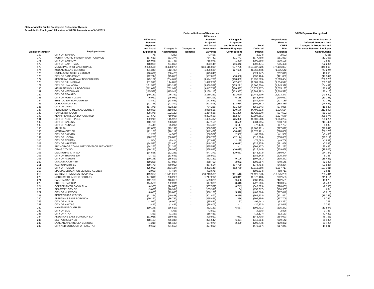|                        |                                       |                   |                    |                 | <b>Deferred Inflows of Resources</b> |                         |                 |                | <b>OPEB Expense Recognized</b>      |
|------------------------|---------------------------------------|-------------------|--------------------|-----------------|--------------------------------------|-------------------------|-----------------|----------------|-------------------------------------|
|                        |                                       |                   |                    |                 | <b>Difference</b>                    |                         |                 |                |                                     |
|                        |                                       | <b>Difference</b> |                    |                 | <b>Between</b>                       | Changes in              |                 | Proportionate  | <b>Net Amortization of</b>          |
|                        |                                       | <b>Between</b>    |                    |                 | Projected                            | Proportion              |                 | Share of       | <b>Deferred Amounts from</b>        |
|                        |                                       | <b>Expected</b>   |                    |                 | and Actual                           | and Differences         | Total           | OPEB           | <b>Changes in Proportion and</b>    |
|                        |                                       |                   |                    |                 |                                      |                         |                 |                |                                     |
|                        |                                       | and Actual        | Changes in         | Changes in      | <b>Investment</b>                    | <b>Between Employer</b> | <b>Deferred</b> | Plan           | <b>Differences Between Employer</b> |
| <b>Employer Number</b> | <b>Employer Name</b>                  | <b>Experience</b> | <b>Assumptions</b> | <b>Benefits</b> | Earnings                             | <b>Contributions</b>    | <b>Inflows</b>  | <b>Expense</b> | <b>Contributions</b>                |
| 169                    | <b>CITY OF TANANA</b>                 | (78)              | (282)              |                 | (3, 496)                             | (66)                    | (3,924)         | (2,592)        | (261)                               |
| 170                    | NORTH PACIFIC FISHERY MGMT COUNCIL    | (17, 611)         | (63, 374)          |                 | (784, 742)                           | (11,743)                | (877, 469)      | (581, 853)     | (12, 108)                           |
| 171                    | <b>CITY OF BARROW</b>                 | (16, 048)         | (57, 748)          |                 | (715, 075)                           | (1, 390)                | (790, 260)      | (530, 198)     | 2,526                               |
| 172                    | <b>CITY OF SAINT PAUL</b>             | (18,024)          | (64, 860)          |                 | (803, 144)                           | (16, 442)               | (902, 471)      | (595, 498)     | (22, 285)                           |
| 173                    | MUNICIPALITY OF ANCHORAGE             |                   |                    |                 |                                      | (677, 705)              |                 |                | 348,665                             |
|                        |                                       | (2, 336, 538)     | (8,408,078)        |                 | (104, 115, 000)                      |                         | (115, 537, 320) | (77, 196, 857) |                                     |
| 174                    | KODIAK ISLAND BOROUGH                 | (31, 343)         | (112, 789)         |                 | (1,396,630)                          | (27, 686)               | (1,568,448)     | (1,035,542)    | (47, 224)                           |
| 175                    | NOME JOINT UTILITY SYSTEM             | (10, 679)         | (38, 428)          |                 | (475, 840)                           |                         | (524, 947)      | (352, 815)     | 16,658                              |
| 176                    | CITY OF SAND POINT                    | (12, 744)         | (45, 858)          |                 | (567, 853)                           | (10,668)                | (637, 124)      | (421, 039)     | (17, 344)                           |
| 177                    | KETCHIKAN GATEWAY BOROUGH SD          | (79, 102)         | (284, 652)         |                 | (3,524,766)                          | (108, 089)              | (3,996,609)     | (2,613,464)    | (206, 578)                          |
| 178                    | CITY OF DILLINGHAM                    | (31, 918)         | (114, 859)         |                 | (1,422,262)                          | (32, 467)               | (1,601,506)     | (1,054,547)    | (50, 164)                           |
| 179                    | CITY OF UNALASKA                      | (131, 523)        | (473, 287)         |                 | (5,860,589)                          | (135, 221)              | (6,600,620)     | (4,345,378)    | (204, 469)                          |
| 180                    | KENAI PENINSULA BOROUGH               | (212, 026)        | (762, 981)         |                 | (9, 447, 792)                        | (150, 537)              | (10, 573, 337)  | (7,005,137)    | (192, 692)                          |
| 181                    | <b>CITY OF KETCHIKAN</b>              | (115, 578)        | (415, 911)         |                 | (5, 150, 115)                        | (103, 387)              | (5,784,992)     | (3,818,592)    | (122, 416)                          |
|                        |                                       |                   |                    |                 |                                      |                         |                 |                |                                     |
| 182                    | <b>CITY OF SEWARD</b>                 | (49, 131)         | (176, 799)         |                 | (2, 189, 259)                        | (31,020)                | (2, 446, 209)   | (1,623,243)    | (43, 840)                           |
| 183                    | CITY OF FORT YUKON                    | (6,962)           | (25,052)           |                 | (310, 216)                           | (6, 115)                | (348, 346)      | (230, 012)     | (13, 258)                           |
| 184                    | BRISTOL BAY BOROUGH SD                | (3,850)           | (13, 853)          |                 | (171, 539)                           | (268)                   | (189, 510)      | (127, 189)     | (2, 193)                            |
| 185                    | <b>CORDOVA CITY SD</b>                | (11,755)          | (42, 302)          |                 | (523, 818)                           | (13,984)                | (591, 861)      | (388, 389)     | (24, 495)                           |
| 186                    | <b>CITY OF CRAIG</b>                  | (17, 375)         | (62, 525)          |                 | (774, 226)                           | (11, 420)               | (865, 546)      | (574, 056)     | (15, 688)                           |
| 187                    | PETERSBURG MEDICAL CENTER             | (88, 881)         | (319, 842)         |                 | (3,960,515)                          | (130, 576)              | (4, 499, 813)   | (2,936,554)    | (211, 890)                          |
| 189                    | <b>HAINES BOROUGH</b>                 | (28, 378)         | (102, 120)         |                 | (1, 264, 525)                        | (31, 206)               |                 | (937, 592)     | (59, 159)                           |
|                        |                                       |                   |                    |                 |                                      |                         | (1,426,230)     |                |                                     |
| 190                    | KENAI PENINSULA BOROUGH SD            | (197, 572)        | (710, 966)         |                 | (8,803,699)                          | (182, 424)              | (9,894,661)     | (6,527,570)    | (325, 074)                          |
| 191                    | CITY OF NORTH POLE                    | (32, 213)         | (115,920)          |                 | (1,435,407)                          | (25, 022)               | (1,608,563)     | (1,064,294)    | (39, 223)                           |
| 192                    | <b>CITY OF GALENA</b>                 | (10, 708)         | (38, 534)          |                 | (477, 155)                           | (8,599)                 | (534, 995)      | (353,790)      | (13, 748)                           |
| 193                    | <b>CITY OF NENANA</b>                 | (1, 445)          | (5,202)            |                 | (64, 409)                            | (6, 117)                | (77, 173)       | (47, 757)      | 5,839                               |
| 195                    | <b>YUPIIT SD</b>                      | (22,006)          | (79, 191)          |                 | (980, 599)                           | (19, 105)               | (1, 100, 901)   | (727, 072)     | (26, 842)                           |
| 196                    | <b>NENANA CITY SD</b>                 | (21, 151)         | (76, 112)          |                 | (942, 479)                           | (30, 419)               | (1,070,161)     | (698, 808)     | (56, 173)                           |
| 198                    | <b>CITY OF SAXMAN</b>                 | (1,268)           | (4, 565)           |                 | (56, 522)                            | (2,952)                 | (65, 308)       | (41,909)       | (3, 468)                            |
| 199                    | CITY OF HOONAH                        | (10, 251)         | (36, 888)          |                 | (456, 780)                           | (12, 174)               | (516,094)       | (338, 683)     | (20, 712)                           |
|                        | <b>CITY OF PELICAN</b>                |                   |                    |                 |                                      |                         |                 |                |                                     |
| 200                    |                                       | (1,504)           | (5, 414)           |                 | (67, 038)                            | (2, 125)                | (76,082)        | (49, 706)      | (1,937)                             |
| 202                    | <b>CITY OF WHITTIER</b>               | (14, 573)         | (52, 440)          |                 | (649, 351)                           | (10, 012)               | (726, 375)      | (481, 466)     | (7,085)                             |
| 203                    | ANCHORAGE COMMUNITY DEVELOP AUTHORITY | (14, 263)         | (51, 325)          |                 | (635, 549)                           |                         | (701, 137)      | (471, 233)     | 25,465                              |
| 204                    | <b>CRAIG CITY SD</b>                  | (10, 281)         | (36, 995)          |                 | (458, 095)                           | (10,075)                | (515, 445)      | (339, 658)     | (19,906)                            |
| 205                    | DILLINGHAM CITY SD                    | (14, 528)         | (52, 281)          |                 | (647, 379)                           | (29, 683)               | (743.872)       | (480, 004)     | (54, 734)                           |
| 206                    | CITY OF THORNE BAY                    | (3,791)           | (13, 641)          |                 | (168, 910)                           |                         | (186, 342)      | (125, 240)     | 5,133                               |
| 208                    | <b>CITY OF AKUTAN</b>                 | (10, 148)         | (36, 517)          |                 | (452, 180)                           | (9, 106)                | (507, 951)      | (335, 272)     | (15, 485)                           |
| 209                    | <b>UNALASKA CITY SD</b>               |                   | (37,048)           |                 |                                      | (2,972)                 | (509, 067)      | (340, 145)     |                                     |
|                        |                                       | (10, 295)         |                    |                 | (458, 752)                           |                         |                 |                | (2, 120)                            |
| 211                    | <b>KASHUNAMIUT SD</b>                 | (19, 470)         | (70,062)           |                 | (867, 554)                           | (17,709)                | (974, 794)      | (643, 254)     | (23, 546)                           |
| 215                    | <b>CITY OF HOMER</b>                  | (75, 902)         | (273, 134)         |                 | (3,382,145)                          | (82, 779)               | (3,813,960)     | (2,507,717)    | (127, 101)                          |
| 218                    | SPECIAL EDUCATION SERVICE AGENCY      | (2,080)           | (7, 484)           |                 | (92, 671)                            |                         | (102, 234)      | (68, 711)      | 2,621                               |
| 219                    | BARTLETT REGIONAL HOSPITAL            | (419, 967)        | (1,511,260)        |                 | (18,713,530)                         | (481, 516)              | (21, 126, 273)  | (13, 875, 289) | (759,491)                           |
| 220                    | NORTHWEST ARCTIC BOROUGH              | (27, 316)         | (98, 298)          |                 | (1,217,204)                          | (29, 341)               | (1,372,160)     | (902, 505)     | (41, 612)                           |
| 221                    | <b>SAINT MARY'S SD</b>                | (12,788)          | (46, 018)          |                 | (569, 825)                           | (9, 486)                | (638, 116)      | (422, 501)     | 13,628                              |
| 223                    | <b>BRISTOL BAY RHA</b>                | (14, 528)         | (52, 281)          |                 | (647, 379)                           | (8, 418)                | (722, 606)      | (480, 004)     | (6, 485)                            |
| 224                    | COPPER RIVER BASIN RHA                | (6,903)           | (24, 840)          |                 | (307, 587)                           | (6, 743)                | (346,073)       | (228, 063)     | (9,380)                             |
|                        |                                       |                   |                    |                 |                                      |                         |                 |                |                                     |
| 225                    | <b>SKAGWAY CITY SD</b>                | (3,038)           | (10, 934)          |                 | (135, 391)                           | (1, 154)                | (150, 517)      | (100, 387)     | 654                                 |
| 227                    | <b>CITY OF KLAWOCK</b>                | (8,083)           | (29,086)           |                 | (360, 166)                           | (5,528)                 | (402, 864)      | (267, 048)     | (7,910)                             |
| 228                    | PETERSBURG CITY SD                    | (11, 254)         | (40, 498)          |                 | (501, 472)                           | (9, 479)                | (562, 703)      | (371, 821)     | (15, 255)                           |
| 230                    | ALEUTIANS EAST BOROUGH                | (10, 222)         | (36, 782)          |                 | (455, 466)                           | (386)                   | (502, 856)      | (337,709)      | 9,769                               |
| 235                    | <b>CITY OF HUSLIA</b>                 | (1, 917)          | (6,900)            |                 | (85, 441)                            | (182)                   | (94, 441)       | (63, 351)      | 321                                 |
| 237                    | CITY OF KALTAG                        | (413)             | (1, 486)           |                 | (18, 403)                            |                         | (20, 302)       | (13, 645)      | 2,285                               |
| 240                    | HAINES BOROUGH SD                     | (10, 148)         | (36, 517)          |                 | (452, 180)                           | (6, 557)                | (505, 401)      | (335, 272)     | (10, 894)                           |
| 242                    | <b>CITY OF ELIM</b>                   |                   |                    |                 |                                      |                         |                 |                |                                     |
|                        |                                       | (86)              | (308)              |                 | (3, 812)                             |                         | (4,205)         | (2,826)        | 3,735                               |
| 243                    | <b>CITY OF ATKA</b>                   | (369)             | (1, 327)           |                 | (16, 431)                            |                         | (18, 127)       | (12, 183)      | (1,482)                             |
| 244                    | ALEUTIANS EAST BOROUGH SD             | (11, 018)         | (39, 648)          |                 | (490, 957)                           | (7,082)                 | (548, 705)      | (364, 023)     | (5,755)                             |
| 246                    | <b>DELTA/GREELY SD</b>                | (18, 437)         | (66, 346)          |                 | (821, 547)                           | (6, 474)                | (912, 804)      | (609, 142)     | (5, 130)                            |
| 247                    | LAKE AND PENINSULA BOROUGH            | (4,218)           | (15, 180)          |                 | (187, 970)                           | (2,409)                 | (209, 778)      | (139, 372)     | (3, 428)                            |
| 248                    | CITY AND BOROUGH OF YAKUTAT           | (9,602)           | (34, 553)          |                 | (427, 862)                           |                         | (472, 017)      | (317, 241)     | 14,591                              |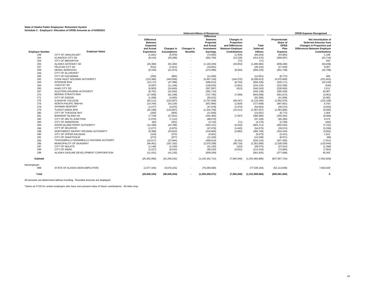|                        |                                          |                   |                    |                          | <b>Deferred Inflows of Resources</b> |                          |                 |                 | <b>OPEB Expense Recognized</b>      |
|------------------------|------------------------------------------|-------------------|--------------------|--------------------------|--------------------------------------|--------------------------|-----------------|-----------------|-------------------------------------|
|                        |                                          |                   |                    |                          | <b>Difference</b>                    |                          |                 |                 |                                     |
|                        |                                          | <b>Difference</b> |                    |                          | <b>Between</b>                       | Changes in               |                 | Proportionate   | <b>Net Amortization of</b>          |
|                        |                                          | <b>Between</b>    |                    |                          | Projected                            | Proportion               |                 | Share of        | <b>Deferred Amounts from</b>        |
|                        |                                          | <b>Expected</b>   |                    |                          | and Actual                           | and Differences          | Total           | OPEB            | <b>Changes in Proportion and</b>    |
|                        |                                          |                   |                    |                          |                                      |                          |                 | Plan            |                                     |
|                        |                                          | and Actual        | Changes in         | <b>Changes in</b>        | Investment                           | <b>Between Employer</b>  | Deferred        |                 | <b>Differences Between Employer</b> |
| <b>Employer Number</b> | <b>Employer Name</b>                     | <b>Experience</b> | <b>Assumptions</b> | <b>Benefits</b>          | Earnings                             | <b>Contributions</b>     | <b>Inflows</b>  | <b>Expense</b>  | <b>Contributions</b>                |
| 249                    | CITY OF UNALAKLEET                       | (1,661)           | (5,976)            |                          | (73,993)                             | (1,405)                  | (83,034)        | (54, 863)       | 1,168                               |
| 251                    | <b>KLAWOCK CITY SD</b>                   | (8, 142)          | (29, 298)          | $\overline{\phantom{a}}$ | (362, 795)                           | (13, 235)                | (413, 470)      | (268, 997)      | (23, 710)                           |
| 254                    | CITY OF MEKORYUK                         |                   | $\sim$             |                          |                                      | (71)                     | (71)            | $\sim$          | 842                                 |
| 255                    | ALASKA GATEWAY SD                        | (25, 369)         | (91, 292)          | $\overline{\phantom{a}}$ | (1, 130, 449)                        | (33, 854)                | (1, 280, 964)   | (838, 180)      | (63, 836)                           |
| 257                    | PELICAN CITY SD                          | (531)             | (1, 911)           | $\overline{\phantom{a}}$ | (23,661)                             |                          | (26, 102)       | (17, 543)       | 9.007                               |
| 258                    | <b>DENALI BOROUGH</b>                    | (6, 106)          | (21, 974)          | $\overline{\phantom{a}}$ | (272,096)                            | (9,044)                  | (309, 220)      | (201, 748)      | (15, 788)                           |
| 259                    | <b>CITY OF ALLAKAKET</b>                 |                   | ж.                 |                          |                                      |                          | ٠               |                 |                                     |
| 260                    | <b>CITY OF KACHEMAK</b>                  | (265)             | (955)              |                          | (11, 830)                            |                          | (13,051)        | (8, 772)        | 565                                 |
|                        |                                          |                   |                    | $\overline{\phantom{a}}$ |                                      |                          |                 |                 |                                     |
| 262                    | COOK INLET HOUSING AUTHORITY             | (123, 366)        | (443, 936)         | $\sim$                   | (5,497,136)                          | (144, 375)               | (6,208,813)     | (4,075,893)     | (221, 602)                          |
| 263                    | <b>INTERIOR RHA</b>                      | (13, 171)         | (47, 398)          | $\overline{\phantom{a}}$ | (586, 913)                           | (8,754)                  | (656, 236)      | (435, 171)      | (15, 243)                           |
| 264                    | YAKUTAT SD                               | (3,097)           | (11, 146)          | $\overline{\phantom{a}}$ | (138, 020)                           | (1,861)                  | (154, 125)      | (102, 336)      | (540)                               |
| 265                    | <b>KAKE CITY SD</b>                      | (6,903)           | (24, 840)          |                          | (307, 587)                           | (913)                    | (340, 243)      | (228, 063)      | 1.511                               |
| 267                    | ALEUTIAN HOUSING AUTHORITY               | (8,791)           | (31, 634)          | $\overline{\phantom{a}}$ | (391, 714)                           | $\sim$                   | (432, 138)      | (290, 439)      | 10,967                              |
| 270                    | <b>BERING STRAITS RHA</b>                | (17,006)          | (61, 198)          | $\overline{\phantom{a}}$ | (757, 795)                           | (7,099)                  | (843,098)       | (561, 873)      | (3,951)                             |
| 271                    | <b>CITY OF EGEGIK</b>                    | (1,268)           | (4, 565)           | $\overline{\phantom{a}}$ | (56, 522)                            |                          | (62, 356)       | (41,909)        | 15,983                              |
| 275                    | <b>ILISAGVIK COLLEGE</b>                 | (62, 111)         | (223, 507)         | $\overline{\phantom{a}}$ | (2,767,628)                          | (66, 047)                | (3, 119, 293)   | (2,052,079)     | (125, 108)                          |
| 276                    | NORTH PACIFIC RIM HA                     | (14, 764)         | (53, 130)          | $\overline{\phantom{a}}$ | (657, 895)                           | (1,820)                  | (727, 609)      | (487, 801)      | 8,783                               |
| 278                    | <b>SAXMAN SEAPORT</b>                    | (1,077)           | (3,875)            | $\sim$                   | (47, 978)                            | (1,973)                  | (54, 903)       | (35, 574)       | (3,833)                             |
| 279                    | <b>TLINGIT-HAIDA RHA</b>                 |                   |                    |                          |                                      |                          |                 |                 |                                     |
|                        |                                          | (32, 199)         | (115, 867)         |                          | (1,434,750)                          | (14,211)                 | (1,597,027)     | (1,063,806)     | (9, 565)                            |
| 280                    | CITY OF TOKSOOK BAY                      | (265)             | (955)              | $\overline{\phantom{a}}$ | (11, 830)                            | $\sim$                   | (13,051)        | (8, 772)        | 1.004                               |
| 281                    | <b>BARANOF ISLAND HA</b>                 | (7, 729)          | (27, 812)          | $\overline{\phantom{a}}$ | (344, 393)                           | (7,057)                  | (386,990)       | (255, 352)      | (9, 569)                            |
| 282                    | CITY OF DELTA JUNCTION                   | (1,976)           | (7, 112)           |                          | (88,070)                             |                          | (97, 159)       | (65, 300)       | 9,474                               |
| 283                    | <b>CITY OF ANDERSON</b>                  | (84)              | (301)              | $\overline{\phantom{a}}$ | (3, 723)                             | (71)                     | (4, 178)        | (2,760)         | (492)                               |
| 284                    | INTER-ISLAND FERRY AUTHORITY             | (12, 168)         | (43,788)           | $\overline{\phantom{a}}$ | (542, 221)                           | (5,533)                  | (603, 711)      | (402, 034)      | (7, 231)                            |
| 286                    | <b>CITY OF SELDOVIA</b>                  | (1,077)           | (3,875)            | $\sim$                   | (47, 978)                            | (1,645)                  | (54, 575)       | (35, 574)       | (3,299)                             |
| 288                    | NORTHWEST INUPIAT HOUSING AUTHORITY      | (9,396)           | (33, 810)          | $\overline{\phantom{a}}$ | (418, 660)                           | (4,882)                  | (466, 748)      | (310, 419)      | (3,691)                             |
| 290                    | CITY OF UPPER KALSKAG                    | (103)             | (372)              | $\overline{\phantom{a}}$ | (4,601)                              |                          | (5,075)         | (3, 411)        | 1,521                               |
| 291                    | <b>CITY OF SHAKTOOLIK</b>                | (272)             | (977)              | $\overline{\phantom{a}}$ | (12, 100)                            | $\overline{\phantom{a}}$ | (13, 348)       | (8,971)         | (68)                                |
| 293                    | TAGIUGMIULLU NUNAMIULLU HOUSING AUTHORIT | (10, 517)         | (37, 844)          | $\overline{\phantom{a}}$ | (468, 610)                           | (9, 161)                 | (526, 132)      | (347, 455)      | (7, 911)                            |
| 296                    | MUNICIPALITY OF SKAGWAY                  | (46, 461)         | (167, 192)         | $\sim$                   |                                      | (68, 716)                | (2,352,669)     | (1,535,039)     | (119, 944)                          |
| 297                    | CITY OF NULATO                           |                   |                    |                          | (2,070,299)                          |                          |                 |                 |                                     |
|                        |                                          | (1, 148)          | (4, 130)           |                          | (51, 135)                            | (163)                    | (56, 575)       | (37, 914)       | (1, 396)                            |
| 298                    | <b>CITY OF ANIAK</b>                     | (2, 227)          | (8,015)            | $\overline{\phantom{a}}$ | (99, 243)                            | (3,931)                  | (113, 416)      | (73, 584)       | (7, 852)                            |
| 299                    | ALASKA GASLINE DEVELOPMENT CORPORATION   | (11, 431)         | (41, 135)          | $\overline{\phantom{a}}$ | (509, 359)                           | $\overline{\phantom{a}}$ | (561, 925)      | (377, 668)      | 45.355                              |
| <b>Subtotal</b>        |                                          | (25, 362, 990)    | (91, 269, 232)     |                          | (1, 130, 162, 712)                   | (7.565.946)              | (1,254,360,880) | (837, 967, 724) | (7, 842, 828)                       |
| Nonemployer:           |                                          |                   |                    |                          |                                      |                          |                 |                 |                                     |
| 999                    | STATE OF ALASKA (NON-EMPLOYER)           | (1,577,343)       | (5,676,101)        | $\overline{\phantom{a}}$ | (70, 285, 660)                       |                          | (77, 539, 104)  | (52, 113, 836)  | 7,842,828                           |
| Total                  |                                          | (26, 940, 333)    | (96, 945, 333)     | $\blacksquare$           | (1, 200, 448, 371)                   | (7, 565, 946)            | (1,331,899,984) | (890,081,560)   | $\mathbf 0$                         |

All amounts are determined without rounding. Rounded amounts are displayed.

\*Same as FY20 for certain employers who have zero present value of future contributions. All other empl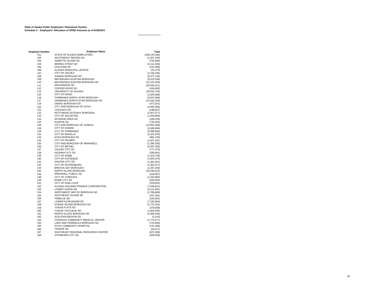| <b>Employer Number</b> | <b>Employer Name</b>                               | Total                        |
|------------------------|----------------------------------------------------|------------------------------|
| 101                    | STATE OF ALASKA (EMPLOYER)                         | (439, 145, 286)              |
| 102                    | SOUTHWEST REGION SD                                | (1, 207, 249)                |
| 103                    | ANNETTE ISLAND SD                                  | (704, 809)                   |
| 104                    | <b>BERING STRAIT SD</b>                            | (3, 111, 026)                |
| 105                    | <b>CHATHAM SD</b>                                  | (215, 356)                   |
| 106                    | ALASKA MUNICIPAL LEAGUE                            | (41, 279)                    |
| 107                    | CITY OF VALDEZ                                     | (3,709,765)                  |
| 108                    | JUNEAU BOROUGH SD                                  | (5,477,134)                  |
| 109                    | MATANUSKA-SUSITNA BOROUGH                          | (9,513,336)                  |
| 110                    | MATANUSKA-SUSITNA BOROUGH SD                       | (12,151,049)                 |
| 111                    | ANCHORAGE SD                                       | (35,830,411)                 |
| 112                    | <b>COPPER RIVER SD</b>                             | (434, 892)                   |
| 113                    | UNIVERSITY OF ALASKA<br>CITY OF KENAL              | (39, 352, 703)               |
| 115                    | <b>FAIRBANKS NORTH STAR BOROUGH</b>                | (2,925,588)                  |
| 116<br>117             | FAIRBANKS NORTH STAR BOROUGH SD                    | (9,037,806)                  |
| 118                    | DENALI BOROUGH SD                                  | (13, 163, 106)<br>(473, 321) |
| 120                    | CITY AND BOROUGH OF SITKA                          | (3,494,396)                  |
| 121                    | <b>CHUGACH SD</b>                                  | (198, 827)                   |
| 122                    | KETCHIKAN GATEWAY BOROUGH                          | (2,057,077)                  |
| 123                    | CITY OF SOLDOTNA                                   | (1,550,699)                  |
| 124                    | <b>IDITAROD AREA SD</b>                            | (339, 203)                   |
| 125                    | <b>KUSPUK SD</b>                                   | (733, 465)                   |
| 126                    | CITY AND BOROUGH OF JUNEAU                         | (13,952,369)                 |
| 128                    | <b>CITY OF KODIAK</b>                              | (2,938,999)                  |
| 129                    | <b>CITY OF FAIRBANKS</b>                           | (2,998,850)                  |
| 131                    | <b>CITY OF WASILLA</b>                             | (3, 101, 879)                |
| 133                    | SITKA BOROUGH SD                                   | (981, 136)                   |
| 134                    | <b>CITY OF PALMER</b>                              | (1,627,267)                  |
| 135                    | CITY AND BOROUGH OF WRANGELL                       | (1, 280, 335)                |
| 136                    | <b>CITY OF BETHEL</b>                              | (2,597,300)                  |
| 137                    | <b>VALDEZ CITY SD</b>                              | (777, 476)                   |
| 138                    | <b>HOONAH CITY SD</b>                              | (206, 961)                   |
| 139                    | CITY OF NOME                                       | (1,423,746)                  |
| 140                    | <b>CITY OF KOTZEBUE</b>                            | (1,854,070)                  |
| 141                    | <b>GALENA CITY SD</b>                              | (1,352,957)                  |
| 143                    | CITY OF PETERSBURG                                 | (1, 942, 377)                |
| 144                    | <b>BRISTOL BAY BOROUGH</b>                         | (1, 287, 263)                |
| 145                    | NORTH SLOPE BOROUGH                                | (29, 260, 622)               |
| 146                    | <b>WRANGELL PUBLIC SD</b>                          | (318, 487)                   |
| 148                    | <b>CITY OF CORDOVA</b>                             | (1,222,804)                  |
| 149                    | NOME CITY SD                                       | (520, 404)                   |
| 151                    | CITY OF KING COVE                                  | (378, 652)                   |
| 152                    | ALASKA HOUSING FINANCE CORPORATION                 | (7,036,841)                  |
| 153                    | LOWER YUKON SD                                     | (3, 121, 891)                |
| 154                    | NORTHWEST ARCTIC BOROUGH SD<br>SOUTHEAST ISLAND SD | (2,789,868)                  |
| 155                    |                                                    | (337, 391)                   |
| 156                    | <b>PRIBILOF SD</b>                                 | (103,091)                    |
| 157<br>158             | LOWER KUSKOKWIM SD<br>KODIAK ISLAND BOROUGH SD     | (7, 155, 954)                |
|                        | YUKON FLATS SD                                     | (2,775,341)                  |
| 159                    | YUKON / KOYUKUK SD                                 | (379, 409)                   |
| 160<br>161             | NORTH SLOPE BOROUGH SD                             | (1,063,645)<br>(4,568,260)   |
| 162                    | ALEUTIAN REGION SD                                 |                              |
| 163                    | CORDOVA COMMUNITY MEDICAL CENTER                   | (1, 543)<br>(1,773,577)      |
| 164                    | LAKE AND PENINSULA BOROUGH SD                      | (723, 696)                   |
| 165                    | SITKA COMMUNITY HOSPITAL                           | (151, 306)                   |
| 166                    | TANANA SD                                          | (42, 677)                    |
| 167                    | SOUTHEAST REGIONAL RESOURCE CENTER                 | (672, 596)                   |
| 168                    | <b>HYDABURG CITY SD</b>                            | (200, 609)                   |
|                        |                                                    |                              |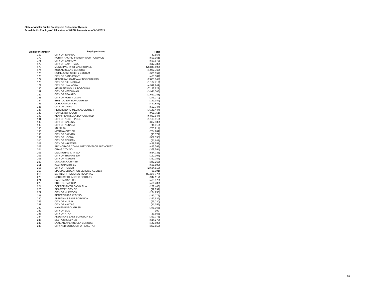| <b>Employer Number</b> | <b>Employer Name</b>                  | <b>Total</b>   |
|------------------------|---------------------------------------|----------------|
| 169                    | <b>CITY OF TANANA</b>                 | (2,854)        |
| 170                    | NORTH PACIFIC FISHERY MGMT COUNCIL    | (593, 961)     |
| 171                    | <b>CITY OF BARROW</b>                 | (527, 672)     |
| 172                    | <b>CITY OF SAINT PAUL</b>             | (617, 782)     |
| 173                    | MUNICIPALITY OF ANCHORAGE             | (76, 848, 192) |
| 174                    | KODIAK ISLAND BOROUGH                 | (1,082,767)    |
| 175                    | NOME JOINT UTILITY SYSTEM             | (336, 157)     |
| 176                    | <b>CITY OF SAND POINT</b>             | (438, 384)     |
| 177                    | KETCHIKAN GATEWAY BOROUGH SD          | (2,820,042)    |
| 178                    | <b>CITY OF DILLINGHAM</b>             | (1, 104, 712)  |
| 179                    | CITY OF UNALASKA                      | (4,549,847)    |
| 180                    | <b>KENAI PENINSULA BOROUGH</b>        | (7, 197, 829)  |
| 181                    | <b>CITY OF KETCHIKAN</b>              | (3,941,008)    |
| 182                    | <b>CITY OF SEWARD</b>                 | (1,667,083)    |
| 183                    | CITY OF FORT YUKON                    | (243, 270)     |
| 184                    | <b>BRISTOL BAY BOROUGH SD</b>         | (129, 382)     |
| 185                    | <b>CORDOVA CITY SD</b>                | (412, 885)     |
| 186                    | <b>CITY OF CRAIG</b>                  | (589, 744)     |
| 187                    | PETERSBURG MEDICAL CENTER             | (3, 148, 444)  |
| 189                    | HAINES BOROUGH                        | (996, 751)     |
| 190                    | KENAI PENINSULA BOROUGH SD            | (6,852,644)    |
| 191                    | CITY OF NORTH POLE                    | (1, 103, 516)  |
| 192                    | <b>CITY OF GALENA</b>                 | (367, 538)     |
| 193                    | <b>CITY OF NENANA</b>                 | (41, 918)      |
| 195                    | <b>YUPIIT SD</b>                      | (753, 914)     |
| 196                    | NENANA CITY SD                        | (754, 981)     |
| 198                    | <b>CITY OF SAXMAN</b>                 | (45, 377)      |
| 199                    | CITY OF HOONAH                        | (359, 395)     |
| 200                    | <b>CITY OF PELICAN</b>                | (51, 643)      |
| 202                    | <b>CITY OF WHITTIER</b>               | (488, 552)     |
| 203                    | ANCHORAGE COMMUNITY DEVELOP AUTHORITY | (445, 768)     |
| 204                    | <b>CRAIG CITY SD</b>                  | (359, 564)     |
| 205                    | <b>DILLINGHAM CITY SD</b>             | (534, 738)     |
| 206                    | CITY OF THORNE BAY                    | (120, 107)     |
| 208                    | <b>CITY OF AKUTAN</b>                 | (350, 757)     |
| 209                    | <b>UNALASKA CITY SD</b>               | (342, 265)     |
| 211                    | <b>KASHUNAMIUT SD</b>                 | (666, 800)     |
| 215                    | <b>CITY OF HOMER</b>                  | (2,634,818)    |
| 218                    | SPECIAL EDUCATION SERVICE AGENCY      | (66,091)       |
| 219                    | BARTLETT REGIONAL HOSPITAL            | (14, 634, 779) |
| 220                    | NORTHWEST ARCTIC BOROUGH              | (944, 117)     |
| 221                    | SAINT MARY'S SD                       | (408, 873)     |
| 223                    | <b>BRISTOL BAY RHA</b>                | (486, 489)     |
| 224                    | <b>COPPER RIVER BASIN RHA</b>         | (237, 443)     |
| 225                    | <b>SKAGWAY CITY SD</b>                | (99, 732)      |
| 227                    | <b>CITY OF KLAWOCK</b>                | (274, 958)     |
| 228                    | PETERSBURG CITY SD                    | (387, 075)     |
| 230                    | ALEUTIANS EAST BOROUGH                | (327, 939)     |
| 235                    | <b>CITY OF HUSLIA</b>                 | (63,030)       |
| 237                    | <b>CITY OF KALTAG</b>                 | (11, 359)      |
| 240                    | <b>HAINES BOROUGH SD</b>              | (346, 166)     |
| 242                    | <b>CITY OF ELIM</b>                   | 909            |
| 243                    | <b>CITY OF ATKA</b>                   | (13,665)       |
| 244                    | ALEUTIANS EAST BOROUGH SD             | (369, 778)     |
| 246                    | <b>DELTA/GREELY SD</b>                | (614, 272)     |
| 247                    | LAKE AND PENINSULA BOROUGH            | (142, 800)     |
| 248                    | CITY AND BOROUGH OF YAKUTAT           | (302, 650)     |
|                        |                                       |                |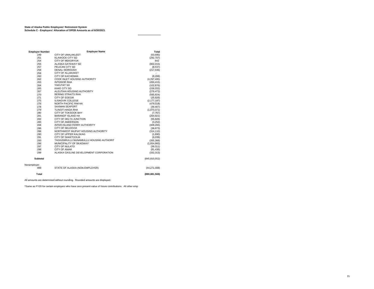| <b>Employer Number</b> | <b>Employer Name</b>                     | Total           |
|------------------------|------------------------------------------|-----------------|
| 249                    | CITY OF UNALAKLEET                       | (53, 695)       |
| 251                    | <b>KLAWOCK CITY SD</b>                   | (292, 707)      |
| 254                    | <b>CITY OF MEKORYUK</b>                  | 842             |
| 255                    | ALASKA GATEWAY SD                        | (902, 015)      |
| 257                    | PELICAN CITY SD                          | (8,537)         |
| 258                    | DENALI BOROUGH                           | (217, 536)      |
| 259                    | <b>CITY OF ALLAKAKET</b>                 |                 |
| 260                    | CITY OF KACHEMAK                         | (8, 206)        |
| 262                    | COOK INLET HOUSING AUTHORITY             | (4, 297, 495)   |
| 263                    | <b>INTERIOR RHA</b>                      | (450, 415)      |
| 264                    | YAKUTAT SD                               | (102, 876)      |
| 265                    | <b>KAKE CITY SD</b>                      | (226, 552)      |
| 267                    | ALEUTIAN HOUSING AUTHORITY               | (279, 473)      |
| 270                    | <b>BERING STRAITS RHA</b>                | (565, 824)      |
| 271                    | <b>CITY OF EGEGIK</b>                    | (25, 926)       |
| 275                    | <b>ILISAGVIK COLLEGE</b>                 | (2, 177, 187)   |
| 276                    | NORTH PACIFIC RIM HA                     | (479, 018)      |
| 278                    | <b>SAXMAN SEAPORT</b>                    | (39, 407)       |
| 279                    | <b>TLINGIT-HAIDA RHA</b>                 | (1,073,371)     |
| 280                    | CITY OF TOKSOOK BAY                      | (7, 767)        |
| 281                    | <b>BARANOF ISLAND HA</b>                 | (264.921)       |
| 282                    | CITY OF DELTA JUNCTION                   | (55, 826)       |
| 283                    | <b>CITY OF ANDERSON</b>                  | (3,252)         |
| 284                    | INTER-ISLAND FERRY AUTHORITY             | (409, 265)      |
| 286                    | <b>CITY OF SELDOVIA</b>                  | (38, 873)       |
| 288                    | NORTHWEST INUPIAT HOUSING AUTHORITY      | (314, 110)      |
| 290                    | CITY OF UPPER KALSKAG                    | (1,890)         |
| 291                    | <b>CITY OF SHAKTOOLIK</b>                | (9,039)         |
| 293                    | TAGIUGMIULLU NUNAMIULLU HOUSING AUTHORIT | (355, 366)      |
| 296                    | MUNICIPALITY OF SKAGWAY                  | (1,654,983)     |
| 297                    | CITY OF NULATO                           | (39, 311)       |
| 298                    | <b>CITY OF ANIAK</b>                     | (81, 436)       |
| 299                    | ALASKA GASLINE DEVELOPMENT CORPORATION   | (332, 313)      |
| <b>Subtotal</b>        |                                          | (845, 810, 552) |
| Nonemployer:           |                                          |                 |
| 999                    | STATE OF ALASKA (NON-EMPLOYER)           | (44, 271, 008)  |
| Total                  |                                          | (890, 081, 560) |

All amounts are determined without rounding. Rounded amounts are displayed.

\*Same as FY20 for certain employers who have zero present value of future contributions. All other empl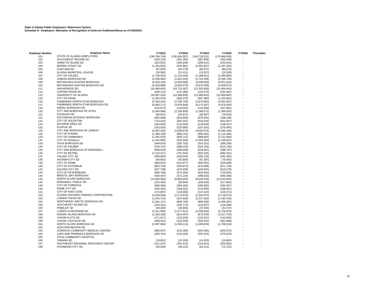**State of Alaska Public Employees' Retirement System Schedule D - Employers' Allocation of Recognition of Deferred Outflows/Inflows as of 6/30/2021**

| <b>Employer Number</b> | <b>Employer Name</b>                         | FY2022          | FY2023          | FY2024          | FY2025          | FY2026 | <b>Thereafter</b> |
|------------------------|----------------------------------------------|-----------------|-----------------|-----------------|-----------------|--------|-------------------|
| 101                    | STATE OF ALASKA (EMPLOYER)                   | (199, 784, 704) | (136, 645, 067) | (146, 728, 321) | (170, 968, 430) |        |                   |
| 102                    | SOUTHWEST REGION SD                          | (558, 120)      | (361, 295)      | (387, 956)      | (452, 048)      |        |                   |
| 103                    | ANNETTE ISLAND SD                            | (324, 052)      | (194, 649)      | (209, 012)      | (243, 542)      |        |                   |
| 104                    | <b>BERING STRAIT SD</b>                      | (1,432,632)     | (932, 981)      | (1,001,827)     | (1, 167, 333)   |        |                   |
| 105                    | <b>CHATHAM SD</b>                            | (97,092)        | (64, 479)       | (69, 237)       | (80, 676)       |        |                   |
| 106                    | ALASKA MUNICIPAL LEAGUE                      | (19, 582)       | (12, 411)       | (13, 327)       | (15, 529)       |        |                   |
| 107                    | CITY OF VALDEZ                               | (1,728,624)     | (1, 116, 429)   | (1, 198, 812)   | (1,396,860)     |        |                   |
| 108                    | JUNEAU BOROUGH SD                            | (2,536,482)     | (1,631,052)     | (1,751,409)     | (2,040,749)     |        |                   |
| 109                    | MATANUSKA-SUSITNA BOROUGH                    | (4,420,230)     | (2,838,599)     | (3,048,063)     | (3,551,616)     |        |                   |
| 110                    | MATANUSKA-SUSITNA BOROUGH SD                 | (5,603,988)     | (3,604,479)     | (3,870,459)     | (4,509,874)     |        |                   |
| 111                    | <b>ANCHORAGE SD</b>                          |                 |                 |                 |                 |        |                   |
|                        | <b>COPPER RIVER SD</b>                       | (16, 496, 942)  | (10, 713, 387)  | (11,503,945)    | (13, 404, 443)  |        |                   |
| 112                    |                                              | (200, 112)      | (131, 380)      | (141, 075)      | (164, 381)      |        |                   |
| 113                    | UNIVERSITY OF ALASKA<br><b>CITY OF KENAI</b> | (18, 307, 433)  | (12, 468, 856)  | (13, 388, 953)  | (15,600,862)    |        |                   |
| 115                    |                                              | (1,362,978)     | (882, 275)      | (947, 380)      | (1, 103, 891)   |        |                   |
| 116                    | <b>FAIRBANKS NORTH STAR BOROUGH</b>          | (4, 194, 201)   | (2,766,703)     | (2,970,862)     | (3,461,661)     |        |                   |
| 117                    | FAIRBANKS NORTH STAR BOROUGH SD              | (6,083,171)     | (3,979,699)     | (4,273,367)     | (4,979,345)     |        |                   |
| 118                    | DENALI BOROUGH SD                            | (215, 674)      | (133, 953)      | (143, 838)      | (167, 601)      |        |                   |
| 120                    | CITY AND BOROUGH OF SITKA                    | (1,654,999)     | (1, 106, 893)   | (1, 188, 572)   | (1,384,929)     |        |                   |
| 121                    | <b>CHUGACH SD</b>                            | (90, 631)       | (63, 874)       | (68, 587)       | (79, 918)       |        |                   |
| 122                    | KETCHIKAN GATEWAY BOROUGH                    | (955, 486)      | (629, 959)      | (676, 445)      | (788, 196)      |        |                   |
| 123                    | CITY OF SOLDOTNA                             | (723, 502)      | (481, 021)      | (516, 516)      | (601, 847)      |        |                   |
| 124                    | <b>IDITAROD AREA SD</b>                      | (154, 083)      | (110, 493)      | (118, 646)      | (138, 247)      |        |                   |
| 125                    | <b>KUSPUK SD</b>                             | (333, 925)      | (220, 985)      | (237, 292)      | (276, 493)      |        |                   |
| 126                    | CITY AND BOROUGH OF JUNEAU                   | (6,487,355)     | (4, 289, 078)   | (4,605,576)     | (5,366,436)     |        |                   |
| 128                    | <b>CITY OF KODIAK</b>                        | (1,368,159)     | (890, 752)      | (956, 481)      | (1, 114, 496)   |        |                   |
| 129                    | <b>CITY OF FAIRBANKS</b>                     | (1, 391, 979)   | (920, 721)      | (988, 662)      | (1, 151, 993)   |        |                   |
| 131                    | <b>CITY OF WASILLA</b>                       | (1,442,996)     | (934, 343)      | (1,003,290)     | (1, 169, 037)   |        |                   |
| 133                    | SITKA BOROUGH SD                             | (449, 654)      | (292, 730)      | (314, 331)      | (366, 259)      |        |                   |
| 134                    | <b>CITY OF PALMER</b>                        | (754, 767)      | (488, 135)      | (524, 155)      | (610, 748)      |        |                   |
| 135                    | CITY AND BOROUGH OF WRANGELL                 | (599,010)       | (390, 659)      | (419, 487)      | (488, 787)      |        |                   |
| 136                    | CITY OF BETHEL                               | (1, 210, 317)   | (767, 545)      | (824, 183)      | (960, 341)      |        |                   |
| 137                    | VALDEZ CITY SD                               | (358, 834)      | (232, 942)      | (250, 132)      |                 |        |                   |
|                        | <b>HOONAH CITY SD</b>                        |                 |                 |                 | (291, 454)      |        |                   |
| 138                    | CITY OF NOME                                 | (94, 802)       | (62, 663)       | (67, 287)       | (78, 403)       |        |                   |
| 139                    |                                              | (660, 031)      | (414, 877)      | (445, 491)      | (519,088)       |        |                   |
| 140                    | CITY OF KOTZEBUE                             | (862, 753)      | (536, 873)      | (576, 489)      | (671, 728)      |        |                   |
| 141                    | <b>GALENA CITY SD</b>                        | (627, 798)      | (415, 028)      | (445, 654)      | (519, 278)      |        |                   |
| 143                    | <b>CITY OF PETERSBURG</b>                    | (896, 708)      | (574, 259)      | (616, 634)      | (718, 504)      |        |                   |
| 144                    | <b>BRISTOL BAY BOROUGH</b>                   | (596, 467)      | (371, 134)      | (398, 520)      | (464, 358)      |        |                   |
| 145                    | NORTH SLOPE BOROUGH                          | (13,584,584)    | (8,800,050)     | (9, 449, 419)   | (11,010,501)    |        |                   |
| 146                    | <b>WRANGELL PUBLIC SD</b>                    | (145, 455)      | (93, 994)       | (100, 930)      | (117, 604)      |        |                   |
| 148                    | CITY OF CORDOVA                              | (566, 256)      | (364, 020)      | (390, 882)      | (455, 457)      |        |                   |
| 149                    | NOME CITY SD                                 | (245, 362)      | (158, 322)      | (170,005)       | (198,091)       |        |                   |
| 151                    | CITY OF KING COVE                            | (175, 867)      | (118, 666)      | (127, 423)      | (148, 473)      |        |                   |
| 152                    | ALASKA HOUSING FINANCE CORPORATION           | (3,269,538)     | (2, 173, 676)   | (2, 334, 075)   | (2,719,673)     |        |                   |
| 153                    | LOWER YUKON SD                               | (1,445,724)     | (947, 663)      | (1,017,592)     | (1, 185, 703)   |        |                   |
| 154                    | NORTHWEST ARCTIC BOROUGH SD                  | (1, 291, 117)   | (846, 706)      | (909, 186)      | (1,059,387)     |        |                   |
| 155                    | SOUTHEAST ISLAND SD                          | (153, 321)      | (102, 773)      | (110, 357)      | (128, 588)      |        |                   |
| 156                    | PRIBILOF SD                                  | (49, 282)       | (34, 964)       | (37, 544)       | (43, 747)       |        |                   |
| 157                    | LOWER KUSKOKWIM SD                           | (3,311,856)     | (2, 177, 914)   | (2,338,626)     | (2,724,976)     |        |                   |
| 158                    | KODIAK ISLAND BOROUGH SD                     | (1,282,235)     | (813, 407)      | (873, 429)      | (1,017,723)     |        |                   |
| 159                    | YUKON FLATS SD                               | (171, 617)      | (115, 033)      | (123, 522)      | (143, 928)      |        |                   |
| 160                    | YUKON / KOYUKUK SD                           | (489, 431)      | (312, 558)      | (335, 622)      | (391,068)       |        |                   |
| 161                    | NORTH SLOPE BOROUGH SD                       |                 |                 |                 |                 |        |                   |
| 162                    | ALEUTIAN REGION SD                           | (2,097,984)     | (1,365,113)     | (1,465,846)     | (1,708,010)     |        |                   |
|                        | CORDOVA COMMUNITY MEDICAL CENTER             |                 |                 |                 |                 |        |                   |
| 163                    |                                              | (860, 537)      | (516, 288)      | (554, 385)      | (645, 972)      |        |                   |
| 164                    | LAKE AND PENINSULA BOROUGH SD                | (335, 791)      | (216, 293)      | (232, 254)      | (270, 623)      |        |                   |
| 165                    | SITKA COMMUNITY HOSPITAL                     |                 |                 |                 |                 |        |                   |
| 166                    | <b>TANANA SD</b>                             | (18, 862)       | (13, 320)       | (14, 303)       | (16,665)        |        |                   |
| 167                    | SOUTHEAST REGIONAL RESOURCE CENTER           | (311, 207)      | (201, 914)      | (216, 813)      | (252, 632)      |        |                   |
| 168                    | <b>HYDABURG CITY SD</b>                      | (93,049)        | (58, 122)       | (62, 411)       | (72, 722)       |        |                   |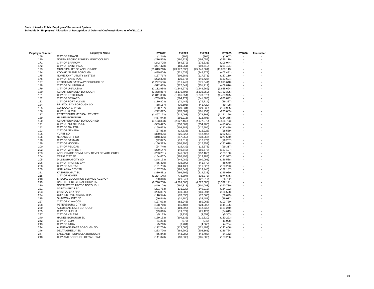**State of Alaska Public Employees' Retirement System Schedule D - Employers' Allocation of Recognition of Deferred Outflows/Inflows as of 6/30/2021**

| <b>Employer Number</b> | <b>Employer Name</b>                  | FY2022         | FY2023         | FY2024        | FY2025        | FY2026 | <b>Thereafter</b> |
|------------------------|---------------------------------------|----------------|----------------|---------------|---------------|--------|-------------------|
| 169                    | <b>CITY OF TANANA</b>                 | (1,246)        | (805)          | (865)         | (1,007)       |        |                   |
| 170                    | NORTH PACIFIC FISHERY MGMT COUNCIL    | (276, 568)     | (180, 723)     | (194, 059)    | (226, 119)    |        |                   |
| 171                    | <b>CITY OF BARROW</b>                 | (242, 705)     | (164, 679)     | (176, 831)    | (206, 044)    |        |                   |
| 172                    | CITY OF SAINT PAUL                    | (287, 478)     | (184, 961)     | (198, 610)    | (231, 421)    |        |                   |
| 173                    | MUNICIPALITY OF ANCHORAGE             | (35, 813, 210) | (23, 977, 336) | (25,746,661)  | (30,000,113)  |        |                   |
| 174                    | KODIAK ISLAND BOROUGH                 | (499, 004)     | (321, 639)     | (345, 374)    | (402, 431)    |        |                   |
| 175                    | NOME JOINT UTILITY SYSTEM             | (157, 717)     | (109, 584)     | (117, 671)    | (137, 110)    |        |                   |
| 176                    | CITY OF SAND POINT                    | (202, 300)     | (130, 775)     | (140, 425)    | (163, 624)    |        |                   |
|                        | KETCHIKAN GATEWAY BOROUGH SD          |                |                |               |               |        |                   |
| 177                    | <b>CITY OF DILLINGHAM</b>             | (1, 297, 586)  | (811, 742)     | (871, 641)    | (1,015,640)   |        |                   |
| 178                    |                                       | (512, 435)     | (327, 542)     | (351, 712)    | (409, 816)    |        |                   |
| 179                    | <b>CITY OF UNALASKA</b>               | (2, 112, 984)  | (1, 349, 674)  | (1,449,269)   | (1,688,694)   |        |                   |
| 180                    | KENAI PENINSULA BOROUGH               | (3,338,867)    | (2, 175, 795)  | (2,336,350)   | (2,722,325)   |        |                   |
| 181                    | <b>CITY OF KETCHIKAN</b>              | (1,841,388)    | (1, 186, 054)  | (1, 273, 575) | (1,483,975)   |        |                   |
| 182                    | <b>CITY OF SEWARD</b>                 | (769, 825)     | (504, 179)     | (541, 383)    | (630, 822)    |        |                   |
| 183                    | CITY OF FORT YUKON                    | (110, 803)     | (71, 442)      | (76, 714)     | (89, 387)     |        |                   |
| 184                    | <b>BRISTOL BAY BOROUGH SD</b>         | (58, 157)      | (39, 505)      | (42, 420)     | (49, 428)     |        |                   |
| 185                    | CORDOVA CITY SD                       | (190, 757)     | (120, 634)     | (129, 535)    | (150, 935)    |        |                   |
| 186                    | <b>CITY OF CRAIG</b>                  | (272, 697)     | (178, 302)     | (191, 459)    | (223,089)     |        |                   |
| 187                    | PETERSBURG MEDICAL CENTER             | (1,467,123)    | (912,093)      | (979, 398)    | (1, 141, 199) |        |                   |
| 189                    | <b>HAINES BOROUGH</b>                 | (457, 943)     | (291, 216)     | (312, 705)    | (364, 365)    |        |                   |
| 190                    | KENAI PENINSULA BOROUGH SD            | (3, 153, 393)  | (2,027,462)    | (2, 177, 072) | (2,536,733)   |        |                   |
| 191                    | CITY OF NORTH POLE                    | (509, 427)     | (330, 569)     | (354, 963)    | (413, 604)    |        |                   |
| 192                    | <b>CITY OF GALENA</b>                 | (169, 623)     | (109, 887)     | (117, 996)    | (137, 489)    |        |                   |
| 193                    | <b>CITY OF NENANA</b>                 | (27, 853)      | (14, 833)      | (15,928)      | (18, 559)     |        |                   |
| 195                    | <b>YUPIIT SD</b>                      |                |                |               |               |        |                   |
|                        | <b>NENANA CITY SD</b>                 | (350, 026)     | (225, 829)     | (242, 493)    | (282, 554)    |        |                   |
| 196                    |                                       | (348, 476)     | (217,050)      | (233,066)     | (271, 570)    |        |                   |
| 198                    | <b>CITY OF SAXMAN</b>                 | (22, 027)      | (13,017)       | (13, 977)     | (16, 287)     |        |                   |
| 199                    | CITY OF HOONAH                        | (166, 323)     | (105, 195)     | (112, 957)    | (131, 618)    |        |                   |
| 200                    | CITY OF PELICAN                       | (24, 749)      | (15, 439)      | (16, 578)     | (19, 317)     |        |                   |
| 202                    | <b>CITY OF WHITTIER</b>               | (229, 147)     | (149, 543)     | (160, 578)    | (187, 107)    |        |                   |
| 203                    | ANCHORAGE COMMUNITY DEVELOP AUTHORITY | (203, 251)     | (146, 365)     | (157, 165)    | (183, 130)    |        |                   |
| 204                    | <b>CRAIG CITY SD</b>                  | (164, 667)     | (105, 498)     | (113, 283)    | (131, 997)    |        |                   |
| 205                    | <b>DILLINGHAM CITY SD</b>             | (248, 153)     | (149, 089)     | (160, 091)    | (186, 538)    |        |                   |
| 206                    | CITY OF THORNE BAY                    | (55, 470)      | (38, 899)      | (41, 770)     | (48, 670)     |        |                   |
| 208                    | CITY OF AKUTAN                        | (161, 703)     | (104, 135)     | (111, 820)    | (130, 293)    |        |                   |
| 209                    | <b>UNALASKA CITY SD</b>               | (157, 786)     | (105, 649)     | (113, 445)    | (132, 187)    |        |                   |
| 211                    | KASHUNAMIUT SD                        | (310, 481)     | (199, 795)     | (214, 538)    | (249, 980)    |        |                   |
| 215                    | <b>CITY OF HOMER</b>                  | (1,224,145)    | (778, 897)     | (836, 373)    | (974, 545)    |        |                   |
| 218                    | SPECIAL EDUCATION SERVICE AGENCY      | (30, 348)      | (21, 342)      | (22, 917)     | (26, 702)     |        |                   |
| 219                    | <b>BARTLETT REGIONAL HOSPITAL</b>     | (6,796,738)    | (4,309,663)    | (4,627,680)   | (5,392,191)   |        |                   |
| 220                    | NORTHWEST ARCTIC BOROUGH              | (440, 109)     | (280, 318)     | (301,003)     | (350, 730)    |        |                   |
| 221                    | <b>SAINT MARY'S SD</b>                | (201, 783)     | (131, 229)     | (140, 912)    | (164, 192)    |        |                   |
| 223                    | <b>BRISTOL BAY RHA</b>                | (226, 887)     | (149, 089)     | (160, 091)    | (186, 538)    |        |                   |
| 224                    | <b>COPPER RIVER BASIN RHA</b>         | (110, 544)     | (70, 836)      | (76,063)      | (88, 629)     |        |                   |
| 225                    | <b>SKAGWAY CITY SD</b>                |                |                |               |               |        |                   |
|                        | <b>CITY OF KLAWOCK</b>                | (46, 844)      | (31, 180)      | (33, 481)     | (39, 012)     |        |                   |
| 227                    |                                       | (127,073)      | (82, 945)      | (89,066)      | (103, 780)    |        |                   |
| 228                    | PETERSBURG CITY SD                    | (178, 710)     | (115, 487)     | (124,009)     | (144, 496)    |        |                   |
| 230                    | ALEUTIANS EAST BOROUGH                | (154, 091)     | (104, 892)     | (112, 632)    | (131, 240)    |        |                   |
| 235                    | <b>CITY OF HUSLIA</b>                 | (29,016)       | (19, 677)      | (21, 129)     | (24, 619)     | ä,     |                   |
| 237                    | <b>CITY OF KALTAG</b>                 | (5, 113)       | (4,238)        | (4,551)       | (5,303)       |        |                   |
| 240                    | HAINES BOROUGH SD                     | (159, 153)     | (104, 135)     | (111, 820)    | (130, 293)    |        |                   |
| 242                    | <b>CITY OF ELIM</b>                   | (1,284)        | (878)          | (943)         | (1,098)       |        |                   |
| 243                    | <b>CITY OF ATKA</b>                   | (5,210)        | (3,784)        | (4,063)       | (4,734)       |        |                   |
| 244                    | ALEUTIANS EAST BOROUGH SD             | (172, 764)     | (113,066)      | (121, 409)    | (141, 466)    |        |                   |
| 246                    | DELTA/GREELY SD                       | (283, 720)     | (189, 200)     | (203, 161)    | (236, 724)    |        |                   |
| 247                    | LAKE AND PENINSULA BOROUGH            | (65, 843)      | (43, 289)      | (46, 483)     | (54, 162)     |        |                   |
| 248                    | CITY AND BOROUGH OF YAKUTAT           | (141, 373)     | (98, 535)      | (105, 806)    | (123, 286)    | ٠      |                   |
|                        |                                       |                |                |               |               |        |                   |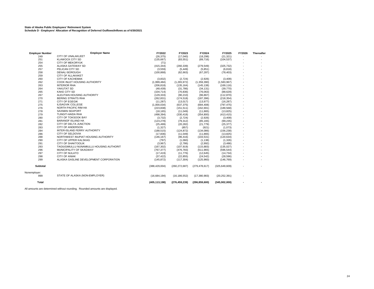**State of Alaska Public Employees' Retirement System Schedule D - Employers' Allocation of Recognition of Deferred Outflows/Inflows as of 6/30/2021**

| <b>Employer Number</b> | <b>Employer Name</b>                     | FY2022          | FY2023          | FY2024          | FY2025          | FY2026 | Thereafter |
|------------------------|------------------------------------------|-----------------|-----------------|-----------------|-----------------|--------|------------|
| 249                    | CITY OF UNALAKLEET                       | (26, 375)       | (17,040)        | (18, 298)       | (21, 321)       |        |            |
| 251                    | <b>KLAWOCK CITY SD</b>                   | (135, 667)      | (83, 551)       | (89, 716)       | (104, 537)      |        |            |
| 254                    | <b>CITY OF MEKORYUK</b>                  | (71)            |                 |                 |                 |        |            |
| 255                    | ALASKA GATEWAY SD                        | (415, 344)      | (260, 339)      | (279, 549)      | (325, 732)      |        |            |
| 257                    | PELICAN CITY SD                          | (3, 559)        | (5, 449)        | (5,851)         | (6, 818)        |        |            |
| 258                    | <b>DENALI BOROUGH</b>                    | (100, 868)      | (62, 663)       | (67, 287)       | (78, 403)       |        |            |
| 259                    | <b>CITY OF ALLAKAKET</b>                 |                 |                 |                 |                 |        |            |
| 260                    | <b>CITY OF KACHEMAK</b>                  | (3,832)         | (2,724)         | (2,926)         | (3,409)         |        |            |
| 262                    | COOK INLET HOUSING AUTHORITY             | (1,999,484)     | (1,265,972)     | (1,359,390)     | (1,583,967)     |        |            |
| 263                    | <b>INTERIOR RHA</b>                      | (206, 818)      | (135, 164)      | (145, 138)      | (169, 116)      |        |            |
| 264                    | YAKUTAT SD                               | (48, 439)       | (31,786)        | (34, 131)       | (39, 770)       |        |            |
| 265                    | <b>KAKE CITY SD</b>                      | (104, 714)      | (70, 836)       | (76,063)        | (88, 629)       |        |            |
| 267                    | ALEUTIAN HOUSING AUTHORITY               | (129, 333)      | (90, 210)       | (96, 867)       | (112, 870)      |        |            |
| 270                    | <b>BERING STRAITS RHA</b>                | (262, 831)      | (174, 518)      | (187, 396)      | (218, 354)      |        |            |
| 271                    | <b>CITY OF EGEGIK</b>                    | (11, 287)       | (13, 017)       | (13, 977)       | (16, 287)       |        |            |
| 275                    | <b>ILISAGVIK COLLEGE</b>                 | (1,000,034)     | (637, 375)      | (684, 408)      | (797, 475)      |        |            |
| 276                    | NORTH PACIFIC RIM HA                     | (223, 838)      | (151, 511)      | (162, 691)      | (189, 568)      |        |            |
| 278                    | <b>SAXMAN SEAPORT</b>                    | (18, 165)       | (11, 049)       | (11, 865)       | (13, 825)       |        |            |
| 279                    | <b>TLINGIT-HAIDA RHA</b>                 | (498, 394)      | (330, 418)      | (354, 800)      | (413, 415)      |        |            |
| 280                    | CITY OF TOKSOOK BAY                      | (3,732)         | (2,724)         | (2,926)         | (3,409)         |        |            |
| 281                    | <b>BARANOF ISLAND HA</b>                 | (123, 278)      | (79, 312)       | (85, 165)       | (99, 235)       |        |            |
| 282                    | CITY OF DELTA JUNCTION                   | (25, 499)       | (20, 282)       | (21, 779)       | (25, 377)       |        |            |
| 283                    | <b>CITY OF ANDERSON</b>                  | (1, 327)        | (857)           | (921)           | (1,073)         |        |            |
| 284                    | INTER-ISLAND FERRY AUTHORITY             | (188, 515)      | (124, 872)      | (134,086)       | (156, 238)      |        |            |
| 286                    | <b>CITY OF SELDOVIA</b>                  | (17, 836)       | (11, 049)       | (11, 865)       | (13, 825)       |        |            |
| 288                    | NORTHWEST INUPIAT HOUSING AUTHORITY      | (146, 167)      | (96, 416)       | (103, 531)      | (120, 634)      |        |            |
| 290                    | CITY OF UPPER KALSKAG                    | (797)           | (1,060)         | (1, 138)        | (1,326)         |        |            |
| 291                    | <b>CITY OF SHAKTOOLIK</b>                | (3,967)         | (2,786)         | (2,992)         | (3,486)         |        |            |
| 293                    | TAGIUGMIULLU NUNAMIULLU HOUSING AUTHORIT | (167, 302)      | (107, 919)      | (115, 883)      | (135, 027)      |        |            |
| 296                    | MUNICIPALITY OF SKAGWAY                  | (767, 377)      | (476, 783)      | (511, 965)      | (596, 544)      |        |            |
| 297                    | <b>CITY OF NULATO</b>                    | (17, 419)       | (11, 776)       | (12, 645)       | (14, 734)       |        |            |
| 298                    | <b>CITY OF ANIAK</b>                     | (37, 422)       | (22, 855)       | (24, 542)       | (28, 596)       |        |            |
| 299                    | ALASKA GASLINE DEVELOPMENT CORPORATION   | (145, 872)      | (117, 304)      | (125,960)       | (146, 769)      |        |            |
| <b>Subtotal</b>        |                                          | (388, 429, 004) | (260, 272, 687) | (279, 478, 617) | (325, 649, 609) |        |            |
| Nonemployer:           |                                          |                 |                 |                 |                 |        |            |
| 999                    | STATE OF ALASKA (NON-EMPLOYER)           | (16,684,194)    | (16, 186, 552)  | (17, 380, 983)  | (20, 252, 391)  |        |            |
| Total                  |                                          | (405, 113, 198) | (276, 459, 239) | (296, 859, 600) | (345,902,000)   |        |            |

All amounts are determined without rounding. Rounded amounts are displayed.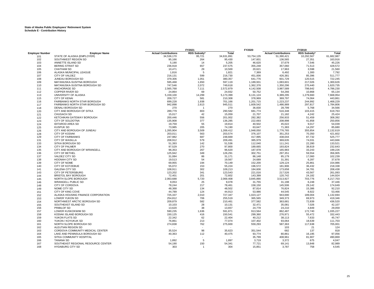|                        |                                     | FY2021                      |                    | FY2020     | FY2019            |                             |                    |                |
|------------------------|-------------------------------------|-----------------------------|--------------------|------------|-------------------|-----------------------------|--------------------|----------------|
| <b>Employer Number</b> | <b>Employer Name</b>                | <b>Actual Contributions</b> | <b>RDS Subsidy</b> | Total      |                   | <b>Actual Contributions</b> | <b>RDS Subsidy</b> | Total          |
| 101                    | STATE OF ALASKA (EMPLOYER)          | 34.536.170                  | 95,721             | 34.631.891 | 53,754,135        | 51,390,421                  | 10,292,567         | 61,682,987     |
| 102                    | SOUTHWEST REGION SD                 | 95,166                      | 264                | 95,430     | 147,601           | 136,565                     | 27,351             | 163,916        |
| 103                    | ANNETTE ISLAND SD                   | 5,190                       | 14                 | 5,205      | 46,620            | 37,679                      | 7,546              | 45,226         |
| 104                    | <b>BERING STRAIT SD</b>             | 236,918                     | 657                | 237,575    | 355,248           | 357,060                     | 71,513             | 428,572        |
| 105                    | <b>CHATHAM SD</b>                   | 10,471                      | 29                 | 10,500     | 20,621            | 17,963                      | 3,598              | 21,560         |
| 106                    | ALASKA MUNICIPAL LEAGUE             | 1,816                       | 5                  | 1,821      | 7,369             | 6,492                       | 1,300              | 7,792          |
| 107                    | <b>CITY OF VALDEZ</b>               | 216,131                     | 599                | 216,730    | 451,006           | 426,381                     | 85,396             | 511,777        |
| 108                    | JUNEAU BOROUGH SD                   | 379,306                     | 1,051              | 380.357    | 641,776           | 601,729                     | 120,515            | 722,245        |
| 109                    | MATANUSKA-SUSITNA BOROUGH           | 595,468                     | 1,650              | 597,119    | 1,189,931         | 1,083,601                   | 217,026            | 1,300,626      |
| 110                    | MATANUSKA-SUSITNA BOROUGH SD        | 747,546                     | 2,072              | 749,618    | 1,362,376         | 1,350,296                   | 270,440            | 1,620,735      |
| 111                    | ANCHORAGE SD                        | 2,565,768                   | 7,111              | 2,572,879  | 4,142,508         | 3,987,589                   | 798,642            | 4,786,230      |
| 112                    | <b>COPPER RIVER SD</b>              | 24,864                      | 69                 | 24,932     | 50,752            | 54,266                      | 10,868             | 65,134         |
| 113                    | UNIVERSITY OF ALASKA                | 5,159,100                   | 14,299             | 5,173,399  | 6,131,124         | 6,389,295                   | 1,279,660          | 7,668,954      |
| 115                    | <b>CITY OF KENAI</b>                | 209,727                     | 581                | 210,308    | 378,969           | 369,797                     | 74,064             | 443,861        |
| 116                    | <b>FAIRBANKS NORTH STAR BOROUGH</b> | 699.228                     | 1,938              | 701.166    | 1,201,715         | 1,223,237                   | 244,992            | 1,468,229      |
| 117                    | FAIRBANKS NORTH STAR BOROUGH SD     | 942,898                     | 2,613              | 945,511    | 1,609,542         | 1,486,989                   | 297,817            | 1,784,806      |
| 118                    | <b>DENALI BOROUGH SD</b>            | 270                         | -1                 | 270        | 36,830            | 28,799                      | 5,768              | 34,566         |
| 120                    | CITY AND BOROUGH OF SITKA           | 289,779                     | 803                | 290,582    | 681,774           | 516,348                     | 103,415            | 619,763        |
| 121                    | <b>CHUGACH SD</b>                   | 15,017                      | 42                 | 15,059     | 21,707            | 21,182                      | 4,242              | 25,424         |
| 122                    | KETCHIKAN GATEWAY BOROUGH           | 200,446                     | 556                | 201,002    | 282,382           | 256,933                     | 51,459             | 308,392        |
| 123                    | CITY OF SOLDOTNA                    | 135,908                     | 377                | 136,285    | 222,693           | 208,998                     | 41,858             | 250,856        |
| 124                    | <b>IDITAROD AREA SD</b>             | 19,759                      | 55                 | 19,814     | 40,502            | 45,022                      | 9,017              | 54,039         |
| 125                    | <b>KUSPUK SD</b>                    | 73,985                      | 205                | 74,190     | 63,647            | 71,383                      | 14,297             | 85,680         |
| 126                    | CITY AND BOROUGH OF JUNEAU          | 1,265,904                   | 3,509              | 1,269,412  | 1,948,050         | 1,776,765                   | 355,854            | 2,132,619      |
| 128                    | <b>CITY OF KODIAK</b>               | 203,011                     | 563                | 203,574    | 376,107           | 351,253                     | 70,350             | 421,602        |
| 129                    | <b>CITY OF FAIRBANKS</b>            | 247,982                     | 687                | 248,669    | 417,995           | 438,044                     | 87,732             | 525,777        |
| 131                    | <b>CITY OF WASILLA</b>              | 208,912                     | 579                | 209,491    | 385,979           | 369,635                     | 74,031             | 443,666        |
| 133                    | <b>SITKA BOROUGH SD</b>             | 51,393                      | 142                | 51,536     | 112,040           | 111,241                     | 22,280             | 133,521        |
| 134                    | CITY OF PALMER                      | 97,529                      | 270                | 97,800     | 189,665           | 193,824                     | 38,819             | 232,643        |
| 135                    | CITY AND BOROUGH OF WRANGELL        | 96,353                      | 267                | 96,620     | 187,978           | 165,983                     | 33,243             | 199,226        |
| 136                    | <b>CITY OF BETHEL</b>               | 125,942                     | 349                | 126,291    | 302,751           | 297,351                     | 59,554             | 356,905        |
| 137                    | <b>VALDEZ CITY SD</b>               | 31,084                      | 86                 | 31,171     | 86,148            | 85,179                      | 17,060             | 102,239        |
| 138                    | <b>HOONAH CITY SD</b>               | 19,513                      | 54                 | 19,567     | 24,689            | 31,391                      | 6,287              | 37,678         |
| 139                    | CITY OF NOME                        | 69,955                      | 194                | 70,149     | 152,200           | 129,124                     | 25,861             | 154,986        |
| 140                    | <b>CITY OF KOTZEBUE</b>             | 55,072                      | 153                | 55,224     | 196,572           | 181,906                     | 36,432             | 218,338        |
| 141                    | <b>GALENA CITY SD</b>               | 108,911                     | 302                | 109,213    | 184,606           | 173,658                     | 34,781             | 208,438        |
| 143                    | CITY OF PETERSBURG                  | 123,202                     | 341                | 123,543    | 221,016           | 217,526                     | 43,567             | 261,093        |
| 144                    | <b>BRISTOL BAY BOROUGH</b>          | 72,401                      | 201                | 72,602     | 143,399           | 120,742                     | 24,182             | 144,924        |
| 145                    | NORTH SLOPE BOROUGH                 | 2,063,688                   | 5,720              | 2,069,408  | 3,845,890         | 3,513,927                   | 703,776            | 4,217,703      |
| 146                    | <b>WRANGELL PUBLIC SD</b>           | 9,053                       | 25                 | 9,078      | 31,755            | 31,198                      | 6,248              | 37,446         |
| 148                    | CITY OF CORDOVA                     | 78,244                      | 217                | 78,461     | 158,150           | 145,506                     | 29,142             | 174,649        |
| 149                    | NOME CITY SD                        | 48,368                      | 134                | 48,502     | 87,814            | 76,824                      | 15,386             | 92,210         |
| 151                    | CITY OF KING COVE                   | 44,789                      | 124                | 44,913     | 53,986            | 44,545                      | 8,922              | 53,466         |
| 152                    | ALASKA HOUSING FINANCE CORPORATION  | 725,337                     | 2,010              | 727,347    | 1,023,127         | 943,690                     | 189,004            | 1,132,694      |
| 153                    | LOWER YUKON SD                      | 254,812                     | 706                | 255,519    | 365,565           | 349,373                     | 69,973             | 419,346        |
| 154                    | NORTHWEST ARCTIC BOROUGH SD         | 209,879                     | 582                | 210,461    | 377,582           | 363,681                     | 72,839             | 436,520        |
| 155                    | SOUTHEAST ISLAND SD                 | 10,103                      | 28                 | 10,131     | 32,471            | 35,081                      | 7,026              | 42,107         |
| 156                    | PRIBILOF SD                         | 13,620                      | 38                 | 13,657     | 24,778            | 24,210                      | 4,849              | 29,059         |
| 157                    | LOWER KUSKOKWIM SD                  | 590,235                     | 1,636              | 591,871    | 913,564           | 862,487                     | 172,740            | 1,035,227      |
| 158                    | KODIAK ISLAND BOROUGH SD            | 150,125                     | 416                | 150,541    | 299,360           | 276,971                     | 55,472             | 332,443        |
|                        | YUKON FLATS SD                      |                             | 62                 | 22,404     |                   | 38,113                      | 7,633              | 45,747         |
| 159<br>160             | YUKON / KOYUKUK SD                  | 22,342<br>76,861            | 213                | 77,074     | 40,212<br>107,402 | 93,064                      | 18,639             | 111,703        |
|                        |                                     |                             |                    |            |                   |                             |                    |                |
| 161                    | NORTH SLOPE BOROUGH SD              | 274,838                     | 762                | 275,600    | 559,293           | 587,363                     | 117,638            | 705,001<br>124 |
| 162                    | ALEUTIAN REGION SD                  |                             |                    |            |                   | 103                         | 21                 |                |
| 163                    | CORDOVA COMMUNITY MEDICAL CENTER    | 35,524                      | 98                 | 35,623     | 351,544           | 682                         | 137                | 818            |
| 164                    | LAKE AND PENINSULA BOROUGH SD       | 40,363                      | 112                | 40,475     | 93,774            | 80,861                      | 16,195             | 97,056         |
| 165                    | SITKA COMMUNITY HOSPITAL            |                             |                    |            | 35,799            | 408,961                     | 81,907             | 490,869        |
| 166                    | <b>TANANA SD</b>                    | 1.892                       | 5                  | 1,897      | 3,719             | 3,372                       | 675                | 4,047          |
| 167                    | SOUTHEAST REGIONAL RESOURCE CENTER  | 54,190                      | 150                | 54,341     | 77,721            | 69,141                      | 13,848             | 82,989         |
| 168                    | <b>HYDABURG CITY SD</b>             | 303                         |                    | 304        | 15,851            | 3,787                       | 758                | 4,545          |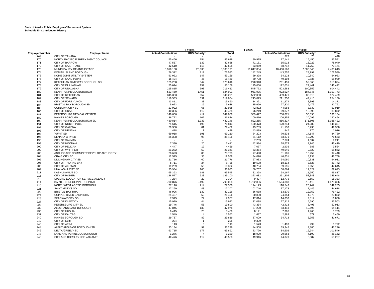|                        |                                       | FY2021                      |                | FY2020    | FY2019     |                             |              |                   |
|------------------------|---------------------------------------|-----------------------------|----------------|-----------|------------|-----------------------------|--------------|-------------------|
| <b>Employer Number</b> | <b>Employer Name</b>                  | <b>Actual Contributions</b> | RDS Subsidy*   | Total     |            | <b>Actual Contributions</b> | RDS Subsidy* | Total             |
| 169                    | <b>CITY OF TANANA</b>                 |                             |                |           |            | 373                         | 75           | 448               |
| 170                    | NORTH PACIFIC FISHERY MGMT COUNCIL    | 55,466                      | 154            | 55,619    | 80,925     | 77,141                      | 15,450       | 92,591            |
| 171                    | <b>CITY OF BARROW</b>                 | 47.557                      | 132            | 47.688    | 71,181     | 65,018                      | 13,022       | 78,040            |
| 172                    | <b>CITY OF SAINT PAUL</b>             | 42,510                      | 118            | 42,628    | 73,069     | 58,712                      | 11,759       | 70,471            |
| 173                    | MUNICIPALITY OF ANCHORAGE             | 8,310,138                   | 23,033         | 8,333,171 | 11,017,884 | 10,400,568                  | 2,083,045    | 12,483,613        |
| 174                    | KODIAK ISLAND BOROUGH                 | 76,372                      | 212            | 76,583    | 142,245    | 143,757                     | 28,792       | 172,549           |
| 175                    | NOME JOINT UTILITY SYSTEM             | 53,022                      | 147            | 53,169    | 59,398     | 54,123                      | 10,840       | 64,963            |
| 176                    | CITY OF SAND POINT                    | 16,424                      | 46             | 16,469    | 50,708     | 49,104                      | 9,835        | 58,939            |
| 177                    | KETCHIKAN GATEWAY BOROUGH SD          | 125,268                     | 347            | 125,616   | 270,948    | 261,459                     | 52,365       | 313,824           |
| 178                    | <b>CITY OF DILLINGHAM</b>             | 55,014                      | 152            | 55,166    | 125,050    | 122,031                     | 24,441       | 146,472           |
| 179                    | CITY OF UNALASKA                      | 215,815                     | 598            | 216,413   | 545,772    | 503,583                     | 100,859      | 604,442           |
| 180                    | KENAI PENINSULA BOROUGH               | 523,450                     | 1,451          | 524,901   | 961,935    | 922,927                     | 184,846      | 1,107,773         |
| 181                    | <b>CITY OF KETCHIKAN</b>              | 345,333                     | 957            | 346,291   | 532,000    | 439,471                     | 88,018       | 527,489           |
| 182                    | <b>CITY OF SEWARD</b>                 | 119,533                     | 331            | 119,864   | 213,075    | 211,750                     | 42,410       | 254,160           |
| 183                    | CITY OF FORT YUKON                    | 13,811                      | 38             | 13,850    | 14,321     | 11,974                      | 2,398        | 14,372            |
| 184                    | <b>BRISTOL BAY BOROUGH SD</b>         | 5,623                       | 16             | 5,638     | 15,666     | 27,320                      | 5,472        | 32,792            |
| 185                    | <b>CORDOVA CITY SD</b>                | 23,922                      | 66             | 23,988    | 42,832     | 44,088                      | 8,830        | 52,919            |
| 186                    | <b>CITY OF CRAIG</b>                  | 40,366                      | 112            | 40,478    | 76,219     | 69,877                      | 13,995       | 83,872            |
| 187                    | PETERSBURG MEDICAL CENTER             | 148,656                     | 412            | 149,068   | 339,477    | 280,071                     | 56,093       | 336,164           |
| 189                    | <b>HAINES BOROUGH</b>                 | 36,722                      | 102            | 36,824    | 100,416    | 100,355                     | 20,099       | 120,454           |
| 190                    | KENAI PENINSULA BOROUGH SD            | 480,814                     | 1,333          | 482,146   | 822,255    | 856,817                     | 171,605      | 1,028,422         |
| 191                    | CITY OF NORTH POLE                    | 71,615                      | 198            | 71,813    | 130,473    | 120,244                     | 24,083       | 144,327           |
| 192                    | <b>CITY OF GALENA</b>                 | 29,380                      | 81             | 29,462    | 43,289     | 41,130                      | 8,238        | 49,368            |
| 193                    | <b>CITY OF NENANA</b>                 | 478                         | $\overline{1}$ | 479       | 43,889     | 847                         | 170          | 1,016             |
| 195                    | <b>YUPIIT SD</b>                      | 69,018                      | 191            | 69,210    | 84,203     | 70,633                      | 14,147       | 84,780            |
| 196                    | <b>NENANA CITY SD</b>                 | 35,308                      | 98             | 35,406    | 71,112     | 63,871                      | 12,792       | 76,663            |
| 198                    | <b>CITY OF SAXMAN</b>                 | $\sim$                      |                |           | 7,239      | 7,674                       | 1,537        | 9,211             |
| 199                    | <b>CITY OF HOONAH</b>                 | 7,390                       | 20             | 7,411     | 42,984     | 38,673                      | 7,746        | 46,419            |
| 200                    | <b>CITY OF PELICAN</b>                | 4,447                       | 12             | 4,459     | 7,077      | 2,936                       | 588          | 3,524             |
| 202                    | <b>CITY OF WHITTIER</b>               | 21,282                      | 59             | 21,341    | 63,364     | 49,040                      | 9,822        | 58,862            |
| 203                    | ANCHORAGE COMMUNITY DEVELOP AUTHORITY | 28,693                      | 80             | 28,773    | 77,498     | 81,181                      | 16,259       | 97,440            |
| 204                    | <b>CRAIG CITY SD</b>                  | 12,525                      | 35             | 12,559    | 34,020     | 40,631                      | 8,138        | 48,768            |
| 205                    | DILLINGHAM CITY SD                    | 21,716                      | 60             | 21,776    | 57,933     | 54,080                      | 10,831       | 64,911            |
| 206                    | <b>CITY OF THORNE BAY</b>             | 8,711                       | 24             | 8,735     | 19,508     | 18,114                      | 3,628        | 21,742            |
| 208                    | <b>CITY OF AKUTAN</b>                 | 19,269                      | 53             | 19,322    | 40,734     | 39,695                      | 7,950        | 47,645            |
| 209                    | <b>UNALASKA CITY SD</b>               | 35,934                      | 100            | 36,033    | 50,767     | 58,064                      | 11,629       | 69,693            |
|                        |                                       | 65,363                      | 181            |           |            | 58,167                      | 11,650       |                   |
| 211                    | <b>KASHUNAMIUT SD</b>                 |                             | 523            | 65,545    | 82,368     | 291,305                     |              | 69,817<br>349,648 |
| 215                    | CITY OF HOMER                         | 188,577                     |                | 189,100   | 323,632    |                             | 58,343       |                   |
| 218                    | SPECIAL EDUCATION SERVICE AGENCY      | 7,284                       | 20             | 7,304     | 9,407      | 12,775                      | 2,559        | 15,333            |
| 219                    | BARTLETT REGIONAL HOSPITAL            | 790,876                     | 2,192          | 793,068   | 1,732,806  | 1,564,888                   | 313,419      | 1,878,306         |
| 220                    | NORTHWEST ARCTIC BOROUGH              | 77,116                      | 214            | 77,330    | 124,123    | 118,543                     | 23,742       | 142,285           |
| 221                    | SAINT MARY'S SD                       | 17,259                      | 48             | 17.307    | 102,740    | 37,173                      | 7,445        | 44,618            |
| 223                    | <b>BRISTOL BAY RHA</b>                | 46,996                      | 130            | 47,126    | 66,088     | 63,670                      | 12,752       | 76,422            |
| 224                    | COPPER RIVER BASIN RHA                | 21,437                      | 59             | 21,496    | 30,830     | 24,854                      | 4,978        | 29,832            |
| 225                    | <b>SKAGWAY CITY SD</b>                | 7,945                       | 22             | 7,967     | 17,814     | 14,038                      | 2,812        | 16,850            |
| 227                    | <b>CITY OF KLAWOCK</b>                | 15,929                      | 44             | 15,973    | 32,088     | 27,912                      | 5,590        | 33,503            |
| 228                    | PETERSBURG CITY SD                    | 19,746                      | 55             | 19,800    | 43,334     | 42,418                      | 8,495        | 50,913            |
| 230                    | ALEUTIANS EAST BOROUGH                | 47,845                      | 133            | 47,978    | 57,220     | 53,413                      | 10,698       | 64,111            |
| 235                    | <b>CITY OF HUSLIA</b>                 | 8,415                       | 23             | 8,438     | 8,141      | 7,306                       | 1,463        | 8,769             |
| 237                    | <b>CITY OF KALTAG</b>                 | 1,549                       | $\overline{4}$ | 1,553     | 1,687      | 2,883                       | 577          | 3,460             |
| 240                    | HAINES BOROUGH SD                     | 29,737                      | 82             | 29,819    | 37,009     | 34,718                      | 6,953        | 41,671            |
| 242                    | <b>CITY OF ELIM</b>                   | 224                         | $\overline{1}$ | 225       | 9,399      |                             |              |                   |
| 243                    | <b>CITY OF ATKA</b>                   | 113                         | $\mathbf 0$    | 113       | 1,573      | 1,493                       | 299          | 1,792             |
| 244                    | ALEUTIANS EAST BOROUGH SD             | 33,134                      | 92             | 33,226    | 44,908     | 39,345                      | 7,880        | 47,226            |
| 246                    | <b>DELTA/GREELY SD</b>                | 63,715                      | 177            | 63,892    | 83,720     | 84,602                      | 16,944       | 101,546           |
| 247                    | LAKE AND PENINSULA BOROUGH            | 1,276                       | $\overline{A}$ | 1,280     | 18,920     | 20,963                      | 4,199        | 25,162            |
| 248                    | CITY AND BOROUGH OF YAKUTAT           | 40,476                      | 112            | 40,588    | 49,946     | 44,370                      | 8,887        | 53,257            |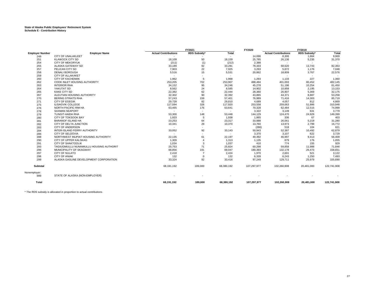|                        |                                          | FY2021                      |                          | FY2020     |             | <b>FY2019</b>               |              |             |
|------------------------|------------------------------------------|-----------------------------|--------------------------|------------|-------------|-----------------------------|--------------|-------------|
| <b>Employer Number</b> | <b>Employer Name</b>                     | <b>Actual Contributions</b> | RDS Subsidy*             | Total      |             | <b>Actual Contributions</b> | RDS Subsidy* | Total       |
| 249                    | CITY OF UNALAKLEET                       |                             |                          |            | 14.696      | 8,306                       | 1,664        | 9,969       |
| 251                    | <b>KLAWOCK CITY SD</b>                   | 18,109                      | 50                       | 18,159     | 25,785      | 26,136                      | 5,235        | 31,370      |
| 254                    | CITY OF MEKORYUK                         | (211)                       | (1)                      | (212)      | 2,388       |                             |              |             |
| 255                    | ALASKA GATEWAY SD                        | 33,189                      | 92                       | 33,281     | 78,333      | 68,620                      | 13,743       | 82,363      |
| 257                    | PELICAN CITY SD                          | 7,903                       | 22                       | 7,925      | 3,293       | 5,872                       | 1,176        | 7,048       |
| 258                    | <b>DENALI BOROUGH</b>                    | 5,516                       | 15                       | 5,531      | 20,862      | 18,809                      | 3,767        | 22,576      |
| 259                    | <b>CITY OF ALLAKAKET</b>                 | $\overline{\phantom{a}}$    | $\sim$                   |            |             |                             |              |             |
| 260                    | <b>CITY OF KACHEMAK</b>                  | 1.962                       | 5                        | 1,968      | 1.293       | 1.133                       | 227          | 1,360       |
| 262                    | COOK INLET HOUSING AUTHORITY             | 253,205                     | 702                      | 253,907    | 488,484     | 401,693                     | 80,452       | 482,145     |
| 263                    | <b>INTERIOR RHA</b>                      | 34,152                      | 95                       | 34,246     | 45,278      | 51,196                      | 10,254       | 61,450      |
| 264                    | YAKUTAT SD                               | 8,562                       | 24                       | 8,585      | 14,902      | 10,958                      | 2,195        | 13,153      |
| 265                    | <b>KAKE CITY SD</b>                      | 22,382                      | 62                       | 22,444     | 28,360      | 26,807                      | 5,369        | 32,175      |
| 267                    | ALEUTIAN HOUSING AUTHORITY               | 32,302                      | 90                       | 32,392     | 43,865      | 44,371                      | 8,887        | 53,258      |
| 270                    | <b>BERING STRAITS RHA</b>                | 57,243                      | 159                      | 57,401     | 76,989      | 71,416                      | 14,303       | 85,719      |
| 271                    | <b>CITY OF EGEGIK</b>                    | 29,728                      | 82                       | 29,810     | 4,689       | 4,057                       | 812          | 4,869       |
| 275                    | <b>ILISAGVIK COLLEGE</b>                 | 117.594                     | 326                      | 117,920    | 253,558     | 259,063                     | 51,886       | 310,948     |
| 276                    | NORTH PACIFIC RIM HA                     | 63,465                      | 176                      | 63,641     | 70,328      | 62,484                      | 12,515       | 74,999      |
| 278                    | <b>SAXMAN SEAPORT</b>                    | $\overline{\phantom{a}}$    | $\overline{\phantom{a}}$ |            | 3,322       | 3,149                       | 631          | 3,779       |
| 279                    | <b>TLINGIT-HAIDA RHA</b>                 | 53,300                      | 148                      | 53.448     | 144,129     | 124,470                     | 24,929       | 149,399     |
| 280                    | <b>CITY OF TOKSOOK BAY</b>               | 1,933                       | 5                        | 1,938      | 1,865       | 336                         | 67           | 403         |
| 281                    | <b>BARANOF ISLAND HA</b>                 | 23,253                      | 64                       | 23,317     | 33,888      | 26,061                      | 5,219        | 31,280      |
| 282                    | CITY OF DELTA JUNCTION                   | 10,341                      | 29                       | 10,370     | 13,760      | 13,973                      | 2,799        | 16,772      |
| 283                    | CITY OF ANDERSON                         | $\overline{\phantom{a}}$    | ٠                        |            | (286)       | 518                         | 104          | 621         |
| 284                    | INTER-ISLAND FERRY AUTHORITY             | 33,052                      | 92                       | 33,143     | 50,943      | 52,387                      | 10,492       | 62,879      |
| 286                    | <b>CITY OF SELDOVIA</b>                  | $\overline{\phantom{a}}$    | $\sim$                   |            | 3,370       | 3,107                       | 622          | 3,729       |
| 288                    | NORTHWEST INUPIAT HOUSING AUTHORITY      | 22,135                      | 61                       | 22,197     | 49,492      | 46,997                      | 9,413        | 56,409      |
| 290                    | CITY OF UPPER KALSKAG                    | 1,309                       | $\overline{4}$           | 1,313      | 1,135       | 879                         | 176          | 1,055       |
| 291                    | <b>CITY OF SHAKTOOLIK</b>                | 1,034                       | 3                        | 1,037      | 410         | 774                         | 155          | 929         |
| 293                    | TAGIUGMIULLU NUNAMIULLU HOUSING AUTHORIT | 25,753                      | 71                       | 25,824     | 60,298      | 59,858                      | 11,988       | 71,846      |
| 296                    | MUNICIPALITY OF SKAGWAY                  | 68,856                      | 191                      | 69,047     | 180,393     | 132,178                     | 26,473       | 158,651     |
| 297                    | <b>CITY OF NULATO</b>                    | 2,418                       | $\overline{7}$           | 2,424      | 1,970       | 2,601                       | 521          | 3,122       |
| 298                    | CITY OF ANIAK                            | 132                         | $\Omega$                 | 132        | 6,339       | 6,243                       | 1,250        | 7,493       |
| 299                    | ALASKA GASLINE DEVELOPMENT CORPORATION   | 33,324                      | 92                       | 33,416     | 97,249      | 129,711                     | 25,979       | 155,690     |
| Subtotal               |                                          | 68,191,192                  | 189,000                  | 68,380,192 | 107,297,977 | 102,260,908                 | 20,481,000   | 122,741,908 |
| Nonemployer:<br>999    | STATE OF ALASKA (NON-EMPLOYER)           |                             |                          |            |             |                             |              |             |
| Total                  |                                          | 68,191,192                  | 189,000                  | 68,380,192 | 107,297,977 | 102,260,908                 | 20,481,000   | 122,741,908 |

\* The RDS subsidy is allocated in proportion to actual contributions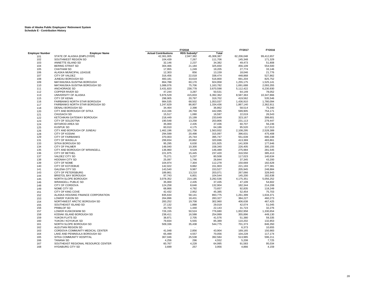|                        |                                    |                             | FY2018       |              |            | FY2016     |
|------------------------|------------------------------------|-----------------------------|--------------|--------------|------------|------------|
| <b>Employer Number</b> | <b>Employer Name</b>               | <b>Actual Contributions</b> | RDS Subsidy* | <b>Total</b> |            |            |
| 101                    | STATE OF ALASKA (EMPLOYER)         | 42,361,005                  | 2,947,382    | 45,308,387   | 62,206,048 | 99,412,657 |
| 102                    | SOUTHWEST REGION SD                | 104,439                     | 7,267        | 111,706      | 145,348    | 171,329    |
| 103                    | ANNETTE ISLAND SD                  | 32,146                      | 2,237        | 34,382       | 49,473     | 51,808     |
| 104                    | <b>BERING STRAIT SD</b>            | 304,466                     | 21,184       | 325,650      | 456,109    | 554,500    |
| 105                    | <b>CHATHAM SD</b>                  | 17,955                      | 1,249        | 19,205       | 27,774     | 33,146     |
| 106                    | ALASKA MUNICIPAL LEAGUE            | 12,303                      | 856          | 13,159       | 18,046     | 21,776     |
| 107                    | CITY OF VALDEZ                     | 316,456                     | 22,018       | 338,474      | 448,868    | 527,862    |
| 108                    | JUNEAU BOROUGH SD                  | 483,181                     | 33,619       | 516,800      | 691,204    | 825,752    |
| 109                    | MATANUSKA-SUSITNA BOROUGH          | 864,788                     | 60,170       | 924,958      | 1,255,175  | 1,525,141  |
| 110                    | MATANUSKA-SUSITNA BOROUGH SD       | 1,088,076                   | 75,706       | 1,163,782    | 1,691,688  | 2,093,355  |
| 111                    | ANCHORAGE SD                       | 3,431,820                   | 238,778      | 3,670,598    | 5,112,422  | 6,230,930  |
| 112                    | <b>COPPER RIVER SD</b>             | 47,244                      | 3,287        | 50,531       | 64,149     | 78,052     |
| 113                    | UNIVERSITY OF ALASKA               | 5,976,529                   | 415,833      | 6,392,362    | 8,587,363  | 10,347,866 |
| 115                    | <b>CITY OF KENAI</b>               | 298,905                     | 20,797       | 319,702      | 419,562    | 535,546    |
| 116                    | FAIRBANKS NORTH STAR BOROUGH       | 984,535                     | 68,502       | 1,053,037    | 1,436,910  | 1,780,094  |
|                        | FAIRBANKS NORTH STAR BOROUGH SD    | 1,247,629                   | 86,807       | 1,334,436    | 1,867,140  | 2,362,911  |
| 117                    | DENALI BOROUGH SD                  | 34,464                      | 2,398        | 36,862       | 58,514     | 75,340     |
| 118                    |                                    |                             |              |              |            |            |
| 120                    | CITY AND BOROUGH OF SITKA          | 413,336                     | 28,759       | 442,095      | 599,905    | 754,171    |
| 121                    | <b>CHUGACH SD</b>                  | 15,517                      | 1,080        | 16,597       | 22,019     | 26,543     |
| 122                    | KETCHIKAN GATEWAY BOROUGH          | 218,449                     | 15,199       | 233,649      | 323,167    | 399,601    |
| 123                    | CITY OF SOLDOTNA                   | 190,548                     | 13,258       | 203,806      | 231,113    | 279,447    |
| 124                    | <b>IDITAROD AREA SD</b>            | 35,000                      | 2,435        | 37,436       | 60,707     | 56,236     |
| 125                    | <b>KUSPUK SD</b>                   | 60,010                      | 4,175        | 64,186       | 95,520     | 117,013    |
| 126                    | CITY AND BOROUGH OF JUNEAU         | 1,462,196                   | 101,736      | 1,563,932    | 2,108,295  | 2,528,389  |
| 128                    | <b>CITY OF KODIAK</b>              | 294,599                     | 20,498       | 315,097      | 396,631    | 475,408    |
| 129                    | <b>CITY OF FAIRBANKS</b>           | 370,003                     | 25,744       | 395,747      | 551,639    | 690,338    |
| 131                    | <b>CITY OF WASILLA</b>             | 299,834                     | 20,862       | 320.696      | 413,369    | 483,861    |
| 133                    | <b>SITKA BOROUGH SD</b>            | 95,295                      | 6,630        | 101,925      | 141,939    | 177,646    |
| 134                    | <b>CITY OF PALMER</b>              | 148,040                     | 10,300       | 158,340      | 226,405    | 300,155    |
| 135                    | CITY AND BOROUGH OF WRANGELL       | 136,960                     | 9,529        | 146,489      | 275,984    | 281,545    |
| 136                    | CITY OF BETHEL                     | 221,975                     | 15,445       | 237,420      | 316,550    | 385,413    |
| 137                    | VALDEZ CITY SD                     | 75,271                      | 5,237        | 80,508       | 117,023    | 140,634    |
| 138                    | <b>HOONAH CITY SD</b>              | 25,097                      | 1,746        | 26,844       | 37,345     | 43,200     |
| 139                    | CITY OF NOME                       | 104,974                     | 7,304        | 112,278      | 150,669    | 182,628    |
| 140                    | <b>CITY OF KOTZEBUE</b>            | 142.022                     | 9.882        | 151,903      | 221.193    | 277.381    |
| 141                    | <b>GALENA CITY SD</b>              | 143,540                     | 9,987        | 153,527      | 205,945    | 248,884    |
| 143                    | <b>CITY OF PETERSBURG</b>          | 189,861                     | 13,210       | 203,071      | 267,066    | 328,943    |
| 144                    | <b>BRISTOL BAY BOROUGH</b>         | 97,743                      | 6,801        | 104,544      | 145,200    | 182,638    |
| 145                    | NORTH SLOPE BOROUGH                | 3,078,352                   | 214,185      | 3,292,536    | 4,175,351  | 5,056,252  |
| 146                    | <b>WRANGELL PUBLIC SD</b>          | 35,000                      | 2,435        | 37,435       | 47,109     | 54,602     |
| 148                    | CITY OF CORDOVA                    | 124,258                     | 8,646        | 132,904      | 182,344    | 214,208    |
| 149                    | NOME CITY SD                       | 68,866                      | 4,792        | 73,657       | 92,835     | 118,249    |
| 151                    | CITY OF KING COVE                  | 42,432                      | 2,952        | 45,385       | 52,454     | 75,703     |
| 152                    | ALASKA HOUSING FINANCE CORPORATION | 835,634                     | 58,141       | 893,775      | 1,261,399  | 1,634,371  |
| 153                    | <b>LOWER YUKON SD</b>              | 264,896                     | 18,431       | 283,327      | 384,227    | 460,273    |
| 154                    | NORTHWEST ARCTIC BOROUGH SD        | 283,252                     | 19,708       | 302,960      | 406,638    | 467,425    |
| 155                    | SOUTHEAST ISLAND SD                | 27,132                      | 1,888        | 29,019       | 42,074     | 51,045     |
| 156                    | PRIBILOF SD                        | 20,703                      | 1,440        | 22,143       | 31,723     | 32,276     |
| 157                    | LOWER KUSKOKWIM SD                 | 726,155                     | 50,524       | 776,680      | 1,002,958  | 1,330,654  |
| 158                    | KODIAK ISLAND BOROUGH SD           | 238,411                     | 16,588       | 254,999      | 355,896    | 449,130    |
| 159                    | YUKON FLATS SD                     | 38,871                      | 2,705        | 41,576       | 51,380     | 59,335     |
| 160                    | YUKON / KOYUKUK SD                 | 79,834                      | 5,555        | 85,389       | 110,202    | 132,853    |
|                        | NORTH SLOPE BOROUGH SD             | 509,336                     | 35,438       |              | 701,373    | 846.350    |
| 161                    | ALEUTIAN REGION SD                 |                             |              | 544,775      |            |            |
| 162                    |                                    |                             |              |              | 6,373      | 10,655     |
| 163                    | CORDOVA COMMUNITY MEDICAL CENTER   | 41,048                      | 2,856        | 43,904       | 169,165    | 150,983    |
| 164                    | LAKE AND PENINSULA BOROUGH SD      | 65,499                      | 4,557        | 70,056       | 104,228    | 117,174    |
| 165                    | SITKA COMMUNITY HOSPITAL           | 367,046                     | 25,538       | 392,584      | 513,985    | 596,211    |
| 166                    | <b>TANANA SD</b>                   | 4,256                       | 296          | 4,552        | 5,208      | 7,725      |
| 167                    | SOUTHEAST REGIONAL RESOURCE CENTER | 60,767                      | 4,228        | 64,995       | 91,583     | 95,034     |
| 168                    | <b>HYDABURG CITY SD</b>            | 3,699                       | 257          | 3,956        | 4,866      | 4,159      |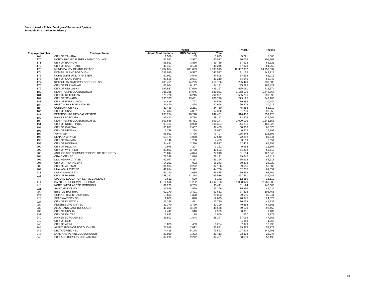|                        |                                                   |                             | FY2018       |           |                 | FY2016           |
|------------------------|---------------------------------------------------|-----------------------------|--------------|-----------|-----------------|------------------|
| <b>Employer Number</b> | <b>Employer Name</b>                              | <b>Actual Contributions</b> | RDS Subsidy* | Total     |                 |                  |
| 169                    | <b>CITY OF TANANA</b>                             | 1,566                       | 109          | 1,675     | 5,221           | 5,366            |
| 170                    | NORTH PACIFIC FISHERY MGMT COUNCIL                | 56,581                      | 3,937        | 60,517    | 90,038          | 104,261          |
| 171                    | <b>CITY OF BARROW</b>                             | 55,853                      | 3,886        | 59,739    | 67.522          | 68,323           |
| 172                    | <b>CITY OF SAINT PAUL</b>                         | 45,107                      | 3,138        | 48,245    | 57,828          | 81,260           |
| 173                    | MUNICIPALITY OF ANCHORAGE                         | 8,782,824                   | 611,089      | 9,393,913 | 12,307,987      | 14,957,637       |
| 174                    | KODIAK ISLAND BOROUGH                             | 137,930                     | 9,597        | 147,527   | 191,165         | 249,213          |
| 175                    | NOME JOINT UTILITY SYSTEM                         | 50,962                      | 3,546        | 54,508    | 64,568          | 63,912           |
| 176                    | CITY OF SAND POINT                                | 38,529                      | 2,681        | 41,210    | 54,046          | 66,843           |
| 177                    | KETCHIKAN GATEWAY BOROUGH SD                      | 205,461                     | 14,295       | 219,756   | 285,429         | 330,685          |
| 178                    | <b>CITY OF DILLINGHAM</b>                         | 88,064                      | 6,127        | 94,191    | 135,025         | 167,421          |
| 179                    | CITY OF UNALASKA                                  | 397,537                     | 27,660       | 425,197   | 565,081         | 712,874          |
| 180                    | KENAI PENINSULA BOROUGH                           | 785,385                     | 54,645       | 840,031   | 1,158,179       | 1,444,367        |
| 181                    | <b>CITY OF KETCHIKAN</b>                          | 376,776                     | 26,215       | 402,991   | 555,296         | 699,095          |
| 182                    | <b>CITY OF SEWARD</b>                             | 193,325                     | 13,451       | 206,776   | 279,195         | 343,706          |
| 183                    | CITY OF FORT YUKON                                | 24,819                      | 1,727        | 26,546    | 19,383          | 10,444           |
| 184                    | <b>BRISTOL BAY BOROUGH SD</b>                     | 21,470                      | 1,494        | 22,964    | 26,228          | 30,612           |
| 185                    | CORDOVA CITY SD                                   | 32,489                      | 2,261        | 34,750    | 45,858          | 53,819           |
| 186                    | <b>CITY OF CRAIG</b>                              | 58,313                      | 4,057        | 62,370    | 81,730          | 98,562           |
| 187                    | PETERSBURG MEDICAL CENTER                         | 233,234                     | 16,228       | 249,461   | 316,486         | 359,123          |
| 189                    | <b>HAINES BOROUGH</b>                             | 82,413                      | 5,734        | 88,147    | 113,825         | 125,505          |
| 190                    | KENAI PENINSULA BOROUGH SD                        | 653,666                     | 45,481       | 699,147   | 1,000,116       | 1,245,653        |
| 191                    | CITY OF NORTH POLE                                | 99,464                      | 6,920        | 106,384   | 144,236         | 169,222          |
| 192                    | <b>CITY OF GALENA</b>                             | 35,031                      | 2,437        | 37,469    | 50,908          | 65,323           |
| 193                    | <b>CITY OF NENANA</b>                             | 17,789                      | 1,238        | 19,027    | 6,602           | 16,792           |
| 195                    | <b>YUPIIT SD</b>                                  | 68,912                      | 4,795        | 73,707    | 135,344         | 126,592          |
| 196                    | NENANA CITY SD                                    | 58,471                      | 4,068        | 62,540    | 72,252          | 89,544           |
| 198                    | <b>CITY OF SAXMAN</b>                             | 4.146                       | 288          | 4,435     | 3.109           | 6,557            |
| 199                    | <b>CITY OF HOONAH</b>                             |                             |              | 36,827    |                 | 65,158           |
|                        | <b>CITY OF PELICAN</b>                            | 34,431                      | 2,396<br>207 | 3,182     | 52,403<br>9,964 | 11,507           |
| 200<br>202             | <b>CITY OF WHITTIER</b>                           | 2,975<br>38,803             | 2,700        | 41,503    | 54,308          | 63,618           |
| 203                    | ANCHORAGE COMMUNITY DEVELOP AUTHORITY             |                             |              |           |                 |                  |
| 204                    |                                                   | 70,044                      | 4,874        | 74,918    | 101,154         | 127,645          |
|                        | <b>CRAIG CITY SD</b><br><b>DILLINGHAM CITY SD</b> | 27,246                      | 1,896        | 29,141    | 39,642          | 48,819           |
| 205                    | CITY OF THORNE BAY                                | 62,047<br>14,252            | 4,317<br>992 | 66,364    | 75,913          | 82,518<br>24,929 |
| 206                    |                                                   |                             |              | 15,243    | 20,373          |                  |
| 208                    | <b>CITY OF AKUTAN</b>                             | 31,934                      | 2,222        | 34,156    | 69,515          | 56.682           |
| 209                    | UNALASKA CITY SD                                  | 41,854                      | 2,912        | 44,766    | 62,255          | 69,651           |
| 211                    | <b>KASHUNAMIUT SD</b>                             | 52,240                      | 3,635        | 55,875    | 79,559          | 97,704           |
| 215                    | <b>CITY OF HOMER</b>                              | 248,262                     | 17,274       | 265,536   | 357,551         | 431,642          |
| 218                    | SPECIAL EDUCATION SERVICE AGENCY                  | 7,612                       | 530          | 8,142     | 12,659          | 15,110           |
| 219                    | BARTLETT REGIONAL HOSPITAL                        | 1,311,516                   | 91,252       | 1,402,768 | 1,808,920       | 2,068,806        |
| 220                    | NORTHWEST ARCTIC BOROUGH                          | 89,233                      | 6,209        | 95,441    | 101,124         | 140,005          |
| 221                    | <b>SAINT MARY'S SD</b>                            | 21,846                      | 1,520        | 23,366    | 35,396          | 42,034           |
| 223                    | <b>BRISTOL BAY RHA</b>                            | 50,170                      | 3,491        | 53,661    | 77,898          | 108,465          |
| 224                    | <b>COPPER RIVER BASIN RHA</b>                     | 19,693                      | 1,370        | 21,063    | 29,686          | 36,341           |
| 225                    | <b>SKAGWAY CITY SD</b>                            | 11,867                      | 826          | 12,693    | 20,345          | 24,526           |
| 227                    | <b>CITY OF KLAWOCK</b>                            | 21,288                      | 1,481        | 22,770    | 36,069          | 44,232           |
| 228                    | PETERSBURG CITY SD                                | 39,370                      | 2,739        | 42,109    | 49,284          | 64,305           |
| 230                    | ALEUTIANS EAST BOROUGH                            | 45,399                      | 3,159        | 48,558    | 69,179          | 92,459           |
| 235                    | <b>CITY OF HUSLIA</b>                             | 7,447                       | 518          | 7,965     | 8,301           | 9,489            |
| 237                    | <b>CITY OF KALTAG</b>                             | 1,833                       | 128          | 1,960     | 1,537           | 2,272            |
| 240                    | HAINES BOROUGH SD                                 | 26,503                      | 1,844        | 28,347    | 37,065          | 47,666           |
| 242                    | <b>CITY OF ELIM</b>                               |                             |              |           | 1,288           | 1,868            |
| 243                    | <b>CITY OF ATKA</b>                               | 5,875                       | 409          | 6,284     | 7,979           | 12,995           |
| 244                    | ALEUTIANS EAST BOROUGH SD                         | 28,919                      | 2,012        | 30,931    | 39,923          | 57,274           |
| 246                    | DELTA/GREELY SD                                   | 74,416                      | 5,178        | 79,593    | 107,576         | 144,263          |
| 247                    | LAKE AND PENINSULA BOROUGH                        | 20,020                      | 1,393        | 21,413    | 23,328          | 25,947           |
| 248                    | CITY AND BOROUGH OF YAKUTAT                       | 32,219                      | 2,242        | 34,461    | 50,639          | 58,493           |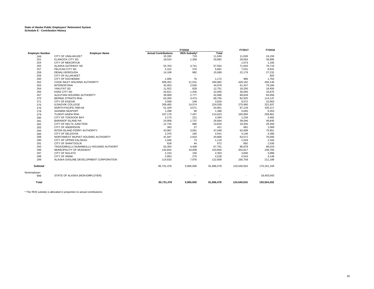|                        |                                          |                             | FY2018       |              | FY2017      | FY2016      |
|------------------------|------------------------------------------|-----------------------------|--------------|--------------|-------------|-------------|
| <b>Employer Number</b> | <b>Employer Name</b>                     | <b>Actual Contributions</b> | RDS Subsidy* | <b>Total</b> |             |             |
| 249                    | <b>CITY OF UNALAKLEET</b>                | 10,330                      | 719          | 11,049       | 11,026      | 16,159      |
| 251                    | <b>KLAWOCK CITY SD</b>                   | 19,524                      | 1,358        | 20,882       | 29,054      | 36,995      |
| 254                    | <b>CITY OF MEKORYUK</b>                  |                             | $\sim$       |              | 1,073       | 1,160       |
| 255                    | ALASKA GATEWAY SD                        | 53,763                      | 3,741        | 57,504       | 71,503      | 76,719      |
| 257                    | PELICAN CITY SD                          | 5,312                       | 370          | 5,681        | 7,531       | 8,931       |
| 258                    | <b>DENALI BOROUGH</b>                    | 14,108                      | 982          | 15,089       | 22,179      | 27,232      |
| 259                    | <b>CITY OF ALLAKAKET</b>                 | ٠                           | ÷.           | ٠            | ×.          | 603         |
| 260                    | <b>CITY OF KACHEMAK</b>                  | 1,095                       | 76           | 1,172        | 986         | 1,764       |
| 262                    | COOK INLET HOUSING AUTHORITY             | 309,452                     | 21,531       | 330,982      | 428,162     | 494,130     |
| 263                    | <b>INTERIOR RHA</b>                      | 42,053                      | 2,926        | 44,979       | 61,437      | 79,184      |
| 264                    | YAKUTAT SD                               | 11,922                      | 829          | 12,751       | 18.250      | 18,450      |
| 265                    | <b>KAKE CITY SD</b>                      | 20,621                      | 1,435        | 22,056       | 30,050      | 33,875      |
| 267                    | ALEUTIAN HOUSING AUTHORITY               | 39,909                      | 2,777        | 42,686       | 68,628      | 83,656      |
| 270                    | <b>BERING STRAITS RHA</b>                | 64,283                      | 4,473        | 68,756       | 82,925      | 114,137     |
| 271                    | <b>CITY OF EGEGIK</b>                    | 3,569                       | 248          | 3,818        | 8,572       | 10,063      |
| 275                    | <b>ILISAGVIK COLLEGE</b>                 | 209,465                     | 14,574       | 224,039      | 275,960     | 321,937     |
| 276                    | NORTH PACIFIC RIM HA                     | 51,329                      | 3,571        | 54,901       | 87,129      | 105,217     |
| 278                    | <b>SAXMAN SEAPORT</b>                    | 1,298                       | 90           | 1,388        | 5,045       | 6,353       |
| 279                    | <b>TLINGIT-HAIDA RHA</b>                 | 107,176                     | 7,457        | 114,633      | 165,000     | 209,961     |
| 280                    | CITY OF TOKSOOK BAY                      | 3,173                       | 221          | 3,394        | 1,234       | 2,482       |
| 281                    | <b>BARANOF ISLAND HA</b>                 | 24,958                      | 1,737        | 26,694       | 39.046      | 49,845      |
| 282                    | CITY OF DELTA JUNCTION                   | 12,734                      | 886          | 13,620       | 19,355      | 26,450      |
| 283                    | <b>CITY OF ANDERSON</b>                  | 393                         | 27           | 421          | 681         | 1,069       |
| 284                    | INTER-ISLAND FERRY AUTHORITY             | 43,987                      | 3,061        | 47,048       | 62,008      | 75,951      |
| 286                    | CITY OF SELDOVIA                         | 2,375                       | 165          | 2,541        | 4,148       | 4,390       |
| 288                    | NORTHWEST INUPIAT HOUSING AUTHORITY      | 41,947                      | 2,919        | 44,866       | 63,571      | 76,000      |
| 290                    | CITY OF UPPER KALSKAG                    | 1,046                       | 73           | 1,119        | 1,529       | 2,344       |
| 291                    | <b>CITY OF SHAKTOOLIK</b>                | 628                         | 44           | 672          | 892         | 1,035       |
| 293                    | TAGIUGMIULLU NUNAMIULLU HOUSING AUTHORIT | 63,354                      | 4,408        | 67,761       | 86,878      | 86,019      |
| 296                    | MUNICIPALITY OF SKAGWAY                  | 143,842                     | 10,008       | 153,850      | 202,817     | 248,784     |
| 297                    | <b>CITY OF NULATO</b>                    | 2,153                       | 150          | 2,303        | 3,600       | 3,989       |
| 298                    | <b>CITY OF ANIAK</b>                     | 3,953                       | 275          | 4,228        | 4.543       | 3,148       |
| 299                    | ALASKA GASLINE DEVELOPMENT CORPORATION   | 114,633                     | 7,976        | 122,609      | 165,759     | 211,189     |
| Subtotal               |                                          | 85,731,478                  | 5,965,000    | 91,696,478   | 124,540,910 | 175,161,159 |
| Nonemployer:           |                                          |                             |              |              |             |             |
| 999                    | STATE OF ALASKA (NON-EMPLOYER)           |                             |              |              |             | 18,403,043  |
| Total                  |                                          | 85,731,478                  | 5,965,000    | 91,696,478   | 124,540,910 | 193,564,202 |

\* The RDS subsidy is allocated in proportion to actual contributions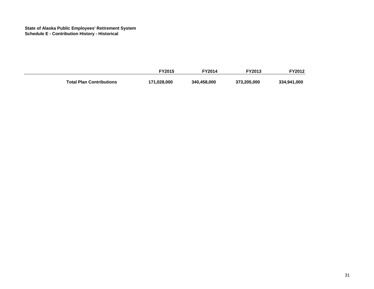|                                 | <b>FY2015</b> | <b>FY2014</b> | <b>FY2013</b> | FY2012      |
|---------------------------------|---------------|---------------|---------------|-------------|
| <b>Total Plan Contributions</b> | 171,028,000   | 340,458,000   | 373,205,000   | 334,941,000 |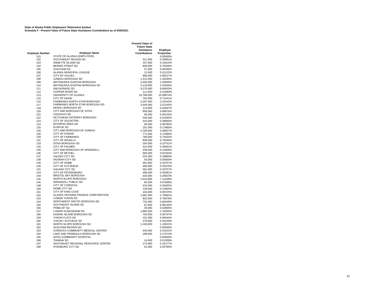**State of Alaska Public Employees' Retirement System Schedule F - Present Value of Future State Assistance Contributions as of 6/30/2021**

|                        |                                                           | <b>Present Value of</b><br><b>Future State</b><br>Assistance | <b>Employer</b>      |
|------------------------|-----------------------------------------------------------|--------------------------------------------------------------|----------------------|
| <b>Employer Number</b> | <b>Employer Name</b>                                      | <b>Contributions</b>                                         | Proportion           |
| 101                    | STATE OF ALASKA (EMPLOYER)                                |                                                              | 0.00000%             |
| 102                    | SOUTHWEST REGION SD                                       | 311,000                                                      | 0.29081%             |
| 103                    | ANNETTE ISLAND SD                                         | 167,000                                                      | 0.15616%             |
| 104                    | <b>BERING STRAIT SD</b>                                   | 809,000                                                      | 0.75649%             |
| 105                    | <b>CHATHAM SD</b>                                         | 57,000                                                       | 0.05330%             |
| 106                    | ALASKA MUNICIPAL LEAGUE                                   | 12,000                                                       | 0.01122%             |
| 107                    | <b>CITY OF VALDEZ</b>                                     | 968,000                                                      | 0.90517%             |
| 108                    | JUNEAU BOROUGH SD                                         | 1,412,000                                                    | 1.32035%             |
| 109                    | MATANUSKA-SUSITNA BOROUGH<br>MATANUSKA-SUSITNA BOROUGH SD | 2,455,000                                                    | 2.29566%             |
| 110<br>111             | <b>ANCHORAGE SD</b>                                       | 3,119,000<br>9,270,000                                       | 2.91656%<br>8.66833% |
| 112                    | <b>COPPER RIVER SD</b>                                    | 111,000                                                      | 0.10380%             |
| 113                    | UNIVERSITY OF ALASKA                                      | 10,789,000                                                   | 10.08874%            |
| 115                    | <b>CITY OF KENAI</b>                                      | 764,000                                                      | 0.71441%             |
| 116                    | <b>FAIRBANKS NORTH STAR BOROUGH</b>                       | 2,397,000                                                    | 2.24142%             |
| 117                    | FAIRBANKS NORTH STAR BOROUGH SD                           | 3,445,000                                                    | 3.22140%             |
| 118                    | DENALI BOROUGH SD                                         | 113,000                                                      | 0.10567%             |
| 120                    | CITY AND BOROUGH OF SITKA                                 | 959,000                                                      | 0.89676%             |
| 121                    | CHUGACH SD                                                | 55,000                                                       | 0.05143%             |
| 122                    | KETCHIKAN GATEWAY BOROUGH                                 | 546,000                                                      | 0.51056%             |
| 123                    | CITY OF SOLDOTNA                                          | 416,000                                                      | 0.38900%             |
| 124                    | <b>IDITAROD AREA SD</b>                                   | 94,000                                                       | 0.08790%             |
| 125                    | KUSPUK SD                                                 | 191,000                                                      | 0.17860%             |
| 126                    | CITY AND BOROUGH OF JUNEAU                                | 3,709,000                                                    | 3.46827%             |
| 128                    | <b>CITY OF KODIAK</b>                                     | 771,000                                                      | 0.72096%             |
| 129                    | <b>CITY OF FAIRBANKS</b>                                  | 796,000                                                      | 0.74434%             |
| 131                    | <b>CITY OF WASILLA</b>                                    | 809,000                                                      | 0.75649%             |
| 133                    | SITKA BOROUGH SD                                          | 254,000                                                      | 0.23751%             |
| 134                    | <b>CITY OF PALMER</b>                                     | 422,000                                                      | 0.39461%             |
| 135                    | CITY AND BOROUGH OF WRANGELL                              | 338,000                                                      | 0.31606%             |
| 136                    | <b>CITY OF BETHEL</b>                                     | 665,000                                                      | 0.62184%             |
| 137                    | VALDEZ CITY SD                                            | 202,000                                                      | 0.18889%             |
| 138                    | <b>HOONAH CITY SD</b>                                     | 54,000                                                       | 0.05050%             |
| 139                    | CITY OF NOME<br><b>CITY OF KOTZEBUE</b>                   | 361,000<br>466,000                                           | 0.33757%             |
| 140<br>141             | <b>GALENA CITY SD</b>                                     | 361,000                                                      | 0.43575%<br>0.33757% |
| 143                    | <b>CITY OF PETERSBURG</b>                                 | 496,000                                                      | 0.46381%             |
| 144                    | <b>BRISTOL BAY BOROUGH</b>                                | 320,000                                                      | 0.29923%             |
| 145                    | NORTH SLOPE BOROUGH                                       | 7,616,000                                                    | 7.12168%             |
| 146                    | <b>WRANGELL PUBLIC SD</b>                                 | 82,000                                                       | 0.07668%             |
| 148                    | <b>CITY OF CORDOVA</b>                                    | 315,000                                                      | 0.29455%             |
| 149                    | NOME CITY SD                                              | 138,000                                                      | 0.12904%             |
| 151                    | CITY OF KING COVE                                         | 104,000                                                      | 0.09725%             |
| 152                    | ALASKA HOUSING FINANCE CORPORATION                        | 1,881,000                                                    | 1.75891%             |
| 153                    | LOWER YUKON SD                                            | 820,000                                                      | 0.76678%             |
| 154                    | NORTHWEST ARCTIC BOROUGH SD                               | 732,000                                                      | 0.68449%             |
| 155                    | SOUTHEAST ISLAND SD                                       | 87,000                                                       | 0.08135%             |
| 156                    | PRIBILOF SD                                               | 30,000                                                       | 0.02805%             |
| 157                    | LOWER KUSKOKWIM SD                                        | 1,885,000                                                    | 1.76265%             |
| 158                    | KODIAK ISLAND BOROUGH SD                                  | 703,000                                                      | 0.65737%             |
| 159                    | YUKON FLATS SD                                            | 101,000                                                      | 0.09444%             |
| 160                    | YUKON / KOYUKUK SD                                        | 270,000                                                      | 0.25248%             |
| 161                    | NORTH SLOPE BOROUGH SD                                    | 1,183,000                                                    | 1.10622%             |
| 162                    | ALEUTIAN REGION SD                                        |                                                              | 0.00000%             |
| 163                    | CORDOVA COMMUNITY MEDICAL CENTER                          | 445,000                                                      | 0.41612%             |
| 164                    | LAKE AND PENINSULA BOROUGH SD                             | 189,000                                                      | 0.17673%             |
| 165                    | SITKA COMMUNITY HOSPITAL<br><b>TANANA SD</b>              |                                                              | 0.00000%             |
| 166                    | SOUTHEAST REGIONAL RESOURCE CENTER                        | 14,000                                                       | 0.01309%             |
| 167                    | <b>HYDABURG CITY SD</b>                                   | 173,000                                                      | 0.16177%             |
| 168                    |                                                           | 51,000                                                       | 0.04769%             |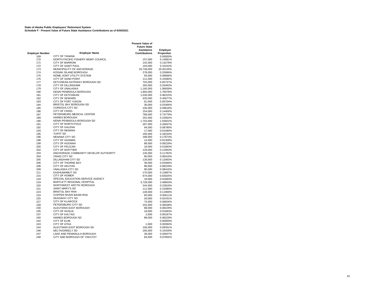**State of Alaska Public Employees' Retirement System Schedule F - Present Value of Future State Assistance Contributions as of 6/30/2021**

|                        |                                       | <b>Present Value of</b><br><b>Future State</b><br>Assistance | <b>Employer</b>      |
|------------------------|---------------------------------------|--------------------------------------------------------------|----------------------|
| <b>Employer Number</b> | <b>Employer Name</b>                  | <b>Contributions</b>                                         | Proportion           |
| 169                    | <b>CITY OF TANANA</b>                 |                                                              | 0.00000%             |
| 170                    | NORTH PACIFIC FISHERY MGMT COUNCIL    | 157,000                                                      | 0.14681%             |
| 171                    | <b>CITY OF BARROW</b>                 | 142,000                                                      | 0.13278%             |
| 172                    | CITY OF SAINT PAUL                    | 163,000                                                      | 0.15242%             |
| 173                    | MUNICIPALITY OF ANCHORAGE             | 20,748,000                                                   | 19.40135%            |
| 174                    | KODIAK ISLAND BOROUGH                 | 278,000                                                      | 0.25996%             |
| 175                    | NOME JOINT UTILITY SYSTEM             | 93,000                                                       | 0.08696%             |
| 176                    | <b>CITY OF SAND POINT</b>             | 111,000                                                      | 0.10380%             |
| 177                    | KETCHIKAN GATEWAY BOROUGH SD          | 703,000                                                      | 0.65737%             |
| 178                    | <b>CITY OF DILLINGHAM</b>             | 283,000                                                      | 0.26463%             |
| 179                    | CITY OF UNALASKA                      | 1,165,000                                                    | 1.08939%             |
| 180                    | KENAI PENINSULA BOROUGH               | 1,883,000                                                    | 1.76078%             |
| 181                    | <b>CITY OF KETCHIKAN</b>              | 1,030,000                                                    | 0.96315%             |
| 182                    | <b>CITY OF SEWARD</b>                 | 435,000                                                      | 0.40677%             |
| 183                    | CITY OF FORT YUKON                    | 61,000                                                       | 0.05704%             |
| 184                    | <b>BRISTOL BAY BOROUGH SD</b>         | 36,000                                                       | 0.03366%             |
| 185                    | CORDOVA CITY SD                       | 105,000                                                      | 0.09818%             |
| 186                    | <b>CITY OF CRAIG</b>                  | 154,000                                                      | 0.14400%             |
| 187                    | PETERSBURG MEDICAL CENTER             | 789,000                                                      | 0.73779%             |
| 189                    | <b>HAINES BOROUGH</b>                 | 252,000                                                      | 0.23564%             |
| 190                    | KENAI PENINSULA BOROUGH SD            | 1,753,000                                                    | 1.63922%             |
| 191                    | CITY OF NORTH POLE                    | 287,000                                                      | 0.26837%             |
| 192                    | CITY OF GALENA                        | 94,000                                                       | 0.08790%             |
| 193                    | <b>CITY OF NENANA</b>                 | 17,000                                                       | 0.01590%             |
| 195                    | <b>YUPIIT SD</b>                      | 195,000                                                      | 0.18234%             |
| 196                    | NENANA CITY SD                        | 189,000                                                      | 0.17673%             |
| 198                    | <b>CITY OF SAXMAN</b>                 | 14,000                                                       | 0.01309%             |
| 199                    | <b>CITY OF HOONAH</b>                 | 88,000                                                       | 0.08229%             |
| 200                    | CITY OF PELICAN                       | 18,000                                                       | 0.01683%             |
| 202                    | <b>CITY OF WHITTIER</b>               | 129,000                                                      | 0.12063%             |
| 203                    | ANCHORAGE COMMUNITY DEVELOP AUTHORITY | 126,000                                                      | 0.11782%             |
| 204                    | CRAIG CITY SD<br>DILLINGHAM CITY SD   | 90,000                                                       | 0.08416%             |
| 205                    | CITY OF THORNE BAY                    | 129,000                                                      | 0.12063%             |
| 206<br>208             | <b>CITY OF AKUTAN</b>                 | 36,000<br>88,000                                             | 0.03366%<br>0.08229% |
| 209                    | <b>UNALASKA CITY SD</b>               | 90,000                                                       | 0.08416%             |
| 211                    | KASHUNAMIUT SD                        | 170,000                                                      | 0.15897%             |
| 215                    | <b>CITY OF HOMER</b>                  | 674,000                                                      | 0.63025%             |
| 218                    | SPECIAL EDUCATION SERVICE AGENCY      | 18,000                                                       | 0.01683%             |
| 219                    | BARTLETT REGIONAL HOSPITAL            | 3,728,000                                                    | 3.48603%             |
| 220                    | NORTHWEST ARCTIC BOROUGH              | 244,000                                                      | 0.22816%             |
| 221                    | SAINT MARY'S SD                       | 111,000                                                      | 0.10380%             |
| 223                    | <b>BRISTOL BAY RHA</b>                | 128,000                                                      | 0.11969%             |
| 224                    | <b>COPPER RIVER BASIN RHA</b>         | 60,000                                                       | 0.05611%             |
| 225                    | <b>SKAGWAY CITY SD</b>                | 26,000                                                       | 0.02431%             |
| 227                    | <b>CITY OF KLAWOCK</b>                | 73,000                                                       | 0.06826%             |
| 228                    | PETERSBURG CITY SD                    | 102,000                                                      | 0.09538%             |
| 230                    | ALEUTIANS EAST BOROUGH                | 88,000                                                       | 0.08229%             |
| 235                    | CITY OF HUSLIA                        | 18,000                                                       | 0.01683%             |
| 237                    | <b>CITY OF KALTAG</b>                 | 2,000                                                        | 0.00187%             |
| 240                    | <b>HAINES BOROUGH SD</b>              | 88,000                                                       | 0.08229%             |
| 242                    | CITY OF ELIM                          |                                                              | 0.00000%             |
| 243                    | <b>CITY OF ATKA</b>                   | 1,000                                                        | 0.00094%             |
| 244                    | ALEUTIANS EAST BOROUGH SD             | 100,000                                                      | 0.09351%             |
| 246                    | <b>DELTA/GREELY SD</b>                | 165,000                                                      | 0.15429%             |
| 247                    | LAKE AND PENINSULA BOROUGH            | 39,000                                                       | 0.03647%             |
| 248                    | CITY AND BOROUGH OF YAKUTAT           | 84,000                                                       | 0.07855%             |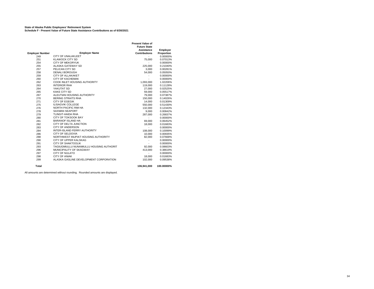**State of Alaska Public Employees' Retirement System Schedule F - Present Value of Future State Assistance Contributions as of 6/30/2021**

|                        |                                          | <b>Present Value of</b> |            |
|------------------------|------------------------------------------|-------------------------|------------|
|                        |                                          | <b>Future State</b>     |            |
|                        |                                          | <b>Assistance</b>       | Employer   |
| <b>Employer Number</b> | <b>Employer Name</b>                     | <b>Contributions</b>    | Proportion |
| 249                    | <b>CITY OF UNALAKLEET</b>                |                         | 0.00000%   |
| 251                    | <b>KLAWOCK CITY SD</b>                   | 75.000                  | 0.07013%   |
| 254                    | <b>CITY OF MEKORYUK</b>                  |                         | 0.00000%   |
| 255                    | ALASKA GATEWAY SD                        | 225,000                 | 0.21040%   |
| 257                    | PELICAN CITY SD                          | 3.000                   | 0.00281%   |
| 258                    | <b>DENALI BOROUGH</b>                    | 54.000                  | 0.05050%   |
| 259                    | CITY OF ALLAKAKET                        |                         | 0.00000%   |
| 260                    | <b>CITY OF KACHEMAK</b>                  | ä,                      | 0.00000%   |
| 262                    | COOK INLET HOUSING AUTHORITY             | 1.093.000               | 1.02206%   |
| 263                    | <b>INTERIOR RHA</b>                      | 119,000                 | 0.11128%   |
| 264                    | YAKUTAT SD                               | 27,000                  | 0.02525%   |
| 265                    | <b>KAKE CITY SD</b>                      | 59,000                  | 0.05517%   |
| 267                    | ALEUTIAN HOUSING AUTHORITY               | 79.000                  | 0.07387%   |
| 270                    | BERING STRAITS RHA                       | 150,000                 | 0.14026%   |
| 271                    | CITY OF EGEGIK                           | 14,000                  | 0.01309%   |
| 275                    | <b>ILISAGVIK COLLEGE</b>                 | 550,000                 | 0.51430%   |
| 276                    | NORTH PACIFIC RIM HA                     | 132,000                 | 0.12343%   |
| 278                    | <b>SAXMAN SEAPORT</b>                    | 9,000                   | 0.00842%   |
| 279                    | TLINGIT-HAIDA RHA                        | 287,000                 | 0.26837%   |
| 280                    | CITY OF TOKSOOK BAY                      |                         | 0.00000%   |
| 281                    | <b>BARANOF ISLAND HA</b>                 | 69,000                  | 0.06452%   |
| 282                    | CITY OF DELTA JUNCTION                   | 18,000                  | 0.01683%   |
| 283                    | CITY OF ANDERSON                         |                         | 0.00000%   |
| 284                    | INTER-ISLAND FERRY AUTHORITY             | 108.000                 | 0.10099%   |
| 286                    | <b>CITY OF SELDOVIA</b>                  | 10.000                  | 0.00935%   |
| 288                    | NORTHWEST INUPIAT HOUSING AUTHORITY      | 82,000                  | 0.07668%   |
| 290                    | CITY OF UPPER KALSKAG                    |                         | 0.00000%   |
| 291                    | <b>CITY OF SHAKTOOLIK</b>                |                         | 0.00000%   |
| 293                    | TAGIUGMIULLU NUNAMIULLU HOUSING AUTHORIT | 92.000                  | 0.08603%   |
| 296                    | MUNICIPALITY OF SKAGWAY                  | 413,000                 | 0.38619%   |
| 297                    | CITY OF NULATO                           |                         | 0.00000%   |
| 298                    | <b>CITY OF ANIAK</b>                     | 18,000                  | 0.01683%   |
| 299                    | ALASKA GASLINE DEVELOPMENT CORPORATION   | 102.000                 | 0.09538%   |
| Total                  |                                          | 106,941,000             | 100.00000% |

All amounts are determined without rounding. Rounded amounts are displayed.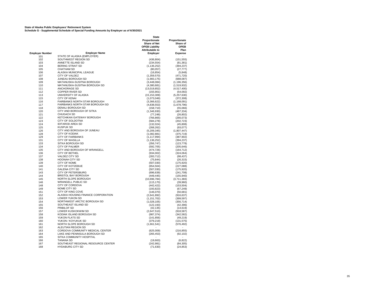**State of Alaska Public Employees' Retirement System Schedule G - Supplemental Schedule of Special Funding Amounts by Employer as of 6/30/2021**

|                        |                                                                    | <b>State</b><br>Proportionate<br><b>Share of Net</b><br><b>OPEB Liability</b> | Proportionate<br>Share of<br><b>OPEB</b> |
|------------------------|--------------------------------------------------------------------|-------------------------------------------------------------------------------|------------------------------------------|
| <b>Employer Number</b> | <b>Employer Name</b>                                               | <b>Attributable to</b><br>Employer                                            | Plan<br><b>Expense</b>                   |
| 101                    | STATE OF ALASKA (EMPLOYER)                                         |                                                                               |                                          |
| 102                    | SOUTHWEST REGION SD                                                | (436, 804)                                                                    | (151, 555)                               |
| 103                    | ANNETTE ISLAND SD                                                  | (234, 554)                                                                    | (81, 381)                                |
| 104                    | <b>BERING STRAIT SD</b>                                            | (1, 136, 252)                                                                 | (394, 237)                               |
| 105                    | <b>CHATHAM SD</b>                                                  | (80,057)                                                                      | (27, 777)                                |
| 106                    | ALASKA MUNICIPAL LEAGUE                                            | (16, 854)                                                                     | (5,848)                                  |
| 107                    | CITY OF VALDEZ                                                     | (1,359,570)                                                                   | (471,720)                                |
| 108                    | JUNEAU BOROUGH SD                                                  | (1,983,175)                                                                   | (688, 087)                               |
| 109                    | MATANUSKA-SUSITNA BOROUGH                                          | (3, 448, 084)                                                                 | (1, 196, 356)                            |
| 110                    | MATANUSKA-SUSITNA BOROUGH SD                                       | (4,380,681)                                                                   | (1,519,932)                              |
| 111                    | ANCHORAGE SD                                                       | (13,019,852)                                                                  | (4,517,400)                              |
| 112                    | <b>COPPER RIVER SD</b>                                             | (155, 901)                                                                    | (54,092)                                 |
| 113                    | UNIVERSITY OF ALASKA                                               | (15, 153, 309)                                                                | (5, 257, 630)                            |
| 115                    | <b>CITY OF KENAI</b>                                               | (1,073,049)                                                                   | (372, 308)                               |
| 116                    | FAIRBANKS NORTH STAR BOROUGH                                       | (3,366,622)                                                                   | (1, 168, 091)                            |
| 117<br>118             | <b>FAIRBANKS NORTH STAR BOROUGH SD</b><br><b>DENALI BOROUGH SD</b> | (4,838,553)                                                                   | (1,678,796)                              |
| 120                    | CITY AND BOROUGH OF SITKA                                          | (158, 710)<br>(1,346,930)                                                     | (55,066)<br>(467, 334)                   |
| 121                    | <b>CHUGACH SD</b>                                                  | (77, 248)                                                                     | (26, 802)                                |
| 122                    | KETCHIKAN GATEWAY BOROUGH                                          | (766, 865)                                                                    | (266, 073)                               |
| 123                    | CITY OF SOLDOTNA                                                   | (584, 278)                                                                    | (202, 723)                               |
| 124                    | <b>IDITAROD AREA SD</b>                                            | (132, 024)                                                                    | (45, 808)                                |
| 125                    | <b>KUSPUK SD</b>                                                   | (268, 262)                                                                    | (93,077)                                 |
| 126                    | CITY AND BOROUGH OF JUNEAU                                         | (5,209,345)                                                                   | (1,807,447)                              |
| 128                    | <b>CITY OF KODIAK</b>                                              | (1,082,881)                                                                   | (375, 719)                               |
| 129                    | <b>CITY OF FAIRBANKS</b>                                           | (1, 117, 994)                                                                 | (387, 902)                               |
| 131                    | <b>CITY OF WASILLA</b>                                             | (1, 136, 252)                                                                 | (394, 237)                               |
| 133                    | <b>SITKA BOROUGH SD</b>                                            | (356, 747)                                                                    | (123, 778)                               |
| 134                    | <b>CITY OF PALMER</b>                                              | (592, 705)                                                                    | (205, 646)                               |
| 135                    | CITY AND BOROUGH OF WRANGELL                                       | (474, 726)                                                                    | (164, 712)                               |
| 136                    | CITY OF BETHEL                                                     | (934,002)                                                                     | (324, 064)                               |
| 137                    | <b>VALDEZ CITY SD</b>                                              | (283, 712)                                                                    | (98, 437)                                |
| 138                    | HOONAH CITY SD                                                     | (75, 844)                                                                     | (26, 315)                                |
| 139                    | CITY OF NOME                                                       | (507, 030)                                                                    | (175,920)                                |
| 140                    | <b>CITY OF KOTZEBUE</b>                                            | (654, 504)                                                                    | (227,088)                                |
| 141                    | <b>GALENA CITY SD</b><br><b>CITY OF PETERSBURG</b>                 | (507, 030)                                                                    | (175, 920)                               |
| 143<br>144             | <b>BRISTOL BAY BOROUGH</b>                                         | (696, 639)<br>(449, 445)                                                      | (241, 708)<br>(155, 940)                 |
| 145                    | NORTH SLOPE BOROUGH                                                | (10,696,784)                                                                  | (3,711,383)                              |
| 146                    | <b>WRANGELL PUBLIC SD</b>                                          | (115, 170)                                                                    | (39,960)                                 |
| 148                    | CITY OF CORDOVA                                                    | (442, 422)                                                                    | (153, 504)                               |
| 149                    | NOME CITY SD                                                       | (193, 823)                                                                    | (67, 249)                                |
| 151                    | CITY OF KING COVE                                                  | (146,070)                                                                     | (50, 681)                                |
| 152                    | ALASKA HOUSING FINANCE CORPORATION                                 | (2,641,892)                                                                   | (916, 637)                               |
| 153                    | LOWER YUKON SD                                                     | (1, 151, 702)                                                                 | (399, 597)                               |
| 154                    | NORTHWEST ARCTIC BOROUGH SD                                        | (1,028,105)                                                                   | (356, 714)                               |
| 155                    | SOUTHEAST ISLAND SD                                                | (122, 193)                                                                    | (42, 396)                                |
| 156                    | <b>PRIBILOF SD</b>                                                 | (42, 135)                                                                     | (14, 619)                                |
| 157                    | LOWER KUSKOKWIM SD                                                 | (2,647,510)                                                                   | (918, 587)                               |
| 158                    | KODIAK ISLAND BOROUGH SD                                           | (987, 374)                                                                    | (342, 582)                               |
| 159                    | YUKON FLATS SD                                                     | (141, 856)                                                                    | (49, 219)                                |
| 160                    | YUKON / KOYUKUK SD                                                 | (379, 219)                                                                    | (131, 575)                               |
| 161                    | NORTH SLOPE BOROUGH SD                                             | (1,661,541)                                                                   | (576, 492)                               |
| 162                    | ALEUTIAN REGION SD                                                 |                                                                               |                                          |
| 163                    | CORDOVA COMMUNITY MEDICAL CENTER                                   | (625,009)                                                                     | (216, 855)                               |
| 164                    | LAKE AND PENINSULA BOROUGH SD<br>SITKA COMMUNITY HOSPITAL          | (265, 453)                                                                    | (92, 102)                                |
| 165<br>166             | <b>TANANA SD</b>                                                   |                                                                               |                                          |
| 167                    | SOUTHEAST REGIONAL RESOURCE CENTER                                 | (19,663)<br>(242,981)                                                         | (6, 822)<br>(84, 305)                    |
| 168                    | <b>HYDABURG CITY SD</b>                                            | (71, 630)                                                                     | (24, 853)                                |
|                        |                                                                    |                                                                               |                                          |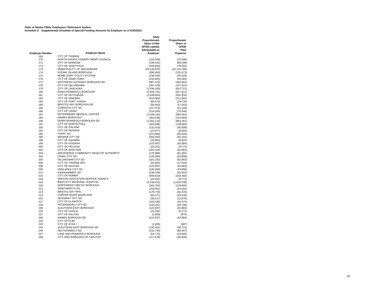**State of Alaska Public Employees' Retirement System Schedule G - Supplemental Schedule of Special Funding Amounts by Employer as of 6/30/2021**

|                        |                                                     | <b>State</b><br>Proportionate<br><b>Share of Net</b><br><b>OPEB Liability</b><br><b>Attributable to</b> | Proportionate<br>Share of<br><b>OPEB</b><br>Plan |
|------------------------|-----------------------------------------------------|---------------------------------------------------------------------------------------------------------|--------------------------------------------------|
| <b>Employer Number</b> | <b>Employer Name</b>                                | Employer                                                                                                | <b>Expense</b>                                   |
| 169                    | <b>CITY OF TANANA</b>                               |                                                                                                         | ä,                                               |
| 170                    | NORTH PACIFIC FISHERY MGMT COUNCIL                  | (220, 509)                                                                                              | (76, 508)                                        |
| 171                    | <b>CITY OF BARROW</b>                               | (199, 441)                                                                                              | (69, 199)                                        |
| 172                    | <b>CITY OF SAINT PAUL</b>                           | (228, 936)                                                                                              | (79, 432)                                        |
| 173                    | MUNICIPALITY OF ANCHORAGE                           | (29, 140, 872)                                                                                          | (10, 110, 789)                                   |
| 174                    | KODIAK ISLAND BOROUGH                               | (390, 455)                                                                                              | (135, 473)                                       |
| 175                    | NOME JOINT UTILITY SYSTEM                           | (130, 620)                                                                                              | (45, 320)                                        |
| 176                    | <b>CITY OF SAND POINT</b>                           | (155, 901)                                                                                              | (54,092)                                         |
| 177                    | KETCHIKAN GATEWAY BOROUGH SD                        | (987, 374)                                                                                              | (342, 582)                                       |
| 178                    | <b>CITY OF DILLINGHAM</b>                           | (397, 478)                                                                                              | (137, 910)                                       |
| 179                    | CITY OF UNALASKA                                    | (1,636,260)                                                                                             | (567, 721)                                       |
| 180                    | KENAI PENINSULA BOROUGH                             | (2,644,701)                                                                                             | (917, 612)                                       |
| 181                    | <b>CITY OF KETCHIKAN</b>                            | (1,446,650)                                                                                             | (501, 933)                                       |
| 182                    | <b>CITY OF SEWARD</b>                               | (610, 964)                                                                                              | (211, 982)                                       |
| 183                    | <b>CITY OF FORT YUKON</b>                           | (85, 675)                                                                                               | (29, 726)                                        |
| 184                    | <b>BRISTOL BAY BOROUGH SD</b>                       | (50, 563)                                                                                               | (17, 543)                                        |
| 185                    | CORDOVA CITY SD                                     | (147, 474)                                                                                              | (51, 168)                                        |
| 186                    | <b>CITY OF CRAIG</b>                                | (216, 295)                                                                                              | (75, 046)                                        |
| 187                    | PETERSBURG MEDICAL CENTER                           | (1, 108, 162)                                                                                           | (384, 491)                                       |
| 189                    | <b>HAINES BOROUGH</b><br>KENAI PENINSULA BOROUGH SD | (353, 938)                                                                                              | (122, 803)                                       |
| 190                    | CITY OF NORTH POLE                                  | (2,462,114)                                                                                             | (854, 261)                                       |
| 191                    |                                                     | (403,096)                                                                                               | (139, 859)                                       |
| 192<br>193             | <b>CITY OF GALENA</b><br><b>CITY OF NENANA</b>      | (132, 024)                                                                                              | (45, 808)                                        |
| 195                    | <b>YUPIIT SD</b>                                    | (23, 877)                                                                                               | (8, 284)                                         |
| 196                    | <b>NENANA CITY SD</b>                               | (273, 880)<br>(265, 453)                                                                                | (95,026)<br>(92, 102)                            |
| 198                    | <b>CITY OF SAXMAN</b>                               | (19,663)                                                                                                | (6, 822)                                         |
| 199                    | <b>CITY OF HOONAH</b>                               | (123, 597)                                                                                              | (42, 884)                                        |
| 200                    | CITY OF PELICAN                                     | (25, 281)                                                                                               | (8, 772)                                         |
| 202                    | <b>CITY OF WHITTIER</b>                             | (181, 182)                                                                                              | (62, 863)                                        |
| 203                    | ANCHORAGE COMMUNITY DEVELOP AUTHORITY               | (176, 969)                                                                                              | (61, 402)                                        |
| 204                    | <b>CRAIG CITY SD</b>                                | (126, 406)                                                                                              | (43, 858)                                        |
| 205                    | DILLINGHAM CITY SD                                  | (181, 182)                                                                                              | (62, 863)                                        |
| 206                    | CITY OF THORNE BAY                                  | (50, 563)                                                                                               | (17, 543)                                        |
| 208                    | <b>CITY OF AKUTAN</b>                               | (123, 597)                                                                                              | (42, 884)                                        |
| 209                    | UNALASKA CITY SD                                    | (126, 406)                                                                                              | (43, 858)                                        |
| 211                    | <b>KASHUNAMIUT SD</b>                               | (238, 768)                                                                                              | (82, 843)                                        |
| 215                    | CITY OF HOMER                                       | (946, 643)                                                                                              | (328, 450)                                       |
| 218                    | SPECIAL EDUCATION SERVICE AGENCY                    | (25, 281)                                                                                               | (8, 772)                                         |
| 219                    | <b>BARTLETT REGIONAL HOSPITAL</b>                   | (5,236,031)                                                                                             | (1,816,706)                                      |
| 220                    | NORTHWEST ARCTIC BOROUGH                            | (342, 702)                                                                                              | (118, 905)                                       |
| 221                    | SAINT MARY'S SD                                     | (155, 901)                                                                                              | (54,092)                                         |
| 223                    | <b>BRISTOL BAY RHA</b>                              | (179, 778)                                                                                              | (62, 376)                                        |
| 224                    | <b>COPPER RIVER BASIN RHA</b>                       | (84, 271)                                                                                               | (29, 239)                                        |
| 225                    | <b>SKAGWAY CITY SD</b>                              | (36, 517)                                                                                               | (12, 670)                                        |
| 227                    | <b>CITY OF KLAWOCK</b>                              | (102, 530)                                                                                              | (35, 574)                                        |
| 228                    | PETERSBURG CITY SD                                  | (143, 261)                                                                                              | (49, 706)                                        |
| 230                    | ALEUTIANS EAST BOROUGH                              | (123, 597)                                                                                              | (42, 884)                                        |
| 235                    | <b>CITY OF HUSLIA</b>                               | (25, 281)                                                                                               | (8, 772)                                         |
| 237                    | <b>CITY OF KALTAG</b>                               | (2,809)                                                                                                 | (975)                                            |
| 240                    | <b>HAINES BOROUGH SD</b>                            | (123, 597)                                                                                              | (42, 884)                                        |
| 242                    | <b>CITY OF ELIM</b><br><b>CITY OF ATKA</b>          |                                                                                                         |                                                  |
| 243<br>244             | ALEUTIANS EAST BOROUGH SD                           | (1,405)                                                                                                 | (487)                                            |
| 246                    | DELTA/GREELY SD                                     | (140,451)<br>(231, 745)                                                                                 | (48, 731)<br>(80, 407)                           |
| 247                    | LAKE AND PENINSULA BOROUGH                          | (54, 776)                                                                                               | (19,005)                                         |
| 248                    | CITY AND BOROUGH OF YAKUTAT                         | (117, 979)                                                                                              | (40, 934)                                        |
|                        |                                                     |                                                                                                         |                                                  |